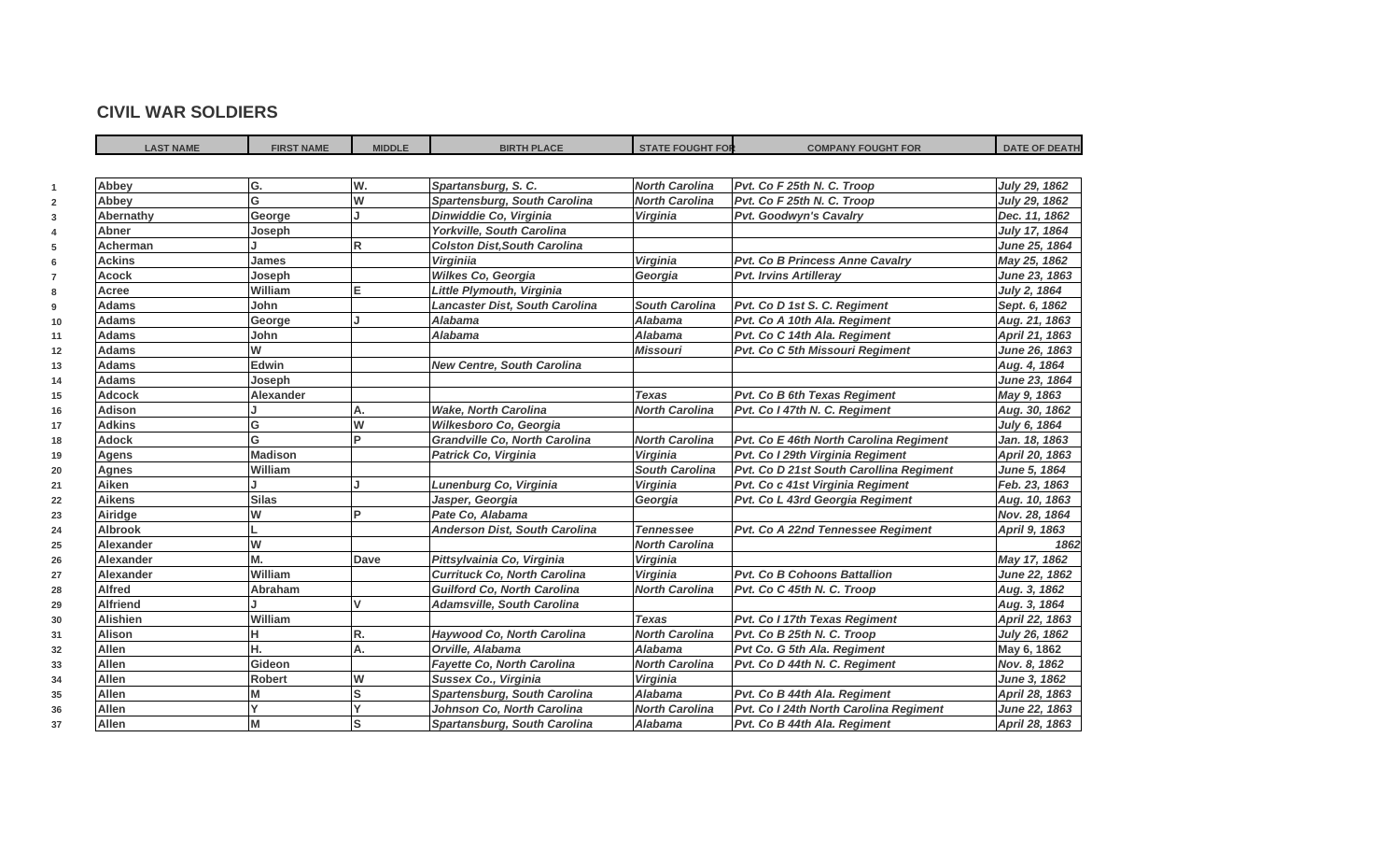## **CIVIL WAR SOLDIERS**

| <b>LAST NAME</b> | <b>FIRST NAME</b>       | <b>MIDDLE</b> | <b>BIRTH PLACE</b>                   | <b>STATE FOUGHT FOR</b> | <b>COMPANY FOUGHT FOR</b>               | <b>DATE OF DEATH</b> |
|------------------|-------------------------|---------------|--------------------------------------|-------------------------|-----------------------------------------|----------------------|
|                  |                         |               |                                      |                         |                                         |                      |
| Abbey            | G.                      | W.            | Spartansburg, S. C.                  | <b>North Carolina</b>   | Pvt. Co F 25th N. C. Troop              | July 29, 1862        |
| Abbey            | $\overline{\mathsf{G}}$ | W             | Spartensburg, South Carolina         | <b>North Carolina</b>   | Pvt. Co F 25th N. C. Troop              | July 29, 1862        |
| Abernathy        | George                  |               | Dinwiddie Co, Virginia               | <b>Virginia</b>         | <b>Pvt. Goodwyn's Cavalry</b>           | Dec. 11, 1862        |
| <b>Abner</b>     | Joseph                  |               | Yorkville, South Carolina            |                         |                                         | July 17, 1864        |
| <b>Acherman</b>  |                         | R             | <b>Colston Dist, South Carolina</b>  |                         |                                         | June 25, 1864        |
| <b>Ackins</b>    | James                   |               | <b>Virginiia</b>                     | <b>Virginia</b>         | Pvt. Co B Princess Anne Cavalry         | May 25, 1862         |
| <b>Acock</b>     | Joseph                  |               | Wilkes Co, Georgia                   | Georgia                 | <b>Pvt. Irvins Artilleray</b>           | June 23, 1863        |
| Acree            | William                 | E             | Little Plymouth, Virginia            |                         |                                         | July 2, 1864         |
| <b>Adams</b>     | John                    |               | Lancaster Dist, South Carolina       | <b>South Carolina</b>   | Pvt. Co D 1st S. C. Regiment            | Sept. 6, 1862        |
| <b>Adams</b>     | George                  |               | <b>Alabama</b>                       | <b>Alabama</b>          | Pvt. Co A 10th Ala. Regiment            | Aug. 21, 1863        |
| <b>Adams</b>     | John                    |               | <b>Alabama</b>                       | <b>Alabama</b>          | Pvt. Co C 14th Ala. Regiment            | April 21, 1863       |
| <b>Adams</b>     | W                       |               |                                      | <b>Missouri</b>         | Pvt. Co C 5th Missouri Regiment         | June 26, 1863        |
| <b>Adams</b>     | Edwin                   |               | <b>New Centre, South Carolina</b>    |                         |                                         | Aug. 4, 1864         |
| <b>Adams</b>     | Joseph                  |               |                                      |                         |                                         | June 23, 1864        |
| <b>Adcock</b>    | <b>Alexander</b>        |               |                                      | <b>Texas</b>            | Pvt. Co B 6th Texas Regiment            | May 9, 1863          |
| <b>Adison</b>    |                         | А.            | <b>Wake, North Carolina</b>          | <b>North Carolina</b>   | Pvt. Co I 47th N. C. Regiment           | Aug. 30, 1862        |
| <b>Adkins</b>    | G                       | W             | Wilkesboro Co, Georgia               |                         |                                         | July 6, 1864         |
| Adock            | G                       | Þ             | <b>Grandville Co. North Carolina</b> | <b>North Carolina</b>   | Pvt. Co E 46th North Carolina Regiment  | Jan. 18, 1863        |
| Agens            | <b>Madison</b>          |               | Patrick Co, Virginia                 | Virginia                | Pvt. Co I 29th Virginia Regiment        | April 20, 1863       |
| <b>Agnes</b>     | William                 |               |                                      | <b>South Carolina</b>   | Pvt. Co D 21st South Carollina Regiment | June 5, 1864         |
| Aiken            |                         |               | Lunenburg Co, Virginia               | Virginia                | Pvt. Co c 41st Virginia Regiment        | Feb. 23, 1863        |
| <b>Aikens</b>    | <b>Silas</b>            |               | Jasper, Georgia                      | Georgia                 | Pvt. Co L 43rd Georgia Regiment         | Aug. 10, 1863        |
| Airidge          | W                       | D             | Pate Co, Alabama                     |                         |                                         | Nov. 28, 1864        |
| <b>Albrook</b>   |                         |               | Anderson Dist, South Carolina        | <b>Tennessee</b>        | Pvt. Co A 22nd Tennessee Regiment       | April 9, 1863        |
| Alexander        | W                       |               |                                      | <b>North Carolina</b>   |                                         | 1862                 |
| Alexander        | M.                      | Dave          | Pittsylvainia Co, Virginia           | Virginia                |                                         | May 17, 1862         |
| <b>Alexander</b> | William                 |               | <b>Currituck Co. North Carolina</b>  | <b>Virginia</b>         | <b>Pvt. Co B Cohoons Battallion</b>     | June 22, 1862        |
| <b>Alfred</b>    | Abraham                 |               | <b>Guilford Co. North Carolina</b>   | <b>North Carolina</b>   | Pvt. Co C 45th N. C. Troop              | Aug. 3, 1862         |
| Alfriend         |                         | v             | <b>Adamsville, South Carolina</b>    |                         |                                         | Aug. 3, 1864         |
| <b>Alishien</b>  | William                 |               |                                      | <b>Texas</b>            | Pvt. Co I 17th Texas Regiment           | April 22, 1863       |
| Alison           |                         | R.            | Haywood Co, North Carolina           | <b>North Carolina</b>   | Pvt. Co B 25th N. C. Troop              | July 26, 1862        |
| Allen            | н.                      | А.            | Orville, Alabama                     | <b>Alabama</b>          | Pvt Co. G 5th Ala. Regiment             | May 6, 1862          |
| <b>Allen</b>     | Gideon                  |               | <b>Fayette Co, North Carolina</b>    | <b>North Carolina</b>   | Pvt. Co D 44th N. C. Regiment           | Nov. 8, 1862         |
| <b>Allen</b>     | <b>Robert</b>           | W             | Sussex Co., Virginia                 | Virginia                |                                         | June 3, 1862         |
| <b>Allen</b>     | М                       | S             | <b>Spartensburg, South Carolina</b>  | <b>Alabama</b>          | Pvt. Co B 44th Ala. Regiment            | April 28, 1863       |
| <b>Allen</b>     |                         |               | Johnson Co, North Carolina           | <b>North Carolina</b>   | Pvt. Co I 24th North Carolina Regiment  | June 22, 1863        |
| <b>Allen</b>     | M                       |               | Spartansburg, South Carolina         | <b>Alabama</b>          | Pvt. Co B 44th Ala. Regiment            | April 28, 1863       |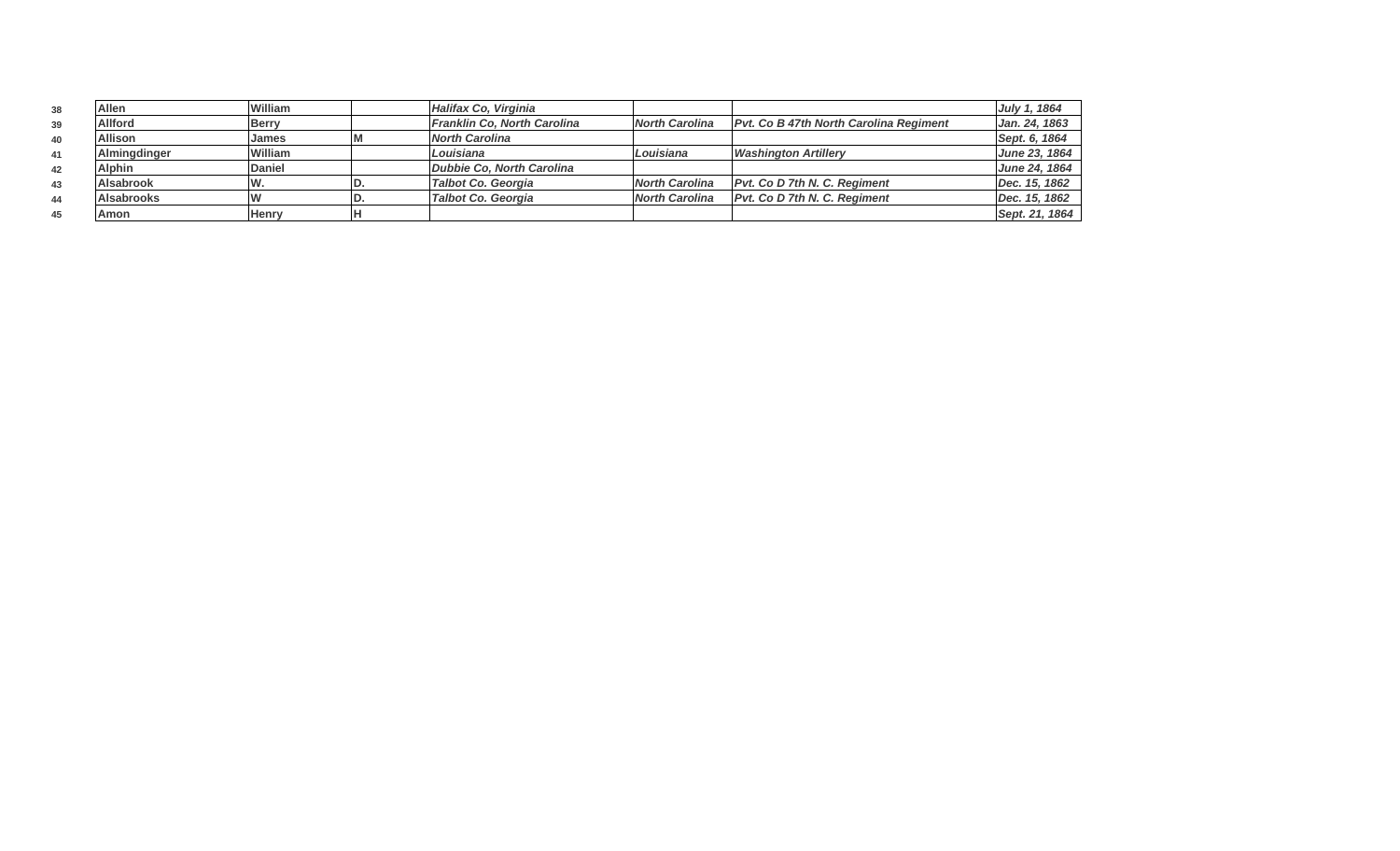| 38 | Allen             | William       | Halifax Co. Virginia        |                       |                                               | July 1, 1864   |
|----|-------------------|---------------|-----------------------------|-----------------------|-----------------------------------------------|----------------|
| 39 | <b>Allford</b>    | <b>Berry</b>  | Franklin Co, North Carolina | <b>North Carolina</b> | <b>Pvt. Co B 47th North Carolina Regiment</b> | Jan. 24, 1863  |
| 40 | <b>Allison</b>    | James         | North Carolina              |                       |                                               | Sept. 6, 1864  |
| 41 | Almingdinger      | William       | <i>Louisiana</i>            | Louisiana             | <b>Washington Artillerv</b>                   | June 23, 1864  |
| 42 | <b>Alphin</b>     | <b>Daniel</b> | Dubbie Co. North Carolina   |                       |                                               | June 24, 1864  |
| 43 | <b>Alsabrook</b>  | W.            | Talbot Co. Georgia          | <b>North Carolina</b> | <b>Pvt. Co D 7th N. C. Reaiment</b>           | Dec. 15, 1862  |
| 44 | <b>Alsabrooks</b> |               | Talbot Co. Georgia          | <b>North Carolina</b> | <b>Pvt. Co D 7th N. C. Regiment</b>           | Dec. 15, 1862  |
| 45 | Amon              | <b>Henry</b>  |                             |                       |                                               | Sept. 21, 1864 |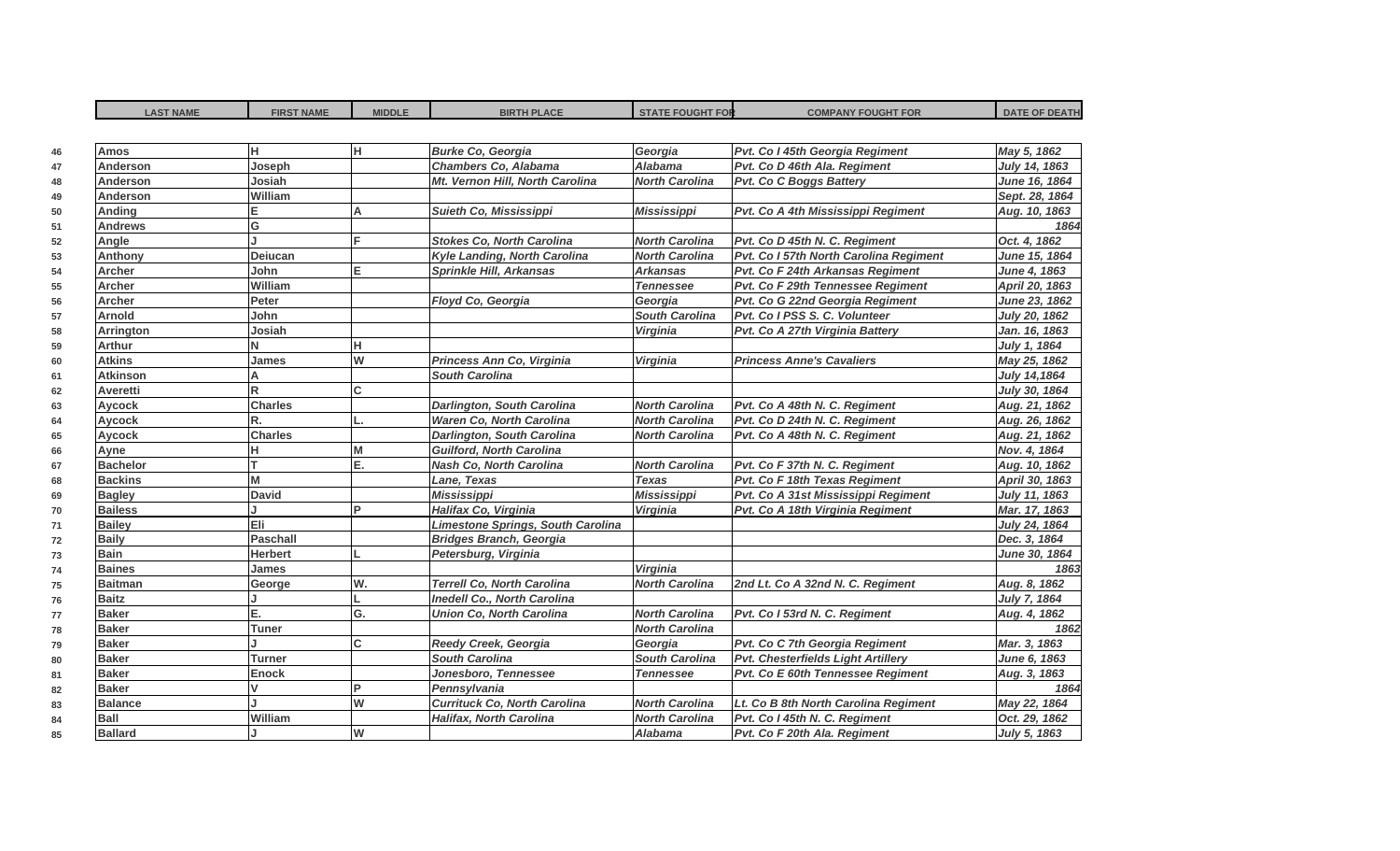| <b>LAST NAME</b> | <b>FIRST NAME</b> | <b>MIDDLE</b> | <b>BIRTH PLACE</b>                  | <b>STATE FOUGHT FOR</b> | <b>COMPANY FOUGHT FOR</b>              | <b>DATE OF DEATH</b> |
|------------------|-------------------|---------------|-------------------------------------|-------------------------|----------------------------------------|----------------------|
|                  |                   |               |                                     |                         |                                        |                      |
| <b>Amos</b>      | H.                | lн.           | <b>Burke Co, Georgia</b>            | Georgia                 | Pvt. Co I 45th Georgia Regiment        | May 5, 1862          |
| <b>Anderson</b>  | Joseph            |               | Chambers Co, Alabama                | <b>Alabama</b>          | Pvt. Co D 46th Ala. Regiment           | July 14, 1863        |
| <b>Anderson</b>  | Josiah            |               | Mt. Vernon Hill, North Carolina     | <b>North Carolina</b>   | Pvt. Co C Boggs Battery                | June 16, 1864        |
| <b>Anderson</b>  | William           |               |                                     |                         |                                        | Sept. 28, 1864       |
| Anding           |                   | A             | Suieth Co, Mississippi              | <b>Mississippi</b>      | Pvt. Co A 4th Mississippi Regiment     | Aug. 10, 1863        |
| <b>Andrews</b>   | G                 |               |                                     |                         |                                        | 1864                 |
| Angle            |                   | E             | <b>Stokes Co, North Carolina</b>    | <b>North Carolina</b>   | Pvt. Co D 45th N. C. Regiment          | Oct. 4, 1862         |
| Anthony          | Deiucan           |               | Kyle Landing, North Carolina        | <b>North Carolina</b>   | Pvt. Co I 57th North Carolina Regiment | June 15, 1864        |
| Archer           | John              | lE.           | Sprinkle Hill, Arkansas             | <b>Arkansas</b>         | Pvt. Co F 24th Arkansas Regiment       | June 4, 1863         |
| Archer           | William           |               |                                     | <b>Tennessee</b>        | Pvt. Co F 29th Tennessee Regiment      | April 20, 1863       |
| <b>Archer</b>    | Peter             |               | Floyd Co, Georgia                   | Georgia                 | Pvt. Co G 22nd Georgia Regiment        | June 23, 1862        |
| <b>Arnold</b>    | John              |               |                                     | <b>South Carolina</b>   | Pvt. Co I PSS S. C. Volunteer          | July 20, 1862        |
| <b>Arrington</b> | Josiah            |               |                                     | <b>Virginia</b>         | Pvt. Co A 27th Virginia Battery        | Jan. 16, 1863        |
| <b>Arthur</b>    | N                 | lн            |                                     |                         |                                        | July 1, 1864         |
| <b>Atkins</b>    | James             | W             | Princess Ann Co, Virginia           | Virginia                | <b>Princess Anne's Cavaliers</b>       | May 25, 1862         |
| <b>Atkinson</b>  | A                 |               | <b>South Carolina</b>               |                         |                                        | July 14,1864         |
| Averetti         | $\mathsf{R}$      | lc.           |                                     |                         |                                        | July 30, 1864        |
| <b>Aycock</b>    | <b>Charles</b>    |               | <b>Darlington, South Carolina</b>   | <b>North Carolina</b>   | Pvt. Co A 48th N. C. Regiment          | Aug. 21, 1862        |
| <b>Aycock</b>    | R.                |               | Waren Co, North Carolina            | <b>North Carolina</b>   | Pvt. Co D 24th N. C. Regiment          | Aug. 26, 1862        |
| Aycock           | <b>Charles</b>    |               | Darlington, South Carolina          | <b>North Carolina</b>   | Pvt. Co A 48th N. C. Regiment          | Aug. 21, 1862        |
| Ayne             | н.                | M             | <b>Guilford, North Carolina</b>     |                         |                                        | Nov. 4, 1864         |
| <b>Bachelor</b>  | т                 | E.            | <b>Nash Co. North Carolina</b>      | <b>North Carolina</b>   | Pvt. Co F 37th N. C. Regiment          | Aug. 10, 1862        |
| <b>Backins</b>   | M                 |               | Lane, Texas                         | <b>Texas</b>            | Pvt. Co F 18th Texas Regiment          | April 30, 1863       |
| <b>Bagley</b>    | <b>David</b>      |               | <b>Mississippi</b>                  | <b>Mississippi</b>      | Pvt. Co A 31st Mississippi Regiment    | July 11, 1863        |
| <b>Bailess</b>   |                   | <b>P</b>      | Halifax Co, Virginia                | <b>Virginia</b>         | Pvt. Co A 18th Virginia Regiment       | Mar. 17, 1863        |
| <b>Bailey</b>    | Eli               |               | Limestone Springs, South Carolina   |                         |                                        | July 24, 1864        |
| <b>Baily</b>     | <b>Paschall</b>   |               | <b>Bridges Branch, Georgia</b>      |                         |                                        | Dec. 3, 1864         |
| <b>Bain</b>      | <b>Herbert</b>    |               | Petersburg, Virginia                |                         |                                        | June 30, 1864        |
| <b>Baines</b>    | <b>James</b>      |               |                                     | Virginia                |                                        | 1863                 |
| <b>Baitman</b>   | George            | W.            | <b>Terrell Co, North Carolina</b>   | <b>North Carolina</b>   | 2nd Lt. Co A 32nd N. C. Regiment       | Aug. 8, 1862         |
| <b>Baitz</b>     |                   |               | <b>Inedell Co., North Carolina</b>  |                         |                                        | July 7, 1864         |
| <b>Baker</b>     | Е.                | lG.           | <b>Union Co, North Carolina</b>     | <b>North Carolina</b>   | Pvt. Co I 53rd N. C. Regiment          | Aug. 4, 1862         |
| <b>Baker</b>     | <b>Tuner</b>      |               |                                     | <b>North Carolina</b>   |                                        | 1862                 |
| <b>Baker</b>     |                   | c             | Reedy Creek, Georgia                | Georgia                 | Pvt. Co C 7th Georgia Regiment         | Mar. 3, 1863         |
| <b>Baker</b>     | <b>Turner</b>     |               | <b>South Carolina</b>               | <b>South Carolina</b>   | Pvt. Chesterfields Light Artillery     | June 6, 1863         |
| <b>Baker</b>     | <b>Enock</b>      |               | Jonesboro, Tennessee                | <b>Tennessee</b>        | Pvt. Co E 60th Tennessee Regiment      | Aug. 3, 1863         |
| <b>Baker</b>     | $\mathsf{v}$      | <b>P</b>      | Pennsylvania                        |                         |                                        | 1864                 |
| <b>Balance</b>   |                   | W             | <b>Currituck Co, North Carolina</b> | <b>North Carolina</b>   | Lt. Co B 8th North Carolina Regiment   | May 22, 1864         |
| <b>Ball</b>      | William           |               | Halifax, North Carolina             | <b>North Carolina</b>   | Pvt. Co I 45th N. C. Regiment          | Oct. 29, 1862        |
| <b>Ballard</b>   |                   | lw            |                                     | Alabama                 | Pvt. Co F 20th Ala. Regiment           | July 5, 1863         |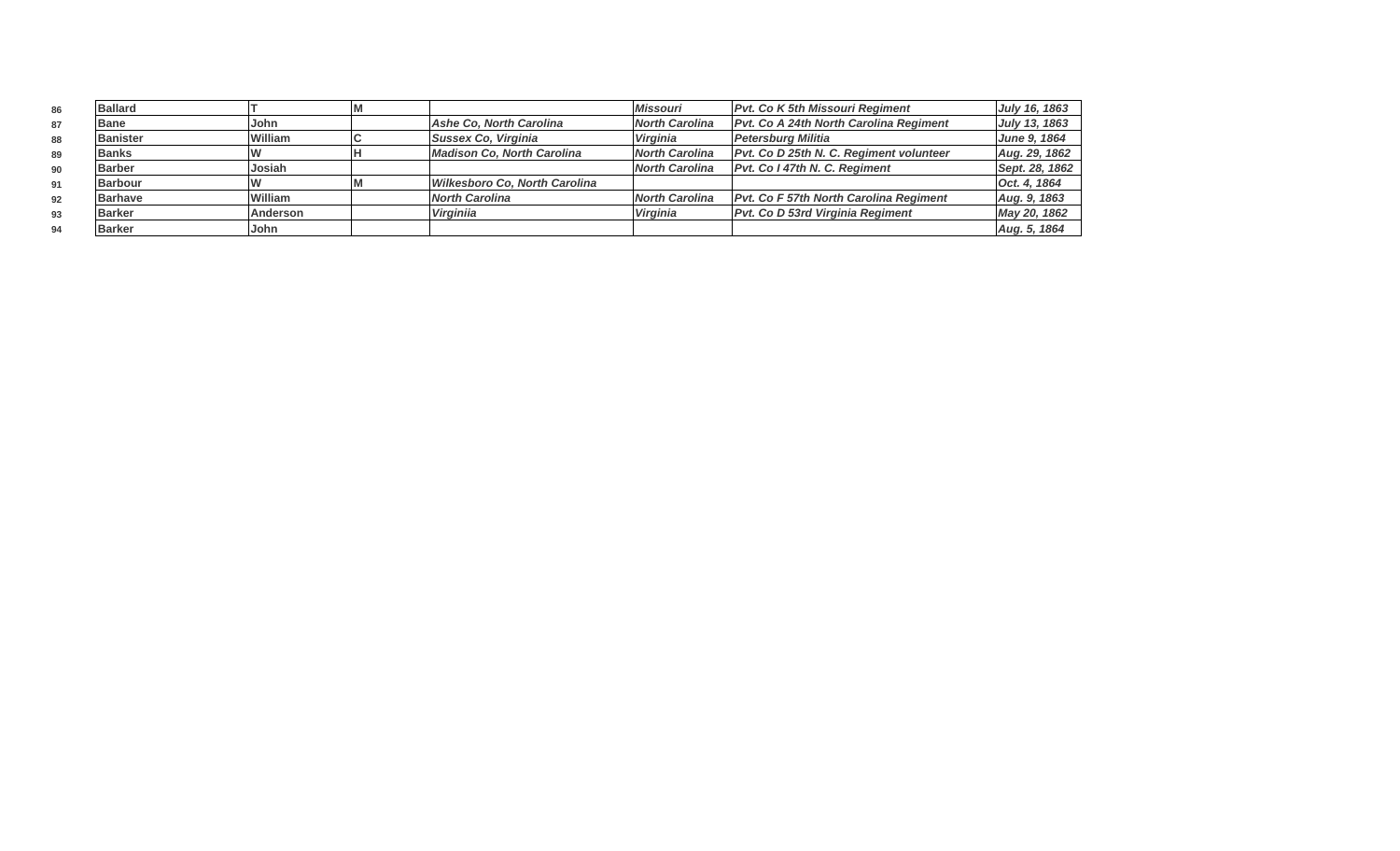| 86 | <b>Ballard</b>  |                 |                               | <b>Missouri</b> | <b>Pvt. Co K 5th Missouri Regiment</b>        | July 16, 1863  |
|----|-----------------|-----------------|-------------------------------|-----------------|-----------------------------------------------|----------------|
| 87 | <b>Bane</b>     | John            | Ashe Co, North Carolina       | North Carolina  | Pvt. Co A 24th North Carolina Regiment        | July 13, 1863  |
| 88 | <b>Banister</b> | <b>William</b>  | Sussex Co, Virginia           | Virginia        | Petersburg Militia                            | June 9, 1864   |
| 89 | <b>Banks</b>    |                 | Madison Co, North Carolina    | North Carolina  | Pvt. Co D 25th N. C. Regiment volunteer       | Aug. 29, 1862  |
| 90 | <b>Barber</b>   | Josiah          |                               | North Carolina  | <b>Pvt. Co I 47th N. C. Reaiment</b>          | Sept. 28, 1862 |
| 91 | <b>Barbour</b>  |                 | Wilkesboro Co, North Carolina |                 |                                               | Oct. 4, 1864   |
| 92 | <b>Barhave</b>  | <b>William</b>  | North Carolina                | North Carolina  | <b>Pvt. Co F 57th North Carolina Regiment</b> | Aug. 9, 1863   |
| 93 | <b>Barker</b>   | <b>Anderson</b> | Virginija                     | <b>Virginia</b> | Pvt. Co D 53rd Virginia Regiment              | May 20, 1862   |
| 94 | <b>Barker</b>   | lJohn           |                               |                 |                                               | Aug. 5, 1864   |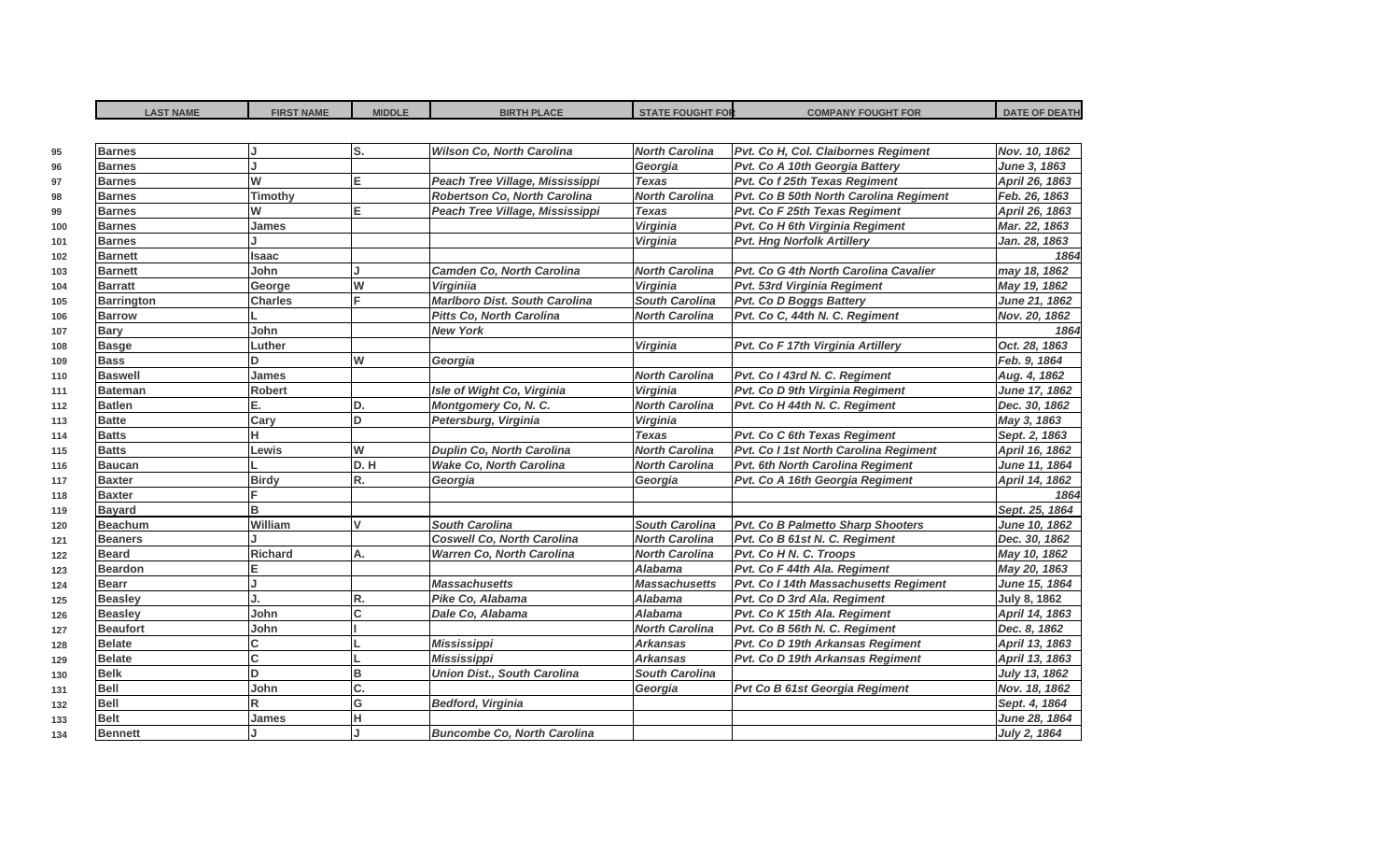| <b>LAST NAME</b>  | <b>FIRST NAME</b> | <b>MIDDLE</b> | <b>BIRTH PLACE</b>                   | <b>STATE FOUGHT FOR</b> | <b>COMPANY FOUGHT FOR</b>              | <b>DATE OF DEATH</b> |
|-------------------|-------------------|---------------|--------------------------------------|-------------------------|----------------------------------------|----------------------|
|                   |                   | lS.           | <b>Wilson Co, North Carolina</b>     | <b>North Carolina</b>   |                                        | Nov. 10, 1862        |
| <b>Barnes</b>     |                   |               |                                      |                         | Pvt. Co H, Col. Claibornes Regiment    |                      |
| <b>Barnes</b>     | W                 | E.            |                                      | Georgia<br><b>Texas</b> | Pvt. Co A 10th Georgia Battery         | June 3, 1863         |
| <b>Barnes</b>     |                   |               | Peach Tree Village, Mississippi      | <b>North Carolina</b>   | Pvt. Co f 25th Texas Regiment          | April 26, 1863       |
| <b>Barnes</b>     | <b>Timothy</b>    |               | Robertson Co, North Carolina         |                         | Pvt. Co B 50th North Carolina Regiment | Feb. 26, 1863        |
| <b>Barnes</b>     | W                 | E.            | Peach Tree Village, Mississippi      | <b>Texas</b>            | Pvt. Co F 25th Texas Regiment          | April 26, 1863       |
| <b>Barnes</b>     | James             |               |                                      | Virginia                | Pvt. Co H 6th Virginia Regiment        | Mar. 22, 1863        |
| <b>Barnes</b>     |                   |               |                                      | Virginia                | <b>Pvt. Hng Norfolk Artillery</b>      | Jan. 28, 1863        |
| <b>Barnett</b>    | Isaac             |               |                                      |                         |                                        | 1864                 |
| <b>Barnett</b>    | John              |               | <b>Camden Co. North Carolina</b>     | <b>North Carolina</b>   | Pvt. Co G 4th North Carolina Cavalier  | may 18, 1862         |
| <b>Barratt</b>    | George            | W             | <b>Virginiia</b>                     | Virginia                | Pvt. 53rd Virginia Regiment            | May 19, 1862         |
| <b>Barrington</b> | <b>Charles</b>    | F             | <b>Marlboro Dist. South Carolina</b> | <b>South Carolina</b>   | <b>Pvt. Co D Boggs Battery</b>         | June 21, 1862        |
| <b>Barrow</b>     |                   |               | <b>Pitts Co, North Carolina</b>      | <b>North Carolina</b>   | Pvt. Co C, 44th N. C. Regiment         | Nov. 20, 1862        |
| <b>Bary</b>       | John              |               | <b>New York</b>                      |                         |                                        | 1864                 |
| <b>Basge</b>      | Luther            |               |                                      | <b>Virginia</b>         | Pvt. Co F 17th Virginia Artillery      | Oct. 28, 1863        |
| <b>Bass</b>       | D                 | W             | Georgia                              |                         |                                        | Feb. 9, 1864         |
| <b>Baswell</b>    | <b>James</b>      |               |                                      | <b>North Carolina</b>   | Pvt. Co I 43rd N. C. Regiment          | Aug. 4, 1862         |
| <b>Bateman</b>    | <b>Robert</b>     |               | Isle of Wight Co, Virginia           | Virginia                | Pvt. Co D 9th Virginia Regiment        | June 17, 1862        |
| <b>Batlen</b>     | E.                | D.            | Montgomery Co, N. C.                 | <b>North Carolina</b>   | Pvt. Co H 44th N. C. Regiment          | Dec. 30, 1862        |
| <b>Batte</b>      | Cary              | D.            | Petersburg, Virginia                 | Virginia                |                                        | May 3, 1863          |
| <b>Batts</b>      | н                 |               |                                      | <b>Texas</b>            | Pvt. Co C 6th Texas Regiment           | Sept. 2, 1863        |
| <b>Batts</b>      | Lewis             | W             | <b>Duplin Co, North Carolina</b>     | <b>North Carolina</b>   | Pvt. Co I 1st North Carolina Regiment  | April 16, 1862       |
| <b>Baucan</b>     |                   | D.H           | <b>Wake Co, North Carolina</b>       | <b>North Carolina</b>   | Pvt. 6th North Carolina Regiment       | June 11, 1864        |
| <b>Baxter</b>     | <b>Birdy</b>      | R.            | Georgia                              | Georgia                 | Pvt. Co A 16th Georgia Regiment        | April 14, 1862       |
| <b>Baxter</b>     |                   |               |                                      |                         |                                        | 1864                 |
| <b>Bayard</b>     | B                 |               |                                      |                         |                                        | Sept. 25, 1864       |
| <b>Beachum</b>    | William           | $\mathbf{v}$  | <b>South Carolina</b>                | <b>South Carolina</b>   | Pvt. Co B Palmetto Sharp Shooters      | June 10, 1862        |
| <b>Beaners</b>    |                   |               | <b>Coswell Co, North Carolina</b>    | <b>North Carolina</b>   | Pvt. Co B 61st N. C. Regiment          | Dec. 30, 1862        |
| <b>Beard</b>      | <b>Richard</b>    | A.            | <b>Warren Co, North Carolina</b>     | <b>North Carolina</b>   | Pvt. Co H N. C. Troops                 | May 10, 1862         |
| <b>Beardon</b>    |                   |               |                                      | Alabama                 | Pvt. Co F 44th Ala. Regiment           | May 20, 1863         |
| <b>Bearr</b>      |                   |               | <b>Massachusetts</b>                 | <b>Massachusetts</b>    | Pvt. Co I 14th Massachusetts Regiment  | June 15, 1864        |
| <b>Beasley</b>    |                   | R.            | Pike Co, Alabama                     | <b>Alabama</b>          | Pvt. Co D 3rd Ala. Regiment            | <b>July 8, 1862</b>  |
| <b>Beasley</b>    | John              | <sub>c</sub>  | Dale Co, Alabama                     | <b>Alabama</b>          | Pvt. Co K 15th Ala. Regiment           | April 14, 1863       |
| <b>Beaufort</b>   | John              |               |                                      | <b>North Carolina</b>   | Pvt. Co B 56th N. C. Regiment          | Dec. 8, 1862         |
| <b>Belate</b>     | C.                |               | <b>Mississippi</b>                   | <b>Arkansas</b>         | Pvt. Co D 19th Arkansas Regiment       | April 13, 1863       |
| <b>Belate</b>     | C.                |               | <b>Mississippi</b>                   | <b>Arkansas</b>         | Pvt. Co D 19th Arkansas Regiment       | April 13, 1863       |
| <b>Belk</b>       | D                 | B             | <b>Union Dist., South Carolina</b>   | <b>South Carolina</b>   |                                        | July 13, 1862        |
| <b>Bell</b>       | John              | C.            |                                      | Georgia                 | Pvt Co B 61st Georgia Regiment         | Nov. 18, 1862        |
| <b>Bell</b>       | R                 | G             | <b>Bedford, Virginia</b>             |                         |                                        | Sept. 4, 1864        |
| <b>Belt</b>       | James             | н             |                                      |                         |                                        | June 28, 1864        |
| <b>Bennett</b>    |                   |               | <b>Buncombe Co. North Carolina</b>   |                         |                                        | July 2, 1864         |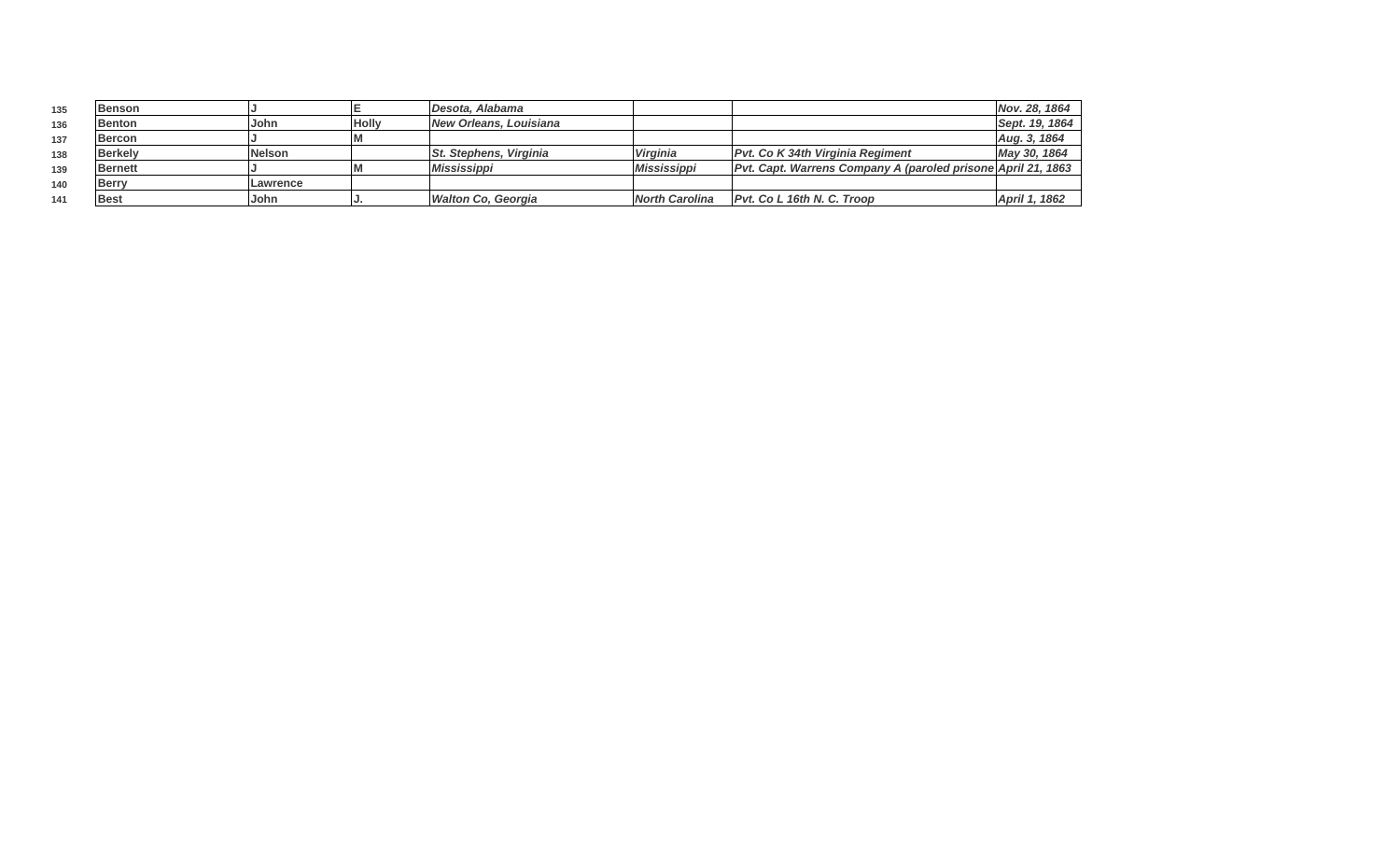| 135 | <b>Benson</b>  |               |              | Desota, Alabama               |                           |                                                               | Nov. 28, 1864  |
|-----|----------------|---------------|--------------|-------------------------------|---------------------------|---------------------------------------------------------------|----------------|
| 136 | <b>Benton</b>  | John          | <b>Holly</b> | <b>New Orleans, Louisiana</b> |                           |                                                               | Sept. 19, 1864 |
| 137 | <b>Bercon</b>  |               |              |                               |                           |                                                               | Aug. 3, 1864   |
| 138 | <b>Berkelv</b> | <b>Nelson</b> |              | <b>St. Stephens, Virginia</b> | <b>Virginia</b>           | Pvt. Co K 34th Virginia Regiment                              | May 30, 1864   |
| 139 | <b>Bernett</b> |               |              | <i>Mississippi</i>            | <i><b>Mississippi</b></i> | Pvt. Capt. Warrens Company A (paroled prisone April 21, 1863) |                |
| 140 | <b>Berry</b>   | Lawrence      |              |                               |                           |                                                               |                |
| 141 | <b>Best</b>    | .John         |              | <b>Walton Co. Georgia</b>     | <b>North Carolina</b>     | Pvt. Co L 16th N. C. Troop                                    | April 1, 1862  |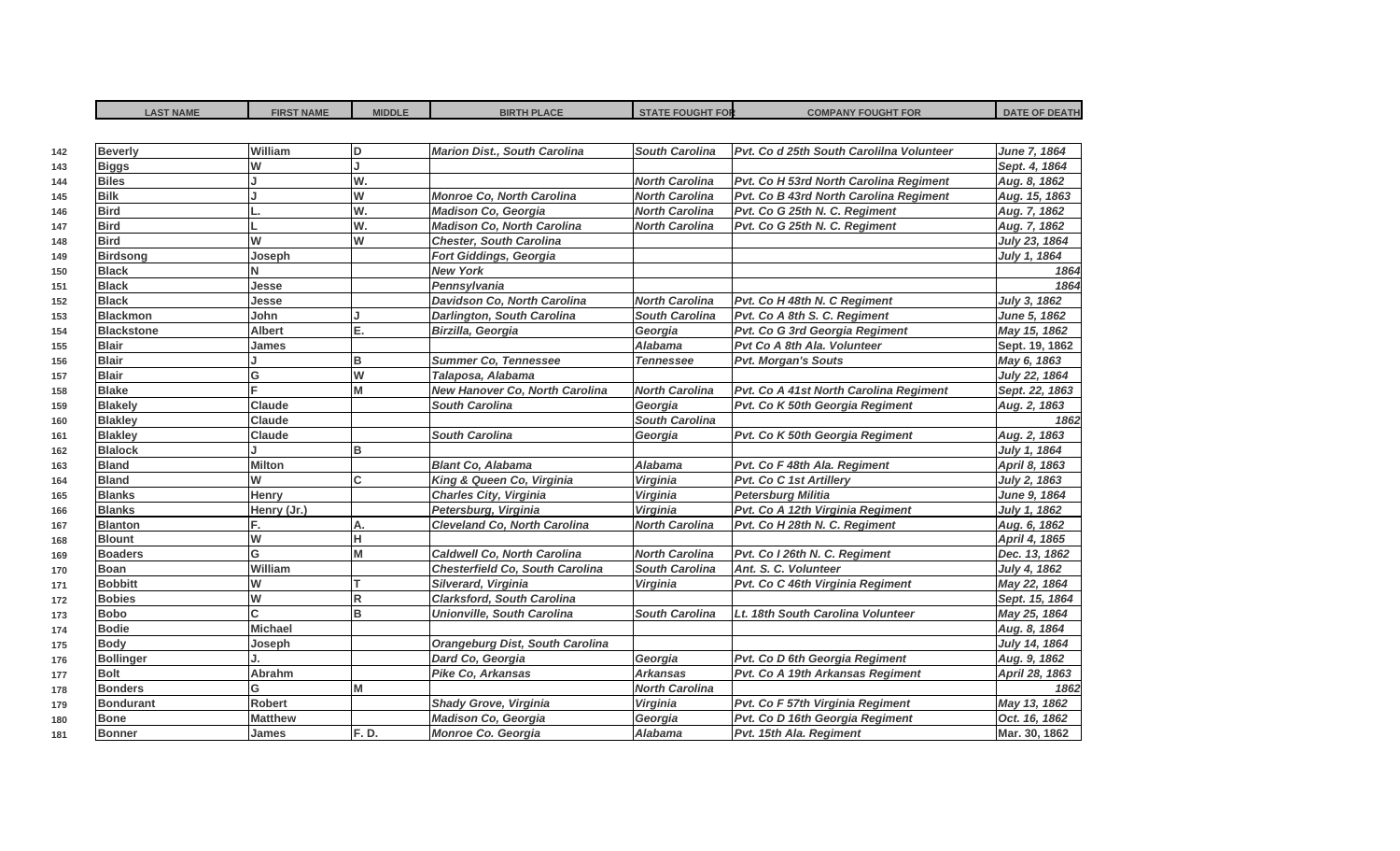| <b>LAST NAME</b>  | <b>FIRST NAME</b> | <b>MIDDLE</b>  | <b>BIRTH PLACE</b>                     | <b>STATE FOUGHT FOR</b> | <b>COMPANY FOUGHT FOR</b>                | <b>DATE OF DEATH</b> |
|-------------------|-------------------|----------------|----------------------------------------|-------------------------|------------------------------------------|----------------------|
|                   |                   |                |                                        |                         |                                          |                      |
| <b>Beverly</b>    | William           | ID.            | <b>Marion Dist., South Carolina</b>    | <b>South Carolina</b>   | Pvt. Co d 25th South Carolilna Volunteer | June 7, 1864         |
| <b>Biggs</b>      | W                 | п              |                                        |                         |                                          | Sept. 4, 1864        |
| <b>Biles</b>      |                   | W.             |                                        | <b>North Carolina</b>   | Pvt. Co H 53rd North Carolina Regiment   | Aug. 8, 1862         |
| <b>Bilk</b>       |                   | W              | <b>Monroe Co. North Carolina</b>       | <b>North Carolina</b>   | Pvt. Co B 43rd North Carolina Regiment   | Aug. 15, 1863        |
| <b>Bird</b>       |                   | W.             | <b>Madison Co. Georgia</b>             | <b>North Carolina</b>   | Pvt. Co G 25th N. C. Regiment            | Aug. 7, 1862         |
| <b>Bird</b>       |                   | W.             | <b>Madison Co, North Carolina</b>      | <b>North Carolina</b>   | Pvt. Co G 25th N. C. Regiment            | Aug. 7, 1862         |
| <b>Bird</b>       | W                 | W              | <b>Chester, South Carolina</b>         |                         |                                          | July 23, 1864        |
| <b>Birdsong</b>   | Joseph            |                | <b>Fort Giddings, Georgia</b>          |                         |                                          | July 1, 1864         |
| <b>Black</b>      | N                 |                | <b>New York</b>                        |                         |                                          | 1864                 |
| <b>Black</b>      | Jesse             |                | Pennsylvania                           |                         |                                          | 1864                 |
| <b>Black</b>      | Jesse             |                | Davidson Co, North Carolina            | <b>North Carolina</b>   | Pvt. Co H 48th N. C Regiment             | July 3, 1862         |
| <b>Blackmon</b>   | John              |                | <b>Darlington, South Carolina</b>      | <b>South Carolina</b>   | Pvt. Co A 8th S. C. Regiment             | June 5, 1862         |
| <b>Blackstone</b> | <b>Albert</b>     | Ē.             | Birzilla, Georgia                      | Georgia                 | Pvt. Co G 3rd Georgia Regiment           | May 15, 1862         |
| <b>Blair</b>      | James             |                |                                        | <b>Alabama</b>          | Pvt Co A 8th Ala. Volunteer              | Sept. 19, 1862       |
| <b>Blair</b>      |                   | B              | <b>Summer Co, Tennessee</b>            | <b>Tennessee</b>        | <b>Pvt. Morgan's Souts</b>               | May 6, 1863          |
| <b>Blair</b>      | G                 | $\overline{w}$ | Talaposa, Alabama                      |                         |                                          | July 22, 1864        |
| <b>Blake</b>      |                   | M              | New Hanover Co, North Carolina         | <b>North Carolina</b>   | Pvt. Co A 41st North Carolina Regiment   | Sept. 22, 1863       |
| <b>Blakely</b>    | <b>Claude</b>     |                | <b>South Carolina</b>                  | Georgia                 | Pvt. Co K 50th Georgia Regiment          | Aug. 2, 1863         |
| <b>Blakley</b>    | <b>Claude</b>     |                |                                        | <b>South Carolina</b>   |                                          | 1862                 |
| <b>Blakley</b>    | Claude            |                | <b>South Carolina</b>                  | Georgia                 | Pvt. Co K 50th Georgia Regiment          | Aug. 2, 1863         |
| <b>Blalock</b>    |                   | B              |                                        |                         |                                          | July 1, 1864         |
| <b>Bland</b>      | <b>Milton</b>     |                | <b>Blant Co, Alabama</b>               | Alabama                 | Pvt. Co F 48th Ala. Regiment             | April 8, 1863        |
| <b>Bland</b>      | W                 | C              | King & Queen Co, Virginia              | Virginia                | <b>Pvt. Co C 1st Artillerv</b>           | July 2, 1863         |
| <b>Blanks</b>     | <b>Henry</b>      |                | <b>Charles City, Virginia</b>          | Virginia                | <b>Petersburg Militia</b>                | June 9, 1864         |
| <b>Blanks</b>     | Henry (Jr.)       |                | Petersburg, Virginia                   | Virginia                | Pvt. Co A 12th Virginia Regiment         | July 1, 1862         |
| <b>Blanton</b>    |                   | Α.             | <b>Cleveland Co, North Carolina</b>    | <b>North Carolina</b>   | Pvt. Co H 28th N. C. Regiment            | Aug. 6, 1862         |
| <b>Blount</b>     | W                 | н              |                                        |                         |                                          | April 4, 1865        |
| <b>Boaders</b>    | G                 | M              | <b>Caldwell Co. North Carolina</b>     | <b>North Carolina</b>   | Pvt. Co I 26th N. C. Regiment            | Dec. 13, 1862        |
| <b>Boan</b>       | William           |                | <b>Chesterfield Co, South Carolina</b> | <b>South Carolina</b>   | Ant. S. C. Volunteer                     | July 4, 1862         |
| <b>Bobbitt</b>    | W                 |                | Silverard, Virginia                    | Virginia                | Pvt. Co C 46th Virginia Regiment         | May 22, 1864         |
| <b>Bobies</b>     | W                 | R              | <b>Clarksford, South Carolina</b>      |                         |                                          | Sept. 15, 1864       |
| <b>Bobo</b>       | C.                | B              | <b>Unionville, South Carolina</b>      | <b>South Carolina</b>   | Lt. 18th South Carolina Volunteer        | May 25, 1864         |
| <b>Bodie</b>      | <b>Michael</b>    |                |                                        |                         |                                          | Aug. 8, 1864         |
| <b>Body</b>       | Joseph            |                | <b>Orangeburg Dist, South Carolina</b> |                         |                                          | July 14, 1864        |
| <b>Bollinger</b>  |                   |                | Dard Co, Georgia                       | Georgia                 | Pvt. Co D 6th Georgia Regiment           | Aug. 9, 1862         |
| <b>Bolt</b>       | Abrahm            |                | Pike Co, Arkansas                      | <b>Arkansas</b>         | Pvt. Co A 19th Arkansas Regiment         | April 28, 1863       |
| <b>Bonders</b>    | G                 | M              |                                        | <b>North Carolina</b>   |                                          | 1862                 |
| <b>Bondurant</b>  | Robert            |                | <b>Shady Grove, Virginia</b>           | Virginia                | Pvt. Co F 57th Virginia Regiment         | May 13, 1862         |
| <b>Bone</b>       | <b>Matthew</b>    |                | <b>Madison Co, Georgia</b>             | Georgia                 | Pvt. Co D 16th Georgia Regiment          | Oct. 16, 1862        |
| <b>Bonner</b>     | <b>James</b>      | F.D.           | Monroe Co. Georgia                     | <b>Alabama</b>          | Pvt. 15th Ala. Regiment                  | Mar. 30, 1862        |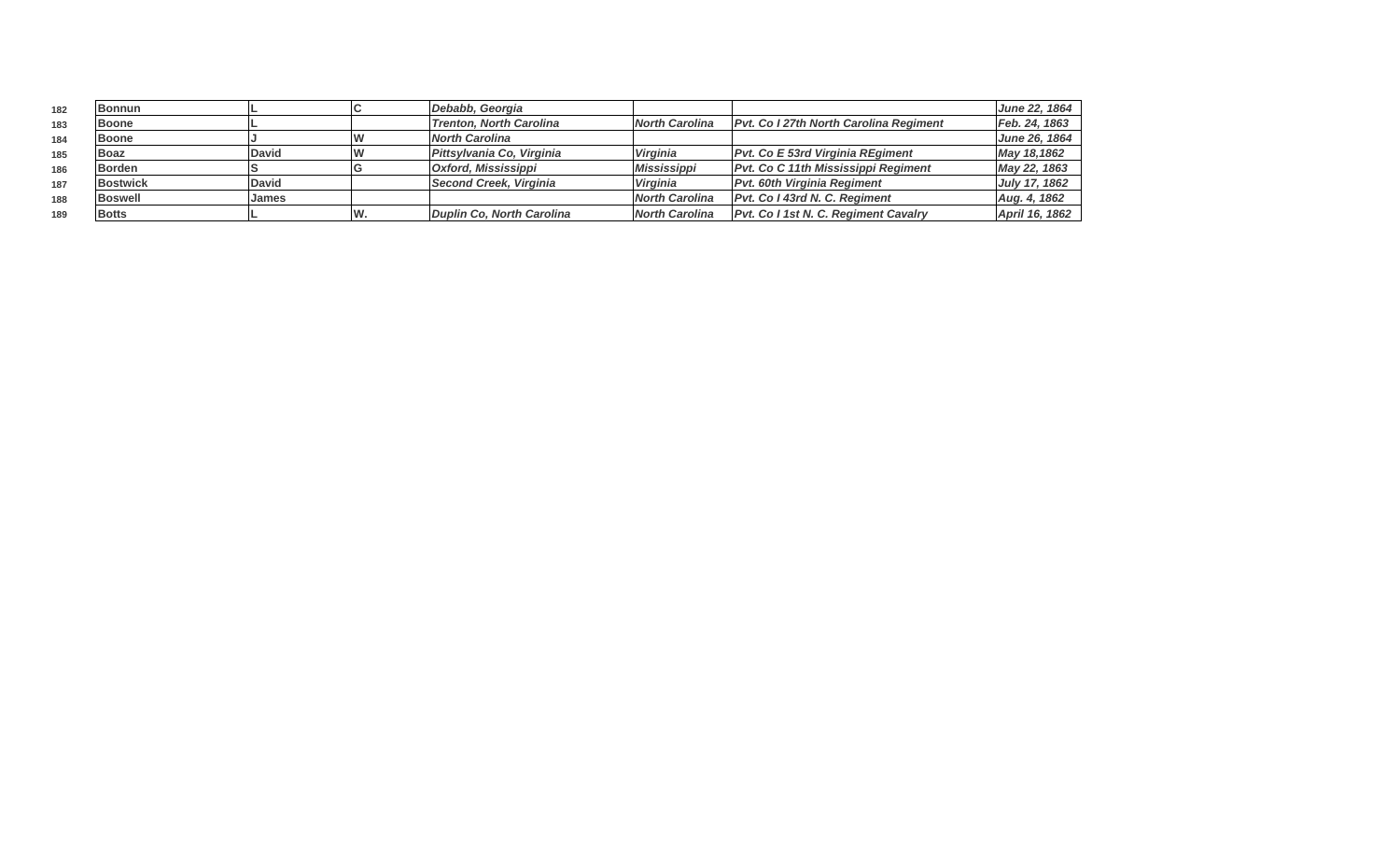| 182 | <b>Bonnun</b>   |               |    | Debabb, Georgia                |                       |                                               | June 22, 1864  |
|-----|-----------------|---------------|----|--------------------------------|-----------------------|-----------------------------------------------|----------------|
| 183 | <b>Boone</b>    |               |    | <b>Trenton, North Carolina</b> | <b>North Carolina</b> | <b>Pvt. Co I 27th North Carolina Regiment</b> | Feb. 24, 1863  |
| 184 | <b>Boone</b>    |               |    | North Carolina                 |                       |                                               | June 26, 1864  |
| 185 | <b>Boaz</b>     | <b>IDavid</b> |    | Pittsylvania Co, Virginia      | <b>Virginia</b>       | <b>Pvt. Co E 53rd Virginia REgiment</b>       | May 18,1862    |
| 186 | <b>Borden</b>   |               |    | Oxford, Mississippi            | Mississippi           | <b>Pvt. Co C 11th Mississippi Regiment</b>    | May 22, 1863   |
| 187 | <b>Bostwick</b> | <b>IDavid</b> |    | Second Creek, Virginia         | <b>Virginia</b>       | <b>Pvt. 60th Virginia Regiment</b>            | July 17, 1862  |
| 188 | <b>Boswell</b>  | <b>James</b>  |    |                                | <b>North Carolina</b> | Pvt. Co I 43rd N. C. Regiment                 | Aug. 4, 1862   |
| 189 | <b>Botts</b>    |               | W. | Duplin Co, North Carolina      | <b>North Carolina</b> | <b>Pvt. Co I 1st N. C. Regiment Cavalry</b>   | April 16, 1862 |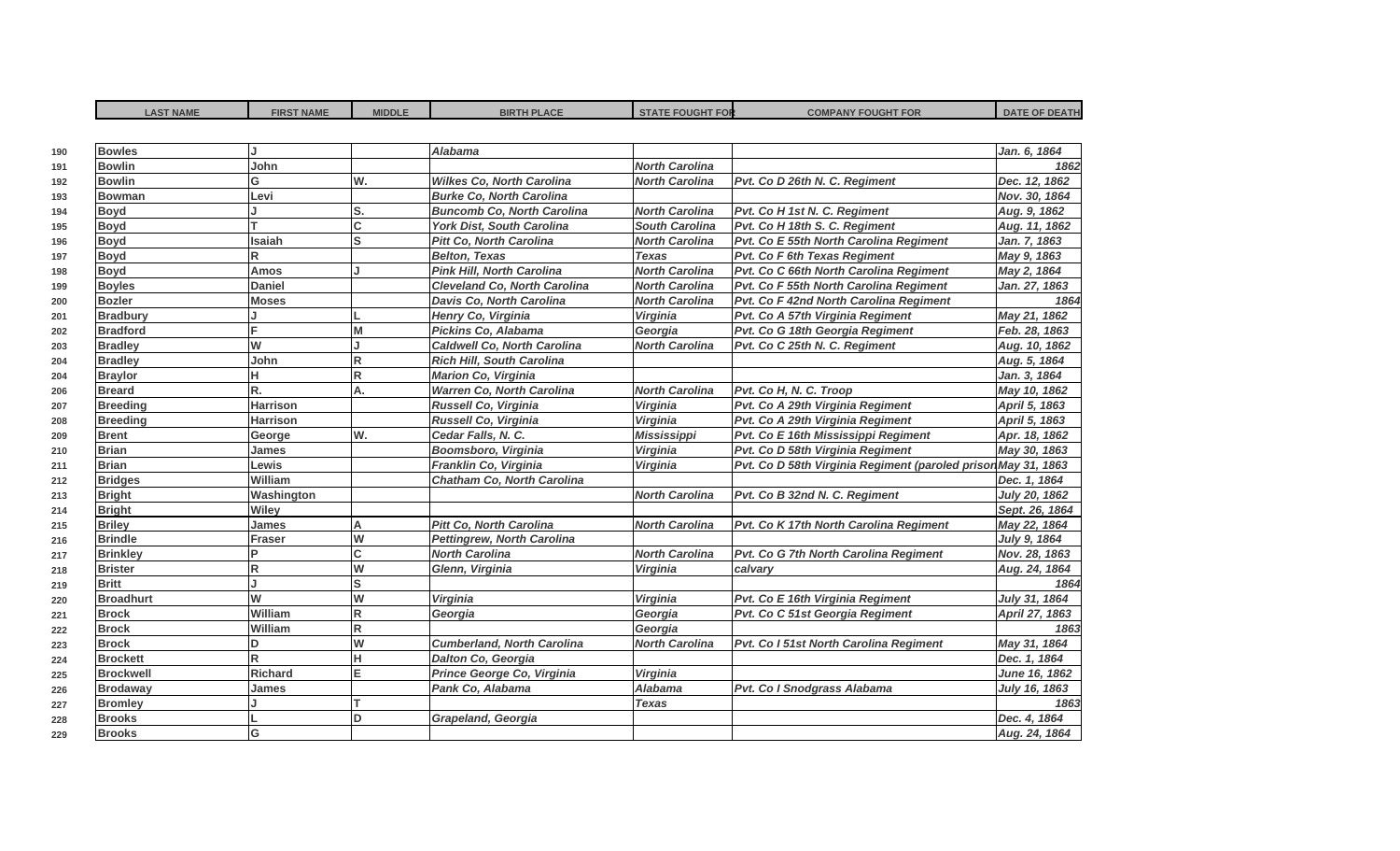| <b>LAST NAME</b> | <b>FIRST NAME</b> | <b>MIDDLE</b> | <b>BIRTH PLACE</b>                  | <b>STATE FOUGHT FOR</b> | <b>COMPANY FOUGHT FOR</b>                                     | <b>DATE OF DEATH</b> |
|------------------|-------------------|---------------|-------------------------------------|-------------------------|---------------------------------------------------------------|----------------------|
|                  |                   |               |                                     |                         |                                                               |                      |
| <b>Bowles</b>    |                   |               | Alabama                             |                         |                                                               | Jan. 6, 1864         |
| <b>Bowlin</b>    | John              |               |                                     | <b>North Carolina</b>   |                                                               | 1862                 |
| <b>Bowlin</b>    | G                 | W.            | <b>Wilkes Co, North Carolina</b>    | <b>North Carolina</b>   | Pvt. Co D 26th N. C. Regiment                                 | Dec. 12, 1862        |
| <b>Bowman</b>    | Levi              |               | <b>Burke Co, North Carolina</b>     |                         |                                                               | Nov. 30, 1864        |
| <b>Boyd</b>      |                   | S.            | <b>Buncomb Co, North Carolina</b>   | <b>North Carolina</b>   | Pvt. Co H 1st N. C. Regiment                                  | Aug. 9, 1862         |
| <b>Boyd</b>      | T                 | C             | York Dist, South Carolina           | <b>South Carolina</b>   | Pvt. Co H 18th S. C. Regiment                                 | Aug. 11, 1862        |
| <b>Boyd</b>      | Isaiah            | S             | <b>Pitt Co, North Carolina</b>      | <b>North Carolina</b>   | Pvt. Co E 55th North Carolina Regiment                        | Jan. 7, 1863         |
| <b>Boyd</b>      | R.                |               | <b>Belton, Texas</b>                | <b>Texas</b>            | Pvt. Co F 6th Texas Regiment                                  | May 9, 1863          |
| <b>Boyd</b>      | <b>Amos</b>       |               | <b>Pink Hill, North Carolina</b>    | <b>North Carolina</b>   | Pvt. Co C 66th North Carolina Regiment                        | May 2, 1864          |
| <b>Boyles</b>    | <b>Daniel</b>     |               | <b>Cleveland Co. North Carolina</b> | <b>North Carolina</b>   | Pvt. Co F 55th North Carolina Regiment                        | Jan. 27, 1863        |
| <b>Bozler</b>    | <b>Moses</b>      |               | Davis Co, North Carolina            | <b>North Carolina</b>   | Pvt. Co F 42nd North Carolina Regiment                        | 1864                 |
| <b>Bradbury</b>  |                   |               | Henry Co, Virginia                  | <b>Virginia</b>         | Pvt. Co A 57th Virginia Regiment                              | May 21, 1862         |
| <b>Bradford</b>  |                   | M             | Pickins Co, Alabama                 | Georgia                 | Pvt. Co G 18th Georgia Regiment                               | Feb. 28, 1863        |
| <b>Bradley</b>   | W                 |               | <b>Caldwell Co, North Carolina</b>  | <b>North Carolina</b>   | Pvt. Co C 25th N. C. Regiment                                 | Aug. 10, 1862        |
| <b>Bradley</b>   | John              | R             | Rich Hill, South Carolina           |                         |                                                               | Aug. 5, 1864         |
| <b>Braylor</b>   | н                 | R             | Marion Co, Virginia                 |                         |                                                               | Jan. 3, 1864         |
| <b>Breard</b>    | R.                | A.            | <b>Warren Co, North Carolina</b>    | <b>North Carolina</b>   | Pvt. Co H, N. C. Troop                                        | May 10, 1862         |
| <b>Breeding</b>  | <b>Harrison</b>   |               | Russell Co, Virginia                | Virginia                | Pvt. Co A 29th Virginia Regiment                              | April 5, 1863        |
| <b>Breeding</b>  | <b>Harrison</b>   |               | Russell Co, Virginia                | Virginia                | Pvt. Co A 29th Virginia Regiment                              | April 5, 1863        |
| <b>Brent</b>     | George            | lw.           | Cedar Falls, N. C.                  | <b>Mississippi</b>      | Pvt. Co E 16th Mississippi Regiment                           | Apr. 18, 1862        |
| <b>Brian</b>     | <b>James</b>      |               | Boomsboro, Virginia                 | Virginia                | Pvt. Co D 58th Virginia Regiment                              | May 30, 1863         |
| <b>Brian</b>     | Lewis             |               | Franklin Co, Virginia               | <b>Virginia</b>         | Pvt. Co D 58th Virginia Regiment (paroled prison May 31, 1863 |                      |
| <b>Bridges</b>   | William           |               | Chatham Co, North Carolina          |                         |                                                               | Dec. 1, 1864         |
| <b>Bright</b>    | Washington        |               |                                     | <b>North Carolina</b>   | Pvt. Co B 32nd N. C. Regiment                                 | July 20, 1862        |
| <b>Bright</b>    | Wiley             |               |                                     |                         |                                                               | Sept. 26, 1864       |
| <b>Briley</b>    | <b>James</b>      | A             | <b>Pitt Co, North Carolina</b>      | <b>North Carolina</b>   | Pvt. Co K 17th North Carolina Regiment                        | May 22, 1864         |
| <b>Brindle</b>   | Fraser            | W             | <b>Pettingrew, North Carolina</b>   |                         |                                                               | July 9, 1864         |
| <b>Brinkley</b>  | D                 | C             | <b>North Carolina</b>               | <b>North Carolina</b>   | Pvt. Co G 7th North Carolina Regiment                         | Nov. 28, 1863        |
| <b>Brister</b>   | R                 | W             | Glenn, Virginia                     | Virginia                | calvary                                                       | Aug. 24, 1864        |
| <b>Britt</b>     | L.                | ls            |                                     |                         |                                                               | 1864                 |
| <b>Broadhurt</b> | W                 | W             | Virginia                            | Virginia                | Pvt. Co E 16th Virginia Regiment                              | July 31, 1864        |
| <b>Brock</b>     | William           | R             | Georgia                             | Georgia                 | Pvt. Co C 51st Georgia Regiment                               | April 27, 1863       |
| <b>Brock</b>     | William           | R.            |                                     | Georgia                 |                                                               | 1863                 |
| <b>Brock</b>     | D                 | W             | <b>Cumberland, North Carolina</b>   | <b>North Carolina</b>   | Pvt. Co I 51st North Carolina Regiment                        | May 31, 1864         |
| <b>Brockett</b>  | R                 | н             | Dalton Co, Georgia                  |                         |                                                               | Dec. 1, 1864         |
| <b>Brockwell</b> | <b>Richard</b>    | E             | Prince George Co, Virginia          | Virginia                |                                                               | June 16, 1862        |
| <b>Brodaway</b>  | James             |               | Pank Co, Alabama                    | <b>Alabama</b>          | Pvt. Co I Snodgrass Alabama                                   | July 16, 1863        |
| <b>Bromley</b>   |                   |               |                                     | <b>Texas</b>            |                                                               | 1863                 |
| <b>Brooks</b>    |                   | D             | Grapeland, Georgia                  |                         |                                                               | Dec. 4, 1864         |
| <b>Brooks</b>    | G                 |               |                                     |                         |                                                               | Aug. 24, 1864        |
|                  |                   |               |                                     |                         |                                                               |                      |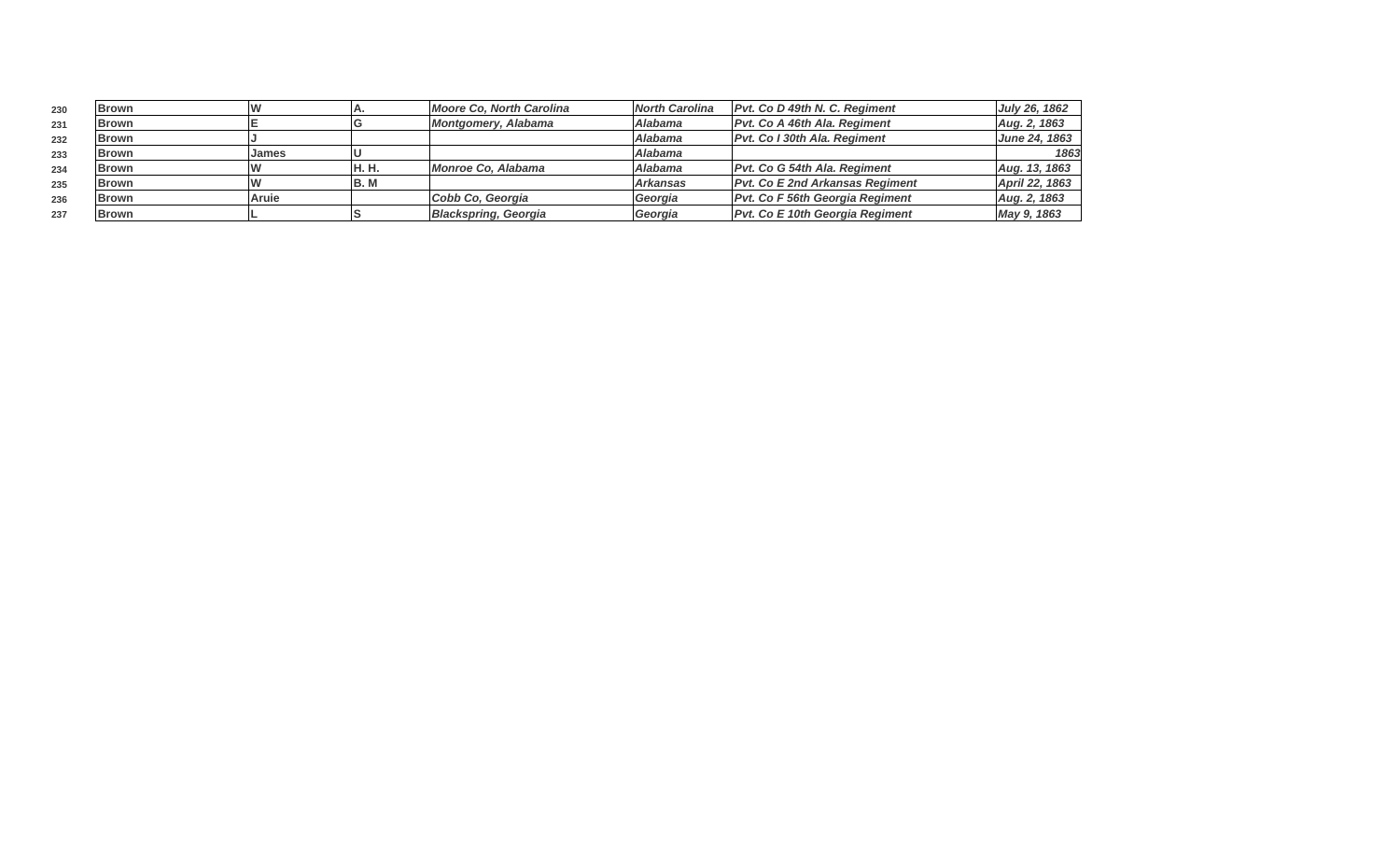| 230 | Brown        |       |        | Moore Co, North Carolina          | <b>North Carolina</b> | Pvt. Co D 49th N. C. Regiment          | July 26, 1862  |
|-----|--------------|-------|--------|-----------------------------------|-----------------------|----------------------------------------|----------------|
| 231 | <b>Brown</b> |       |        | Montgomery, Alabama               | Alabama               | Pvt. Co A 46th Ala. Regiment           | Aug. 2, 1863   |
| 232 | <b>Brown</b> |       |        |                                   | Alabama               | Pvt. Co I 30th Ala. Regiment           | June 24, 1863  |
| 233 | <b>Brown</b> | James |        |                                   | <b>Alabama</b>        |                                        | 1863           |
| 234 | <b>Brown</b> |       | 'H. H. | <i><b>IMonroe Co. Alabama</b></i> | Alabama               | Pvt. Co G 54th Ala. Regiment           | Aug. 13, 1863  |
| 235 | <b>Brown</b> |       | IB. M  |                                   | l Arkansas            | <b>Pvt. Co E 2nd Arkansas Regiment</b> | April 22, 1863 |
| 236 | <b>Brown</b> | Aruie |        | Cobb Co, Georgia                  | Georgia               | Pvt. Co F 56th Georgia Regiment        | Aug. 2, 1863   |
| 237 | <b>Brown</b> |       |        | <b>Blackspring, Georgia</b>       | Georgia               | <b>Pvt. Co E 10th Georgia Regiment</b> | May 9, 1863    |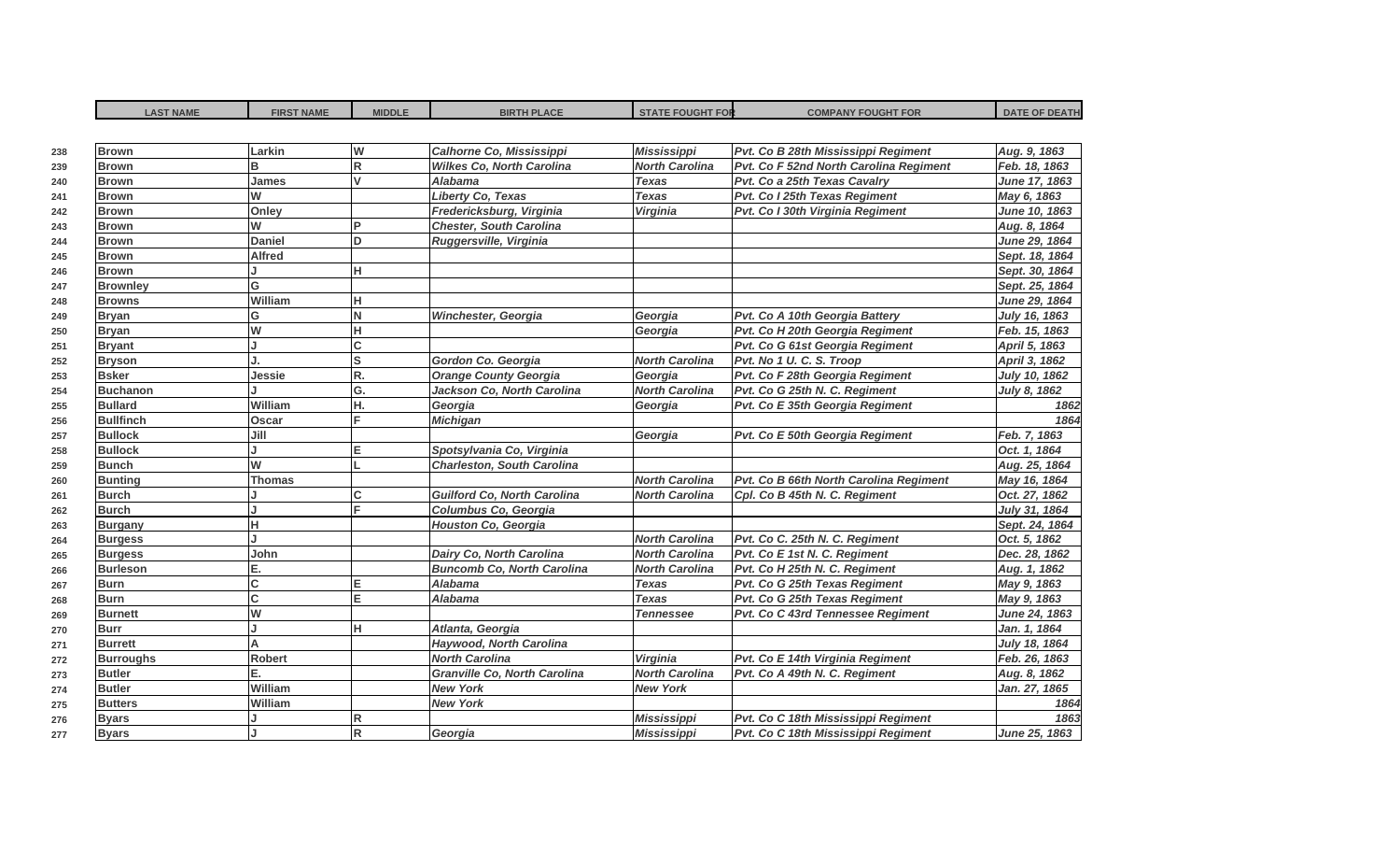| <b>LAST NAME</b>               | <b>FIRST NAME</b> | <b>MIDDLE</b>  | <b>BIRTH PLACE</b>                  | <b>STATE FOUGHT FOR</b> | <b>COMPANY FOUGHT FOR</b>              | <b>DATE OF DEATH</b>          |
|--------------------------------|-------------------|----------------|-------------------------------------|-------------------------|----------------------------------------|-------------------------------|
| <b>Brown</b>                   | Larkin            | W              | Calhorne Co, Mississippi            | <b>Mississippi</b>      | Pvt. Co B 28th Mississippi Regiment    | Aug. 9, 1863                  |
| <b>Brown</b>                   | в                 | $\overline{R}$ | <b>Wilkes Co, North Carolina</b>    | <b>North Carolina</b>   | Pvt. Co F 52nd North Carolina Regiment | Feb. 18, 1863                 |
| <b>Brown</b>                   | James             | $\mathsf{v}$   | Alabama                             | <b>Texas</b>            | Pvt. Co a 25th Texas Cavalry           | June 17, 1863                 |
|                                | W                 |                | Liberty Co, Texas                   | <b>Texas</b>            | Pvt. Co I 25th Texas Regiment          | May 6, 1863                   |
| <b>Brown</b>                   |                   |                |                                     |                         |                                        |                               |
| <b>Brown</b>                   | Onley             | Þ              | Fredericksburg, Virginia            | Virginia                | Pvt. Co I 30th Virginia Regiment       | June 10, 1863                 |
| <b>Brown</b>                   | W                 |                | <b>Chester, South Carolina</b>      |                         |                                        | Aug. 8, 1864                  |
| <b>Brown</b>                   | <b>Daniel</b>     | D.             | Ruggersville, Virginia              |                         |                                        | June 29, 1864                 |
| <b>Brown</b>                   | <b>Alfred</b>     |                |                                     |                         |                                        | Sept. 18, 1864                |
| <b>Brown</b>                   |                   | H.             |                                     |                         |                                        | Sept. 30, 1864                |
| <b>Brownley</b>                | Ġ                 |                |                                     |                         |                                        | Sept. 25, 1864                |
| <b>Browns</b>                  | William           | н              |                                     |                         |                                        | June 29, 1864                 |
| <b>Bryan</b>                   | G                 | N              | Winchester, Georgia                 | Georgia                 | Pvt. Co A 10th Georgia Battery         | July 16, 1863                 |
| <b>Bryan</b>                   | W                 | Η              |                                     | Georgia                 | Pvt. Co H 20th Georgia Regiment        | Feb. 15, 1863                 |
| <b>Bryant</b>                  |                   | C              |                                     |                         | Pvt. Co G 61st Georgia Regiment        | April 5, 1863                 |
| <b>Bryson</b>                  |                   | $\mathsf{s}$   | Gordon Co. Georgia                  | <b>North Carolina</b>   | Pvt. No 1 U. C. S. Troop               | April 3, 1862                 |
| <b>Bsker</b>                   | Jessie            | R.             | <b>Orange County Georgia</b>        | Georgia                 | Pvt. Co F 28th Georgia Regiment        | July 10, 1862                 |
| <b>Buchanon</b>                |                   | G.             | Jackson Co, North Carolina          | <b>North Carolina</b>   | Pvt. Co G 25th N. C. Regiment          | July 8, 1862                  |
| <b>Bullard</b>                 | William           | н.             | Georgia                             | Georgia                 | Pvt. Co E 35th Georgia Regiment        | 1862                          |
| <b>Bullfinch</b>               | Oscar             | E              | <b>Michigan</b>                     |                         |                                        | 1864                          |
| <b>Bullock</b>                 | Jill              |                |                                     | Georgia                 | Pvt. Co E 50th Georgia Regiment        | Feb. 7, 1863                  |
| <b>Bullock</b>                 |                   | E              | Spotsylvania Co, Virginia           |                         |                                        | Oct. 1, 1864                  |
| <b>Bunch</b>                   | W                 |                | <b>Charleston, South Carolina</b>   |                         |                                        | Aug. 25, 1864                 |
| <b>Bunting</b>                 | <b>Thomas</b>     |                |                                     | <b>North Carolina</b>   | Pvt. Co B 66th North Carolina Regiment | May 16, 1864                  |
| <b>Burch</b>                   |                   | C              | <b>Guilford Co, North Carolina</b>  | <b>North Carolina</b>   | Cpl. Co B 45th N. C. Regiment          | Oct. 27, 1862                 |
| <b>Burch</b>                   |                   | E              | Columbus Co, Georgia                |                         |                                        | July 31, 1864                 |
| <b>Burgany</b>                 | н                 |                | <b>Houston Co, Georgia</b>          |                         |                                        | Sept. 24, 1864                |
| <b>Burgess</b>                 |                   |                |                                     | <b>North Carolina</b>   | Pvt. Co C. 25th N. C. Regiment         | Oct. 5, 1862                  |
| <b>Burgess</b>                 | John              |                | Dairy Co, North Carolina            | <b>North Carolina</b>   | Pvt. Co E 1st N. C. Regiment           | Dec. 28, 1862                 |
| <b>Burleson</b>                | E.                |                | <b>Buncomb Co, North Carolina</b>   | <b>North Carolina</b>   | Pvt. Co H 25th N. C. Regiment          | Aug. 1, 1862                  |
| <b>Burn</b>                    | C.                | E              | Alabama                             | <b>Texas</b>            | Pvt. Co G 25th Texas Regiment          | May 9, 1863                   |
| <b>Burn</b>                    | Ć                 | E              | <b>Alabama</b>                      | <b>Texas</b>            | Pvt. Co G 25th Texas Regiment          | May 9, 1863                   |
| <b>Burnett</b>                 | W                 |                |                                     | Tennessee               | Pvt. Co C 43rd Tennessee Regiment      | June 24, 1863                 |
| <b>Burr</b>                    |                   | H              | Atlanta, Georgia                    |                         |                                        | Jan. 1, 1864                  |
| <b>Burrett</b>                 | A                 |                | Haywood, North Carolina             |                         |                                        | July 18, 1864                 |
| <b>Burroughs</b>               | Robert            |                | <b>North Carolina</b>               | <b>Virginia</b>         | Pvt. Co E 14th Virginia Regiment       | Feb. 26, 1863                 |
|                                | E.                |                | <b>Granville Co, North Carolina</b> | <b>North Carolina</b>   |                                        |                               |
| <b>Butler</b><br><b>Butler</b> | William           |                | <b>New York</b>                     | <b>New York</b>         | Pvt. Co A 49th N. C. Regiment          | Aug. 8, 1862<br>Jan. 27, 1865 |
|                                |                   |                |                                     |                         |                                        |                               |
| <b>Butters</b>                 | William           |                | <b>New York</b>                     |                         |                                        | 1864                          |
| <b>Byars</b>                   |                   | R              |                                     | <b>Mississippi</b>      | Pvt. Co C 18th Mississippi Regiment    | 1863                          |
| <b>Byars</b>                   |                   | R.             | Georgia                             | <b>Mississippi</b>      | Pvt. Co C 18th Mississippi Regiment    | June 25, 1863                 |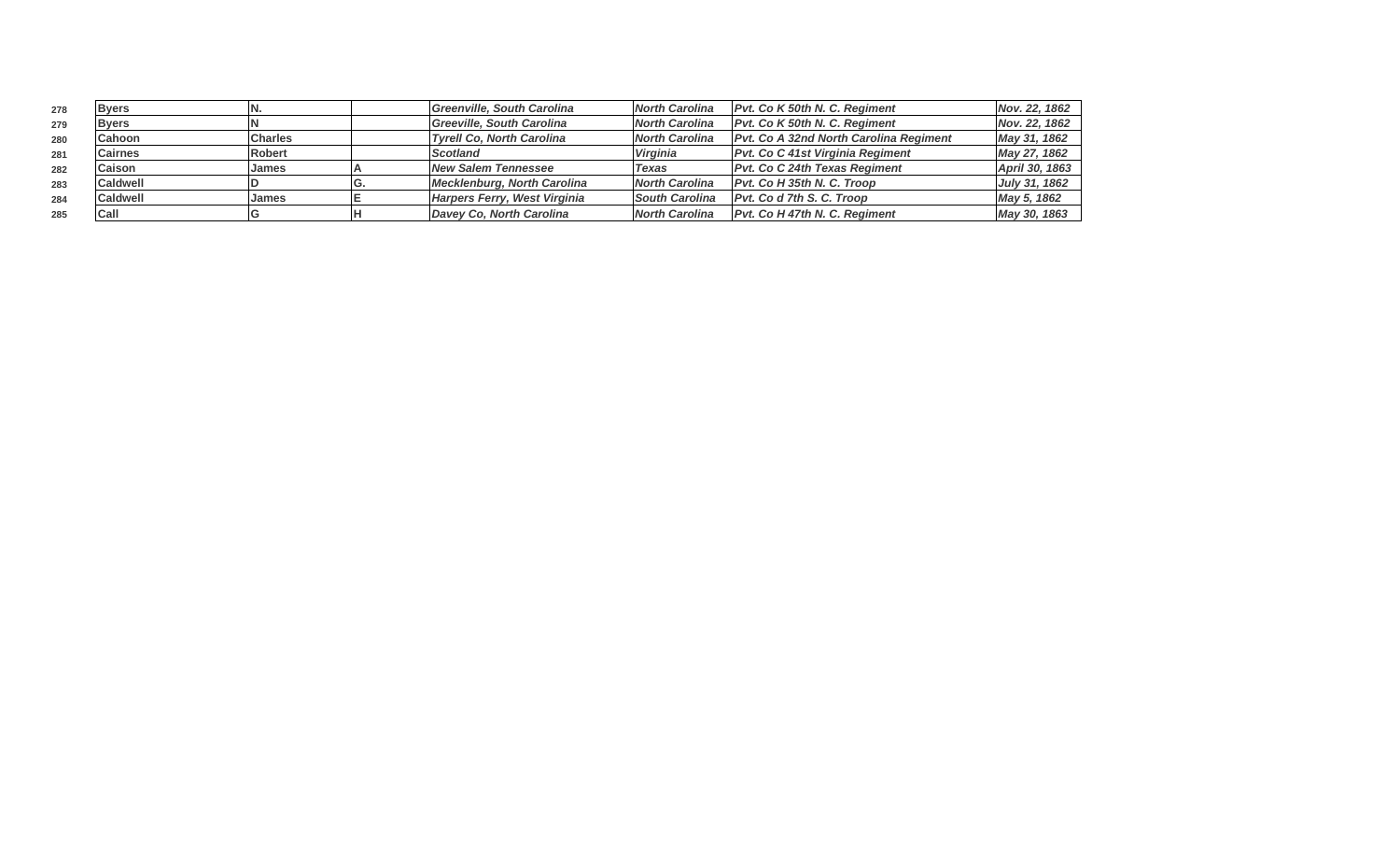| 278 | <b>Byers</b>    |                | Greenville, South Carolina       | North Carolina        | <b>Pvt. Co K 50th N. C. Reaiment</b>          | Nov. 22. 1862  |
|-----|-----------------|----------------|----------------------------------|-----------------------|-----------------------------------------------|----------------|
| 279 | <b>Byers</b>    |                | Greeville, South Carolina        | <b>North Carolina</b> | Pvt. Co K 50th N. C. Regiment                 | Nov. 22, 1862  |
| 280 | <b>Cahoon</b>   | <b>Charles</b> | <b>Tyrell Co, North Carolina</b> | <b>North Carolina</b> | <b>Pvt. Co A 32nd North Carolina Regiment</b> | May 31, 1862   |
| 281 | <b>Cairnes</b>  | Robert         | <b>Scotland</b>                  | Virginia              | <b>Pvt. Co C 41st Virginia Regiment</b>       | May 27, 1862   |
| 282 | <b>Caison</b>   | <b>James</b>   | <b>New Salem Tennessee</b>       | <b>Texas</b>          | <b>Pvt. Co C 24th Texas Regiment</b>          | April 30, 1863 |
| 283 | <b>Caldwell</b> |                | Mecklenburg, North Carolina      | <b>North Carolina</b> | Pvt. Co H 35th N. C. Troop                    | July 31, 1862  |
| 284 | <b>Caldwell</b> | IJames         | Harpers Ferry, West Virginia     | <b>South Carolina</b> | Pvt. Co d 7th S. C. Troop                     | May 5, 1862    |
| 285 | Call            |                | Davey Co, North Carolina         | <b>North Carolina</b> | <b>Pvt. Co H 47th N. C. Reaiment</b>          | May 30, 1863   |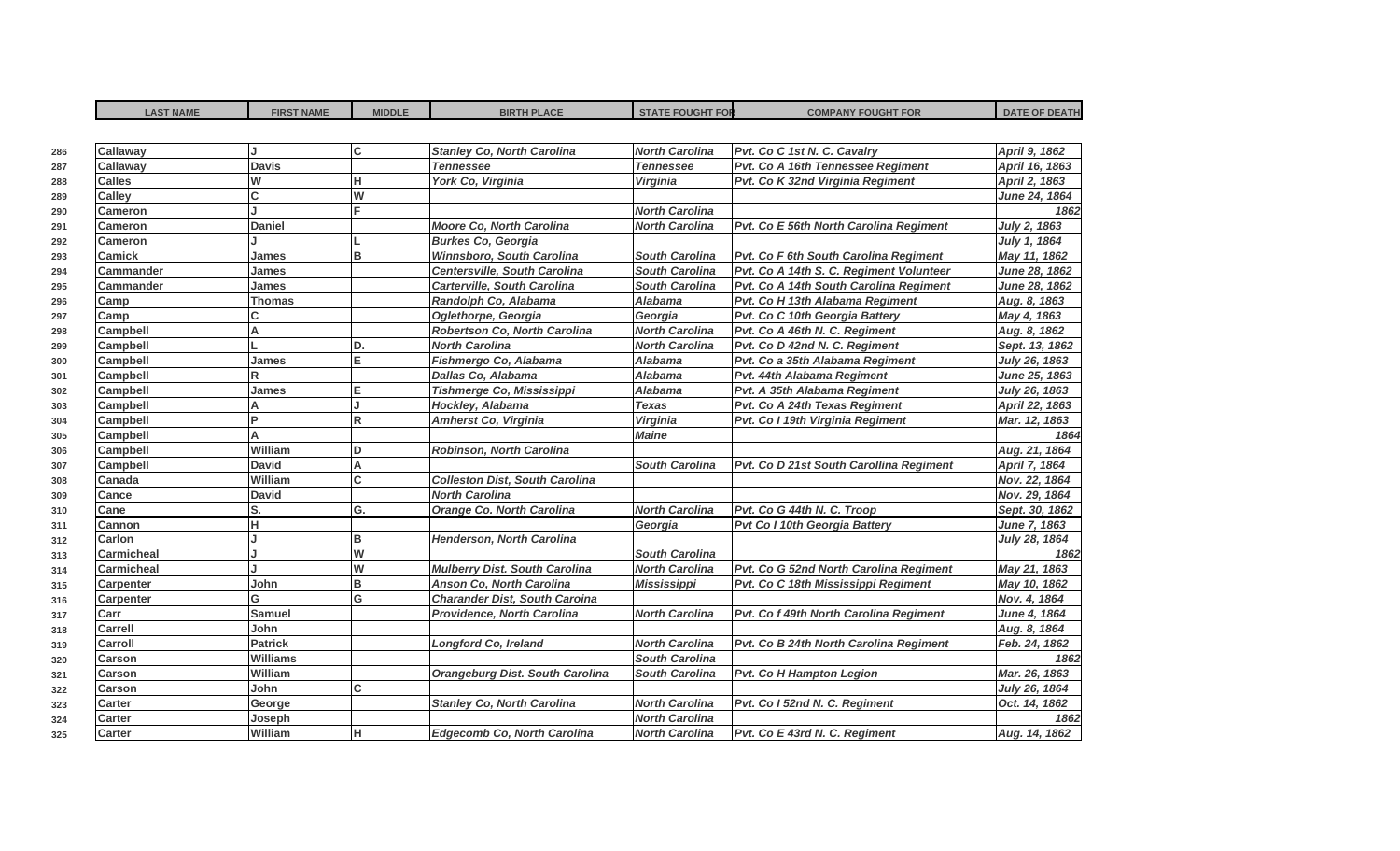| <b>LAST NAME</b>  | <b>FIRST NAME</b> | <b>MIDDLE</b> | <b>BIRTH PLACE</b>                     | <b>STATE FOUGHT FOR</b> | <b>COMPANY FOUGHT FOR</b>               | <b>DATE OF DEATH</b> |
|-------------------|-------------------|---------------|----------------------------------------|-------------------------|-----------------------------------------|----------------------|
|                   |                   |               |                                        |                         |                                         |                      |
| <b>Callaway</b>   |                   | lc.           | <b>Stanley Co, North Carolina</b>      | <b>North Carolina</b>   | Pvt. Co C 1st N. C. Cavalry             | April 9, 1862        |
| <b>Callaway</b>   | <b>Davis</b>      |               | <b>Tennessee</b>                       | <b>Tennessee</b>        | Pvt. Co A 16th Tennessee Regiment       | April 16, 1863       |
| <b>Calles</b>     | W                 | lн            | York Co, Virginia                      | <b>Virginia</b>         | Pvt. Co K 32nd Virginia Regiment        | April 2, 1863        |
| <b>Calley</b>     | C                 | W             |                                        |                         |                                         | <b>June 24, 1864</b> |
| <b>Cameron</b>    |                   |               |                                        | <b>North Carolina</b>   |                                         | 1862                 |
| Cameron           | <b>Daniel</b>     |               | Moore Co, North Carolina               | <b>North Carolina</b>   | Pvt. Co E 56th North Carolina Regiment  | July 2, 1863         |
| <b>Cameron</b>    |                   |               | <b>Burkes Co, Georgia</b>              |                         |                                         | July 1, 1864         |
| <b>Camick</b>     | James             | lв            | Winnsboro, South Carolina              | <b>South Carolina</b>   | Pvt. Co F 6th South Carolina Regiment   | May 11, 1862         |
| <b>Cammander</b>  | James             |               | <b>Centersville, South Carolina</b>    | <b>South Carolina</b>   | Pvt. Co A 14th S. C. Regiment Volunteer | June 28, 1862        |
| Cammander         | James             |               | <b>Carterville, South Carolina</b>     | South Carolina          | Pvt. Co A 14th South Carolina Regiment  | June 28, 1862        |
| Camp              | <b>Thomas</b>     |               | Randolph Co, Alabama                   | <b>Alabama</b>          | Pvt. Co H 13th Alabama Regiment         | Aug. 8, 1863         |
| Camp              |                   |               | Oglethorpe, Georgia                    | Georgia                 | Pvt. Co C 10th Georgia Battery          | May 4, 1863          |
| <b>Campbell</b>   | A                 |               | Robertson Co, North Carolina           | <b>North Carolina</b>   | Pvt. Co A 46th N. C. Regiment           | Aug. 8, 1862         |
| Campbell          |                   | D.            | <b>North Carolina</b>                  | <b>North Carolina</b>   | Pvt. Co D 42nd N. C. Regiment           | Sept. 13, 1862       |
| <b>Campbell</b>   | James             | lΕ            | Fishmergo Co, Alabama                  | <b>Alabama</b>          | Pvt. Co a 35th Alabama Regiment         | July 26, 1863        |
| <b>Campbell</b>   | R                 |               | Dallas Co, Alabama                     | <b>Alabama</b>          | Pvt. 44th Alabama Regiment              | June 25, 1863        |
| Campbell          | James             | lΕ            | Tishmerge Co, Mississippi              | <b>Alabama</b>          | Pvt. A 35th Alabama Regiment            | July 26, 1863        |
| <b>Campbell</b>   | Δ                 | J.            | Hockley, Alabama                       | <b>Texas</b>            | Pvt. Co A 24th Texas Regiment           | April 22, 1863       |
| <b>Campbell</b>   | Þ                 | lR.           | <b>Amherst Co, Virginia</b>            | Virginia                | Pvt. Co I 19th Virginia Regiment        | Mar. 12, 1863        |
| Campbell          | A                 |               |                                        | <b>Maine</b>            |                                         | 1864                 |
| Campbell          | William           | lD            | <b>Robinson, North Carolina</b>        |                         |                                         | Aug. 21, 1864        |
| <b>Campbell</b>   | <b>David</b>      | A             |                                        | <b>South Carolina</b>   | Pvt. Co D 21st South Carollina Regiment | April 7, 1864        |
| Canada            | William           | Iс            | <b>Colleston Dist, South Carolina</b>  |                         |                                         | Nov. 22, 1864        |
| Cance             | <b>David</b>      |               | <b>North Carolina</b>                  |                         |                                         | Nov. 29, 1864        |
| Cane              | S.                | lG.           | <b>Orange Co. North Carolina</b>       | <b>North Carolina</b>   | Pvt. Co G 44th N. C. Troop              | Sept. 30, 1862       |
| Cannon            | н                 |               |                                        | Georgia                 | Pvt Co I 10th Georgia Battery           | June 7, 1863         |
| <b>Carlon</b>     |                   | lв            | <b>Henderson, North Carolina</b>       |                         |                                         | July 28, 1864        |
| <b>Carmicheal</b> |                   | lw            |                                        | <b>South Carolina</b>   |                                         | 1862                 |
| <b>Carmicheal</b> |                   | W             | <b>Mulberry Dist. South Carolina</b>   | <b>North Carolina</b>   | Pvt. Co G 52nd North Carolina Regiment  | May 21, 1863         |
| <b>Carpenter</b>  | John              | B             | Anson Co, North Carolina               | <b>Mississippi</b>      | Pvt. Co C 18th Mississippi Regiment     | May 10, 1862         |
| <b>Carpenter</b>  | G                 | lG            | <b>Charander Dist, South Caroina</b>   |                         |                                         | Nov. 4, 1864         |
| Carr              | <b>Samuel</b>     |               | Providence, North Carolina             | <b>North Carolina</b>   | Pvt. Co f 49th North Carolina Regiment  | June 4, 1864         |
| <b>Carrell</b>    | John              |               |                                        |                         |                                         | Aug. 8, 1864         |
| Carroll           | <b>Patrick</b>    |               | <b>Longford Co, Ireland</b>            | <b>North Carolina</b>   | Pvt. Co B 24th North Carolina Regiment  | Feb. 24, 1862        |
| <b>Carson</b>     | <b>Williams</b>   |               |                                        | <b>South Carolina</b>   |                                         | 1862                 |
| <b>Carson</b>     | William           |               | <b>Orangeburg Dist. South Carolina</b> | <b>South Carolina</b>   | Pvt. Co H Hampton Legion                | Mar. 26, 1863        |
| <b>Carson</b>     | John              | lc.           |                                        |                         |                                         | July 26, 1864        |
| <b>Carter</b>     | George            |               | <b>Stanley Co, North Carolina</b>      | <b>North Carolina</b>   | Pvt. Co I 52nd N. C. Regiment           | Oct. 14, 1862        |
| Carter            | Joseph            |               |                                        | <b>North Carolina</b>   |                                         | 1862                 |
| <b>Carter</b>     | William           | lн.           | <b>Edgecomb Co, North Carolina</b>     | <b>North Carolina</b>   | Pvt. Co E 43rd N. C. Regiment           | Aug. 14, 1862        |
|                   |                   |               |                                        |                         |                                         |                      |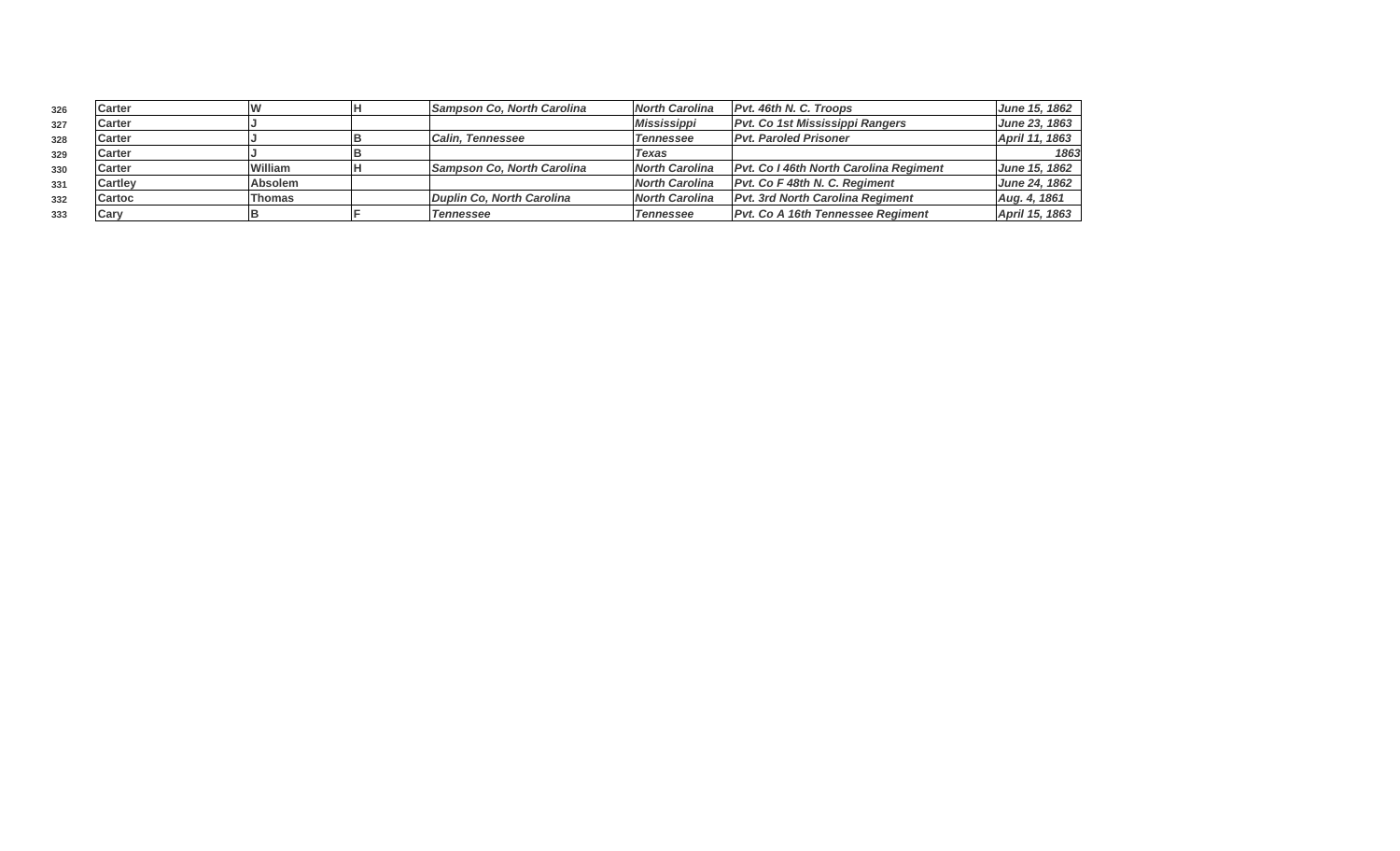| 326 | Carter         |                | Sampson Co, North Carolina | <b>North Carolina</b> | Pvt. 46th N. C. Troops                         | June 15, 1862        |
|-----|----------------|----------------|----------------------------|-----------------------|------------------------------------------------|----------------------|
| 327 | <b>Carter</b>  |                |                            | <b>Mississippi</b>    | <b>Pvt. Co 1st Mississippi Rangers</b>         | <b>June 23, 1863</b> |
| 328 | <b>Carter</b>  |                | <b>ICalin. Tennessee</b>   | <b>Tennessee</b>      | <b>Pvt. Paroled Prisoner</b>                   | April 11, 1863       |
| 329 | Carter         |                |                            | <b>Texas</b>          |                                                | 1863                 |
| 330 | Carter         | William        | Sampson Co, North Carolina | <b>North Carolina</b> | <b>IPvt. Co I 46th North Carolina Regiment</b> | June 15, 1862        |
| 331 | <b>Cartley</b> | <b>Absolem</b> |                            | <b>North Carolina</b> | Pvt. Co F 48th N. C. Regiment                  | <b>June 24, 1862</b> |
| 332 | Cartoc         | Thomas         | Duplin Co. North Carolina  | North Carolina        | <b>Pvt. 3rd North Carolina Regiment</b>        | Aug. 4, 1861         |
| 333 | Cary           |                | <b>Tennessee</b>           | <b>Tennessee</b>      | <b>Pvt. Co A 16th Tennessee Regiment</b>       | April 15, 1863       |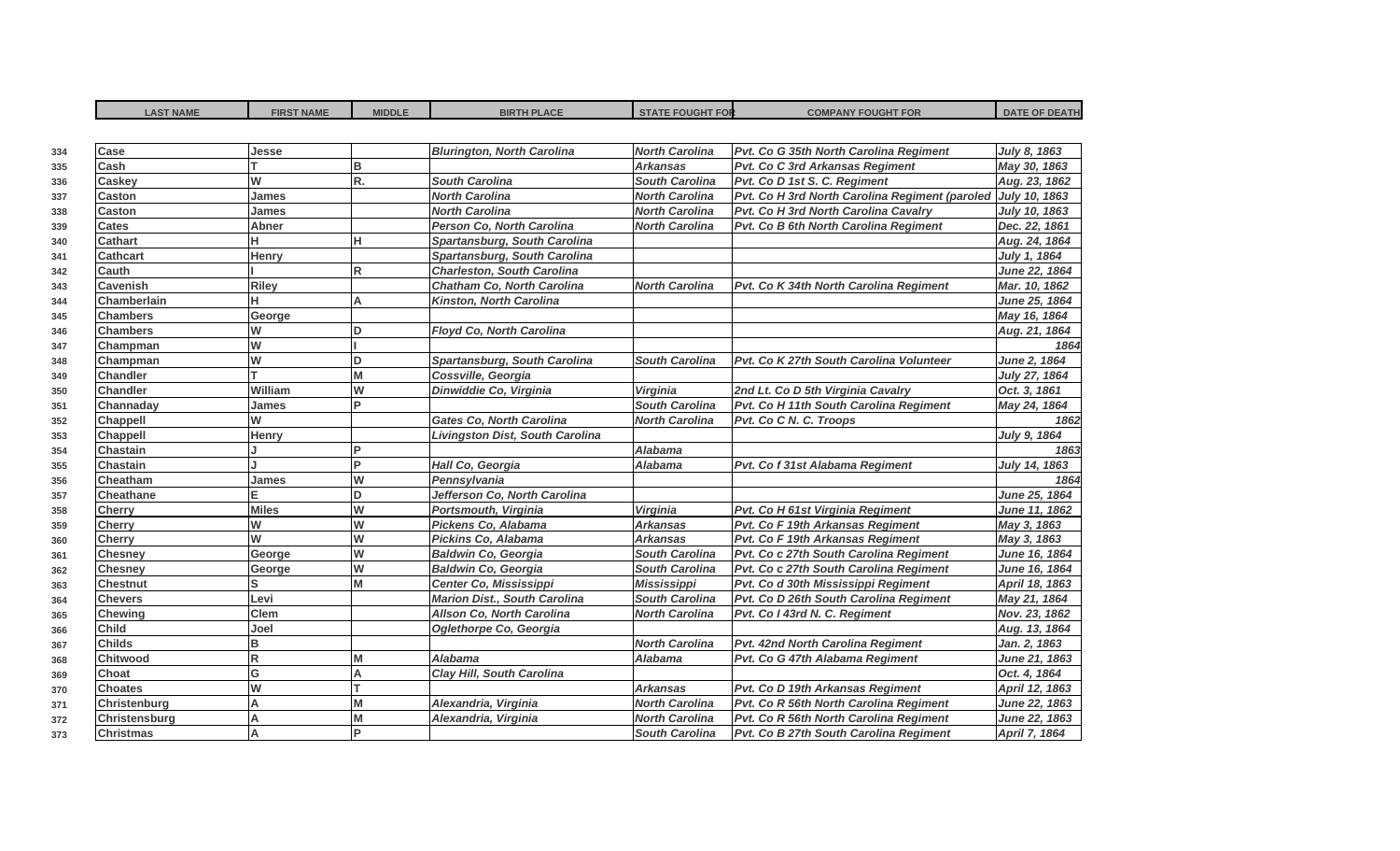| <b>LAST NAME</b> | <b>FIRST NAME</b> | <b>MIDDLE</b> | <b>BIRTH PLACE</b>                  | <b>STATE FOUGHT FOR</b> | <b>COMPANY FOUGHT FOR</b>                      | <b>DATE OF DEATH</b> |
|------------------|-------------------|---------------|-------------------------------------|-------------------------|------------------------------------------------|----------------------|
|                  |                   |               |                                     |                         |                                                |                      |
| Case             | Jesse             |               | <b>Blurington, North Carolina</b>   | <b>North Carolina</b>   | Pvt. Co G 35th North Carolina Regiment         | July 8, 1863         |
| Cash             |                   | B             |                                     | <b>Arkansas</b>         | Pvt. Co C 3rd Arkansas Regiment                | May 30, 1863         |
| <b>Caskey</b>    | W                 | R.            | <b>South Carolina</b>               | <b>South Carolina</b>   | Pvt. Co D 1st S. C. Regiment                   | Aug. 23, 1862        |
| <b>Caston</b>    | James             |               | <b>North Carolina</b>               | <b>North Carolina</b>   | Pvt. Co H 3rd North Carolina Regiment (paroled | July 10, 1863        |
| Caston           | James             |               | <b>North Carolina</b>               | <b>North Carolina</b>   | Pvt. Co H 3rd North Carolina Cavalry           | July 10, 1863        |
| Cates            | Abner             |               | <b>Person Co. North Carolina</b>    | <b>North Carolina</b>   | Pvt. Co B 6th North Carolina Regiment          | Dec. 22, 1861        |
| <b>Cathart</b>   | н                 | н             | Spartansburg, South Carolina        |                         |                                                | Aug. 24, 1864        |
| <b>Cathcart</b>  | Henry             |               | Spartansburg, South Carolina        |                         |                                                | July 1, 1864         |
| <b>Cauth</b>     |                   | R.            | <b>Charleston, South Carolina</b>   |                         |                                                | June 22, 1864        |
| <b>Cavenish</b>  | <b>Riley</b>      |               | <b>Chatham Co. North Carolina</b>   | <b>North Carolina</b>   | Pvt. Co K 34th North Carolina Regiment         | Mar. 10, 1862        |
| Chamberlain      | н                 | A             | Kinston, North Carolina             |                         |                                                | June 25, 1864        |
| <b>Chambers</b>  | George            |               |                                     |                         |                                                | May 16, 1864         |
| <b>Chambers</b>  | W                 | D             | Floyd Co, North Carolina            |                         |                                                | Aug. 21, 1864        |
| Champman         | W                 |               |                                     |                         |                                                | 1864                 |
| Champman         | W                 | <b>D</b>      | Spartansburg, South Carolina        | <b>South Carolina</b>   | Pvt. Co K 27th South Carolina Volunteer        | June 2, 1864         |
| <b>Chandler</b>  | т                 | M             | Cossville, Georgia                  |                         |                                                | July 27, 1864        |
| <b>Chandler</b>  | William           | W             | Dinwiddie Co, Virginia              | Virginia                | 2nd Lt. Co D 5th Virginia Cavalry              | Oct. 3, 1861         |
| Channaday        | James             |               |                                     | <b>South Carolina</b>   | Pvt. Co H 11th South Carolina Regiment         | May 24, 1864         |
| <b>Chappell</b>  | W                 |               | <b>Gates Co. North Carolina</b>     | <b>North Carolina</b>   | Pvt. Co C N. C. Troops                         | 1862                 |
| <b>Chappell</b>  | Henry             |               | Livingston Dist, South Carolina     |                         |                                                | July 9, 1864         |
| <b>Chastain</b>  |                   | Þ             |                                     | Alabama                 |                                                | 1863                 |
| <b>Chastain</b>  |                   | D             | Hall Co, Georgia                    | <b>Alabama</b>          | Pvt. Co f 31st Alabama Regiment                | July 14, 1863        |
| Cheatham         | James             | W             | Pennsylvania                        |                         |                                                | 1864                 |
| <b>Cheathane</b> |                   | D             | Jefferson Co, North Carolina        |                         |                                                | June 25, 1864        |
| <b>Cherry</b>    | <b>Miles</b>      | W             | Portsmouth, Virginia                | Virginia                | Pvt. Co H 61st Virginia Regiment               | June 11, 1862        |
| <b>Cherry</b>    | W                 | W             | Pickens Co, Alabama                 | <b>Arkansas</b>         | Pvt. Co F 19th Arkansas Regiment               | May 3, 1863          |
| <b>Cherry</b>    | W                 | W             | Pickins Co, Alabama                 | <b>Arkansas</b>         | Pvt. Co F 19th Arkansas Regiment               | May 3, 1863          |
| <b>Chesney</b>   | George            | W             | <b>Baldwin Co, Georgia</b>          | <b>South Carolina</b>   | Pvt. Co c 27th South Carolina Regiment         | June 16, 1864        |
| <b>Chesney</b>   | George            | W             | <b>Baldwin Co, Georgia</b>          | <b>South Carolina</b>   | Pvt. Co c 27th South Carolina Regiment         | June 16, 1864        |
| <b>Chestnut</b>  | Ś                 |               | Center Co, Mississippi              | <b>Mississippi</b>      | Pvt. Co d 30th Mississippi Regiment            | April 18, 1863       |
| <b>Chevers</b>   | Levi              |               | <b>Marion Dist., South Carolina</b> | <b>South Carolina</b>   | Pvt. Co D 26th South Carolina Regiment         | May 21, 1864         |
| <b>Chewing</b>   | Clem              |               | <b>Allson Co, North Carolina</b>    | <b>North Carolina</b>   | Pvt. Co I 43rd N. C. Regiment                  | Nov. 23, 1862        |
| <b>Child</b>     | Joel              |               | Oglethorpe Co, Georgia              |                         |                                                | Aug. 13, 1864        |
| <b>Childs</b>    | B                 |               |                                     | <b>North Carolina</b>   | Pvt. 42nd North Carolina Regiment              | Jan. 2, 1863         |
| <b>Chitwood</b>  | R                 | M             | Alabama                             | <b>Alabama</b>          | Pvt. Co G 47th Alabama Regiment                | June 21, 1863        |
| Choat            | G                 | A             | Clay Hill, South Carolina           |                         |                                                | Oct. 4, 1864         |
| <b>Choates</b>   | W                 |               |                                     | <b>Arkansas</b>         | Pvt. Co D 19th Arkansas Regiment               | April 12, 1863       |
| Christenburg     | A                 | M             | Alexandria, Virginia                | <b>North Carolina</b>   | Pvt. Co R 56th North Carolina Regiment         | June 22, 1863        |
| Christensburg    | A                 | M             | Alexandria, Virginia                | <b>North Carolina</b>   | Pvt. Co R 56th North Carolina Regiment         | June 22, 1863        |
| <b>Christmas</b> | A                 | Þ             |                                     | <b>South Carolina</b>   | Pvt. Co B 27th South Carolina Regiment         | April 7, 1864        |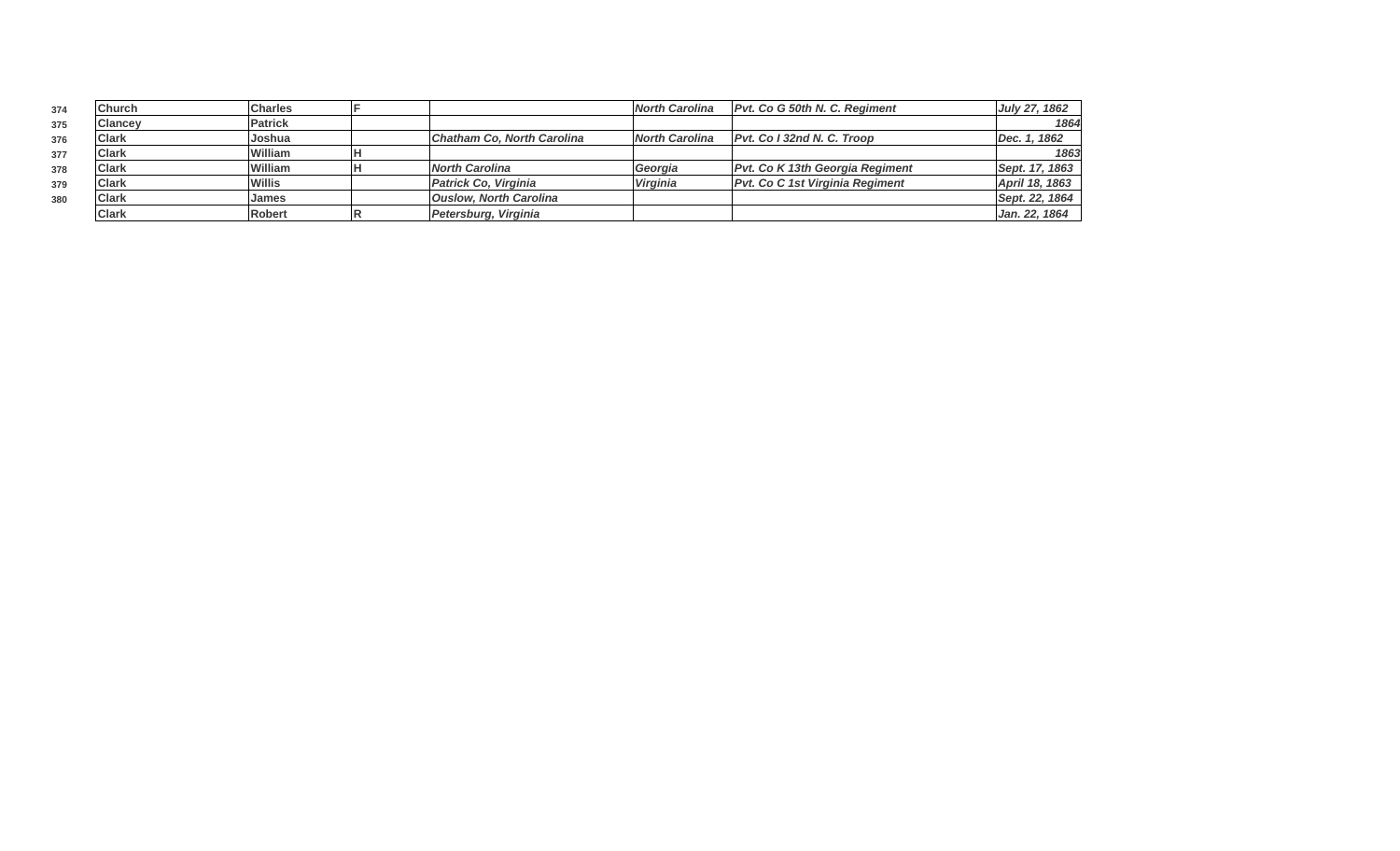| 374 | <b>Church</b>  | <b>Charles</b> |                               | <b>North Carolina</b> | Pvt. Co G 50th N. C. Regiment          | July 27, 1862  |
|-----|----------------|----------------|-------------------------------|-----------------------|----------------------------------------|----------------|
| 375 | <b>Clancev</b> | Patrick        |                               |                       |                                        | 1864           |
| 376 | <b>Clark</b>   | Joshua         | Chatham Co, North Carolina    | <b>North Carolina</b> | Pvt. Co I 32nd N. C. Troop             | Dec. 1, 1862   |
| 377 | <b>Clark</b>   | William        |                               |                       |                                        | 1863           |
| 378 | <b>Clark</b>   | William        | North Carolina                | Georgia               | <b>Pvt. Co K 13th Georgia Regiment</b> | Sept. 17, 1863 |
| 379 | <b>Clark</b>   | Willis         | Patrick Co, Virginia          | <b>Virginia</b>       | Pvt. Co C 1st Virginia Regiment        | April 18, 1863 |
| 380 | <b>Clark</b>   | <b>James</b>   | <b>Ouslow, North Carolina</b> |                       |                                        | Sept. 22, 1864 |
|     | <b>Clark</b>   | Robert         | Petersburg, Virginia          |                       |                                        | Jan. 22, 1864  |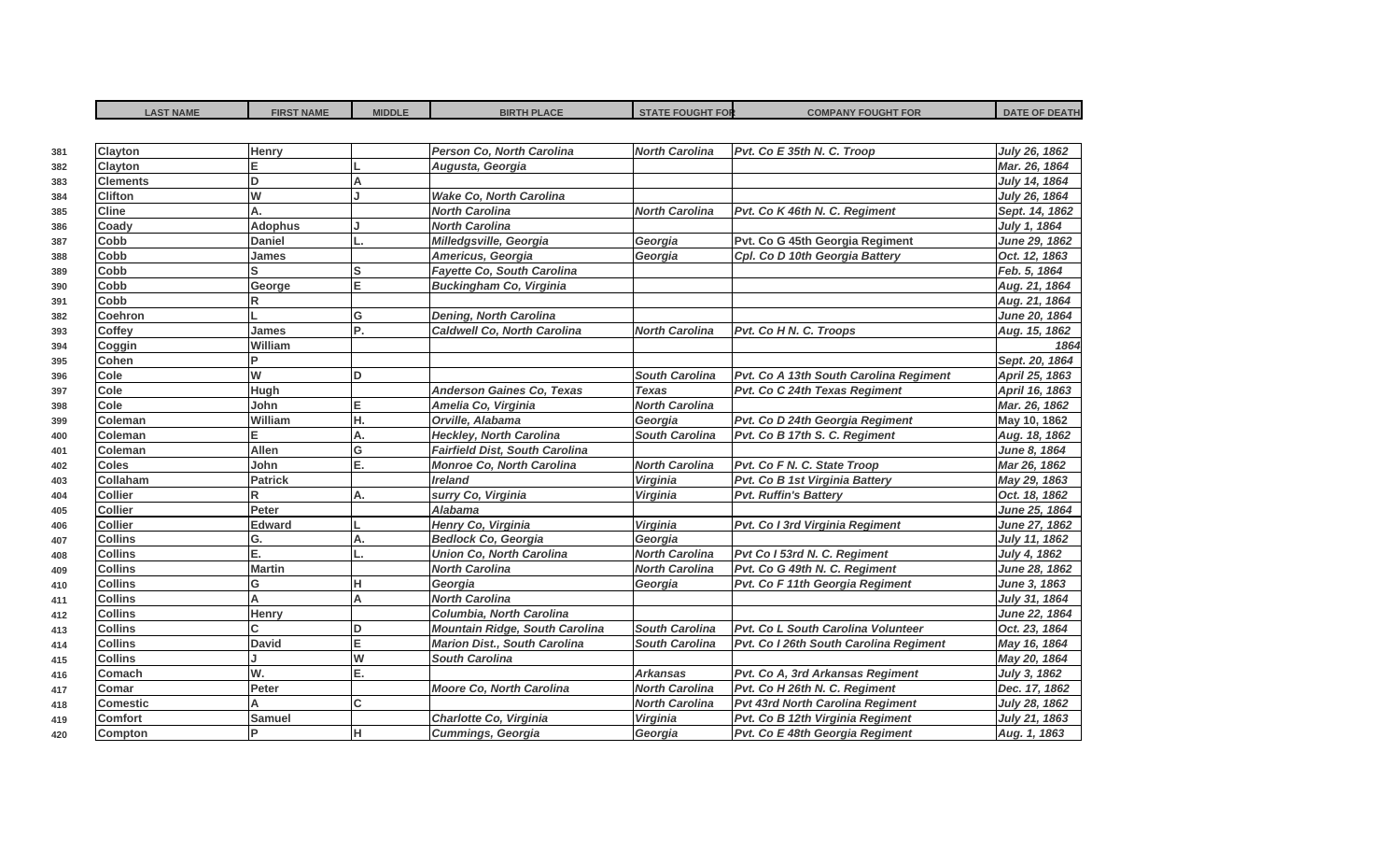| <b>LAST NAME</b> | <b>FIRST NAME</b> | <b>MIDDLE</b> | <b>BIRTH PLACE</b>                    | <b>STATE FOUGHT FOR</b> | <b>COMPANY FOUGHT FOR</b>               | <b>DATE OF DEATH</b> |
|------------------|-------------------|---------------|---------------------------------------|-------------------------|-----------------------------------------|----------------------|
|                  |                   |               |                                       |                         |                                         |                      |
| <b>Clayton</b>   | Henry             |               | Person Co, North Carolina             | <b>North Carolina</b>   | Pvt. Co E 35th N. C. Troop              | July 26, 1862        |
| Clayton          |                   |               | Augusta, Georgia                      |                         |                                         | Mar. 26, 1864        |
| <b>Clements</b>  | D                 | A             |                                       |                         |                                         | July 14, 1864        |
| <b>Clifton</b>   | W                 |               | <b>Wake Co. North Carolina</b>        |                         |                                         | July 26, 1864        |
| <b>Cline</b>     | А.                |               | <b>North Carolina</b>                 | <b>North Carolina</b>   | Pvt. Co K 46th N. C. Regiment           | Sept. 14, 1862       |
| Coady            | <b>Adophus</b>    |               | <b>North Carolina</b>                 |                         |                                         | July 1, 1864         |
| Cobb             | <b>Daniel</b>     |               | Milledgsville, Georgia                | Georgia                 | Pvt. Co G 45th Georgia Regiment         | <b>June 29, 1862</b> |
| Cobb             | James             |               | Americus, Georgia                     | Georgia                 | Cpl. Co D 10th Georgia Battery          | Oct. 12, 1863        |
| Cobb             |                   | lS            | <b>Fayette Co, South Carolina</b>     |                         |                                         | Feb. 5, 1864         |
| Cobb             | George            | E.            | <b>Buckingham Co, Virginia</b>        |                         |                                         | Aug. 21, 1864        |
| Cobb             | R                 |               |                                       |                         |                                         | Aug. 21, 1864        |
| <b>Coehron</b>   |                   | G             | <b>Dening, North Carolina</b>         |                         |                                         | June 20, 1864        |
| <b>Coffey</b>    | James             | P.            | <b>Caldwell Co, North Carolina</b>    | <b>North Carolina</b>   | Pvt. Co H N. C. Troops                  | Aug. 15, 1862        |
| Coggin           | William           |               |                                       |                         |                                         | 1864                 |
| <b>Cohen</b>     | Þ                 |               |                                       |                         |                                         | Sept. 20, 1864       |
| Cole             | W                 | D             |                                       | <b>South Carolina</b>   | Pvt. Co A 13th South Carolina Regiment  | April 25, 1863       |
| Cole             | Hugh              |               | <b>Anderson Gaines Co, Texas</b>      | <b>Texas</b>            | Pvt. Co C 24th Texas Regiment           | April 16, 1863       |
| <b>Cole</b>      | John              | E             | Amelia Co, Virginia                   | <b>North Carolina</b>   |                                         | Mar. 26, 1862        |
| Coleman          | William           | H.            | Orville, Alabama                      | Georgia                 | Pvt. Co D 24th Georgia Regiment         | May 10, 1862         |
| Coleman          | E.                | Α.            | <b>Heckley, North Carolina</b>        | <b>South Carolina</b>   | Pvt. Co B 17th S. C. Regiment           | Aug. 18, 1862        |
| Coleman          | <b>Allen</b>      | G             | <b>Fairfield Dist, South Carolina</b> |                         |                                         | June 8, 1864         |
| <b>Coles</b>     | John              | E.            | <b>Monroe Co, North Carolina</b>      | <b>North Carolina</b>   | Pvt. Co F N. C. State Troop             | Mar 26, 1862         |
| Collaham         | <b>Patrick</b>    |               | <b>Ireland</b>                        | Virginia                | Pvt. Co B 1st Virginia Battery          | May 29, 1863         |
| <b>Collier</b>   | R                 | Α.            | surry Co, Virginia                    | Virginia                | <b>Pvt. Ruffin's Battery</b>            | Oct. 18, 1862        |
| <b>Collier</b>   | Peter             |               | <b>Alabama</b>                        |                         |                                         | <b>June 25, 1864</b> |
| <b>Collier</b>   | <b>Edward</b>     |               | Henry Co, Virginia                    | Virginia                | Pvt. Co I 3rd Virginia Regiment         | June 27, 1862        |
| <b>Collins</b>   | G.                | Α.            | <b>Bedlock Co, Georgia</b>            | Georgia                 |                                         | July 11, 1862        |
| <b>Collins</b>   | Ε.                |               | <b>Union Co, North Carolina</b>       | <b>North Carolina</b>   | Pvt Co I 53rd N. C. Regiment            | July 4, 1862         |
| <b>Collins</b>   | <b>Martin</b>     |               | <b>North Carolina</b>                 | <b>North Carolina</b>   | Pvt. Co G 49th N. C. Regiment           | June 28, 1862        |
| <b>Collins</b>   | G                 | н             | Georgia                               | Georgia                 | Pvt. Co F 11th Georgia Regiment         | June 3, 1863         |
| <b>Collins</b>   | A                 | A             | <b>North Carolina</b>                 |                         |                                         | July 31, 1864        |
| <b>Collins</b>   | Henry             |               | Columbia, North Carolina              |                         |                                         | June 22, 1864        |
| <b>Collins</b>   | Ć                 | n             | <b>Mountain Ridge, South Carolina</b> | <b>South Carolina</b>   | Pvt. Co L South Carolina Volunteer      | Oct. 23, 1864        |
| <b>Collins</b>   | <b>David</b>      | E             | <b>Marion Dist., South Carolina</b>   | <b>South Carolina</b>   | Pvt. Co I 26th South Carolina Regiment  | May 16, 1864         |
| <b>Collins</b>   |                   | W             | <b>South Carolina</b>                 |                         |                                         | May 20, 1864         |
| Comach           | W.                | E.            |                                       | <b>Arkansas</b>         | Pvt. Co A, 3rd Arkansas Regiment        | July 3, 1862         |
| Comar            | Peter             |               | <b>Moore Co, North Carolina</b>       | <b>North Carolina</b>   | Pvt. Co H 26th N. C. Regiment           | Dec. 17, 1862        |
| <b>Comestic</b>  | А                 | C             |                                       | <b>North Carolina</b>   | <b>Pvt 43rd North Carolina Regiment</b> | July 28, 1862        |
| <b>Comfort</b>   | Samuel            |               | Charlotte Co, Virginia                | Virginia                | Pvt. Co B 12th Virginia Regiment        | July 21, 1863        |
| <b>Compton</b>   | P                 | н             | Cummings, Georgia                     | Georgia                 | Pvt. Co E 48th Georgia Regiment         | Aug. 1, 1863         |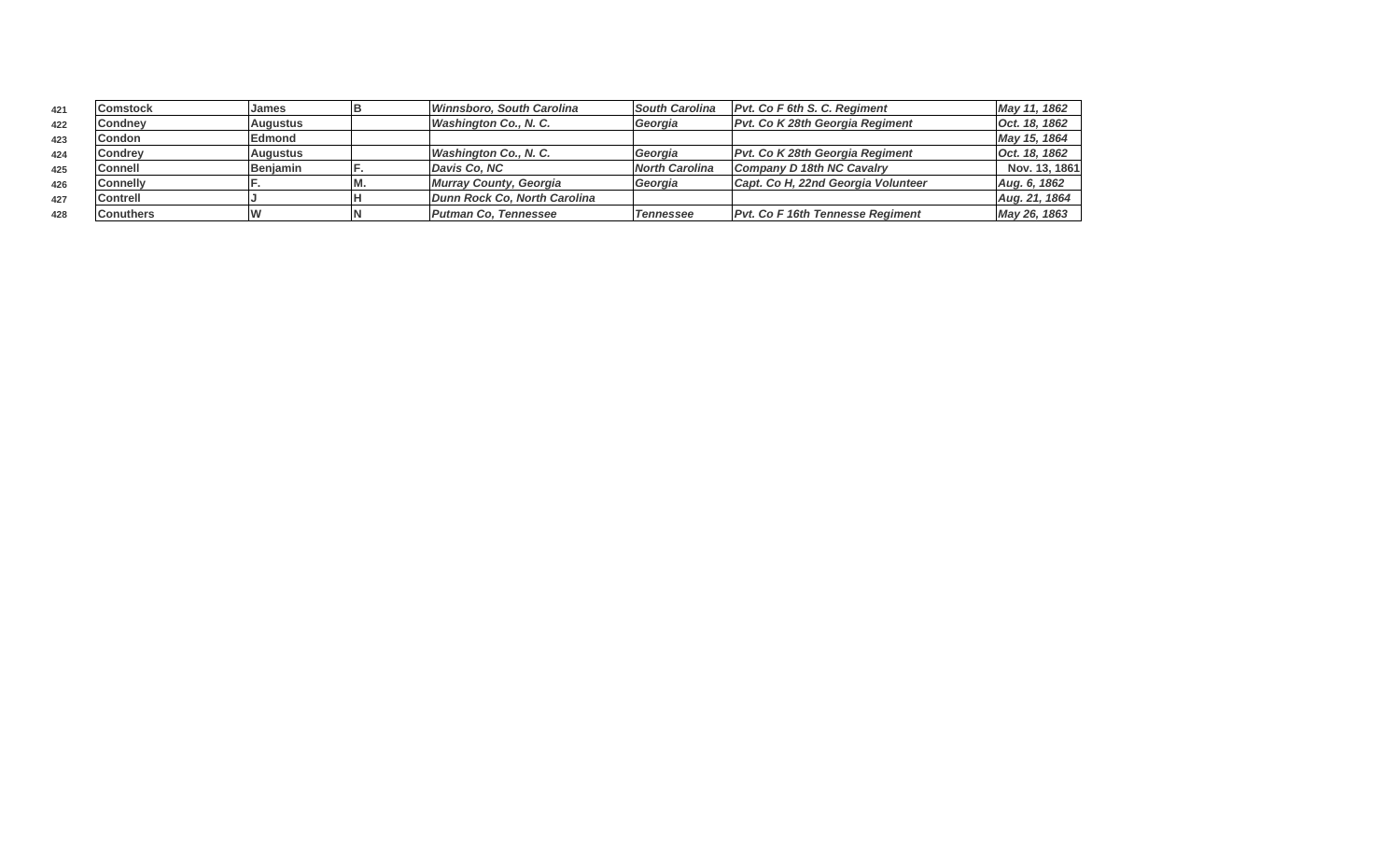| 421 | <b>Comstock</b>  | <b>James</b>    | Winnsboro, South Carolina    | <b>South Carolina</b> | <b>Pvt. Co F 6th S. C. Regiment</b>     | May 11, 1862  |
|-----|------------------|-----------------|------------------------------|-----------------------|-----------------------------------------|---------------|
| 422 | Condney          | Augustus        | <b>Washington Co., N. C.</b> | Georgia               | Pvt. Co K 28th Georgia Regiment         | Oct. 18, 1862 |
| 423 | <b>Condon</b>    | <b>Edmond</b>   |                              |                       |                                         | May 15, 1864  |
| 424 | <b>Condrey</b>   | Augustus        | <b>Washington Co., N. C.</b> | Georgia               | <b>Pvt. Co K 28th Georgia Regiment</b>  | Oct. 18, 1862 |
| 425 | <b>Connell</b>   | <b>Beniamin</b> | Davis Co. NC                 | <b>North Carolina</b> | Company D 18th NC Cavalry               | Nov. 13, 1861 |
| 426 | <b>Connelly</b>  |                 | Murray County, Georgia       | Georgia               | Capt. Co H, 22nd Georgia Volunteer      | Aug. 6, 1862  |
| 427 | <b>Contrell</b>  |                 | Dunn Rock Co. North Carolina |                       |                                         | Aug. 21, 1864 |
| 428 | <b>Conuthers</b> |                 | <b>Putman Co. Tennessee</b>  | <b>Tennessee</b>      | <b>Pvt. Co F 16th Tennesse Regiment</b> | May 26, 1863  |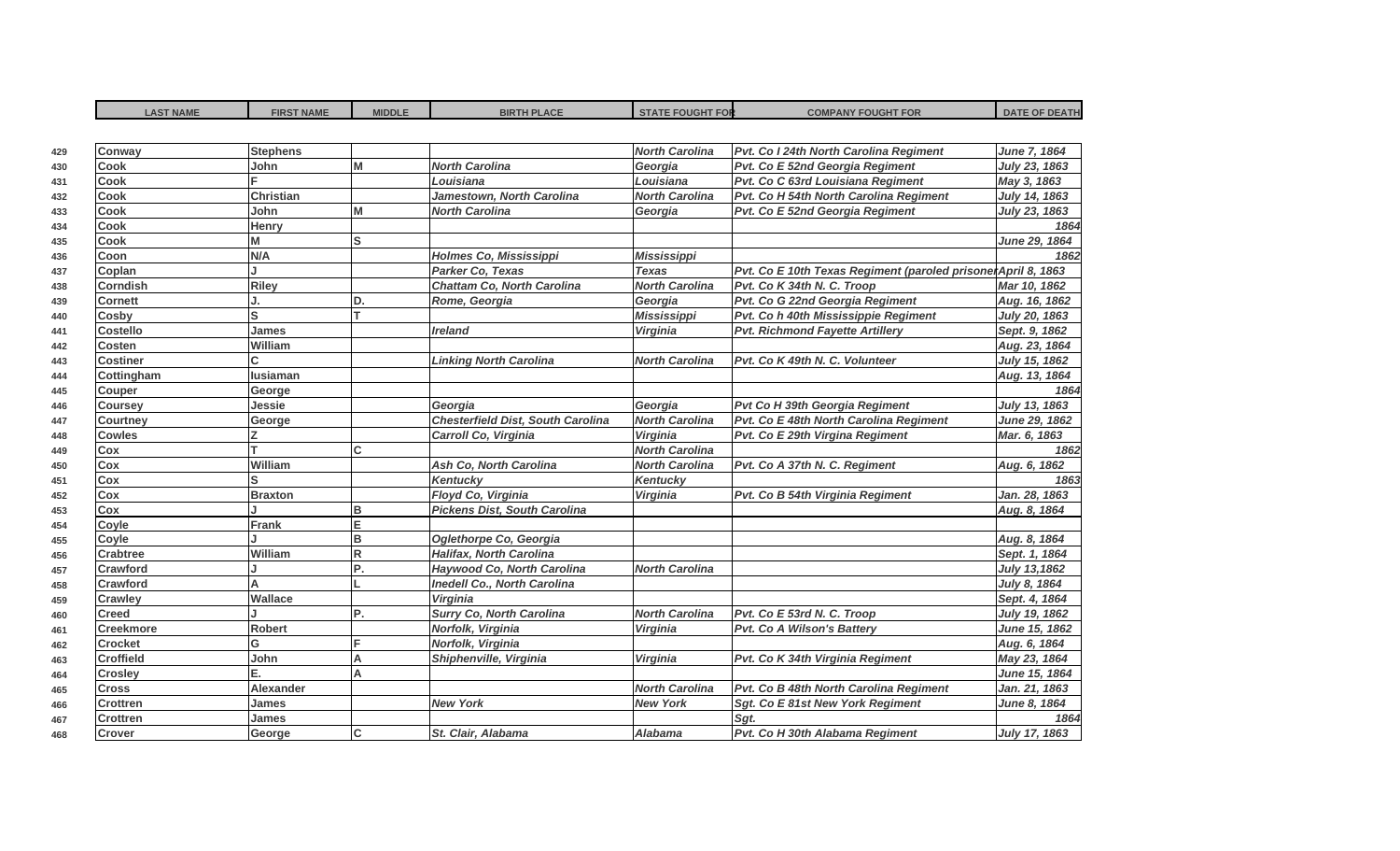| <b>Stephens</b><br><b>North Carolina</b><br>Pvt. Co I 24th North Carolina Regiment<br>Conway<br>M<br><b>North Carolina</b><br>Georgia<br><b>Cook</b><br>John<br>Pvt. Co E 52nd Georgia Regiment<br>Louisiana<br>Pvt. Co C 63rd Louisiana Regiment<br><b>Cook</b><br>Louisiana<br>Jamestown, North Carolina<br><b>North Carolina</b><br>Pvt. Co H 54th North Carolina Regiment<br>Cook<br><b>Christian</b><br>M<br><b>Cook</b><br><b>North Carolina</b><br>Pvt. Co E 52nd Georgia Regiment<br>John<br>Georgia<br><b>Cook</b><br>Henry<br>М<br>S<br><b>Cook</b><br>N/A<br>Holmes Co, Mississippi<br><b>Mississippi</b><br>Coon<br>Coplan<br>Parker Co, Texas<br>Pvt. Co E 10th Texas Regiment (paroled prisonerApril 8, 1863<br><b>Texas</b><br>Riley<br><b>Chattam Co, North Carolina</b><br><b>North Carolina</b><br>Pvt. Co K 34th N. C. Troop<br><b>Corndish</b><br>D.<br>Georgia<br>Pvt. Co G 22nd Georgia Regiment<br><b>Cornett</b><br>Rome, Georgia<br>S<br><b>Mississippi</b><br>Pvt. Co h 40th Mississippie Regiment<br>Cosby<br><b>Pvt. Richmond Fayette Artillery</b><br><b>Costello</b><br><b>James</b><br><b>Ireland</b><br>Virginia<br>William<br><b>Costen</b><br>Pvt. Co K 49th N. C. Volunteer<br><b>Costiner</b><br><b>Linking North Carolina</b><br><b>North Carolina</b><br><b>lusiaman</b><br>Cottingham<br>George<br>Couper<br>Georgia<br>Jessie<br>Pvt Co H 39th Georgia Regiment<br>Georgia<br><b>Coursey</b><br><b>Chesterfield Dist, South Carolina</b><br><b>North Carolina</b><br>Pvt. Co E 48th North Carolina Regiment<br>George<br><b>Courtney</b><br>Virginia<br>Carroll Co, Virginia<br>Pvt. Co E 29th Virgina Regiment<br><b>Cowles</b><br>$\mathsf{C}$<br><b>North Carolina</b><br>Cox<br><b>North Carolina</b><br>Pvt. Co A 37th N. C. Regiment<br>William<br>Ash Co, North Carolina<br>Cox<br><b>Kentucky</b><br>S<br><b>Kentucky</b><br>Cox<br>Floyd Co, Virginia<br>Cox<br><b>Virginia</b><br>Pvt. Co B 54th Virginia Regiment<br><b>Braxton</b><br>B<br>Cox<br><b>Pickens Dist, South Carolina</b><br>E<br>Coyle<br><b>Frank</b><br>B<br>Oglethorpe Co, Georgia<br>Coyle<br>$\mathsf R$<br><b>Halifax, North Carolina</b><br><b>Crabtree</b><br>William<br>P.<br>Crawford<br>Haywood Co, North Carolina<br><b>North Carolina</b><br>Crawford<br><b>Inedell Co., North Carolina</b><br>Wallace<br><b>Virginia</b><br><b>Crawley</b><br>P.<br>Surry Co, North Carolina<br>Pvt. Co E 53rd N. C. Troop<br><b>Creed</b><br><b>North Carolina</b><br><b>Robert</b><br>Norfolk, Virginia<br>Virginia<br><b>Pvt. Co A Wilson's Battery</b><br><b>Creekmore</b> | <b>DATE OF DEATH</b> |
|-----------------------------------------------------------------------------------------------------------------------------------------------------------------------------------------------------------------------------------------------------------------------------------------------------------------------------------------------------------------------------------------------------------------------------------------------------------------------------------------------------------------------------------------------------------------------------------------------------------------------------------------------------------------------------------------------------------------------------------------------------------------------------------------------------------------------------------------------------------------------------------------------------------------------------------------------------------------------------------------------------------------------------------------------------------------------------------------------------------------------------------------------------------------------------------------------------------------------------------------------------------------------------------------------------------------------------------------------------------------------------------------------------------------------------------------------------------------------------------------------------------------------------------------------------------------------------------------------------------------------------------------------------------------------------------------------------------------------------------------------------------------------------------------------------------------------------------------------------------------------------------------------------------------------------------------------------------------------------------------------------------------------------------------------------------------------------------------------------------------------------------------------------------------------------------------------------------------------------------------------------------------------------------------------------------------------------------------------------------------------------------------------------------------------------------------------------------------------------------------------------------------------------------------------------------------------------------------------|----------------------|
|                                                                                                                                                                                                                                                                                                                                                                                                                                                                                                                                                                                                                                                                                                                                                                                                                                                                                                                                                                                                                                                                                                                                                                                                                                                                                                                                                                                                                                                                                                                                                                                                                                                                                                                                                                                                                                                                                                                                                                                                                                                                                                                                                                                                                                                                                                                                                                                                                                                                                                                                                                                               |                      |
|                                                                                                                                                                                                                                                                                                                                                                                                                                                                                                                                                                                                                                                                                                                                                                                                                                                                                                                                                                                                                                                                                                                                                                                                                                                                                                                                                                                                                                                                                                                                                                                                                                                                                                                                                                                                                                                                                                                                                                                                                                                                                                                                                                                                                                                                                                                                                                                                                                                                                                                                                                                               | June 7, 1864         |
|                                                                                                                                                                                                                                                                                                                                                                                                                                                                                                                                                                                                                                                                                                                                                                                                                                                                                                                                                                                                                                                                                                                                                                                                                                                                                                                                                                                                                                                                                                                                                                                                                                                                                                                                                                                                                                                                                                                                                                                                                                                                                                                                                                                                                                                                                                                                                                                                                                                                                                                                                                                               | July 23, 1863        |
|                                                                                                                                                                                                                                                                                                                                                                                                                                                                                                                                                                                                                                                                                                                                                                                                                                                                                                                                                                                                                                                                                                                                                                                                                                                                                                                                                                                                                                                                                                                                                                                                                                                                                                                                                                                                                                                                                                                                                                                                                                                                                                                                                                                                                                                                                                                                                                                                                                                                                                                                                                                               | May 3, 1863          |
|                                                                                                                                                                                                                                                                                                                                                                                                                                                                                                                                                                                                                                                                                                                                                                                                                                                                                                                                                                                                                                                                                                                                                                                                                                                                                                                                                                                                                                                                                                                                                                                                                                                                                                                                                                                                                                                                                                                                                                                                                                                                                                                                                                                                                                                                                                                                                                                                                                                                                                                                                                                               | July 14, 1863        |
|                                                                                                                                                                                                                                                                                                                                                                                                                                                                                                                                                                                                                                                                                                                                                                                                                                                                                                                                                                                                                                                                                                                                                                                                                                                                                                                                                                                                                                                                                                                                                                                                                                                                                                                                                                                                                                                                                                                                                                                                                                                                                                                                                                                                                                                                                                                                                                                                                                                                                                                                                                                               | July 23, 1863        |
|                                                                                                                                                                                                                                                                                                                                                                                                                                                                                                                                                                                                                                                                                                                                                                                                                                                                                                                                                                                                                                                                                                                                                                                                                                                                                                                                                                                                                                                                                                                                                                                                                                                                                                                                                                                                                                                                                                                                                                                                                                                                                                                                                                                                                                                                                                                                                                                                                                                                                                                                                                                               | 1864                 |
|                                                                                                                                                                                                                                                                                                                                                                                                                                                                                                                                                                                                                                                                                                                                                                                                                                                                                                                                                                                                                                                                                                                                                                                                                                                                                                                                                                                                                                                                                                                                                                                                                                                                                                                                                                                                                                                                                                                                                                                                                                                                                                                                                                                                                                                                                                                                                                                                                                                                                                                                                                                               | June 29, 1864        |
|                                                                                                                                                                                                                                                                                                                                                                                                                                                                                                                                                                                                                                                                                                                                                                                                                                                                                                                                                                                                                                                                                                                                                                                                                                                                                                                                                                                                                                                                                                                                                                                                                                                                                                                                                                                                                                                                                                                                                                                                                                                                                                                                                                                                                                                                                                                                                                                                                                                                                                                                                                                               | 1862                 |
|                                                                                                                                                                                                                                                                                                                                                                                                                                                                                                                                                                                                                                                                                                                                                                                                                                                                                                                                                                                                                                                                                                                                                                                                                                                                                                                                                                                                                                                                                                                                                                                                                                                                                                                                                                                                                                                                                                                                                                                                                                                                                                                                                                                                                                                                                                                                                                                                                                                                                                                                                                                               |                      |
|                                                                                                                                                                                                                                                                                                                                                                                                                                                                                                                                                                                                                                                                                                                                                                                                                                                                                                                                                                                                                                                                                                                                                                                                                                                                                                                                                                                                                                                                                                                                                                                                                                                                                                                                                                                                                                                                                                                                                                                                                                                                                                                                                                                                                                                                                                                                                                                                                                                                                                                                                                                               | Mar 10, 1862         |
|                                                                                                                                                                                                                                                                                                                                                                                                                                                                                                                                                                                                                                                                                                                                                                                                                                                                                                                                                                                                                                                                                                                                                                                                                                                                                                                                                                                                                                                                                                                                                                                                                                                                                                                                                                                                                                                                                                                                                                                                                                                                                                                                                                                                                                                                                                                                                                                                                                                                                                                                                                                               | Aug. 16, 1862        |
|                                                                                                                                                                                                                                                                                                                                                                                                                                                                                                                                                                                                                                                                                                                                                                                                                                                                                                                                                                                                                                                                                                                                                                                                                                                                                                                                                                                                                                                                                                                                                                                                                                                                                                                                                                                                                                                                                                                                                                                                                                                                                                                                                                                                                                                                                                                                                                                                                                                                                                                                                                                               | July 20, 1863        |
|                                                                                                                                                                                                                                                                                                                                                                                                                                                                                                                                                                                                                                                                                                                                                                                                                                                                                                                                                                                                                                                                                                                                                                                                                                                                                                                                                                                                                                                                                                                                                                                                                                                                                                                                                                                                                                                                                                                                                                                                                                                                                                                                                                                                                                                                                                                                                                                                                                                                                                                                                                                               | Sept. 9, 1862        |
|                                                                                                                                                                                                                                                                                                                                                                                                                                                                                                                                                                                                                                                                                                                                                                                                                                                                                                                                                                                                                                                                                                                                                                                                                                                                                                                                                                                                                                                                                                                                                                                                                                                                                                                                                                                                                                                                                                                                                                                                                                                                                                                                                                                                                                                                                                                                                                                                                                                                                                                                                                                               | Aug. 23, 1864        |
|                                                                                                                                                                                                                                                                                                                                                                                                                                                                                                                                                                                                                                                                                                                                                                                                                                                                                                                                                                                                                                                                                                                                                                                                                                                                                                                                                                                                                                                                                                                                                                                                                                                                                                                                                                                                                                                                                                                                                                                                                                                                                                                                                                                                                                                                                                                                                                                                                                                                                                                                                                                               | July 15, 1862        |
|                                                                                                                                                                                                                                                                                                                                                                                                                                                                                                                                                                                                                                                                                                                                                                                                                                                                                                                                                                                                                                                                                                                                                                                                                                                                                                                                                                                                                                                                                                                                                                                                                                                                                                                                                                                                                                                                                                                                                                                                                                                                                                                                                                                                                                                                                                                                                                                                                                                                                                                                                                                               | Aug. 13, 1864        |
|                                                                                                                                                                                                                                                                                                                                                                                                                                                                                                                                                                                                                                                                                                                                                                                                                                                                                                                                                                                                                                                                                                                                                                                                                                                                                                                                                                                                                                                                                                                                                                                                                                                                                                                                                                                                                                                                                                                                                                                                                                                                                                                                                                                                                                                                                                                                                                                                                                                                                                                                                                                               | 1864                 |
|                                                                                                                                                                                                                                                                                                                                                                                                                                                                                                                                                                                                                                                                                                                                                                                                                                                                                                                                                                                                                                                                                                                                                                                                                                                                                                                                                                                                                                                                                                                                                                                                                                                                                                                                                                                                                                                                                                                                                                                                                                                                                                                                                                                                                                                                                                                                                                                                                                                                                                                                                                                               | July 13, 1863        |
|                                                                                                                                                                                                                                                                                                                                                                                                                                                                                                                                                                                                                                                                                                                                                                                                                                                                                                                                                                                                                                                                                                                                                                                                                                                                                                                                                                                                                                                                                                                                                                                                                                                                                                                                                                                                                                                                                                                                                                                                                                                                                                                                                                                                                                                                                                                                                                                                                                                                                                                                                                                               | <b>June 29, 1862</b> |
|                                                                                                                                                                                                                                                                                                                                                                                                                                                                                                                                                                                                                                                                                                                                                                                                                                                                                                                                                                                                                                                                                                                                                                                                                                                                                                                                                                                                                                                                                                                                                                                                                                                                                                                                                                                                                                                                                                                                                                                                                                                                                                                                                                                                                                                                                                                                                                                                                                                                                                                                                                                               | Mar. 6, 1863         |
|                                                                                                                                                                                                                                                                                                                                                                                                                                                                                                                                                                                                                                                                                                                                                                                                                                                                                                                                                                                                                                                                                                                                                                                                                                                                                                                                                                                                                                                                                                                                                                                                                                                                                                                                                                                                                                                                                                                                                                                                                                                                                                                                                                                                                                                                                                                                                                                                                                                                                                                                                                                               | 1862                 |
|                                                                                                                                                                                                                                                                                                                                                                                                                                                                                                                                                                                                                                                                                                                                                                                                                                                                                                                                                                                                                                                                                                                                                                                                                                                                                                                                                                                                                                                                                                                                                                                                                                                                                                                                                                                                                                                                                                                                                                                                                                                                                                                                                                                                                                                                                                                                                                                                                                                                                                                                                                                               | Aug. 6, 1862         |
|                                                                                                                                                                                                                                                                                                                                                                                                                                                                                                                                                                                                                                                                                                                                                                                                                                                                                                                                                                                                                                                                                                                                                                                                                                                                                                                                                                                                                                                                                                                                                                                                                                                                                                                                                                                                                                                                                                                                                                                                                                                                                                                                                                                                                                                                                                                                                                                                                                                                                                                                                                                               | 1863                 |
|                                                                                                                                                                                                                                                                                                                                                                                                                                                                                                                                                                                                                                                                                                                                                                                                                                                                                                                                                                                                                                                                                                                                                                                                                                                                                                                                                                                                                                                                                                                                                                                                                                                                                                                                                                                                                                                                                                                                                                                                                                                                                                                                                                                                                                                                                                                                                                                                                                                                                                                                                                                               | Jan. 28, 1863        |
|                                                                                                                                                                                                                                                                                                                                                                                                                                                                                                                                                                                                                                                                                                                                                                                                                                                                                                                                                                                                                                                                                                                                                                                                                                                                                                                                                                                                                                                                                                                                                                                                                                                                                                                                                                                                                                                                                                                                                                                                                                                                                                                                                                                                                                                                                                                                                                                                                                                                                                                                                                                               | Aug. 8, 1864         |
|                                                                                                                                                                                                                                                                                                                                                                                                                                                                                                                                                                                                                                                                                                                                                                                                                                                                                                                                                                                                                                                                                                                                                                                                                                                                                                                                                                                                                                                                                                                                                                                                                                                                                                                                                                                                                                                                                                                                                                                                                                                                                                                                                                                                                                                                                                                                                                                                                                                                                                                                                                                               |                      |
|                                                                                                                                                                                                                                                                                                                                                                                                                                                                                                                                                                                                                                                                                                                                                                                                                                                                                                                                                                                                                                                                                                                                                                                                                                                                                                                                                                                                                                                                                                                                                                                                                                                                                                                                                                                                                                                                                                                                                                                                                                                                                                                                                                                                                                                                                                                                                                                                                                                                                                                                                                                               | Aug. 8, 1864         |
|                                                                                                                                                                                                                                                                                                                                                                                                                                                                                                                                                                                                                                                                                                                                                                                                                                                                                                                                                                                                                                                                                                                                                                                                                                                                                                                                                                                                                                                                                                                                                                                                                                                                                                                                                                                                                                                                                                                                                                                                                                                                                                                                                                                                                                                                                                                                                                                                                                                                                                                                                                                               | Sept. 1, 1864        |
|                                                                                                                                                                                                                                                                                                                                                                                                                                                                                                                                                                                                                                                                                                                                                                                                                                                                                                                                                                                                                                                                                                                                                                                                                                                                                                                                                                                                                                                                                                                                                                                                                                                                                                                                                                                                                                                                                                                                                                                                                                                                                                                                                                                                                                                                                                                                                                                                                                                                                                                                                                                               | July 13,1862         |
|                                                                                                                                                                                                                                                                                                                                                                                                                                                                                                                                                                                                                                                                                                                                                                                                                                                                                                                                                                                                                                                                                                                                                                                                                                                                                                                                                                                                                                                                                                                                                                                                                                                                                                                                                                                                                                                                                                                                                                                                                                                                                                                                                                                                                                                                                                                                                                                                                                                                                                                                                                                               | July 8, 1864         |
|                                                                                                                                                                                                                                                                                                                                                                                                                                                                                                                                                                                                                                                                                                                                                                                                                                                                                                                                                                                                                                                                                                                                                                                                                                                                                                                                                                                                                                                                                                                                                                                                                                                                                                                                                                                                                                                                                                                                                                                                                                                                                                                                                                                                                                                                                                                                                                                                                                                                                                                                                                                               | Sept. 4, 1864        |
|                                                                                                                                                                                                                                                                                                                                                                                                                                                                                                                                                                                                                                                                                                                                                                                                                                                                                                                                                                                                                                                                                                                                                                                                                                                                                                                                                                                                                                                                                                                                                                                                                                                                                                                                                                                                                                                                                                                                                                                                                                                                                                                                                                                                                                                                                                                                                                                                                                                                                                                                                                                               | July 19, 1862        |
|                                                                                                                                                                                                                                                                                                                                                                                                                                                                                                                                                                                                                                                                                                                                                                                                                                                                                                                                                                                                                                                                                                                                                                                                                                                                                                                                                                                                                                                                                                                                                                                                                                                                                                                                                                                                                                                                                                                                                                                                                                                                                                                                                                                                                                                                                                                                                                                                                                                                                                                                                                                               | June 15, 1862        |
| G<br>F<br>Norfolk, Virginia<br><b>Crocket</b>                                                                                                                                                                                                                                                                                                                                                                                                                                                                                                                                                                                                                                                                                                                                                                                                                                                                                                                                                                                                                                                                                                                                                                                                                                                                                                                                                                                                                                                                                                                                                                                                                                                                                                                                                                                                                                                                                                                                                                                                                                                                                                                                                                                                                                                                                                                                                                                                                                                                                                                                                 | Aug. 6, 1864         |
| <b>Croffield</b><br>A<br>John<br>Shiphenville, Virginia<br>Virginia<br>Pvt. Co K 34th Virginia Regiment                                                                                                                                                                                                                                                                                                                                                                                                                                                                                                                                                                                                                                                                                                                                                                                                                                                                                                                                                                                                                                                                                                                                                                                                                                                                                                                                                                                                                                                                                                                                                                                                                                                                                                                                                                                                                                                                                                                                                                                                                                                                                                                                                                                                                                                                                                                                                                                                                                                                                       | May 23, 1864         |
| Ε.<br>A<br><b>Crosley</b>                                                                                                                                                                                                                                                                                                                                                                                                                                                                                                                                                                                                                                                                                                                                                                                                                                                                                                                                                                                                                                                                                                                                                                                                                                                                                                                                                                                                                                                                                                                                                                                                                                                                                                                                                                                                                                                                                                                                                                                                                                                                                                                                                                                                                                                                                                                                                                                                                                                                                                                                                                     | June 15, 1864        |
| <b>Alexander</b><br><b>North Carolina</b><br>Pvt. Co B 48th North Carolina Regiment<br><b>Cross</b>                                                                                                                                                                                                                                                                                                                                                                                                                                                                                                                                                                                                                                                                                                                                                                                                                                                                                                                                                                                                                                                                                                                                                                                                                                                                                                                                                                                                                                                                                                                                                                                                                                                                                                                                                                                                                                                                                                                                                                                                                                                                                                                                                                                                                                                                                                                                                                                                                                                                                           | Jan. 21, 1863        |
| <b>James</b><br><b>New York</b><br><b>New York</b><br>Sgt. Co E 81st New York Regiment<br><b>Crottren</b>                                                                                                                                                                                                                                                                                                                                                                                                                                                                                                                                                                                                                                                                                                                                                                                                                                                                                                                                                                                                                                                                                                                                                                                                                                                                                                                                                                                                                                                                                                                                                                                                                                                                                                                                                                                                                                                                                                                                                                                                                                                                                                                                                                                                                                                                                                                                                                                                                                                                                     | June 8, 1864         |
| Sgt.<br><b>Crottren</b><br>James                                                                                                                                                                                                                                                                                                                                                                                                                                                                                                                                                                                                                                                                                                                                                                                                                                                                                                                                                                                                                                                                                                                                                                                                                                                                                                                                                                                                                                                                                                                                                                                                                                                                                                                                                                                                                                                                                                                                                                                                                                                                                                                                                                                                                                                                                                                                                                                                                                                                                                                                                              | 1864                 |
| C<br>Pvt. Co H 30th Alabama Regiment<br>George<br>St. Clair. Alabama<br><b>Alabama</b><br><b>Crover</b>                                                                                                                                                                                                                                                                                                                                                                                                                                                                                                                                                                                                                                                                                                                                                                                                                                                                                                                                                                                                                                                                                                                                                                                                                                                                                                                                                                                                                                                                                                                                                                                                                                                                                                                                                                                                                                                                                                                                                                                                                                                                                                                                                                                                                                                                                                                                                                                                                                                                                       | July 17, 1863        |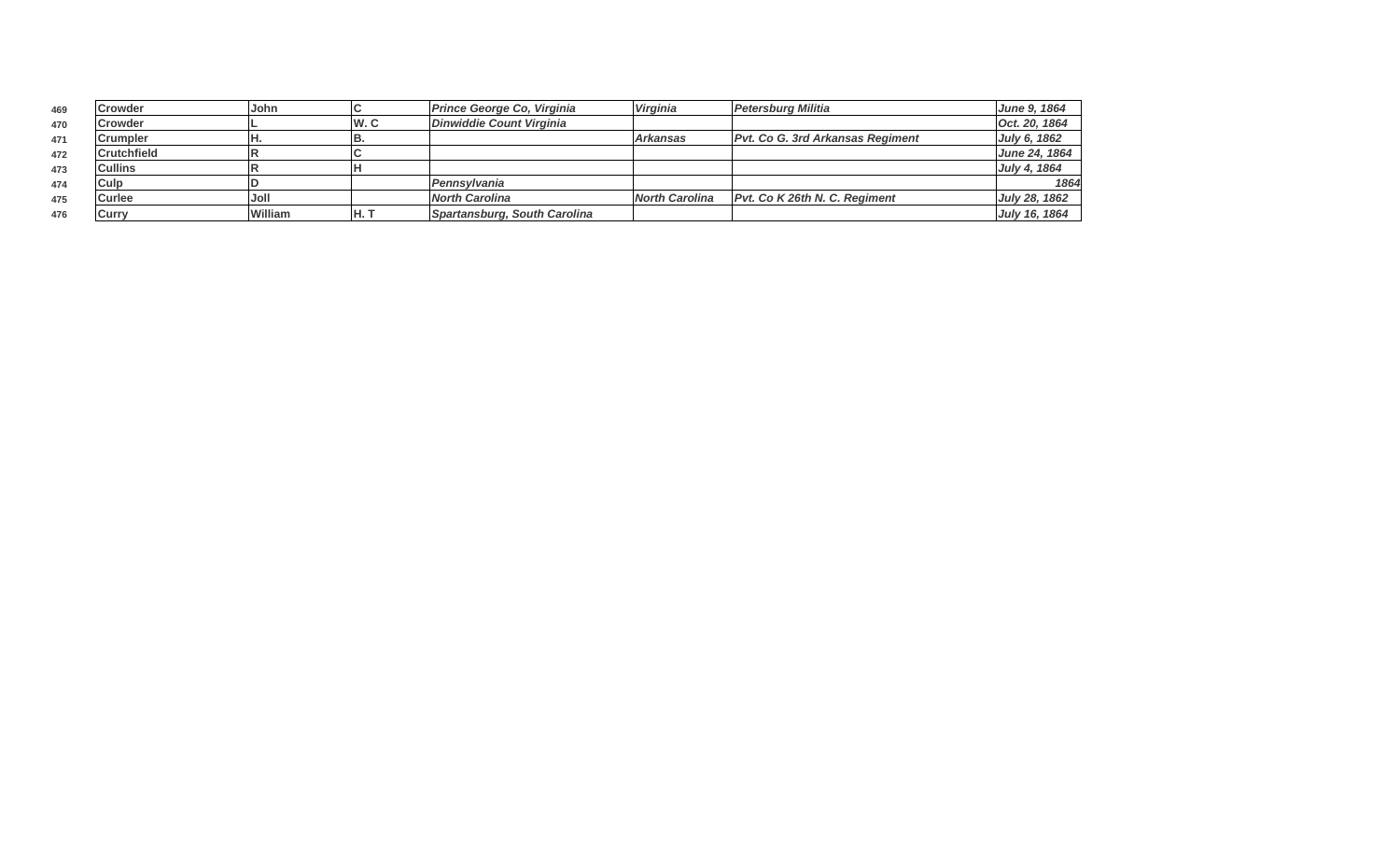| 469 | Crowder            | John    |     | Prince George Co, Virginia   | Virginia              | Petersburg Militia                      | June 9, 1864  |
|-----|--------------------|---------|-----|------------------------------|-----------------------|-----------------------------------------|---------------|
| 470 | Crowder            |         | W.C | Dinwiddie Count Virginia     |                       |                                         | Oct. 20, 1864 |
| 471 | lCrumpler          |         | в.  |                              | <b>Arkansas</b>       | <b>Pvt. Co G. 3rd Arkansas Regiment</b> | July 6, 1862  |
| 472 | <b>Crutchfield</b> |         |     |                              |                       |                                         | June 24, 1864 |
| 473 | <b>Cullins</b>     |         |     |                              |                       |                                         | July 4, 1864  |
| 474 | Culp               |         |     | Pennsvlvania                 |                       |                                         | 1864          |
| 475 | <b>Curlee</b>      | Joll    |     | North Carolina               | <b>North Carolina</b> | Pvt. Co K 26th N. C. Regiment           | July 28, 1862 |
| 476 | Curry              | William | IH. | Spartansburg, South Carolina |                       |                                         | July 16, 1864 |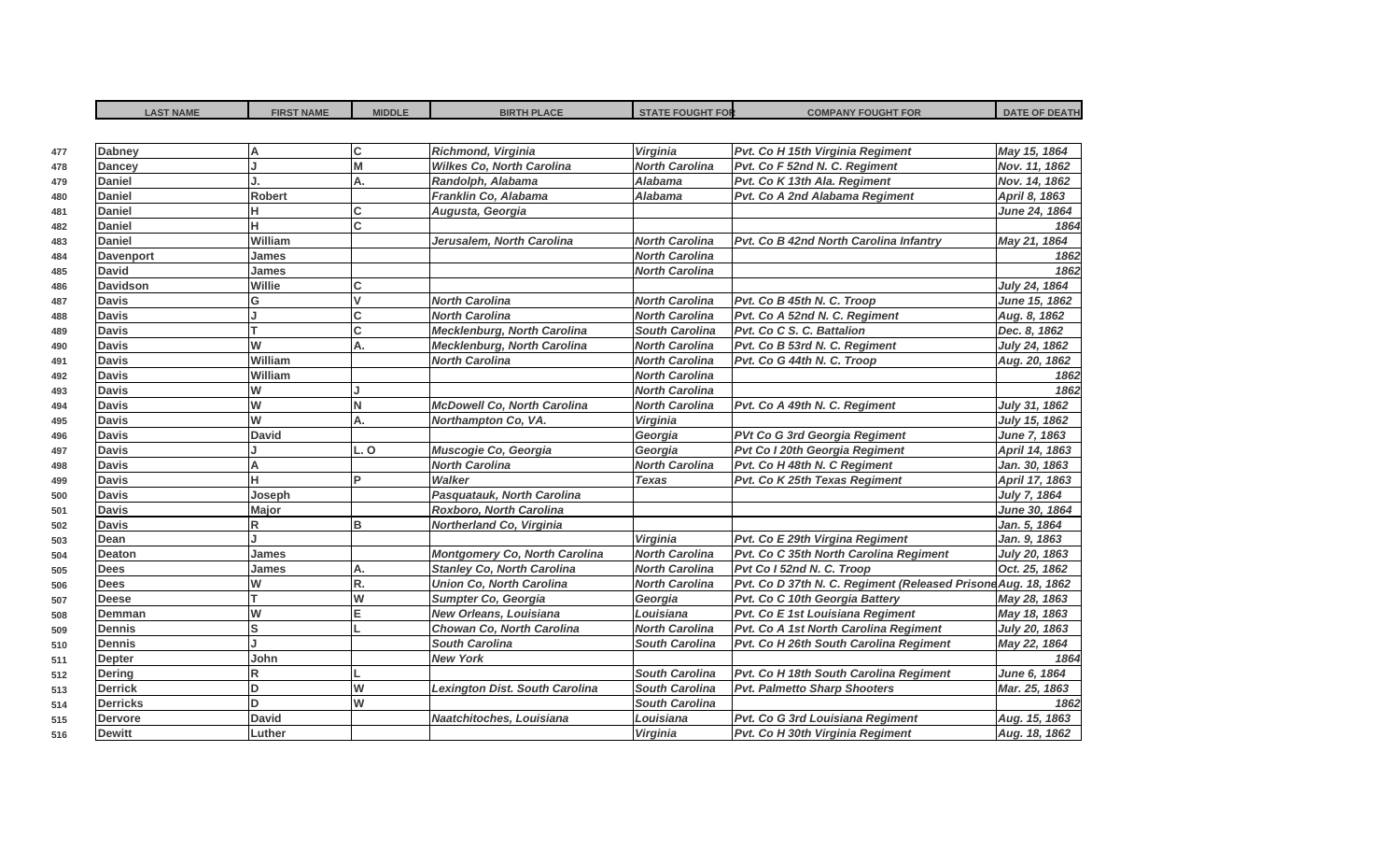| <b>Dabney</b>    | А            | C            | Richmond, Virginia                    | Virginia              | Pvt. Co H 15th Virginia Regiment                              | May 15, 1864   |
|------------------|--------------|--------------|---------------------------------------|-----------------------|---------------------------------------------------------------|----------------|
| <b>Dancey</b>    |              | M            | <b>Wilkes Co, North Carolina</b>      | <b>North Carolina</b> | Pvt. Co F 52nd N. C. Regiment                                 | Nov. 11, 1862  |
| <b>Daniel</b>    |              | A.           | Randolph, Alabama                     | <b>Alabama</b>        | Pvt. Co K 13th Ala. Regiment                                  | Nov. 14, 1862  |
| <b>Daniel</b>    | Robert       |              | Franklin Co, Alabama                  | <b>Alabama</b>        | Pvt. Co A 2nd Alabama Regiment                                | April 8, 1863  |
| <b>Daniel</b>    | н            | C            | Augusta, Georgia                      |                       |                                                               | June 24, 1864  |
| <b>Daniel</b>    | Ĥ            | lC.          |                                       |                       |                                                               | 1864           |
| <b>Daniel</b>    | William      |              | Jerusalem, North Carolina             | <b>North Carolina</b> | Pvt. Co B 42nd North Carolina Infantry                        | May 21, 1864   |
| <b>Davenport</b> | James        |              |                                       | <b>North Carolina</b> |                                                               | 1862           |
| <b>David</b>     | James        |              |                                       | <b>North Carolina</b> |                                                               | 1862           |
| <b>Davidson</b>  | Willie       |              |                                       |                       |                                                               | July 24, 1864  |
| <b>Davis</b>     | G            | $\mathsf{v}$ | <b>North Carolina</b>                 | <b>North Carolina</b> | Pvt. Co B 45th N. C. Troop                                    | June 15, 1862  |
| <b>Davis</b>     |              | <b>C</b>     | <b>North Carolina</b>                 | <b>North Carolina</b> | Pvt. Co A 52nd N. C. Regiment                                 | Aug. 8, 1862   |
| <b>Davis</b>     |              | C            | <b>Mecklenburg, North Carolina</b>    | <b>South Carolina</b> | Pvt. Co C S. C. Battalion                                     | Dec. 8, 1862   |
| <b>Davis</b>     | W            | A.           | <b>Mecklenburg, North Carolina</b>    | <b>North Carolina</b> | Pvt. Co B 53rd N. C. Regiment                                 | July 24, 1862  |
| <b>Davis</b>     | William      |              | <b>North Carolina</b>                 | <b>North Carolina</b> | Pvt. Co G 44th N. C. Troop                                    | Aug. 20, 1862  |
| <b>Davis</b>     | William      |              |                                       | <b>North Carolina</b> |                                                               | 1862           |
| <b>Davis</b>     | W            |              |                                       | <b>North Carolina</b> |                                                               | 1862           |
| <b>Davis</b>     | W            | N            | <b>McDowell Co, North Carolina</b>    | <b>North Carolina</b> | Pvt. Co A 49th N. C. Regiment                                 | July 31, 1862  |
| <b>Davis</b>     | W            | A.           | Northampton Co, VA.                   | Virginia              |                                                               | July 15, 1862  |
| <b>Davis</b>     | <b>David</b> |              |                                       | Georgia               | PVt Co G 3rd Georgia Regiment                                 | June 7, 1863   |
| <b>Davis</b>     |              | L.O          | Muscogie Co, Georgia                  | Georgia               | Pvt Co I 20th Georgia Regiment                                | April 14, 1863 |
| <b>Davis</b>     | А            |              | <b>North Carolina</b>                 | <b>North Carolina</b> | Pvt. Co H 48th N. C Regiment                                  | Jan. 30, 1863  |
| <b>Davis</b>     | H            | P            | <b>Walker</b>                         | <b>Texas</b>          | Pvt. Co K 25th Texas Regiment                                 | April 17, 1863 |
| <b>Davis</b>     | Joseph       |              | Pasquatauk, North Carolina            |                       |                                                               | July 7, 1864   |
| <b>Davis</b>     | Major        |              | <b>Roxboro, North Carolina</b>        |                       |                                                               | June 30, 1864  |
| <b>Davis</b>     | R            | <b>B</b>     | Northerland Co, Virginia              |                       |                                                               | Jan. 5, 1864   |
| Dean             |              |              |                                       | Virginia              | Pvt. Co E 29th Virgina Regiment                               | Jan. 9, 1863   |
| <b>Deaton</b>    | James        |              | <b>Montgomery Co, North Carolina</b>  | <b>North Carolina</b> | Pvt. Co C 35th North Carolina Regiment                        | July 20, 1863  |
| <b>Dees</b>      | James        | A.           | <b>Stanley Co, North Carolina</b>     | <b>North Carolina</b> | Pvt Co I 52nd N. C. Troop                                     | Oct. 25, 1862  |
| <b>Dees</b>      | W            | R.           | <b>Union Co, North Carolina</b>       | <b>North Carolina</b> | Pvt. Co D 37th N. C. Regiment (Released Prisone Aug. 18, 1862 |                |
| <b>Deese</b>     | т            | W            | Sumpter Co, Georgia                   | Georgia               | Pvt. Co C 10th Georgia Battery                                | May 28, 1863   |
| Demman           | W            | E            | <b>New Orleans, Louisiana</b>         | Louisiana             | Pvt. Co E 1st Louisiana Regiment                              | May 18, 1863   |
| <b>Dennis</b>    | Ś            |              | Chowan Co, North Carolina             | <b>North Carolina</b> | Pvt. Co A 1st North Carolina Regiment                         | July 20, 1863  |
| <b>Dennis</b>    |              |              | <b>South Carolina</b>                 | <b>South Carolina</b> | Pvt. Co H 26th South Carolina Regiment                        | May 22, 1864   |
| <b>Depter</b>    | John         |              | <b>New York</b>                       |                       |                                                               | 1864           |
| <b>Dering</b>    | R            |              |                                       | <b>South Carolina</b> | Pvt. Co H 18th South Carolina Regiment                        | June 6, 1864   |
| <b>Derrick</b>   | D            | W            | <b>Lexington Dist. South Carolina</b> | <b>South Carolina</b> | <b>Pvt. Palmetto Sharp Shooters</b>                           | Mar. 25, 1863  |
| <b>Derricks</b>  | D            | W            |                                       | <b>South Carolina</b> |                                                               | 1862           |
| <b>Dervore</b>   | <b>David</b> |              | Naatchitoches, Louisiana              | Louisiana             | Pvt. Co G 3rd Louisiana Regiment                              | Aug. 15, 1863  |
| <b>Dewitt</b>    | Luther       |              |                                       | <b>Virginia</b>       | Pvt. Co H 30th Virginia Regiment                              | Aug. 18, 1862  |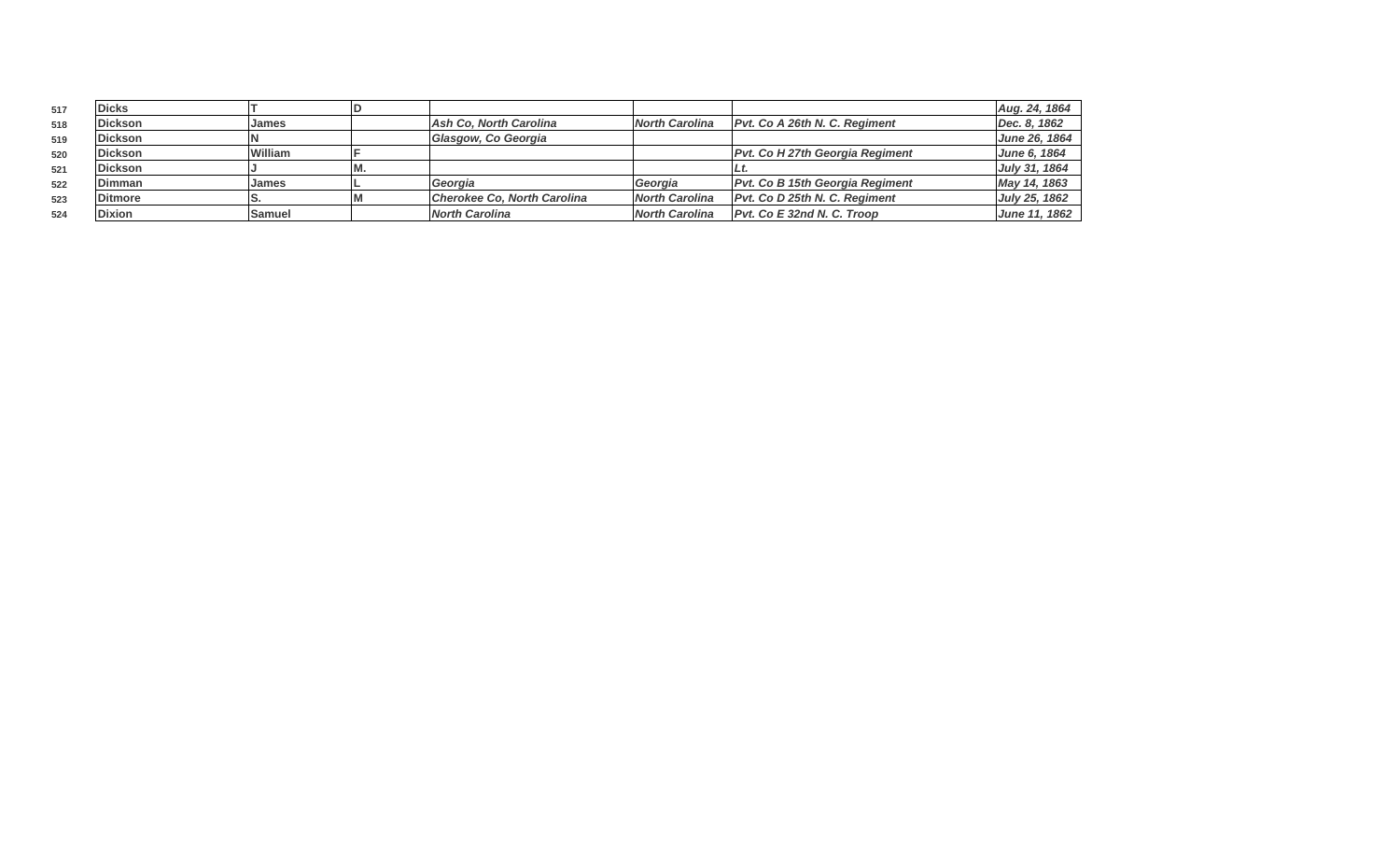| 517 | <b>Dicks</b>   |         |      |                               |                       |                                        | Aug. 24, 1864 |
|-----|----------------|---------|------|-------------------------------|-----------------------|----------------------------------------|---------------|
| 518 | Dickson        | James   |      | <b>Ash Co. North Carolina</b> | <b>North Carolina</b> | IPvt. Co A 26th N. C. Regiment         | Dec. 8, 1862  |
| 519 | <b>Dickson</b> |         |      | Glasgow, Co Georgia           |                       |                                        | June 26, 1864 |
| 520 | <b>Dickson</b> | William |      |                               |                       | <b>Pvt. Co H 27th Georgia Regiment</b> | June 6, 1864  |
| 521 | <b>Dickson</b> |         | IVI. |                               |                       |                                        | July 31, 1864 |
| 522 | Dimman         | James   |      | Georgia                       | Georgia               | Pvt. Co B 15th Georgia Regiment        | May 14, 1863  |
| 523 | <b>Ditmore</b> |         |      | Cherokee Co. North Carolina   | <b>North Carolina</b> | <b>Pvt. Co D 25th N. C. Reaiment</b>   | July 25, 1862 |
| 524 | <b>Dixion</b>  | Samuel  |      | <b>North Carolina</b>         | North Carolina        | $Pvt$ . Co E 32nd N. C. Troop          | June 11, 1862 |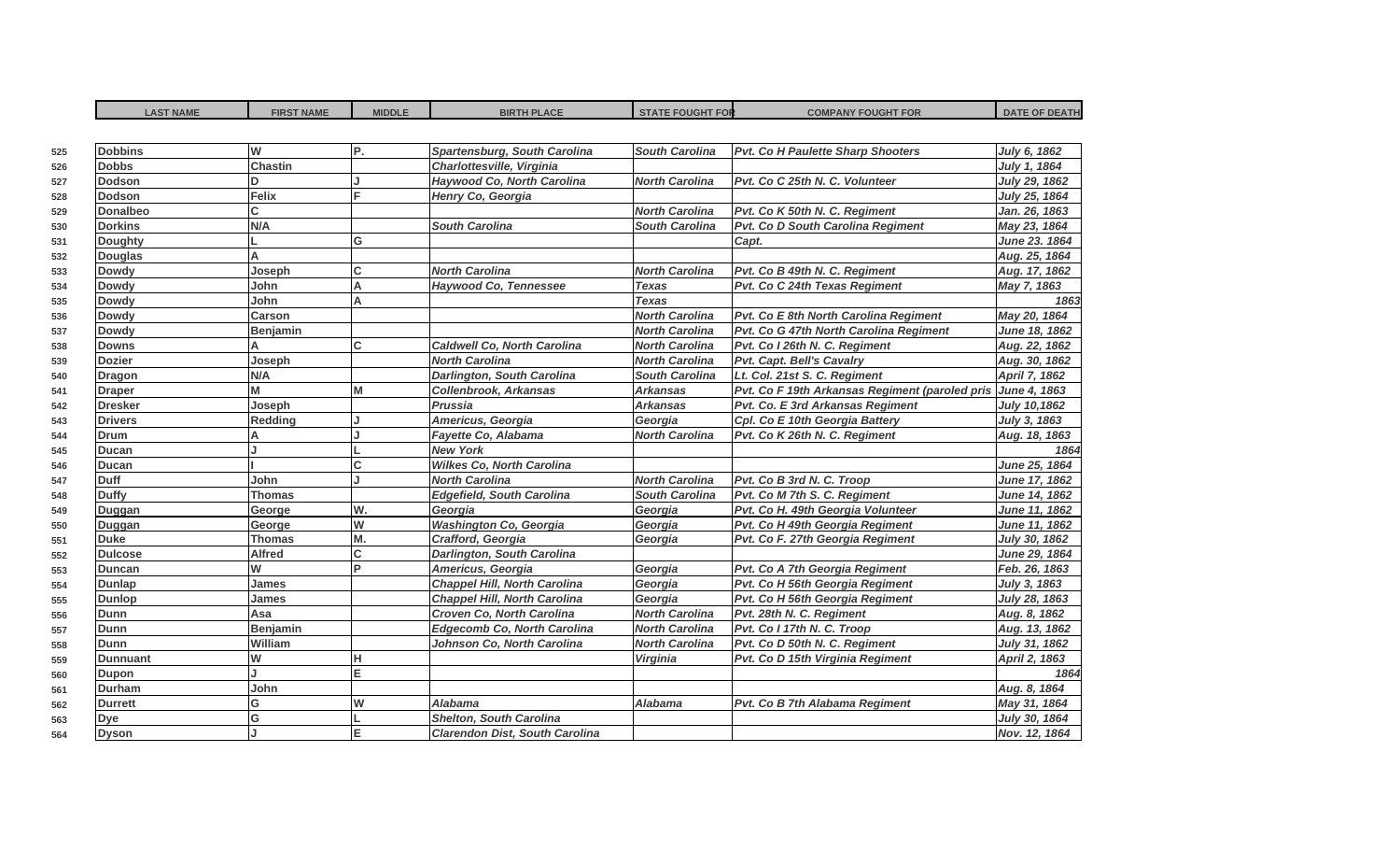| <b>LAST NAME</b> | <b>FIRST NAME</b> | <b>MIDDLE</b> | <b>BIRTH PLACE</b>                    | <b>STATE FOUGHT FOR</b> | <b>COMPANY FOUGHT FOR</b>                      | <b>DATE OF DEATH</b> |
|------------------|-------------------|---------------|---------------------------------------|-------------------------|------------------------------------------------|----------------------|
|                  |                   |               |                                       |                         |                                                |                      |
| <b>Dobbins</b>   | W                 | P.            | Spartensburg, South Carolina          | <b>South Carolina</b>   | Pvt. Co H Paulette Sharp Shooters              | July 6, 1862         |
| <b>Dobbs</b>     | <b>Chastin</b>    |               | Charlottesville, Virginia             |                         |                                                | July 1, 1864         |
| <b>Dodson</b>    | D                 |               | Haywood Co, North Carolina            | <b>North Carolina</b>   | Pvt. Co C 25th N. C. Volunteer                 | July 29, 1862        |
| <b>Dodson</b>    | <b>Felix</b>      | F             | Henry Co, Georgia                     |                         |                                                | July 25, 1864        |
| Donalbeo         | С                 |               |                                       | <b>North Carolina</b>   | Pvt. Co K 50th N. C. Regiment                  | Jan. 26, 1863        |
| <b>Dorkins</b>   | N/A               |               | <b>South Carolina</b>                 | <b>South Carolina</b>   | Pvt. Co D South Carolina Regiment              | May 23, 1864         |
| Doughty          |                   | G             |                                       |                         | Capt.                                          | June 23. 1864        |
| <b>Douglas</b>   | А                 |               |                                       |                         |                                                | Aug. 25, 1864        |
| <b>Dowdy</b>     | Joseph            | lc.           | <b>North Carolina</b>                 | <b>North Carolina</b>   | Pvt. Co B 49th N. C. Regiment                  | Aug. 17, 1862        |
| <b>Dowdy</b>     | John              | A             | <b>Haywood Co, Tennessee</b>          | <b>Texas</b>            | Pvt. Co C 24th Texas Regiment                  | May 7, 1863          |
| <b>Dowdy</b>     | John              | A             |                                       | <b>Texas</b>            |                                                | 1863                 |
| <b>Dowdy</b>     | Carson            |               |                                       | <b>North Carolina</b>   | Pvt. Co E 8th North Carolina Regiment          | May 20, 1864         |
| <b>Dowdy</b>     | Benjamin          |               |                                       | <b>North Carolina</b>   | Pvt. Co G 47th North Carolina Regiment         | June 18, 1862        |
| <b>Downs</b>     |                   | C.            | <b>Caldwell Co, North Carolina</b>    | <b>North Carolina</b>   | Pvt. Co I 26th N. C. Regiment                  | Aug. 22, 1862        |
| <b>Dozier</b>    | Joseph            |               | <b>North Carolina</b>                 | <b>North Carolina</b>   | Pvt. Capt. Bell's Cavalry                      | Aug. 30, 1862        |
| <b>Dragon</b>    | N/A               |               | <b>Darlington, South Carolina</b>     | <b>South Carolina</b>   | Lt. Col. 21st S. C. Regiment                   | April 7, 1862        |
| <b>Draper</b>    | М                 | M             | <b>Collenbrook, Arkansas</b>          | <b>Arkansas</b>         | Pvt. Co F 19th Arkansas Regiment (paroled pris | June 4, 1863         |
| <b>Dresker</b>   | Joseph            |               | Prussia                               | <b>Arkansas</b>         | Pvt. Co. E 3rd Arkansas Regiment               | July 10,1862         |
| <b>Drivers</b>   | <b>Redding</b>    |               | Americus, Georgia                     | Georgia                 | Cpl. Co E 10th Georgia Battery                 | July 3, 1863         |
| Drum             | А                 |               | Fayette Co, Alabama                   | <b>North Carolina</b>   | Pvt. Co K 26th N. C. Regiment                  | Aug. 18, 1863        |
| Ducan            |                   |               | <b>New York</b>                       |                         |                                                | 1864                 |
| <b>Ducan</b>     |                   | $\mathsf{C}$  | <b>Wilkes Co, North Carolina</b>      |                         |                                                | June 25, 1864        |
| Duff             | John              |               | <b>North Carolina</b>                 | <b>North Carolina</b>   | Pvt. Co B 3rd N. C. Troop                      | June 17, 1862        |
| <b>Duffy</b>     | <b>Thomas</b>     |               | <b>Edgefield, South Carolina</b>      | <b>South Carolina</b>   | Pvt. Co M 7th S. C. Regiment                   | June 14, 1862        |
| Duggan           | George            | W.            | Georgia                               | Georgia                 | Pvt. Co H. 49th Georgia Volunteer              | June 11, 1862        |
| Duggan           | George            | W             | <b>Washington Co, Georgia</b>         | Georgia                 | Pvt. Co H 49th Georgia Regiment                | June 11, 1862        |
| <b>Duke</b>      | <b>Thomas</b>     | M.            | Crafford, Georgia                     | Georgia                 | Pvt. Co F. 27th Georgia Regiment               | July 30, 1862        |
| <b>Dulcose</b>   | <b>Alfred</b>     | C             | <b>Darlington, South Carolina</b>     |                         |                                                | June 29, 1864        |
| <b>Duncan</b>    | W                 | b             | Americus, Georgia                     | Georgia                 | Pvt. Co A 7th Georgia Regiment                 | Feb. 26, 1863        |
| <b>Dunlap</b>    | <b>James</b>      |               | <b>Chappel Hill, North Carolina</b>   | Georgia                 | Pvt. Co H 56th Georgia Regiment                | July 3, 1863         |
| <b>Dunlop</b>    | James             |               | <b>Chappel Hill, North Carolina</b>   | Georgia                 | Pvt. Co H 56th Georgia Regiment                | July 28, 1863        |
| <b>Dunn</b>      | Asa               |               | Croven Co, North Carolina             | <b>North Carolina</b>   | Pvt. 28th N. C. Regiment                       | Aug. 8, 1862         |
| Dunn             | <b>Benjamin</b>   |               | <b>Edgecomb Co, North Carolina</b>    | <b>North Carolina</b>   | Pvt. Co I 17th N. C. Troop                     | Aug. 13, 1862        |
| <b>Dunn</b>      | William           |               | Johnson Co, North Carolina            | <b>North Carolina</b>   | Pvt. Co D 50th N. C. Regiment                  | July 31, 1862        |
| <b>Dunnuant</b>  | W                 | н             |                                       | Virginia                | Pvt. Co D 15th Virginia Regiment               | April 2, 1863        |
| Dupon            |                   | E             |                                       |                         |                                                | 1864                 |
| <b>Durham</b>    | John              |               |                                       |                         |                                                | Aug. 8, 1864         |
| <b>Durrett</b>   | G                 | W             | <b>Alabama</b>                        | <b>Alabama</b>          | Pvt. Co B 7th Alabama Regiment                 | May 31, 1864         |
| Dye              | G                 |               | <b>Shelton, South Carolina</b>        |                         |                                                | July 30, 1864        |
| <b>Dyson</b>     |                   | E             | <b>Clarendon Dist, South Carolina</b> |                         |                                                | Nov. 12, 1864        |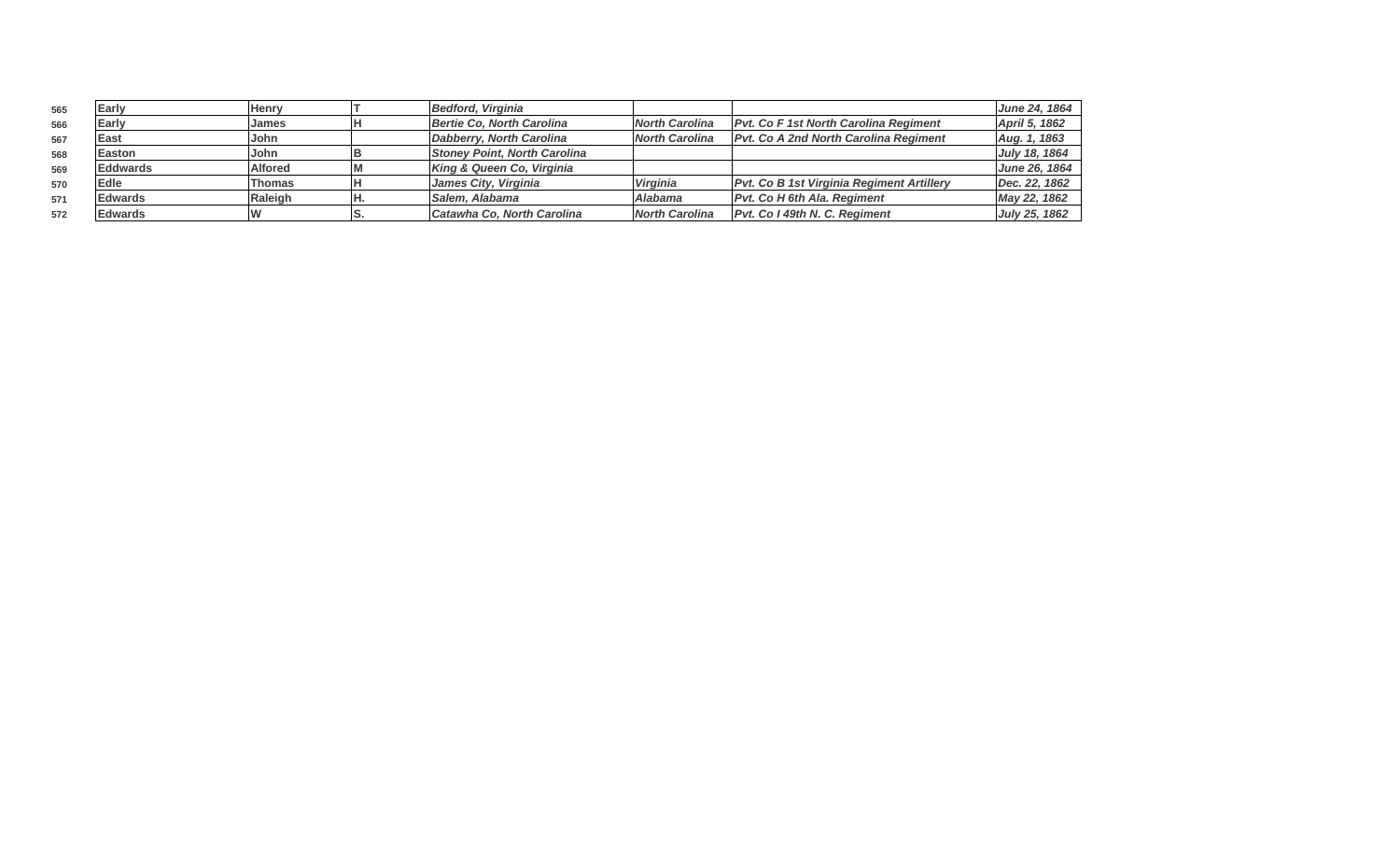| 565 | Early           | Henrv          | <b>Bedford. Virainia</b>            |                       |                                                  | June 24, 1864        |
|-----|-----------------|----------------|-------------------------------------|-----------------------|--------------------------------------------------|----------------------|
| 566 | Early           | James          | Bertie Co, North Carolina           | North Carolina        | <b>Pvt. Co F 1st North Carolina Regiment</b>     | April 5, 1862        |
| 567 | East            | John           | Dabberry, North Carolina            | North Carolina        | <b>Pvt. Co A 2nd North Carolina Regiment</b>     | Aug. 1, 1863         |
| 568 | Easton          | John           | <b>Stoney Point, North Carolina</b> |                       |                                                  | July 18, 1864        |
| 569 | <b>Eddwards</b> | <b>Alfored</b> | King & Queen Co, Virginia           |                       |                                                  | <b>June 26, 1864</b> |
| 570 | Edle            | Thomas         | James City, Virginia                | <b>Virginia</b>       | <b>Pvt. Co B 1st Virginia Regiment Artillery</b> | Dec. 22, 1862        |
| 571 | <b>Edwards</b>  | Raleigh        | Salem, Alabama                      | <b>Alabama</b>        | <b>Pvt. Co H 6th Ala. Regiment</b>               | May 22, 1862         |
| 572 | Edwards         |                | Catawha Co. North Carolina          | <b>North Carolina</b> | Pvt. Co I 49th N. C. Regiment                    | July 25, 1862        |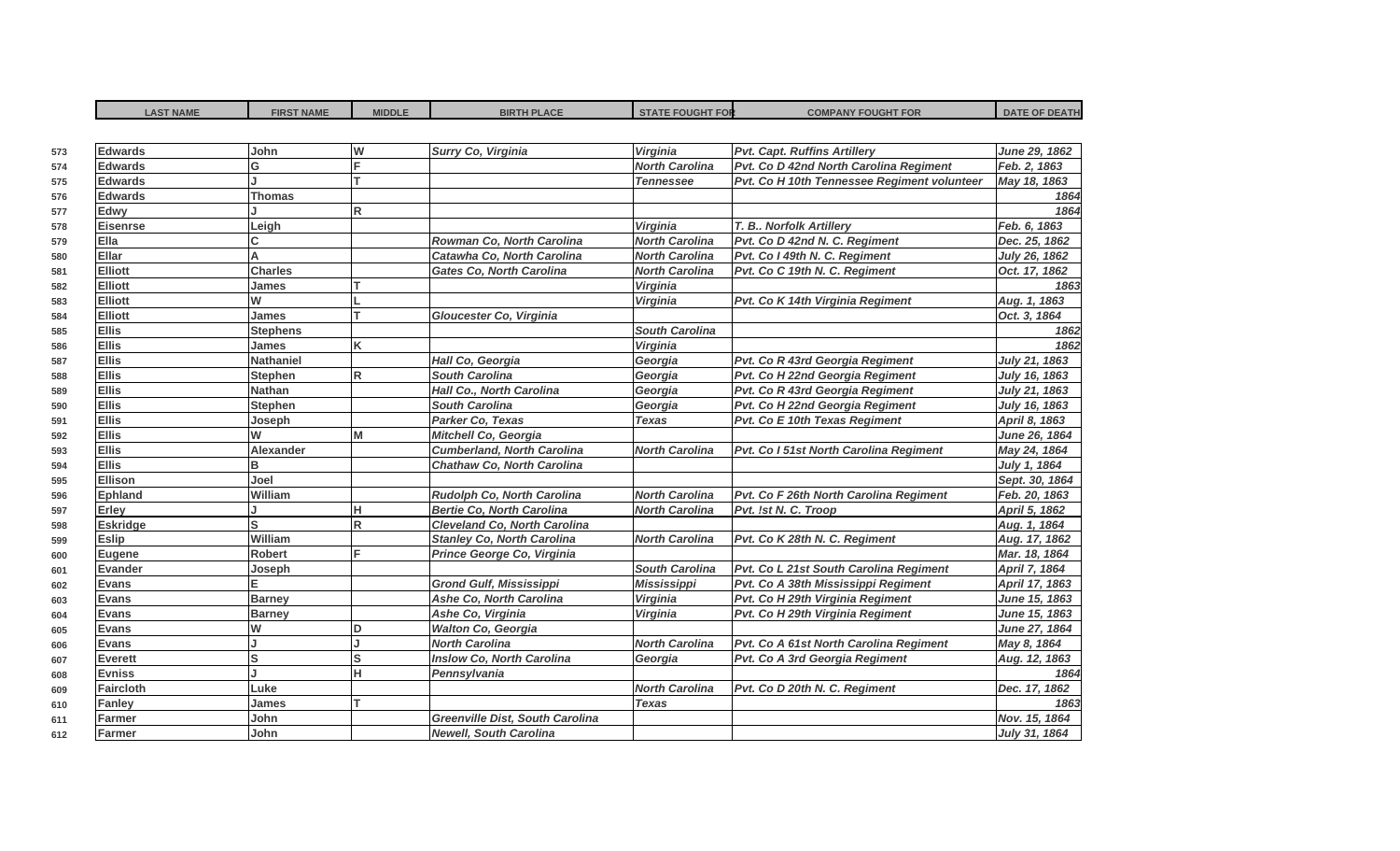| <b>LAST NAME</b> | <b>FIRST NAME</b> | <b>MIDDLE</b>           | <b>BIRTH PLACE</b>                     | <b>STATE FOUGHT FOR</b> | <b>COMPANY FOUGHT FOR</b>                   | <b>DATE OF DEATH</b> |
|------------------|-------------------|-------------------------|----------------------------------------|-------------------------|---------------------------------------------|----------------------|
|                  |                   |                         |                                        |                         |                                             |                      |
| <b>Edwards</b>   | John              | W                       | Surry Co, Virginia                     | Virginia                | <b>Pvt. Capt. Ruffins Artillery</b>         | June 29, 1862        |
| <b>Edwards</b>   | G                 | lF.                     |                                        | <b>North Carolina</b>   | Pvt. Co D 42nd North Carolina Regiment      | Feb. 2, 1863         |
| <b>Edwards</b>   |                   |                         |                                        | <b>Tennessee</b>        | Pvt. Co H 10th Tennessee Regiment volunteer | May 18, 1863         |
| <b>Edwards</b>   | <b>Thomas</b>     |                         |                                        |                         |                                             | 1864                 |
| Edwy             |                   | lR.                     |                                        |                         |                                             | 1864                 |
| Eisenrse         | Leigh             |                         |                                        | Virginia                | T. B Norfolk Artillery                      | Feb. 6, 1863         |
| Ella             | C                 |                         | Rowman Co, North Carolina              | <b>North Carolina</b>   | Pvt. Co D 42nd N. C. Regiment               | Dec. 25, 1862        |
| Ellar            | A                 |                         | Catawha Co. North Carolina             | <b>North Carolina</b>   | Pvt. Co I 49th N. C. Regiment               | July 26, 1862        |
| <b>Elliott</b>   | <b>Charles</b>    |                         | <b>Gates Co. North Carolina</b>        | <b>North Carolina</b>   | Pvt. Co C 19th N. C. Regiment               | Oct. 17, 1862        |
| <b>Elliott</b>   | James             |                         |                                        | Virginia                |                                             | 1863                 |
| <b>Elliott</b>   | W                 |                         |                                        | Virginia                | Pvt. Co K 14th Virginia Regiment            | Aug. 1, 1863         |
| <b>Elliott</b>   | James             |                         | Gloucester Co, Virginia                |                         |                                             | Oct. 3, 1864         |
| <b>Ellis</b>     | <b>Stephens</b>   |                         |                                        | <b>South Carolina</b>   |                                             | 1862                 |
| <b>Ellis</b>     | James             | K                       |                                        | Virginia                |                                             | 1862                 |
| <b>Ellis</b>     | <b>Nathaniel</b>  |                         | Hall Co, Georgia                       | Georgia                 | Pvt. Co R 43rd Georgia Regiment             | July 21, 1863        |
| <b>Ellis</b>     | <b>Stephen</b>    | $\overline{\mathsf{R}}$ | <b>South Carolina</b>                  | Georgia                 | Pvt. Co H 22nd Georgia Regiment             | July 16, 1863        |
| <b>Ellis</b>     | <b>Nathan</b>     |                         | Hall Co., North Carolina               | Georgia                 | Pvt. Co R 43rd Georgia Regiment             | July 21, 1863        |
| <b>Ellis</b>     | <b>Stephen</b>    |                         | <b>South Carolina</b>                  | Georgia                 | Pvt. Co H 22nd Georgia Regiment             | July 16, 1863        |
| <b>Ellis</b>     | Joseph            |                         | Parker Co, Texas                       | <b>Texas</b>            | Pvt. Co E 10th Texas Regiment               | April 8, 1863        |
| <b>Ellis</b>     | W                 | M                       | Mitchell Co, Georgia                   |                         |                                             | June 26, 1864        |
| <b>Ellis</b>     | <b>Alexander</b>  |                         | <b>Cumberland, North Carolina</b>      | <b>North Carolina</b>   | Pvt. Co I 51st North Carolina Regiment      | May 24, 1864         |
| <b>Ellis</b>     | B                 |                         | <b>Chathaw Co, North Carolina</b>      |                         |                                             | July 1, 1864         |
| Ellison          | Joel              |                         |                                        |                         |                                             | Sept. 30, 1864       |
| <b>Ephland</b>   | William           |                         | Rudolph Co, North Carolina             | <b>North Carolina</b>   | Pvt. Co F 26th North Carolina Regiment      | Feb. 20, 1863        |
| Erley            |                   | lн                      | <b>Bertie Co, North Carolina</b>       | <b>North Carolina</b>   | Pvt. !st N. C. Troop                        | April 5, 1862        |
| <b>Eskridge</b>  | S                 | R                       | Cleveland Co, North Carolina           |                         |                                             | Aug. 1, 1864         |
| <b>Eslip</b>     | William           |                         | <b>Stanley Co, North Carolina</b>      | <b>North Carolina</b>   | Pvt. Co K 28th N. C. Regiment               | Aug. 17, 1862        |
| Eugene           | <b>Robert</b>     | E                       | Prince George Co, Virginia             |                         |                                             | Mar. 18, 1864        |
| <b>Evander</b>   | Joseph            |                         |                                        | <b>South Carolina</b>   | Pvt. Co L 21st South Carolina Regiment      | April 7, 1864        |
| <b>Evans</b>     |                   |                         | <b>Grond Gulf, Mississippi</b>         | <b>Mississippi</b>      | Pvt. Co A 38th Mississippi Regiment         | April 17, 1863       |
| Evans            | <b>Barney</b>     |                         | Ashe Co, North Carolina                | Virginia                | Pvt. Co H 29th Virginia Regiment            | June 15, 1863        |
| Evans            | <b>Barney</b>     |                         | Ashe Co, Virginia                      | Virginia                | Pvt. Co H 29th Virginia Regiment            | June 15, 1863        |
| Evans            | W                 | ID                      | <b>Walton Co, Georgia</b>              |                         |                                             | June 27, 1864        |
| Evans            |                   |                         | <b>North Carolina</b>                  | <b>North Carolina</b>   | Pvt. Co A 61st North Carolina Regiment      | May 8, 1864          |
| Everett          | S                 | ls                      | <b>Inslow Co, North Carolina</b>       | Georgia                 | Pvt. Co A 3rd Georgia Regiment              | Aug. 12, 1863        |
| <b>Evniss</b>    |                   | lн                      | Pennsylvania                           |                         |                                             | 1864                 |
| <b>Faircloth</b> | Luke              |                         |                                        | <b>North Carolina</b>   | Pvt. Co D 20th N. C. Regiment               | Dec. 17, 1862        |
| Fanley           | James             | Iт                      |                                        | <b>Texas</b>            |                                             | 1863                 |
| Farmer           | John              |                         | <b>Greenville Dist, South Carolina</b> |                         |                                             | Nov. 15, 1864        |
| Farmer           | John              |                         | <b>Newell, South Carolina</b>          |                         |                                             | July 31, 1864        |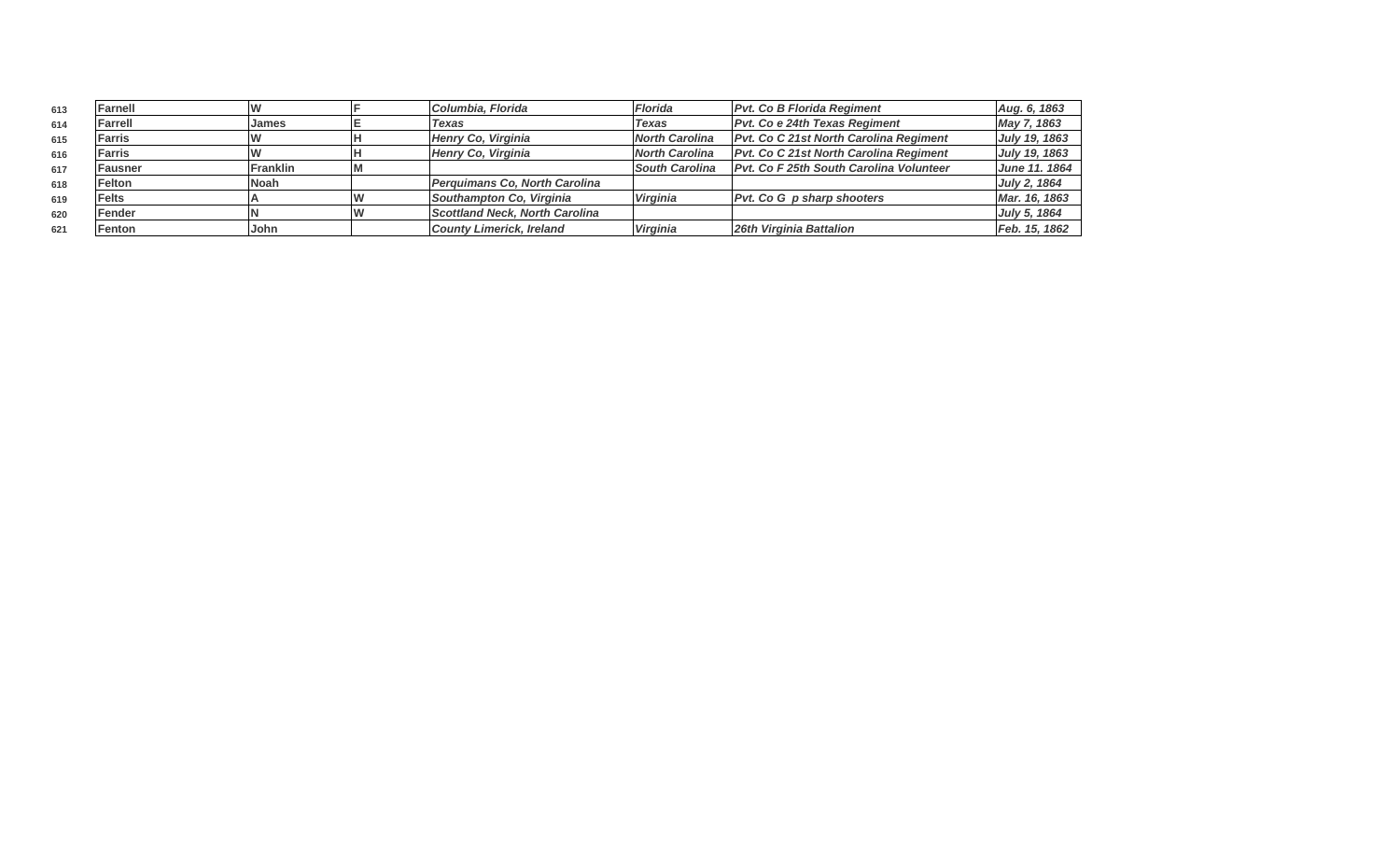| 613 | Farnell       |                 | Columbia, Florida                     | <b>Florida</b>        | <b>Pvt. Co B Florida Regiment</b>              | Aug. 6, 1863  |
|-----|---------------|-----------------|---------------------------------------|-----------------------|------------------------------------------------|---------------|
| 614 | Farrell       | James           | Texas                                 | <b>Texas</b>          | <b>Pvt. Co e 24th Texas Regiment</b>           | May 7, 1863   |
| 615 | <b>Farris</b> |                 | Henry Co, Virginia                    | <b>North Carolina</b> | <b>Pvt. Co C 21st North Carolina Regiment</b>  | July 19, 1863 |
| 616 | <b>Farris</b> |                 | Henry Co, Virginia                    | <b>North Carolina</b> | Pvt. Co C 21st North Carolina Regiment         | July 19, 1863 |
| 617 | Fausner       | <b>Franklin</b> |                                       | <b>South Carolina</b> | <b>Pvt. Co F 25th South Carolina Volunteer</b> | June 11. 1864 |
| 618 | Felton        | Noah            | <b>Perquimans Co. North Carolina</b>  |                       |                                                | July 2, 1864  |
| 619 | <b>Felts</b>  |                 | Southampton Co, Virginia              | <b>Virginia</b>       | <b>Pvt. Co G p sharp shooters</b>              | Mar. 16, 1863 |
| 620 | Fender        |                 | <b>Scottland Neck, North Carolina</b> |                       |                                                | July 5, 1864  |
| 621 | Fenton        | John            | <b>County Limerick, Ireland</b>       | <b>Virginia</b>       | 26th Virginia Battalion                        | Feb. 15, 1862 |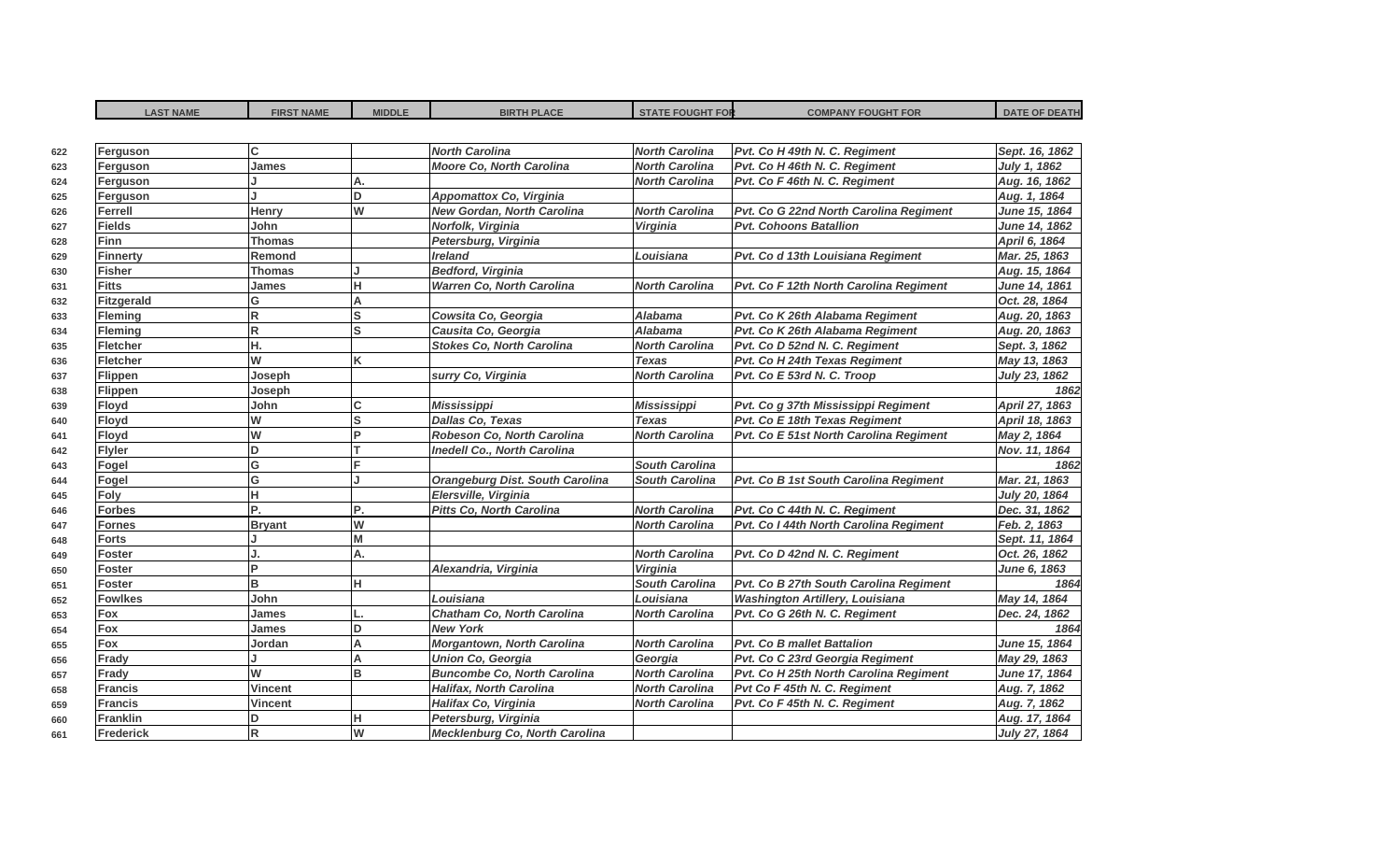| <b>LAST NAME</b>  | <b>FIRST NAME</b> | <b>MIDDLE</b> | <b>BIRTH PLACE</b>                     | <b>STATE FOUGHT FOR</b> | <b>COMPANY FOUGHT FOR</b>              | <b>DATE OF DEATH</b> |
|-------------------|-------------------|---------------|----------------------------------------|-------------------------|----------------------------------------|----------------------|
|                   |                   |               |                                        |                         |                                        |                      |
| Ferguson          | C.                |               | <b>North Carolina</b>                  | <b>North Carolina</b>   | Pvt. Co H 49th N. C. Regiment          | Sept. 16, 1862       |
| Ferguson          | <b>James</b>      |               | <b>Moore Co, North Carolina</b>        | <b>North Carolina</b>   | Pvt. Co H 46th N. C. Regiment          | July 1, 1862         |
| Ferguson          |                   | A.            |                                        | <b>North Carolina</b>   | Pvt. Co F 46th N. C. Regiment          | Aug. 16, 1862        |
| Ferguson          |                   | lD.           | <b>Appomattox Co, Virginia</b>         |                         |                                        | Aug. 1, 1864         |
| <b>Ferrell</b>    | Henry             | lw            | <b>New Gordan, North Carolina</b>      | <b>North Carolina</b>   | Pvt. Co G 22nd North Carolina Regiment | June 15, 1864        |
| <b>Fields</b>     | John              |               | Norfolk, Virginia                      | Virginia                | <b>Pvt. Cohoons Batallion</b>          | June 14, 1862        |
| Finn              | <b>Thomas</b>     |               | Petersburg, Virginia                   |                         |                                        | April 6, 1864        |
| <b>Finnerty</b>   | Remond            |               | <b>Ireland</b>                         | Louisiana               | Pvt. Co d 13th Louisiana Regiment      | Mar. 25, 1863        |
| <b>Fisher</b>     | Thomas            |               | <b>Bedford, Virginia</b>               |                         |                                        | Aug. 15, 1864        |
| <b>Fitts</b>      | James             | lн            | <b>Warren Co, North Carolina</b>       | <b>North Carolina</b>   | Pvt. Co F 12th North Carolina Regiment | June 14, 1861        |
| <b>Fitzgerald</b> | G                 | $\Delta$      |                                        |                         |                                        | Oct. 28, 1864        |
| <b>Fleming</b>    | R                 | ls            | Cowsita Co, Georgia                    | <b>Alabama</b>          | Pvt. Co K 26th Alabama Regiment        | Aug. 20, 1863        |
| Fleming           | R                 | ls            | Causita Co, Georgia                    | <b>Alabama</b>          | Pvt. Co K 26th Alabama Regiment        | Aug. 20, 1863        |
| <b>Fletcher</b>   | Н.                |               | <b>Stokes Co, North Carolina</b>       | <b>North Carolina</b>   | Pvt. Co D 52nd N. C. Regiment          | Sept. 3, 1862        |
| Fletcher          | w                 | lĸ            |                                        | <b>Texas</b>            | Pvt. Co H 24th Texas Regiment          | May 13, 1863         |
| Flippen           | Joseph            |               | surry Co, Virginia                     | <b>North Carolina</b>   | Pvt. Co E 53rd N. C. Troop             | July 23, 1862        |
| Flippen           | Joseph            |               |                                        |                         |                                        | 1862                 |
| Floyd             | John              | Iс            | <b>Mississippi</b>                     | <b>Mississippi</b>      | Pvt. Co g 37th Mississippi Regiment    | April 27, 1863       |
| Floyd             | W                 | ls            | <b>Dallas Co, Texas</b>                | <b>Texas</b>            | Pvt. Co E 18th Texas Regiment          | April 18, 1863       |
| Floyd             | W                 | lP.           | Robeson Co, North Carolina             | <b>North Carolina</b>   | Pvt. Co E 51st North Carolina Regiment | May 2, 1864          |
| <b>Flyler</b>     | D                 |               | <b>Inedell Co., North Carolina</b>     |                         |                                        | Nov. 11, 1864        |
| Fogel             | G                 |               |                                        | <b>South Carolina</b>   |                                        | 1862                 |
| Fogel             | G                 |               | <b>Orangeburg Dist. South Carolina</b> | <b>South Carolina</b>   | Pvt. Co B 1st South Carolina Regiment  | Mar. 21, 1863        |
| Foly              | н                 |               | Elersville, Virginia                   |                         |                                        | July 20, 1864        |
| <b>Forbes</b>     | P.                | P.            | <b>Pitts Co, North Carolina</b>        | <b>North Carolina</b>   | Pvt. Co C 44th N. C. Regiment          | Dec. 31, 1862        |
| <b>Fornes</b>     | <b>Bryant</b>     | lw            |                                        | <b>North Carolina</b>   | Pvt. Co I 44th North Carolina Regiment | Feb. 2, 1863         |
| <b>Forts</b>      |                   | Iм            |                                        |                         |                                        | Sept. 11, 1864       |
| Foster            |                   | Α.            |                                        | <b>North Carolina</b>   | Pvt. Co D 42nd N. C. Regiment          | Oct. 26, 1862        |
| <b>Foster</b>     | Þ                 |               | Alexandria, Virginia                   | Virginia                |                                        | June 6, 1863         |
| <b>Foster</b>     | в                 | lн            |                                        | <b>South Carolina</b>   | Pvt. Co B 27th South Carolina Regiment | 1864                 |
| <b>Fowlkes</b>    | John              |               | Louisiana                              | Louisiana               | <b>Washington Artillery, Louisiana</b> | May 14, 1864         |
| Fox               | James             |               | Chatham Co, North Carolina             | North Carolina          | Pvt. Co G 26th N. C. Regiment          | Dec. 24, 1862        |
| Fox               | James             | lD.           | <b>New York</b>                        |                         |                                        | 1864                 |
| Fox               | Jordan            | A             | Morgantown, North Carolina             | <b>North Carolina</b>   | <b>Pvt. Co B mallet Battalion</b>      | June 15, 1864        |
| Frady             |                   | A             | <b>Union Co, Georgia</b>               | Georgia                 | Pvt. Co C 23rd Georgia Regiment        | May 29, 1863         |
| Frady             | W                 | lB.           | <b>Buncombe Co, North Carolina</b>     | <b>North Carolina</b>   | Pvt. Co H 25th North Carolina Regiment | June 17, 1864        |
| <b>Francis</b>    | <b>Vincent</b>    |               | <b>Halifax, North Carolina</b>         | <b>North Carolina</b>   | Pvt Co F 45th N. C. Regiment           | Aug. 7, 1862         |
| <b>Francis</b>    | Vincent           |               | Halifax Co, Virginia                   | <b>North Carolina</b>   | Pvt. Co F 45th N. C. Regiment          | Aug. 7, 1862         |
| <b>Franklin</b>   | D                 | lн            | Petersburg, Virginia                   |                         |                                        | Aug. 17, 1864        |
| Frederick         | R                 | lw            | Mecklenburg Co, North Carolina         |                         |                                        | July 27, 1864        |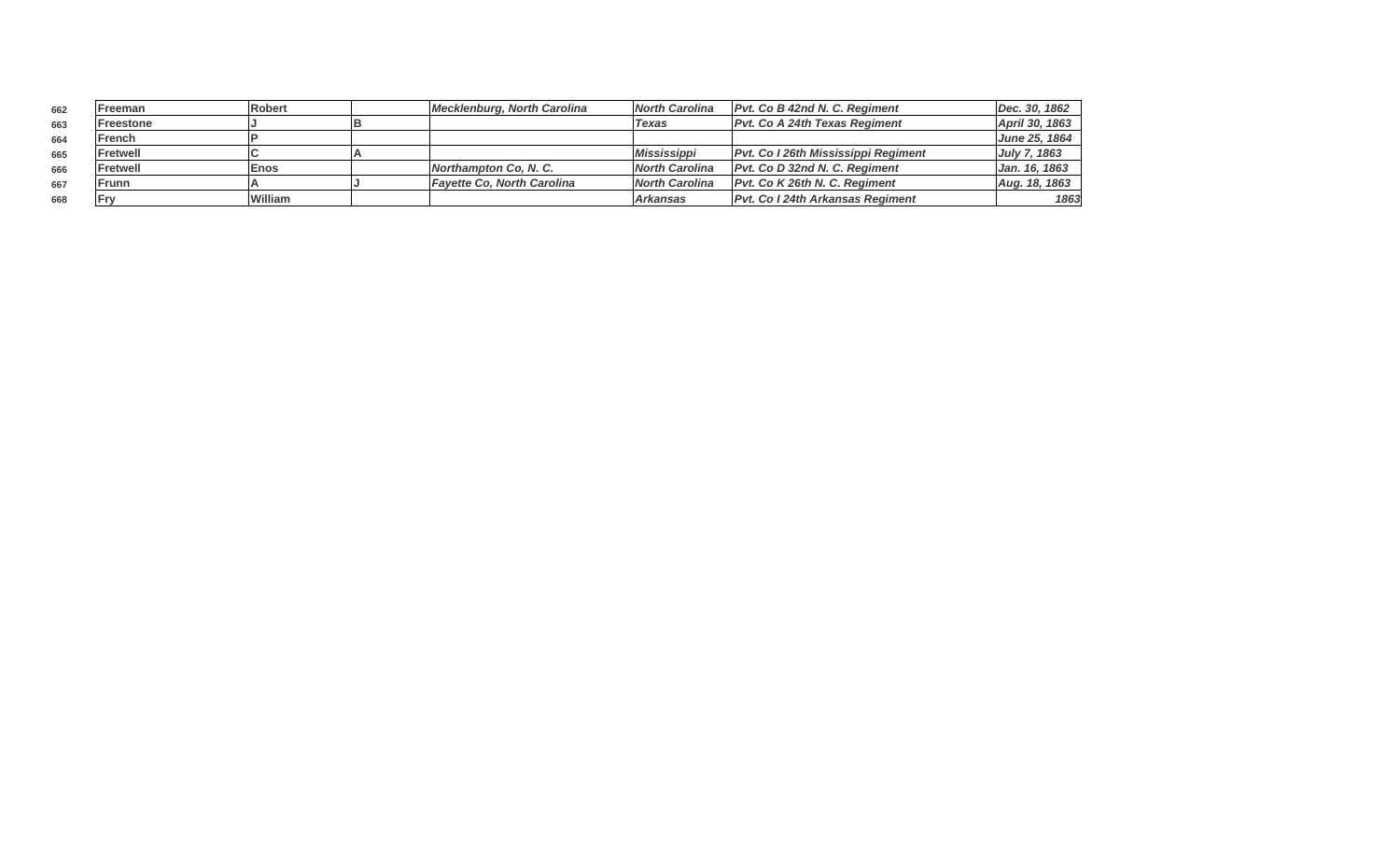| 662 | Freeman   | <b>Robert</b> | Mecklenburg, North Carolina  | <b>North Carolina</b>     | <b>Pvt. Co B 42nd N. C. Regiment</b>     | Dec. 30, 1862       |
|-----|-----------|---------------|------------------------------|---------------------------|------------------------------------------|---------------------|
| 663 | Freestone |               |                              | <b>Texas</b>              | <b>Pvt. Co A 24th Texas Regiment</b>     | April 30, 1863      |
| 664 | French    |               |                              |                           |                                          | June 25, 1864       |
| 665 | lFretwell |               |                              | <i><b>Mississippi</b></i> | Pvt. Co I 26th Mississippi Regiment      | <b>July 7, 1863</b> |
| 666 | Fretwell  | <b>Enos</b>   | <b>Northampton Co. N. C.</b> | <b>North Carolina</b>     | Pyt. Co D 32nd N. C. Regiment            | Jan. 16, 1863       |
| 667 | Frunn     |               | Favette Co. North Carolina   | <b>North Carolina</b>     | Pvt. Co K 26th N. C. Regiment            | Aug. 18, 1863       |
| 668 | l Frv     | William       |                              | l Arkansas                | <b>IPvt. Co I 24th Arkansas Regiment</b> | 1863                |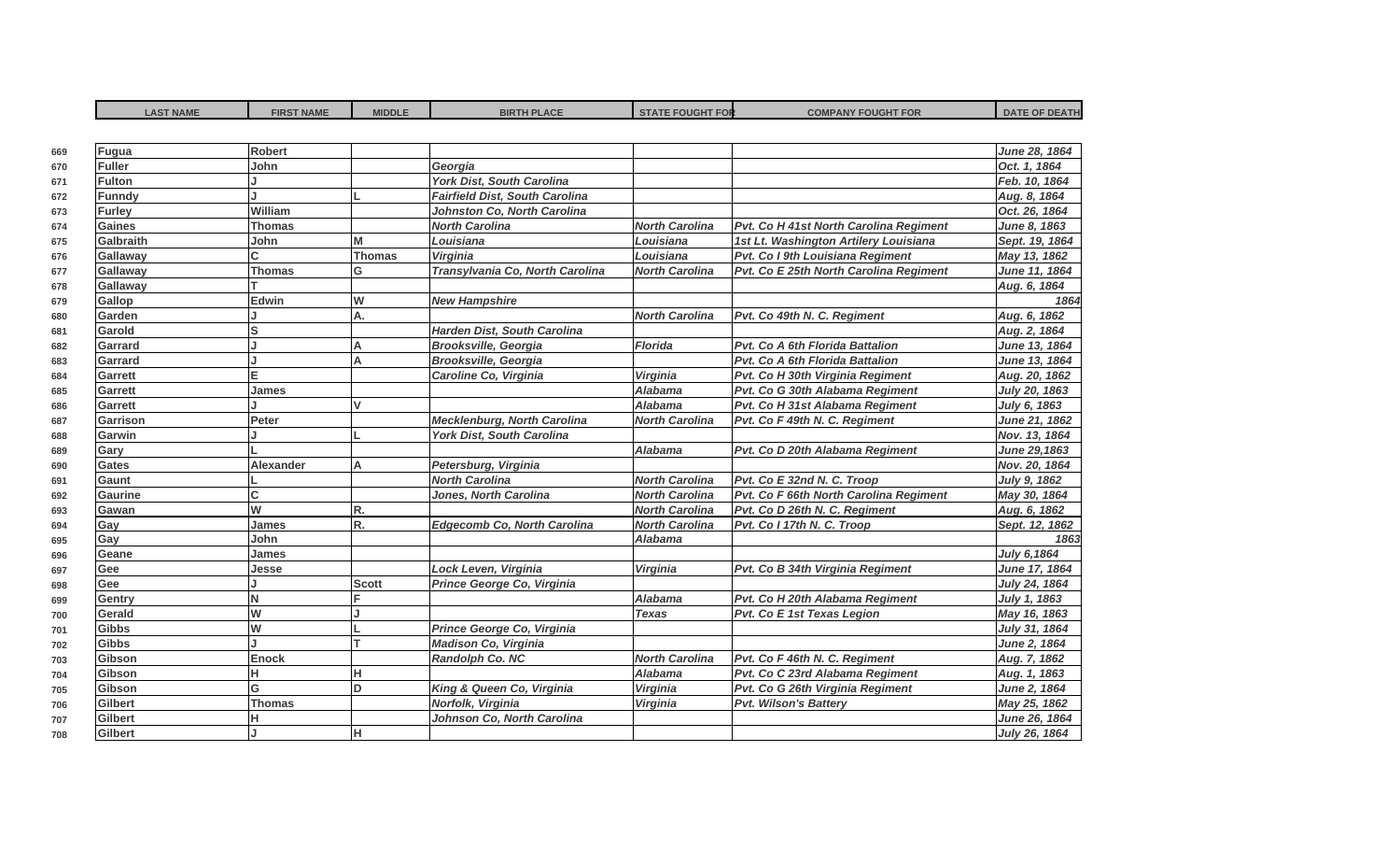| <b>LAST NAME</b> | <b>FIRST NAME</b> | <b>MIDDLE</b> | <b>BIRTH PLACE</b>                 | <b>STATE FOUGHT FOR</b> | <b>COMPANY FOUGHT FOR</b>              | <b>DATE OF DEATH</b> |
|------------------|-------------------|---------------|------------------------------------|-------------------------|----------------------------------------|----------------------|
|                  |                   |               |                                    |                         |                                        |                      |
| Fugua            | <b>Robert</b>     |               |                                    |                         |                                        | June 28, 1864        |
| <b>Fuller</b>    | John              |               | Georgia                            |                         |                                        | Oct. 1, 1864         |
| <b>Fulton</b>    |                   |               | York Dist, South Carolina          |                         |                                        | Feb. 10, 1864        |
| <b>Funndy</b>    |                   |               | Fairfield Dist, South Carolina     |                         |                                        | Aug. 8, 1864         |
| Furley           | William           |               | Johnston Co, North Carolina        |                         |                                        | Oct. 26, 1864        |
| <b>Gaines</b>    | <b>Thomas</b>     |               | <b>North Carolina</b>              | <b>North Carolina</b>   | Pvt. Co H 41st North Carolina Regiment | June 8, 1863         |
| Galbraith        | John              | M             | Louisiana                          | Louisiana               | 1st Lt. Washington Artilery Louisiana  | Sept. 19, 1864       |
| Gallaway         | C.                | Thomas        | Virginia                           | Louisiana               | Pvt. Co I 9th Louisiana Regiment       | May 13, 1862         |
| Gallaway         | <b>Thomas</b>     | lG            | Transylvania Co, North Carolina    | <b>North Carolina</b>   | Pvt. Co E 25th North Carolina Regiment | June 11, 1864        |
| Gallaway         |                   |               |                                    |                         |                                        | Aug. 6, 1864         |
| Gallop           | Edwin             | lw            | <b>New Hampshire</b>               |                         |                                        | 1864                 |
| Garden           |                   | Α.            |                                    | <b>North Carolina</b>   | Pvt. Co 49th N. C. Regiment            | Aug. 6, 1862         |
| Garold           | S                 |               | <b>Harden Dist, South Carolina</b> |                         |                                        | Aug. 2, 1864         |
| Garrard          |                   | A             | <b>Brooksville, Georgia</b>        | Florida                 | Pvt. Co A 6th Florida Battalion        | June 13, 1864        |
| Garrard          |                   | İΑ            | <b>Brooksville, Georgia</b>        |                         | Pvt. Co A 6th Florida Battalion        | June 13, 1864        |
| <b>Garrett</b>   | Ē                 |               | Caroline Co, Virginia              | Virginia                | Pvt. Co H 30th Virginia Regiment       | Aug. 20, 1862        |
| Garrett          | James             |               |                                    | <b>Alabama</b>          | Pvt. Co G 30th Alabama Regiment        | July 20, 1863        |
| Garrett          |                   | l٧            |                                    | <b>Alabama</b>          | Pvt. Co H 31st Alabama Regiment        | July 6, 1863         |
| Garrison         | Peter             |               | <b>Mecklenburg, North Carolina</b> | <b>North Carolina</b>   | Pvt. Co F 49th N. C. Regiment          | June 21, 1862        |
| Garwin           |                   |               | <b>York Dist, South Carolina</b>   |                         |                                        | Nov. 13, 1864        |
| Gary             |                   |               |                                    | <b>Alabama</b>          | Pvt. Co D 20th Alabama Regiment        | June 29,1863         |
| <b>Gates</b>     | Alexander         | lA.           | Petersburg, Virginia               |                         |                                        | Nov. 20, 1864        |
| Gaunt            |                   |               | <b>North Carolina</b>              | <b>North Carolina</b>   | Pvt. Co E 32nd N. C. Troop             | July 9, 1862         |
| <b>Gaurine</b>   | C                 |               | Jones, North Carolina              | <b>North Carolina</b>   | Pvt. Co F 66th North Carolina Regiment | May 30, 1864         |
| Gawan            | W                 | R.            |                                    | <b>North Carolina</b>   | Pvt. Co D 26th N. C. Regiment          | Aug. 6, 1862         |
| Gay              | James             | R.            | <b>Edgecomb Co, North Carolina</b> | <b>North Carolina</b>   | Pvt. Co I 17th N. C. Troop             | Sept. 12, 1862       |
| Gay              | John              |               |                                    | <b>Alabama</b>          |                                        | 1863                 |
| Geane            | James             |               |                                    |                         |                                        | July 6,1864          |
| Gee              | Jesse             |               | Lock Leven, Virginia               | Virginia                | Pvt. Co B 34th Virginia Regiment       | June 17, 1864        |
| Gee              |                   | Scott         | Prince George Co, Virginia         |                         |                                        | July 24, 1864        |
| Gentry           | N                 |               |                                    | <b>Alabama</b>          | Pvt. Co H 20th Alabama Regiment        | July 1, 1863         |
| Gerald           | W                 |               |                                    | <b>Texas</b>            | Pvt. Co E 1st Texas Legion             | May 16, 1863         |
| Gibbs            | W                 |               | Prince George Co, Virginia         |                         |                                        | July 31, 1864        |
| <b>Gibbs</b>     |                   |               | <b>Madison Co, Virginia</b>        |                         |                                        | June 2, 1864         |
| Gibson           | <b>Enock</b>      |               | Randolph Co. NC                    | <b>North Carolina</b>   | Pvt. Co F 46th N. C. Regiment          | Aug. 7, 1862         |
| Gibson           | н                 | Iн.           |                                    | <b>Alabama</b>          | Pvt. Co C 23rd Alabama Regiment        | Aug. 1, 1863         |
| Gibson           | G                 | lD.           | King & Queen Co, Virginia          | Virginia                | Pvt. Co G 26th Virginia Regiment       | June 2, 1864         |
| <b>Gilbert</b>   | <b>Thomas</b>     |               | Norfolk, Virginia                  | Virginia                | <b>Pvt. Wilson's Battery</b>           | May 25, 1862         |
| <b>Gilbert</b>   | н                 |               | Johnson Co, North Carolina         |                         |                                        | June 26, 1864        |
| <b>Gilbert</b>   |                   | lн.           |                                    |                         |                                        | July 26, 1864        |
|                  |                   |               |                                    |                         |                                        |                      |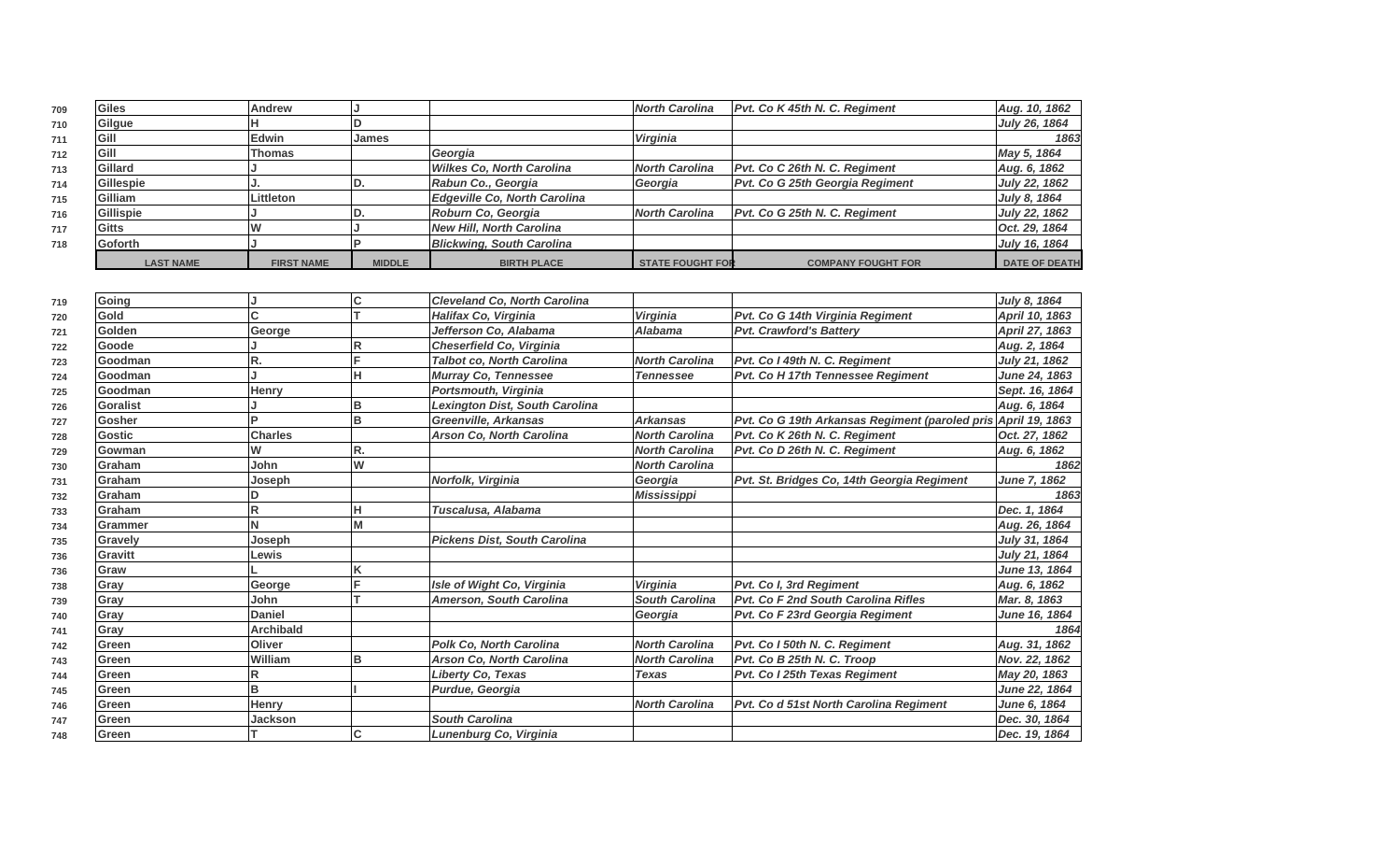| 709 | Giles            | <b>Andrew</b>     |               |                                  | <b>North Carolina</b>   | Pvt. Co K 45th N. C. Regiment   | Aug. 10, 1862        |
|-----|------------------|-------------------|---------------|----------------------------------|-------------------------|---------------------------------|----------------------|
| 710 | Gilgue           |                   |               |                                  |                         |                                 | July 26, 1864        |
| 711 | Gill             | lEdwin            | IJames        |                                  | <i><b>Virginia</b></i>  |                                 | 1863                 |
| 712 | Gill             | Thomas            |               | Georgia                          |                         |                                 | May 5, 1864          |
| 713 | Gillard          |                   |               | <b>Wilkes Co. North Carolina</b> | <b>North Carolina</b>   | Pvt. Co C 26th N. C. Regiment   | Aug. 6, 1862         |
| 714 | Gillespie        |                   |               | Rabun Co., Georgia               | Georgia                 | Pvt. Co G 25th Georgia Regiment | July 22, 1862        |
| 715 | Gilliam          | Littleton         |               | Edgeville Co, North Carolina     |                         |                                 | July 8, 1864         |
| 716 | Gillispie        |                   |               | Roburn Co, Georgia               | North Carolina          | Pvt. Co G 25th N. C. Regiment   | July 22, 1862        |
| 717 | Gitts            |                   |               | New Hill, North Carolina         |                         |                                 | Oct. 29, 1864        |
| 718 | Goforth          |                   |               | <b>Blickwing, South Carolina</b> |                         |                                 | July 16, 1864        |
|     | <b>LAST NAME</b> | <b>FIRST NAME</b> | <b>MIDDLE</b> | <b>BIRTH PLACE</b>               | <b>STATE FOUGHT FOR</b> | <b>COMPANY FOUGHT FOR</b>       | <b>DATE OF DEATH</b> |

| 719 | Going         |                  | C  | <b>Cleveland Co. North Carolina</b>   |                       |                                                               | July 8, 1864         |
|-----|---------------|------------------|----|---------------------------------------|-----------------------|---------------------------------------------------------------|----------------------|
| 720 | Gold          |                  |    | Halifax Co, Virginia                  | Virginia              | Pvt. Co G 14th Virginia Regiment                              | April 10, 1863       |
| 721 | Golden        | George           |    | Jefferson Co, Alabama                 | <b>Alabama</b>        | <b>Pvt. Crawford's Battery</b>                                | April 27, 1863       |
| 722 | Goode         |                  | R  | Cheserfield Co, Virginia              |                       |                                                               | Aug. 2, 1864         |
| 723 | Goodman       | R.               |    | <b>Talbot co, North Carolina</b>      | <b>North Carolina</b> | Pvt. Co I 49th N. C. Regiment                                 | July 21, 1862        |
| 724 | Goodman       |                  | ш  | Murray Co, Tennessee                  | <b>Tennessee</b>      | Pvt. Co H 17th Tennessee Regiment                             | <b>June 24, 1863</b> |
| 725 | Goodman       | Henry            |    | Portsmouth, Virginia                  |                       |                                                               | Sept. 16, 1864       |
| 726 | Goralist      |                  | B  | <b>Lexington Dist, South Carolina</b> |                       |                                                               | Aug. 6, 1864         |
| 727 | Gosher        | D.               | B  | <b>Greenville, Arkansas</b>           | <b>Arkansas</b>       | Pvt. Co G 19th Arkansas Regiment (paroled pris April 19, 1863 |                      |
| 728 | Gostic        | <b>Charles</b>   |    | <b>Arson Co. North Carolina</b>       | <b>North Carolina</b> | Pvt. Co K 26th N. C. Reaiment                                 | Oct. 27, 1862        |
| 729 | Gowman        | W                | R. |                                       | <b>North Carolina</b> | Pvt. Co D 26th N. C. Regiment                                 | Aug. 6, 1862         |
| 730 | <b>Graham</b> | John             | W  |                                       | <b>North Carolina</b> |                                                               | 1862                 |
| 731 | <b>Graham</b> | Joseph           |    | Norfolk, Virginia                     | Georgia               | Pvt. St. Bridges Co. 14th Georgia Regiment                    | June 7, 1862         |
| 732 | Graham        |                  |    |                                       | <b>Mississippi</b>    |                                                               | 1863                 |
| 733 | Graham        |                  | lн | Tuscalusa, Alabama                    |                       |                                                               | Dec. 1, 1864         |
| 734 | lGrammer      |                  | M  |                                       |                       |                                                               | Aug. 26, 1864        |
| 735 | Gravely       | Joseph           |    | <b>Pickens Dist, South Carolina</b>   |                       |                                                               | July 31, 1864        |
| 736 | Gravitt       | Lewis            |    |                                       |                       |                                                               | July 21, 1864        |
| 736 | Graw          |                  | ĸ  |                                       |                       |                                                               | <b>June 13, 1864</b> |
| 738 | Gray          | George           |    | Isle of Wight Co, Virginia            | <b>Virginia</b>       | Pvt. Co I, 3rd Regiment                                       | Aug. 6, 1862         |
| 739 | Gray          | John             |    | <b>Amerson, South Carolina</b>        | <b>South Carolina</b> | <b>Pvt. Co F 2nd South Carolina Rifles</b>                    | Mar. 8, 1863         |
| 740 | Gray          | <b>Daniel</b>    |    |                                       | Georgia               | Pvt. Co F 23rd Georgia Regiment                               | June 16, 1864        |
| 741 | Gray          | <b>Archibald</b> |    |                                       |                       |                                                               | 1864                 |
| 742 | Green         | Oliver           |    | <b>Polk Co. North Carolina</b>        | <b>North Carolina</b> | Pvt. Co I 50th N. C. Regiment                                 | Aug. 31, 1862        |
| 743 | Green         | William          | в  | <b>Arson Co, North Carolina</b>       | <b>North Carolina</b> | Pvt. Co B 25th N. C. Troop                                    | Nov. 22, 1862        |
| 744 | Green         |                  |    | Liberty Co, Texas                     | <b>Texas</b>          | Pvt. Co I 25th Texas Regiment                                 | May 20, 1863         |
| 745 | Green         | B                |    | Purdue, Georgia                       |                       |                                                               | June 22, 1864        |
| 746 | Green         | Henry            |    |                                       | <b>North Carolina</b> | Pvt. Co d 51st North Carolina Regiment                        | June 6, 1864         |
| 747 | Green         | <b>Jackson</b>   |    | <b>South Carolina</b>                 |                       |                                                               | Dec. 30, 1864        |
| 748 | Green         |                  | C  | Lunenburg Co, Virginia                |                       |                                                               | Dec. 19, 1864        |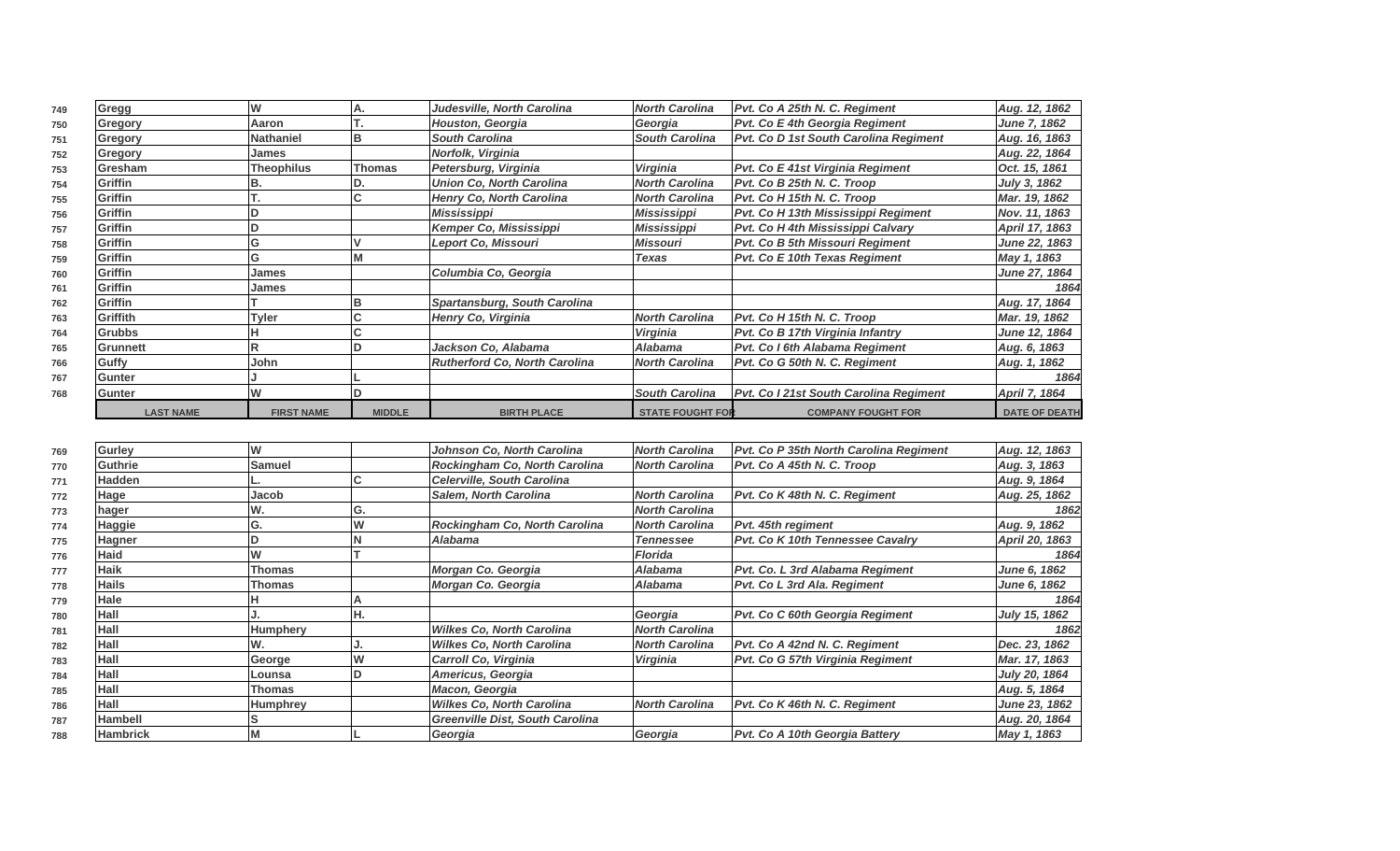| 749 | Gregg            |                   |               | Judesville, North Carolina           | <b>North Carolina</b>   | Pvt. Co A 25th N. C. Regiment          | Aug. 12, 1862        |
|-----|------------------|-------------------|---------------|--------------------------------------|-------------------------|----------------------------------------|----------------------|
| 750 | Gregory          | Aaron             |               | Houston, Georgia                     | Georgia                 | Pvt. Co E 4th Georgia Regiment         | June 7, 1862         |
| 751 | Gregory          | Nathaniel         |               | <b>South Carolina</b>                | <b>South Carolina</b>   | Pvt. Co D 1st South Carolina Regiment  | Aug. 16, 1863        |
| 752 | Gregory          | James             |               | Norfolk, Virginia                    |                         |                                        | Aug. 22, 1864        |
| 753 | Gresham          | <b>Theophilus</b> | <b>Thomas</b> | Petersburg, Virginia                 | Virginia                | Pvt. Co E 41st Virginia Regiment       | Oct. 15, 1861        |
| 754 | <b>Griffin</b>   |                   |               | <b>Union Co. North Carolina</b>      | <b>North Carolina</b>   | Pvt. Co B 25th N. C. Troop             | July 3, 1862         |
| 755 | Griffin          |                   |               | Henry Co, North Carolina             | <b>North Carolina</b>   | Pvt. Co H 15th N. C. Troop             | Mar. 19, 1862        |
| 756 | <b>Griffin</b>   |                   |               | Mississippi                          | Mississippi             | Pvt. Co H 13th Mississippi Regiment    | Nov. 11, 1863        |
| 757 | Griffin          |                   |               | Kemper Co, Mississippi               | Mississippi             | Pvt. Co H 4th Mississippi Calvary      | April 17, 1863       |
| 758 | <b>Griffin</b>   |                   |               | Leport Co, Missouri                  | Missouri                | Pvt. Co B 5th Missouri Regiment        | June 22, 1863        |
| 759 | <b>Griffin</b>   |                   |               |                                      | <b>Texas</b>            | <b>Pvt. Co E 10th Texas Regiment</b>   | May 1, 1863          |
| 760 | <b>Griffin</b>   | James             |               | Columbia Co, Georgia                 |                         |                                        | June 27, 1864        |
| 761 | <b>Griffin</b>   | James             |               |                                      |                         |                                        | 1864                 |
| 762 | Griffin          |                   |               | <b>Spartansburg, South Carolina</b>  |                         |                                        | Aug. 17, 1864        |
| 763 | Griffith         | <b>Tyler</b>      |               | Henry Co, Virginia                   | <b>North Carolina</b>   | Pvt. Co H 15th N. C. Troop             | Mar. 19, 1862        |
| 764 | <b>Grubbs</b>    |                   |               |                                      | Virginia                | Pvt. Co B 17th Virginia Infantry       | <b>June 12, 1864</b> |
| 765 | Grunnett         |                   |               | Jackson Co, Alabama                  | <b>Alabama</b>          | Pvt. Co I 6th Alabama Regiment         | Aug. 6, 1863         |
| 766 | Guffy            | John              |               | <b>Rutherford Co. North Carolina</b> | <b>North Carolina</b>   | Pvt. Co G 50th N. C. Regiment          | Aug. 1, 1862         |
| 767 | <b>Gunter</b>    |                   |               |                                      |                         |                                        | 1864                 |
| 768 | Gunter           |                   |               |                                      | <b>South Carolina</b>   | Pvt. Co I 21st South Carolina Regiment | April 7, 1864        |
|     | <b>LAST NAME</b> | <b>FIRST NAME</b> | <b>MIDDLE</b> | <b>BIRTH PLACE</b>                   | <b>STATE FOUGHT FOR</b> | <b>COMPANY FOUGHT FOR</b>              | <b>DATE OF DEATH</b> |

| 769 | Gurley          |               |     | Johnson Co, North Carolina             | <b>North Carolina</b> | Pvt. Co P 35th North Carolina Regiment  | Aug. 12, 1863  |
|-----|-----------------|---------------|-----|----------------------------------------|-----------------------|-----------------------------------------|----------------|
| 770 | <b>Guthrie</b>  | <b>Samuel</b> |     | Rockingham Co, North Carolina          | <b>North Carolina</b> | Pvt. Co A 45th N. C. Troop              | Aug. 3, 1863   |
| 771 | Hadden          |               | u   | <b>Celerville, South Carolina</b>      |                       |                                         | Aug. 9, 1864   |
| 772 | Hage            | Jacob         |     | <b>Salem, North Carolina</b>           | <b>North Carolina</b> | Pvt. Co K 48th N. C. Regiment           | Aug. 25, 1862  |
| 773 | hager           |               | G.  |                                        | <b>North Carolina</b> |                                         | 1862           |
| 774 | Haggie          |               | W   | Rockingham Co, North Carolina          | <b>North Carolina</b> | Pvt. 45th regiment                      | Aug. 9, 1862   |
| 775 | Hagner          |               |     | Alabama                                | <b>Tennessee</b>      | <b>Pvt. Co K 10th Tennessee Cavalry</b> | April 20, 1863 |
| 776 | Haid            |               |     |                                        | <b>Florida</b>        |                                         | 1864           |
| 777 | <b>Haik</b>     | Thomas        |     | Morgan Co. Georgia                     | <b>Alabama</b>        | Pvt. Co. L 3rd Alabama Regiment         | June 6, 1862   |
| 778 | Hails           | Thomas        |     | Morgan Co. Georgia                     | <b>Alabama</b>        | <b>Pvt. Co L 3rd Ala. Regiment</b>      | June 6, 1862   |
| 779 | Hale            |               |     |                                        |                       |                                         | 1864           |
| 780 | Hall            |               | IĦ. |                                        | Georgia               | Pvt. Co C 60th Georgia Regiment         | July 15, 1862  |
| 781 | Hall            | Humphery      |     | <b>Wilkes Co, North Carolina</b>       | <b>North Carolina</b> |                                         | 1862           |
| 782 | Hall            |               |     | <b>Wilkes Co, North Carolina</b>       | <b>North Carolina</b> | Pvt. Co A 42nd N. C. Regiment           | Dec. 23, 1862  |
| 783 | Hall            | George        | W   | Carroll Co, Virginia                   | <b>Virginia</b>       | Pvt. Co G 57th Virginia Regiment        | Mar. 17, 1863  |
| 784 | Hall            | Lounsa        |     | Americus, Georgia                      |                       |                                         | July 20, 1864  |
| 785 | Hall            | Thomas        |     | Macon, Georgia                         |                       |                                         | Aug. 5, 1864   |
| 786 | Hall            | Humphrey      |     | <b>Wilkes Co, North Carolina</b>       | <b>North Carolina</b> | Pvt. Co K 46th N. C. Regiment           | June 23, 1862  |
| 787 | <b>Hambell</b>  |               |     | <b>Greenville Dist, South Carolina</b> |                       |                                         | Aug. 20, 1864  |
| 788 | <b>Hambrick</b> |               |     | Georgia                                | Georgia               | Pvt. Co A 10th Georgia Battery          | May 1, 1863    |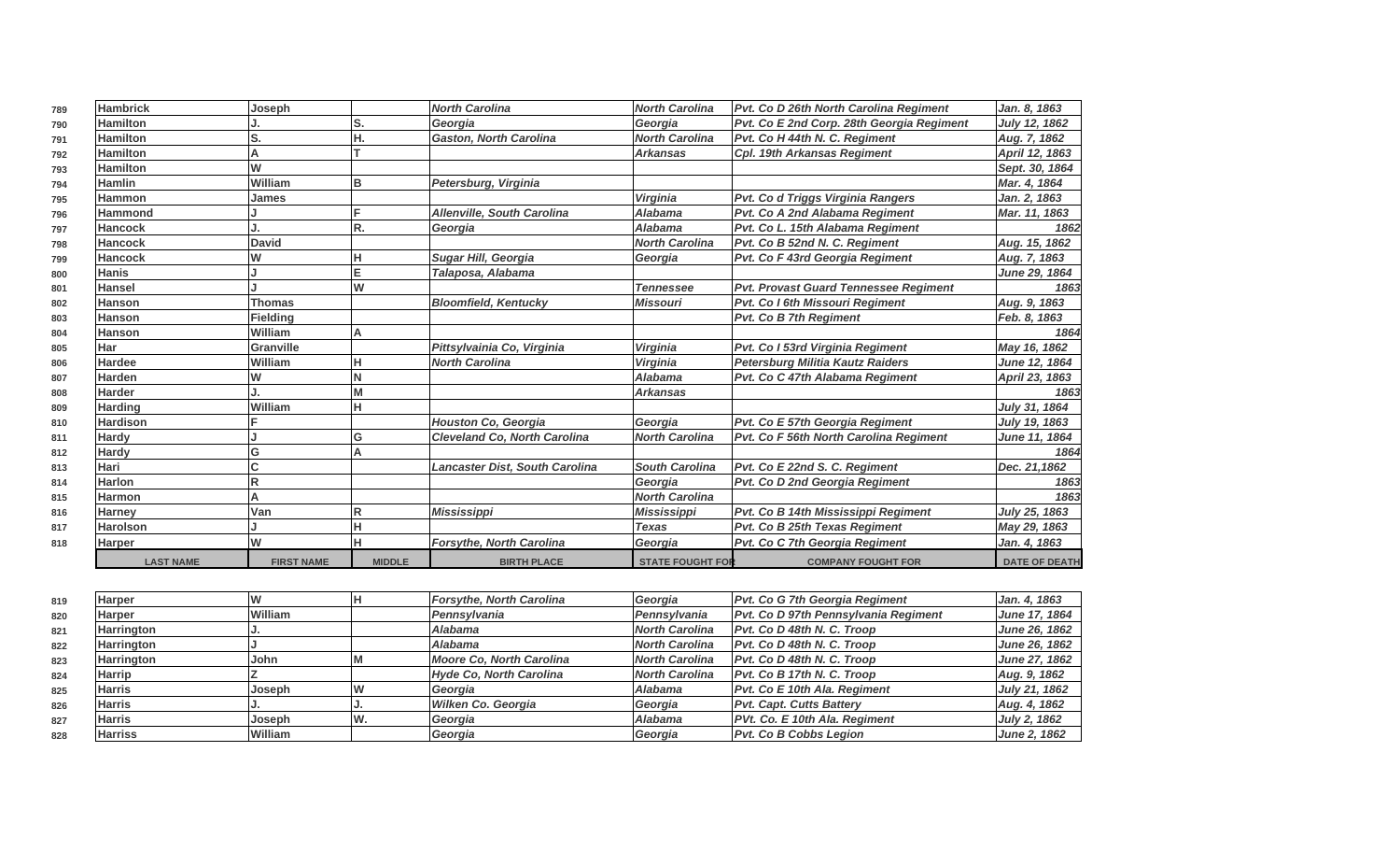| 789 | Hambrick         | Joseph            |               | <b>North Carolina</b>                 | <b>North Carolina</b>   | Pvt. Co D 26th North Carolina Regiment    | Jan. 8, 1863         |
|-----|------------------|-------------------|---------------|---------------------------------------|-------------------------|-------------------------------------------|----------------------|
| 790 | <b>Hamilton</b>  |                   | S.            | Georgia                               | Georgia                 | Pvt. Co E 2nd Corp. 28th Georgia Regiment | July 12, 1862        |
| 791 | <b>Hamilton</b>  | S.                | Ή.            | <b>Gaston, North Carolina</b>         | <b>North Carolina</b>   | Pvt. Co H 44th N. C. Regiment             | Aug. 7, 1862         |
| 792 | <b>Hamilton</b>  |                   |               |                                       | <b>Arkansas</b>         | Cpl. 19th Arkansas Regiment               | April 12, 1863       |
| 793 | <b>Hamilton</b>  | W                 |               |                                       |                         |                                           | Sept. 30, 1864       |
| 794 | <b>Hamlin</b>    | William           | B             | Petersburg, Virginia                  |                         |                                           | Mar. 4, 1864         |
| 795 | Hammon           | <b>James</b>      |               |                                       | <b>Virginia</b>         | Pvt. Co d Triggs Virginia Rangers         | Jan. 2, 1863         |
| 796 | <b>Hammond</b>   |                   |               | <b>Allenville, South Carolina</b>     | Alabama                 | <b>Pvt. Co A 2nd Alabama Regiment</b>     | Mar. 11, 1863        |
| 797 | <b>Hancock</b>   |                   | R.            | Georgia                               | Alabama                 | Pvt. Co L. 15th Alabama Regiment          | 1862                 |
| 798 | <b>Hancock</b>   | <b>David</b>      |               |                                       | <b>North Carolina</b>   | Pvt. Co B 52nd N. C. Regiment             | Aug. 15, 1862        |
| 799 | <b>Hancock</b>   | W                 |               | Sugar Hill, Georgia                   | Georgia                 | Pvt. Co F 43rd Georgia Regiment           | Aug. 7, 1863         |
| 800 | <b>Hanis</b>     |                   | E             | Talaposa, Alabama                     |                         |                                           | June 29, 1864        |
| 801 | <b>Hansel</b>    |                   | W             |                                       | <b>Tennessee</b>        | Pvt. Provast Guard Tennessee Regiment     | 1863                 |
| 802 | <b>Hanson</b>    | <b>Thomas</b>     |               | <b>Bloomfield, Kentucky</b>           | <b>Missouri</b>         | <b>Pvt. Co I 6th Missouri Regiment</b>    | Aug. 9, 1863         |
| 803 | Hanson           | <b>Fielding</b>   |               |                                       |                         | <b>Pvt. Co B 7th Regiment</b>             | Feb. 8, 1863         |
| 804 | <b>Hanson</b>    | William           |               |                                       |                         |                                           | 1864                 |
| 805 | <b>Har</b>       | <b>Granville</b>  |               | Pittsylvainia Co, Virginia            | Virginia                | Pvt. Co I 53rd Virginia Regiment          | May 16, 1862         |
| 806 | <b>Hardee</b>    | William           |               | <b>North Carolina</b>                 | Virginia                | <b>Petersburg Militia Kautz Raiders</b>   | June 12, 1864        |
| 807 | <b>Harden</b>    | W                 |               |                                       | <b>Alabama</b>          | Pvt. Co C 47th Alabama Regiment           | April 23, 1863       |
| 808 | <b>Harder</b>    |                   |               |                                       | <b>Arkansas</b>         |                                           | 1863                 |
| 809 | <b>Harding</b>   | William           | H             |                                       |                         |                                           | July 31, 1864        |
| 810 | <b>Hardison</b>  |                   |               | <b>Houston Co, Georgia</b>            | Georgia                 | Pvt. Co E 57th Georgia Regiment           | July 19, 1863        |
| 811 | <b>Hardy</b>     |                   | G             | <b>Cleveland Co. North Carolina</b>   | <b>North Carolina</b>   | Pvt. Co F 56th North Carolina Regiment    | June 11, 1864        |
| 812 | Hardy            | Ġ                 |               |                                       |                         |                                           | 1864                 |
| 813 | Hari             | Ć                 |               | <b>Lancaster Dist, South Carolina</b> | <b>South Carolina</b>   | Pvt. Co E 22nd S. C. Regiment             | Dec. 21,1862         |
| 814 | <b>Harlon</b>    | R                 |               |                                       | Georgia                 | <b>Pvt. Co D 2nd Georgia Regiment</b>     | 1863                 |
| 815 | <b>Harmon</b>    | А                 |               |                                       | <b>North Carolina</b>   |                                           | 1863                 |
| 816 | <b>Harney</b>    | Van               |               | <b>Mississippi</b>                    | <b>Mississippi</b>      | Pvt. Co B 14th Mississippi Regiment       | July 25, 1863        |
| 817 | <b>Harolson</b>  |                   |               |                                       | <b>Texas</b>            | Pvt. Co B 25th Texas Regiment             | May 29, 1863         |
| 818 | <b>Harper</b>    | W                 |               | Forsythe, North Carolina              | Georgia                 | Pvt. Co C 7th Georgia Regiment            | Jan. 4, 1863         |
|     | <b>LAST NAME</b> | <b>FIRST NAME</b> | <b>MIDDLE</b> | <b>BIRTH PLACE</b>                    | <b>STATE FOUGHT FOR</b> | <b>COMPANY FOUGHT FOR</b>                 | <b>DATE OF DEATH</b> |

| 819 | Harper         |                | <b>Forsythe, North Carolina</b> | Georgia               | <b>Pvt. Co G 7th Georgia Regiment</b> | Jan. 4, 1863  |
|-----|----------------|----------------|---------------------------------|-----------------------|---------------------------------------|---------------|
| 820 | Harper         | William        | Pennsvlvania                    | l Pennsvlvania        | Pvt. Co D 97th Pennsylvania Regiment  | June 17, 1864 |
| 821 | Harrington     |                | Alabama                         | North Carolina        | Pvt. Co D 48th N. C. Troop            | June 26, 1862 |
| 822 | Harrington     |                | Alabama                         | <b>North Carolina</b> | $Pvt.$ Co D 48th N. C. Troop          | June 26, 1862 |
| 823 | Harrington     | John           | Moore Co, North Carolina        | North Carolina        | Pyt. Co D 48th N. C. Troop            | June 27, 1862 |
| 824 | Harrip         |                | Hyde Co, North Carolina         | <b>North Carolina</b> | Pvt. Co B 17th N. C. Troop            | Aug. 9, 1862  |
| 825 | Harris         | <b>Joseph</b>  | Georgia                         | Alabama               | <b>Pvt. Co E 10th Ala. Regiment</b>   | July 21, 1862 |
| 826 | Harris         |                | Wilken Co. Georgia              | Georgia               | <b>Pvt. Capt. Cutts Battery</b>       | Aug. 4, 1862  |
| 827 | Harris         | Joseph         | Georgia                         | Alabama               | PVt. Co. E 10th Ala. Regiment         | July 2, 1862  |
| 828 | <b>Harriss</b> | <b>William</b> | Georgia                         | Georgia               | <b>Pvt. Co B Cobbs Legion</b>         | June 2, 1862  |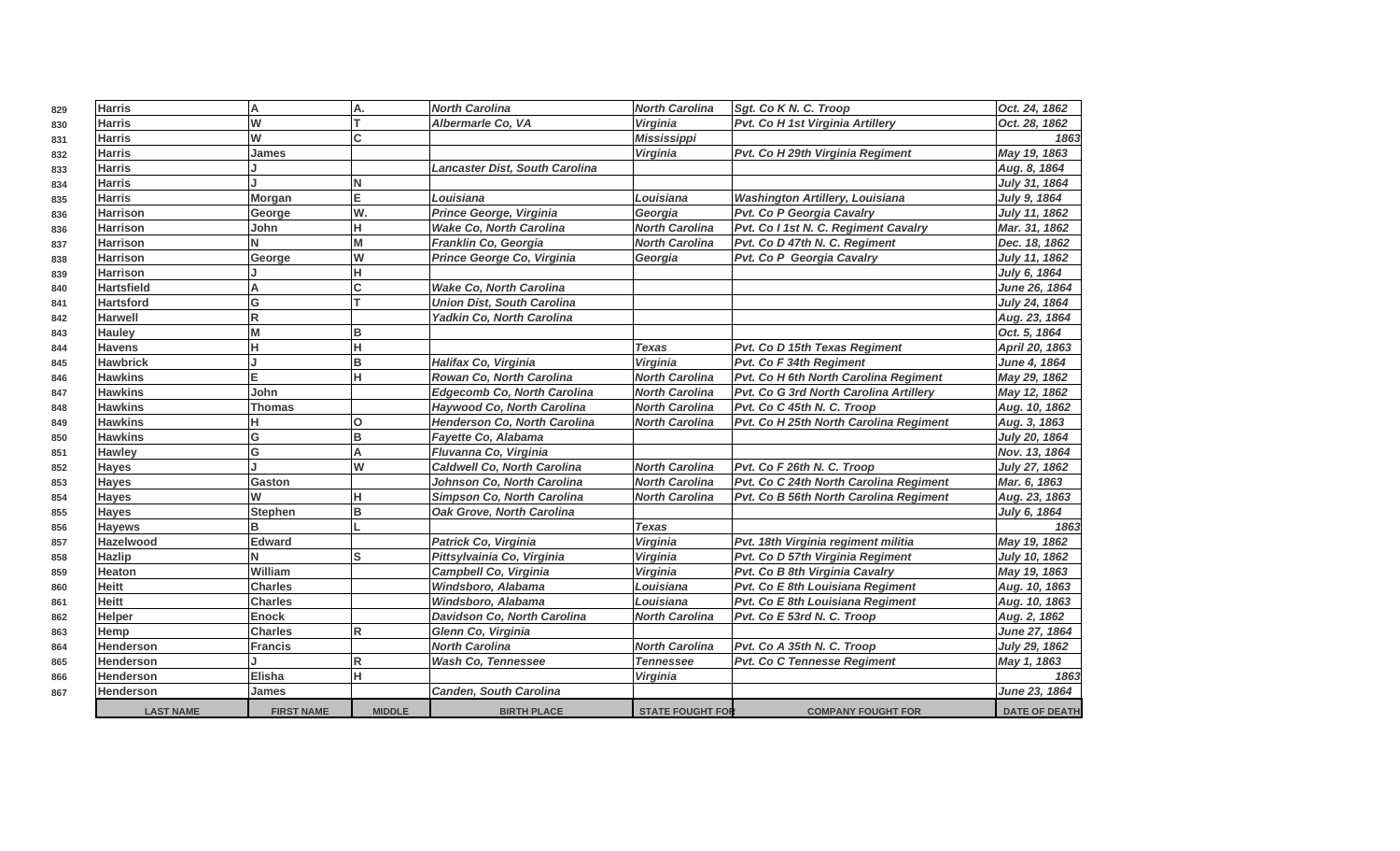| 829 | <b>Harris</b>     | A                 | Α.                      | <b>North Carolina</b>              | <b>North Carolina</b>   | Sgt. Co K N. C. Troop                        | Oct. 24, 1862        |
|-----|-------------------|-------------------|-------------------------|------------------------------------|-------------------------|----------------------------------------------|----------------------|
| 830 | <b>Harris</b>     | W                 |                         | Albermarle Co, VA                  | Virginia                | Pvt. Co H 1st Virginia Artillery             | Oct. 28, 1862        |
| 831 | <b>Harris</b>     | W                 | <sub>C</sub>            |                                    | <b>Mississippi</b>      |                                              | 1863                 |
| 832 | <b>Harris</b>     | <b>James</b>      |                         |                                    | Virginia                | Pvt. Co H 29th Virginia Regiment             | May 19, 1863         |
| 833 | <b>Harris</b>     |                   |                         | Lancaster Dist, South Carolina     |                         |                                              | Aug. 8, 1864         |
| 834 | <b>Harris</b>     |                   | N                       |                                    |                         |                                              | July 31, 1864        |
| 835 | <b>Harris</b>     | Morgan            | E.                      | Louisiana                          | Louisiana               | <b>Washington Artillery, Louisiana</b>       | July 9, 1864         |
| 836 | <b>Harrison</b>   | George            | W.                      | Prince George, Virginia            | Georgia                 | Pvt. Co P Georgia Cavalry                    | July 11, 1862        |
| 836 | <b>Harrison</b>   | John              | H                       | <b>Wake Co, North Carolina</b>     | <b>North Carolina</b>   | Pvt. Co I 1st N. C. Regiment Cavalry         | Mar. 31, 1862        |
| 837 | <b>Harrison</b>   |                   | M                       | Franklin Co. Georgia               | <b>North Carolina</b>   | Pvt. Co D 47th N. C. Regiment                | Dec. 18, 1862        |
| 838 | <b>Harrison</b>   | George            | W                       | Prince George Co, Virginia         | Georgia                 | <b>Pvt. Co P Georgia Cavalry</b>             | July 11, 1862        |
| 839 | <b>Harrison</b>   |                   | H                       |                                    |                         |                                              | July 6, 1864         |
| 840 | <b>Hartsfield</b> | А                 | C                       | <b>Wake Co. North Carolina</b>     |                         |                                              | June 26, 1864        |
| 841 | <b>Hartsford</b>  | G                 |                         | <b>Union Dist, South Carolina</b>  |                         |                                              | July 24, 1864        |
| 842 | <b>Harwell</b>    | R                 |                         | Yadkin Co, North Carolina          |                         |                                              | Aug. 23, 1864        |
| 843 | <b>Hauley</b>     | M                 | в                       |                                    |                         |                                              | Oct. 5, 1864         |
| 844 | <b>Havens</b>     | н                 | н                       |                                    | <b>Texas</b>            | Pvt. Co D 15th Texas Regiment                | April 20, 1863       |
| 845 | <b>Hawbrick</b>   |                   | B                       | Halifax Co, Virginia               | Virginia                | Pvt. Co F 34th Regiment                      | June 4, 1864         |
| 846 | <b>Hawkins</b>    | E.                | н                       | Rowan Co, North Carolina           | <b>North Carolina</b>   | <b>Pvt. Co H 6th North Carolina Regiment</b> | May 29, 1862         |
| 847 | <b>Hawkins</b>    | John              |                         | <b>Edgecomb Co, North Carolina</b> | <b>North Carolina</b>   | Pvt. Co G 3rd North Carolina Artillery       | May 12, 1862         |
| 848 | <b>Hawkins</b>    | <b>Thomas</b>     |                         | Haywood Co, North Carolina         | <b>North Carolina</b>   | Pvt. Co C 45th N. C. Troop                   | Aug. 10, 1862        |
| 849 | <b>Hawkins</b>    | н                 | O                       | Henderson Co, North Carolina       | <b>North Carolina</b>   | Pvt. Co H 25th North Carolina Regiment       | Aug. 3, 1863         |
| 850 | <b>Hawkins</b>    | G                 | B                       | Fayette Co, Alabama                |                         |                                              | July 20, 1864        |
| 851 | <b>Hawley</b>     | G                 | A                       | Fluvanna Co, Virginia              |                         |                                              | Nov. 13, 1864        |
| 852 | <b>Hayes</b>      |                   | W                       | <b>Caldwell Co, North Carolina</b> | <b>North Carolina</b>   | Pvt. Co F 26th N. C. Troop                   | July 27, 1862        |
| 853 | <b>Hayes</b>      | Gaston            |                         | Johnson Co, North Carolina         | <b>North Carolina</b>   | Pvt. Co C 24th North Carolina Regiment       | Mar. 6, 1863         |
| 854 | <b>Hayes</b>      | W                 | н                       | Simpson Co, North Carolina         | <b>North Carolina</b>   | Pvt. Co B 56th North Carolina Regiment       | Aug. 23, 1863        |
| 855 | <b>Hayes</b>      | <b>Stephen</b>    | B                       | Oak Grove, North Carolina          |                         |                                              | July 6, 1864         |
| 856 | <b>Hayews</b>     | R                 |                         |                                    | <b>Texas</b>            |                                              | 1863                 |
| 857 | <b>Hazelwood</b>  | <b>Edward</b>     |                         | Patrick Co, Virginia               | Virginia                | Pvt. 18th Virginia regiment militia          | May 19, 1862         |
| 858 | <b>Hazlip</b>     | N                 | ls.                     | Pittsylvainia Co, Virginia         | Virginia                | Pvt. Co D 57th Virginia Regiment             | <b>July 10, 1862</b> |
| 859 | <b>Heaton</b>     | William           |                         | <b>Campbell Co. Virginia</b>       | Virginia                | Pvt. Co B 8th Virginia Cavalry               | May 19, 1863         |
| 860 | <b>Heitt</b>      | <b>Charles</b>    |                         | Windsboro, Alabama                 | Louisiana               | Pvt. Co E 8th Louisiana Regiment             | Aug. 10, 1863        |
| 861 | <b>Heitt</b>      | <b>Charles</b>    |                         | Windsboro, Alabama                 | Louisiana               | Pvt. Co E 8th Louisiana Regiment             | Aug. 10, 1863        |
| 862 | <b>Helper</b>     | <b>Enock</b>      |                         | Davidson Co, North Carolina        | <b>North Carolina</b>   | Pvt. Co E 53rd N. C. Troop                   | Aug. 2, 1862         |
| 863 | Hemp              | <b>Charles</b>    | R.                      | Glenn Co, Virginia                 |                         |                                              | June 27, 1864        |
| 864 | Henderson         | <b>Francis</b>    |                         | <b>North Carolina</b>              | <b>North Carolina</b>   | Pvt. Co A 35th N. C. Troop                   | <b>July 29, 1862</b> |
| 865 | <b>Henderson</b>  |                   | $\overline{\mathsf{R}}$ | Wash Co, Tennessee                 | Tennessee               | <b>Pvt. Co C Tennesse Regiment</b>           | May 1, 1863          |
| 866 | Henderson         | Elisha            | н                       |                                    | Virginia                |                                              | 1863                 |
| 867 | <b>Henderson</b>  | James             |                         | <b>Canden, South Carolina</b>      |                         |                                              | June 23, 1864        |
|     | <b>LAST NAME</b>  | <b>FIRST NAME</b> | <b>MIDDLE</b>           | <b>BIRTH PLACE</b>                 | <b>STATE FOUGHT FOR</b> | <b>COMPANY FOUGHT FOR</b>                    | <b>DATE OF DEATH</b> |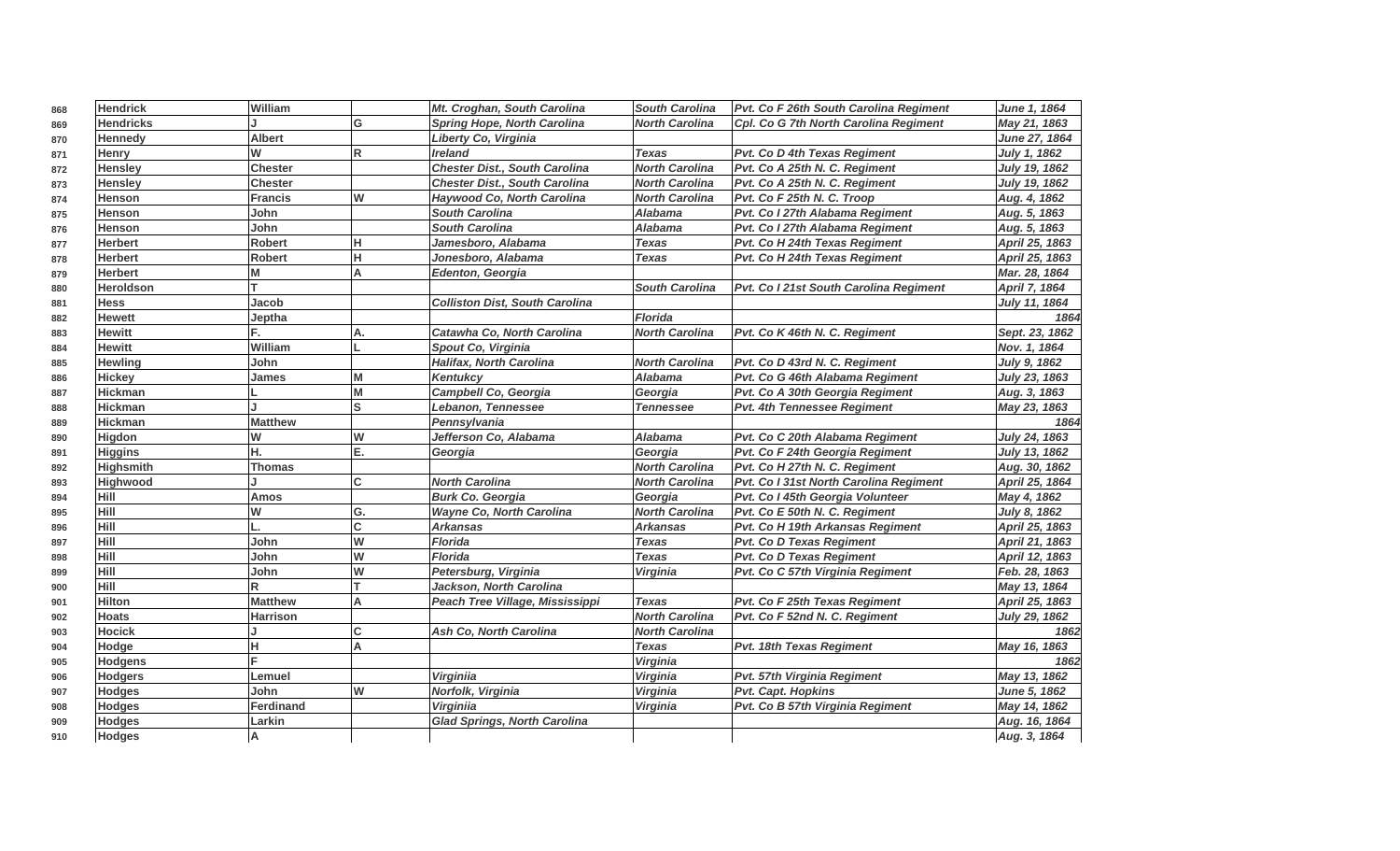| 868 | <b>Hendrick</b>  | William         |              | Mt. Croghan, South Carolina           | <b>South Carolina</b> | Pvt. Co F 26th South Carolina Regiment | June 1, 1864        |
|-----|------------------|-----------------|--------------|---------------------------------------|-----------------------|----------------------------------------|---------------------|
| 869 | <b>Hendricks</b> |                 | G            | <b>Spring Hope, North Carolina</b>    | <b>North Carolina</b> | Cpl. Co G 7th North Carolina Regiment  | May 21, 1863        |
| 870 | <b>Hennedy</b>   | <b>Albert</b>   |              | Liberty Co, Virginia                  |                       |                                        | June 27, 1864       |
| 871 | Henry            | W               | R            | <b>Ireland</b>                        | <b>Texas</b>          | Pvt. Co D 4th Texas Regiment           | July 1, 1862        |
| 872 | <b>Hensley</b>   | <b>Chester</b>  |              | <b>Chester Dist., South Carolina</b>  | <b>North Carolina</b> | Pvt. Co A 25th N. C. Regiment          | July 19, 1862       |
| 873 | <b>Hensley</b>   | <b>Chester</b>  |              | <b>Chester Dist., South Carolina</b>  | <b>North Carolina</b> | Pvt. Co A 25th N. C. Regiment          | July 19, 1862       |
| 874 | Henson           | <b>Francis</b>  | W            | Haywood Co, North Carolina            | <b>North Carolina</b> | Pvt. Co F 25th N. C. Troop             | Aug. 4, 1862        |
| 875 | <b>Henson</b>    | John            |              | <b>South Carolina</b>                 | <b>Alabama</b>        | Pvt. Co I 27th Alabama Regiment        | Aug. 5, 1863        |
| 876 | <b>Henson</b>    | John            |              | <b>South Carolina</b>                 | <b>Alabama</b>        | Pvt. Co I 27th Alabama Regiment        | Aug. 5, 1863        |
| 877 | <b>Herbert</b>   | <b>Robert</b>   | н            | Jamesboro, Alabama                    | <b>Texas</b>          | Pvt. Co H 24th Texas Regiment          | April 25, 1863      |
| 878 | <b>Herbert</b>   | <b>Robert</b>   | н            | Jonesboro, Alabama                    | <b>Texas</b>          | Pvt. Co H 24th Texas Regiment          | April 25, 1863      |
| 879 | <b>Herbert</b>   | M               | A            | Edenton, Georgia                      |                       |                                        | Mar. 28, 1864       |
| 880 | <b>Heroldson</b> |                 |              |                                       | <b>South Carolina</b> | Pvt. Co I 21st South Carolina Regiment | April 7, 1864       |
| 881 | <b>Hess</b>      | Jacob           |              | <b>Colliston Dist, South Carolina</b> |                       |                                        | July 11, 1864       |
| 882 | <b>Hewett</b>    | Jeptha          |              |                                       | <b>Florida</b>        |                                        | 1864                |
| 883 | <b>Hewitt</b>    | F.              | A.           | Catawha Co, North Carolina            | <b>North Carolina</b> | Pvt. Co K 46th N. C. Regiment          | Sept. 23, 1862      |
| 884 | <b>Hewitt</b>    | William         |              | Spout Co, Virginia                    |                       |                                        | Nov. 1, 1864        |
| 885 | <b>Hewling</b>   | John            |              | <b>Halifax, North Carolina</b>        | <b>North Carolina</b> | Pvt. Co D 43rd N. C. Regiment          | July 9, 1862        |
| 886 | <b>Hickey</b>    | James           | M            | <b>Kentukcy</b>                       | <b>Alabama</b>        | Pvt. Co G 46th Alabama Regiment        | July 23, 1863       |
| 887 | Hickman          |                 | M            | Campbell Co, Georgia                  | Georgia               | Pvt. Co A 30th Georgia Regiment        | Aug. 3, 1863        |
| 888 | Hickman          |                 | ls           | Lebanon, Tennessee                    | <b>Tennessee</b>      | Pvt. 4th Tennessee Regiment            | May 23, 1863        |
| 889 | <b>Hickman</b>   | <b>Matthew</b>  |              | Pennsylvania                          |                       |                                        | 1864                |
| 890 | Higdon           | W               | W            | Jefferson Co, Alabama                 | <b>Alabama</b>        | Pvt. Co C 20th Alabama Regiment        | July 24, 1863       |
| 891 | <b>Higgins</b>   | н.              | E.           | Georgia                               | Georgia               | Pvt. Co F 24th Georgia Regiment        | July 13, 1862       |
| 892 | <b>Highsmith</b> | <b>Thomas</b>   |              |                                       | <b>North Carolina</b> | Pvt. Co H 27th N. C. Regiment          | Aug. 30, 1862       |
| 893 | Highwood         |                 | <sub>c</sub> | <b>North Carolina</b>                 | <b>North Carolina</b> | Pvt. Co I 31st North Carolina Regiment | April 25, 1864      |
| 894 | Hill             | Amos            |              | <b>Burk Co. Georgia</b>               | Georgia               | Pvt. Co I 45th Georgia Volunteer       | May 4, 1862         |
| 895 | Hill             | W               | G.           | <b>Wayne Co, North Carolina</b>       | <b>North Carolina</b> | Pvt. Co E 50th N. C. Regiment          | July 8, 1862        |
| 896 | Hill             |                 | C            | <b>Arkansas</b>                       | <b>Arkansas</b>       | Pvt. Co H 19th Arkansas Regiment       | April 25, 1863      |
| 897 | Hill             | John            | W            | <b>Florida</b>                        | <b>Texas</b>          | <b>Pvt. Co D Texas Regiment</b>        | April 21, 1863      |
| 898 | Hill             | John            | W            | <b>Florida</b>                        | <b>Texas</b>          | <b>Pvt. Co D Texas Regiment</b>        | April 12, 1863      |
| 899 | Hill             | John            | W            | Petersburg, Virginia                  | Virginia              | Pvt. Co C 57th Virginia Regiment       | Feb. 28, 1863       |
| 900 | Hill             | R               | lT.          | Jackson, North Carolina               |                       |                                        | May 13, 1864        |
| 901 | <b>Hilton</b>    | <b>Matthew</b>  | A            | Peach Tree Village, Mississippi       | <b>Texas</b>          | Pvt. Co F 25th Texas Regiment          | April 25, 1863      |
| 902 | <b>Hoats</b>     | <b>Harrison</b> |              |                                       | <b>North Carolina</b> | Pvt. Co F 52nd N. C. Regiment          | July 29, 1862       |
| 903 | <b>Hocick</b>    |                 | C            | Ash Co, North Carolina                | <b>North Carolina</b> |                                        | 1862                |
| 904 | Hodge            | н               | A            |                                       | <b>Texas</b>          | Pvt. 18th Texas Regiment               | May 16, 1863        |
| 905 | Hodgens          |                 |              |                                       | Virginia              |                                        | 1862                |
| 906 | <b>Hodgers</b>   | Lemuel          |              | <b>Virginiia</b>                      | Virginia              | Pvt. 57th Virginia Regiment            | May 13, 1862        |
| 907 | <b>Hodges</b>    | John            | W            | Norfolk, Virginia                     | Virginia              | Pvt. Capt. Hopkins                     | <b>June 5, 1862</b> |
| 908 | <b>Hodges</b>    | Ferdinand       |              | Virginiia                             | Virginia              | Pvt. Co B 57th Virginia Regiment       | May 14, 1862        |
| 909 | <b>Hodges</b>    | Larkin          |              | <b>Glad Springs, North Carolina</b>   |                       |                                        | Aug. 16, 1864       |
| 910 | <b>Hodges</b>    | А               |              |                                       |                       |                                        | Aug. 3, 1864        |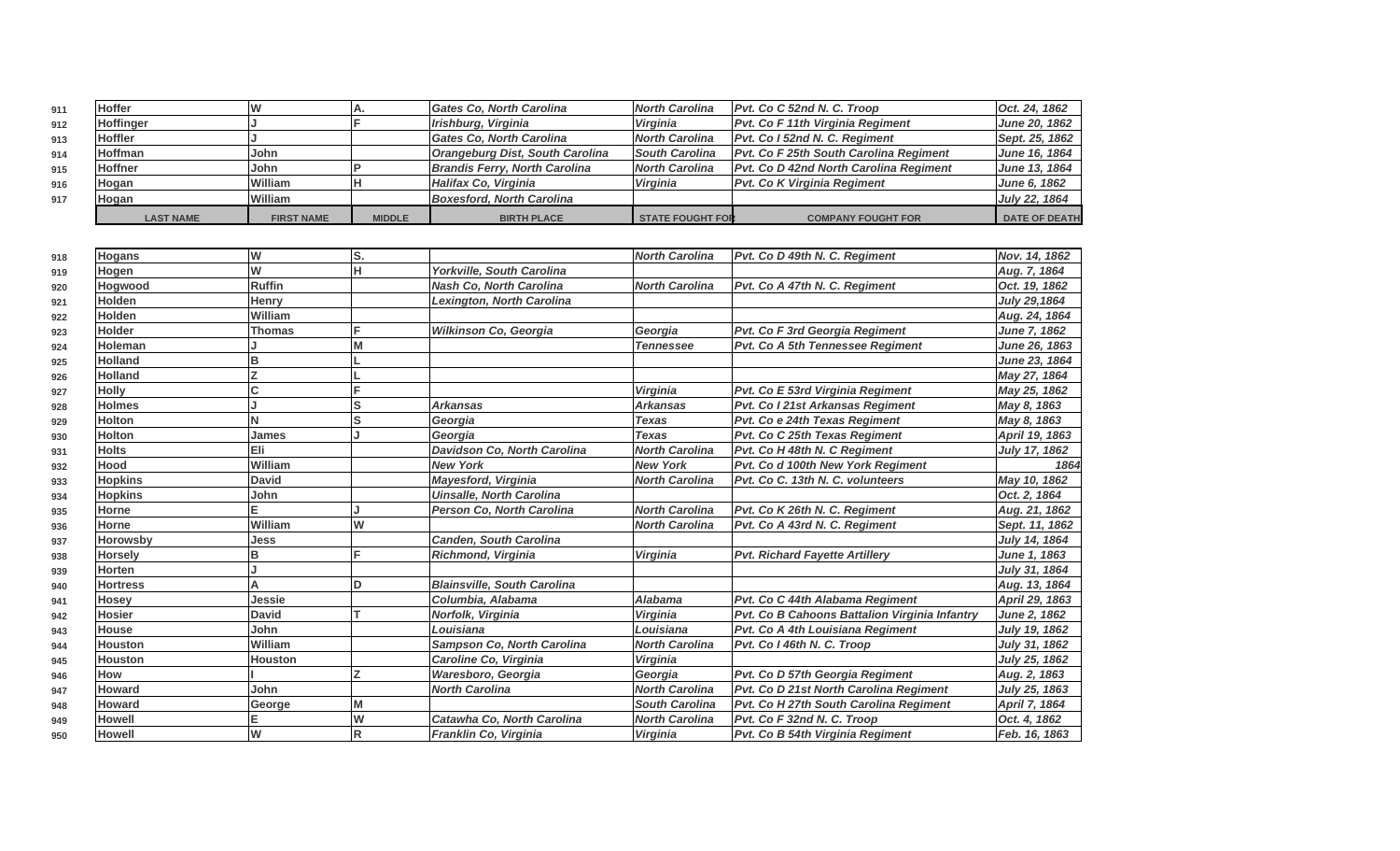| 911 | Hoffer           |                   |               | <b>Gates Co. North Carolina</b>      | North Carolina          | Pvt. Co C 52nd N. C. Troop                    | Oct. 24, 1862        |
|-----|------------------|-------------------|---------------|--------------------------------------|-------------------------|-----------------------------------------------|----------------------|
| 912 | <b>Hoffinger</b> |                   |               | Irishburg, Virginia                  | Virginia                | <b>Pvt. Co F 11th Virginia Regiment</b>       | June 20, 1862        |
| 913 | Hoffler          |                   |               | <b>Gates Co. North Carolina</b>      | North Carolina          | Pvt. Co I 52nd N. C. Regiment                 | Sept. 25, 1862       |
| 914 | Hoffman          | lJohn             |               | Orangeburg Dist, South Carolina      | <b>South Carolina</b>   | <b>Pvt. Co F 25th South Carolina Regiment</b> | June 16, 1864        |
| 915 | Hoffner          | lJohn             |               | <b>Brandis Ferry, North Carolina</b> | North Carolina          | Pvt. Co D 42nd North Carolina Regiment        | June 13, 1864        |
| 916 | Hogan            | William           |               | Halifax Co, Virginia                 | Virginia                | <b>Pvt. Co K Virginia Regiment</b>            | <b>June 6, 1862</b>  |
| 917 | Hoqan            | William           |               | Boxesford, North Carolina            |                         |                                               | July 22, 1864        |
|     | <b>LAST NAME</b> | <b>FIRST NAME</b> | <b>MIDDLE</b> | <b>BIRTH PLACE</b>                   | <b>STATE FOUGHT FOR</b> | <b>COMPANY FOUGHT FOR</b>                     | <b>DATE OF DEATH</b> |

| 918 | Hogans          | W             | ls. |                                    | <b>North Carolina</b> | Pvt. Co D 49th N. C. Regiment                 | Nov. 14, 1862        |
|-----|-----------------|---------------|-----|------------------------------------|-----------------------|-----------------------------------------------|----------------------|
| 919 | Hogen           | W             | н   | Yorkville, South Carolina          |                       |                                               | Aug. 7, 1864         |
| 920 | Hogwood         | <b>Ruffin</b> |     | <b>Nash Co, North Carolina</b>     | <b>North Carolina</b> | Pvt. Co A 47th N. C. Regiment                 | Oct. 19, 1862        |
| 921 | <b>Holden</b>   | Henry         |     | Lexington, North Carolina          |                       |                                               | <b>July 29,1864</b>  |
| 922 | <b>Holden</b>   | William       |     |                                    |                       |                                               | Aug. 24, 1864        |
| 923 | <b>Holder</b>   | <b>Thomas</b> |     | <b>Wilkinson Co. Georgia</b>       | Georgia               | Pvt. Co F 3rd Georgia Regiment                | June 7, 1862         |
| 924 | Holeman         |               |     |                                    | <b>Tennessee</b>      | Pvt. Co A 5th Tennessee Regiment              | June 26, 1863        |
| 925 | <b>Holland</b>  | B             |     |                                    |                       |                                               | June 23, 1864        |
| 926 | <b>Holland</b>  |               |     |                                    |                       |                                               | May 27, 1864         |
| 927 | <b>Holly</b>    |               |     |                                    | Virginia              | Pvt. Co E 53rd Virginia Regiment              | May 25, 1862         |
| 928 | <b>Holmes</b>   |               | lS  | <b>Arkansas</b>                    | <b>Arkansas</b>       | Pvt. Co I 21st Arkansas Regiment              | May 8, 1863          |
| 929 | <b>Holton</b>   |               |     | Georgia                            | <b>Texas</b>          | Pvt. Co e 24th Texas Regiment                 | May 8, 1863          |
| 930 | <b>Holton</b>   | James         |     | Georgia                            | <b>Texas</b>          | Pvt. Co C 25th Texas Regiment                 | April 19, 1863       |
| 931 | <b>Holts</b>    | Eli           |     | Davidson Co, North Carolina        | <b>North Carolina</b> | Pvt. Co H 48th N. C Regiment                  | July 17, 1862        |
| 932 | <b>Hood</b>     | William       |     | <b>New York</b>                    | <b>New York</b>       | Pvt. Co d 100th New York Regiment             | 1864                 |
| 933 | <b>Hopkins</b>  | <b>David</b>  |     | Mayesford, Virginia                | <b>North Carolina</b> | Pvt. Co C. 13th N. C. volunteers              | May 10, 1862         |
| 934 | <b>Hopkins</b>  | John          |     | <b>Uinsalle, North Carolina</b>    |                       |                                               | Oct. 2, 1864         |
| 935 | <b>Horne</b>    |               |     | Person Co, North Carolina          | <b>North Carolina</b> | Pvt. Co K 26th N. C. Regiment                 | Aug. 21, 1862        |
| 936 | <b>Horne</b>    | William       | lw  |                                    | <b>North Carolina</b> | Pvt. Co A 43rd N. C. Regiment                 | Sept. 11, 1862       |
| 937 | <b>Horowsby</b> | Jess          |     | <b>Canden, South Carolina</b>      |                       |                                               | July 14, 1864        |
| 938 | <b>Horsely</b>  | B             | E.  | Richmond, Virginia                 | <b>Virginia</b>       | <b>Pvt. Richard Fayette Artillery</b>         | June 1, 1863         |
| 939 | Horten          |               |     |                                    |                       |                                               | July 31, 1864        |
| 940 | <b>Hortress</b> |               | D   | <b>Blainsville, South Carolina</b> |                       |                                               | Aug. 13, 1864        |
| 941 | <b>Hosey</b>    | Jessie        |     | Columbia, Alabama                  | <b>Alabama</b>        | Pvt. Co C 44th Alabama Regiment               | April 29, 1863       |
| 942 | <b>Hosier</b>   | <b>David</b>  |     | Norfolk, Virginia                  | Virginia              | Pvt. Co B Cahoons Battalion Virginia Infantry | June 2, 1862         |
| 943 | <b>House</b>    | John          |     | Louisiana                          | Louisiana             | Pvt. Co A 4th Louisiana Regiment              | <b>July 19, 1862</b> |
| 944 | <b>Houston</b>  | William       |     | <b>Sampson Co. North Carolina</b>  | <b>North Carolina</b> | Pvt. Co I 46th N. C. Troop                    | July 31, 1862        |
| 945 | <b>Houston</b>  | Houston       |     | Caroline Co, Virginia              | Virginia              |                                               | July 25, 1862        |
| 946 | How             |               |     | Waresboro, Georgia                 | Georgia               | Pvt. Co D 57th Georgia Regiment               | Aug. 2, 1863         |
| 947 | Howard          | John          |     | <b>North Carolina</b>              | <b>North Carolina</b> | Pvt. Co D 21st North Carolina Regiment        | July 25, 1863        |
| 948 | <b>Howard</b>   | George        | M   |                                    | <b>South Carolina</b> | Pvt. Co H 27th South Carolina Regiment        | April 7, 1864        |
| 949 | <b>Howell</b>   |               | lw  | Catawha Co, North Carolina         | <b>North Carolina</b> | Pvt. Co F 32nd N. C. Troop                    | Oct. 4, 1862         |
| 950 | <b>Howell</b>   | W             | lR. | Franklin Co, Virginia              | <b>Virginia</b>       | Pvt. Co B 54th Virginia Regiment              | Feb. 16, 1863        |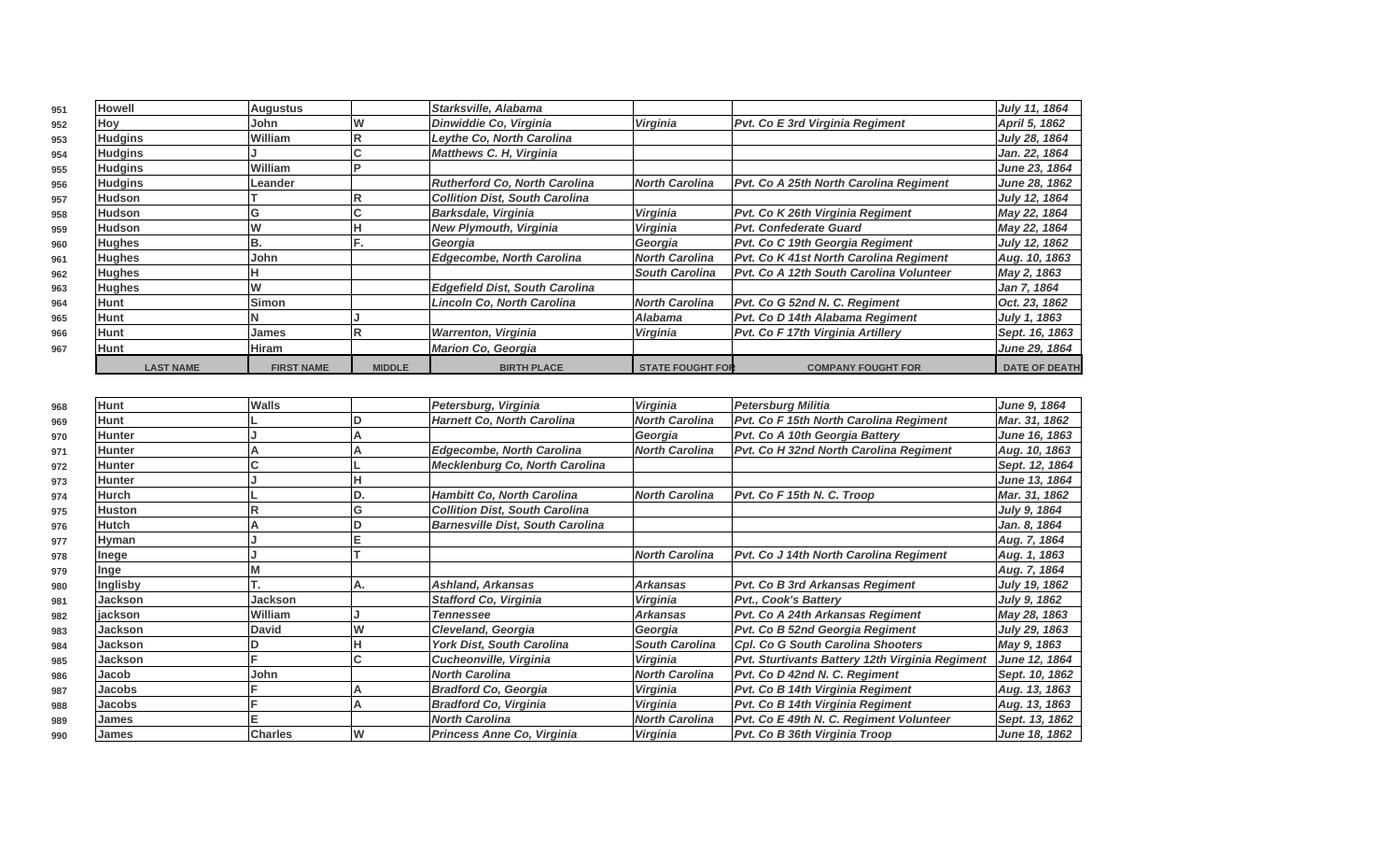| 951 | Howell           | Augustus          |               | Starksville, Alabama                  |                         |                                               | July 11, 1864        |
|-----|------------------|-------------------|---------------|---------------------------------------|-------------------------|-----------------------------------------------|----------------------|
| 952 | Hov              | lJohn             |               | Dinwiddie Co, Virginia                | Virginia                | Pvt. Co E 3rd Virginia Regiment               | April 5, 1862        |
| 953 | <b>Hudgins</b>   | <b>William</b>    |               | Leythe Co, North Carolina             |                         |                                               | July 28, 1864        |
| 954 | <b>Hudgins</b>   |                   |               | <b>Matthews C. H, Virginia</b>        |                         |                                               | Jan. 22, 1864        |
| 955 | <b>Hudgins</b>   | <b>William</b>    |               |                                       |                         |                                               | June 23, 1864        |
| 956 | <b>Hudgins</b>   | Leander           |               | <b>Rutherford Co. North Carolina</b>  | <b>North Carolina</b>   | Pvt. Co A 25th North Carolina Regiment        | June 28, 1862        |
| 957 | Hudson           |                   |               | Collition Dist, South Carolina        |                         |                                               | July 12, 1864        |
| 958 | Hudson           | lG                |               | <b>Barksdale, Virginia</b>            | Virginia                | <b>Pvt. Co K 26th Virginia Regiment</b>       | May 22, 1864         |
| 959 | Hudson           |                   |               | <b>New Plymouth, Virginia</b>         | Virginia                | <b>Pvt. Confederate Guard</b>                 | May 22, 1864         |
| 960 | <b>Hughes</b>    | IB.               |               | Georgia                               | Georgia                 | Pvt. Co C 19th Georgia Regiment               | July 12, 1862        |
| 961 | <b>Hughes</b>    | John              |               | <b>Edgecombe, North Carolina</b>      | <b>North Carolina</b>   | <b>Pvt. Co K 41st North Carolina Regiment</b> | Aug. 10, 1863        |
| 962 | <b>Hughes</b>    |                   |               |                                       | <b>South Carolina</b>   | Pvt. Co A 12th South Carolina Volunteer       | May 2, 1863          |
| 963 | <b>Hughes</b>    |                   |               | <b>Edgefield Dist, South Carolina</b> |                         |                                               | Jan 7, 1864          |
| 964 | Hunt             | Simon             |               | Lincoln Co, North Carolina            | <b>North Carolina</b>   | Pvt. Co G 52nd N. C. Regiment                 | Oct. 23, 1862        |
| 965 | Hunt             |                   |               |                                       | Alabama                 | Pvt. Co D 14th Alabama Regiment               | July 1, 1863         |
| 966 | Hunt             | James             |               | <b>Warrenton, Virginia</b>            | <b>Virginia</b>         | <b>Pvt. Co F 17th Virginia Artillery</b>      | Sept. 16, 1863       |
| 967 | Hunt             | Hiram             |               | <b>Marion Co, Georgia</b>             |                         |                                               | June 29, 1864        |
|     | <b>LAST NAME</b> | <b>FIRST NAME</b> | <b>MIDDLE</b> | <b>BIRTH PLACE</b>                    | <b>STATE FOUGHT FOR</b> | <b>COMPANY FOUGHT FOR</b>                     | <b>DATE OF DEATH</b> |

| 968 | <b>Hunt</b>    | <b>Walls</b>   |    | Petersburg, Virginia                    | Virginia              | <b>Petersburg Militia</b>                       | June 9, 1864   |
|-----|----------------|----------------|----|-----------------------------------------|-----------------------|-------------------------------------------------|----------------|
| 969 | <b>Hunt</b>    |                |    | <b>Harnett Co, North Carolina</b>       | <b>North Carolina</b> | Pvt. Co F 15th North Carolina Regiment          | Mar. 31, 1862  |
| 970 | <b>Hunter</b>  |                |    |                                         | Georgia               | Pvt. Co A 10th Georgia Battery                  | June 16, 1863  |
| 971 | <b>Hunter</b>  |                |    | <b>Edgecombe, North Carolina</b>        | <b>North Carolina</b> | Pvt. Co H 32nd North Carolina Regiment          | Aug. 10, 1863  |
| 972 | <b>Hunter</b>  |                |    | <b>Mecklenburg Co, North Carolina</b>   |                       |                                                 | Sept. 12, 1864 |
| 973 | <b>Hunter</b>  |                |    |                                         |                       |                                                 | June 13, 1864  |
| 974 | <b>Hurch</b>   |                |    | <b>Hambitt Co, North Carolina</b>       | <b>North Carolina</b> | Pvt. Co F 15th N. C. Troop                      | Mar. 31, 1862  |
| 975 | <b>Huston</b>  |                | G  | <b>Collition Dist, South Carolina</b>   |                       |                                                 | July 9, 1864   |
| 976 | <b>Hutch</b>   |                |    | <b>Barnesville Dist, South Carolina</b> |                       |                                                 | Jan. 8, 1864   |
| 977 | Hyman          |                |    |                                         |                       |                                                 | Aug. 7, 1864   |
| 978 | Inege          |                |    |                                         | <b>North Carolina</b> | Pvt. Co J 14th North Carolina Regiment          | Aug. 1, 1863   |
| 979 | Inge           |                |    |                                         |                       |                                                 | Aug. 7, 1864   |
| 980 | Inglisby       |                | Α. | <b>Ashland, Arkansas</b>                | <b>Arkansas</b>       | <b>Pvt. Co B 3rd Arkansas Regiment</b>          | July 19, 1862  |
| 981 | <b>Jackson</b> | Jackson        |    | <b>Stafford Co. Virginia</b>            | Virginia              | <b>Pvt., Cook's Battery</b>                     | July 9, 1862   |
| 982 | <b>jackson</b> | William        |    | Tennessee                               | <b>Arkansas</b>       | Pvt. Co A 24th Arkansas Regiment                | May 28, 1863   |
| 983 | Jackson        | <b>David</b>   |    | Cleveland, Georgia                      | Georgia               | Pvt. Co B 52nd Georgia Regiment                 | July 29, 1863  |
| 984 | Jackson        |                |    | <b>York Dist, South Carolina</b>        | <b>South Carolina</b> | <b>Cpl. Co G South Carolina Shooters</b>        | May 9, 1863    |
| 985 | Jackson        |                |    | Cucheonville, Virginia                  | Virginia              | Pvt. Sturtivants Battery 12th Virginia Regiment | June 12, 1864  |
| 986 | Jacob          | John           |    | <b>North Carolina</b>                   | <b>North Carolina</b> | Pvt. Co D 42nd N. C. Regiment                   | Sept. 10, 1862 |
| 987 | Jacobs         |                |    | <b>Bradford Co. Georgia</b>             | Virginia              | Pvt. Co B 14th Virginia Regiment                | Aug. 13, 1863  |
| 988 | Jacobs         |                |    | <b>Bradford Co, Virginia</b>            | Virginia              | Pvt. Co B 14th Virginia Regiment                | Aug. 13, 1863  |
| 989 | <b>James</b>   |                |    | <b>North Carolina</b>                   | <b>North Carolina</b> | Pvt. Co E 49th N. C. Regiment Volunteer         | Sept. 13, 1862 |
| 990 | James          | <b>Charles</b> | W  | Princess Anne Co, Virginia              | Virginia              | Pvt. Co B 36th Virginia Troop                   | June 18, 1862  |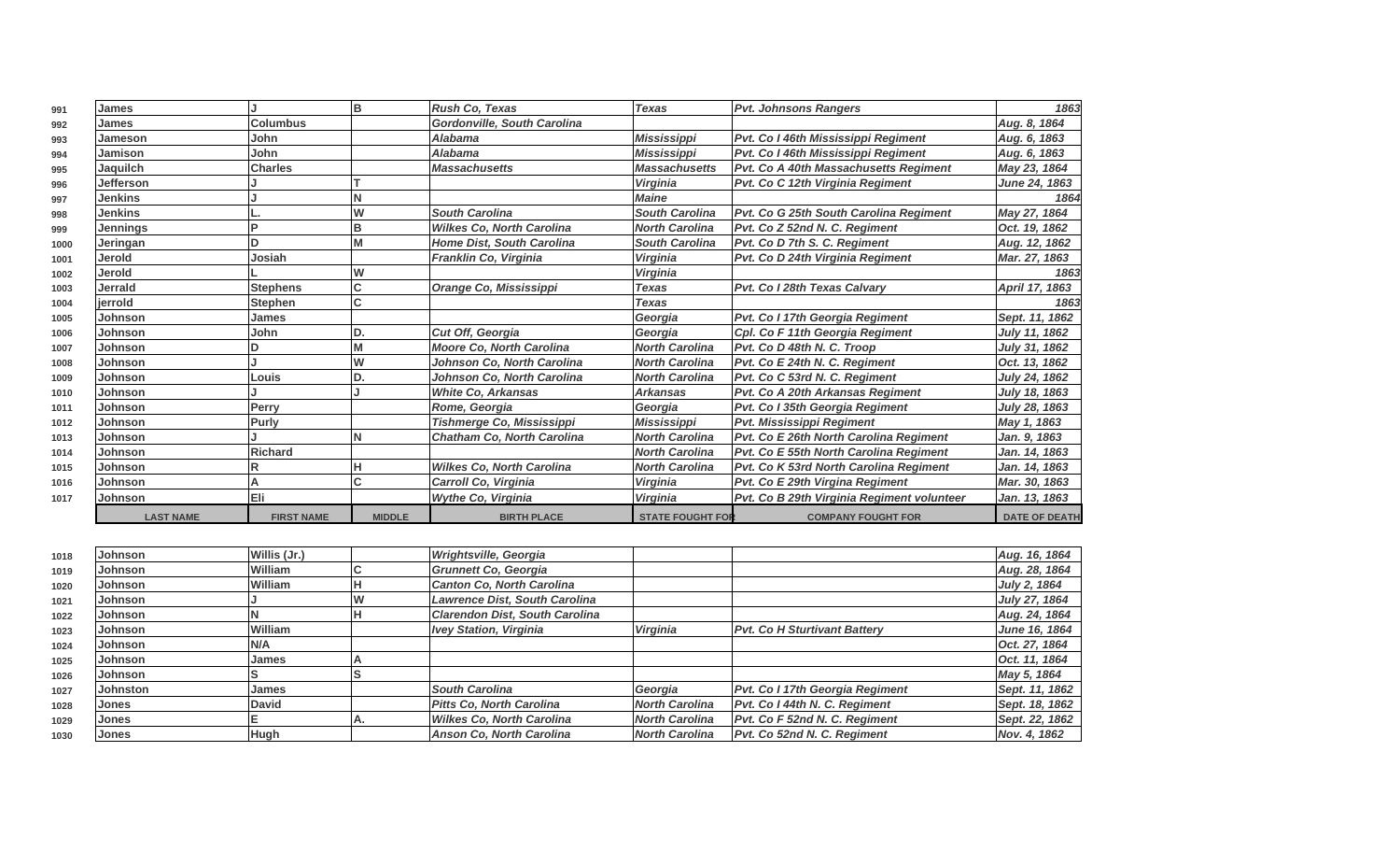| 991  | <b>James</b>     |                   | lΒ            | Rush Co, Texas                    | <b>Texas</b>            | <b>Pvt. Johnsons Rangers</b>                  | 1863                 |
|------|------------------|-------------------|---------------|-----------------------------------|-------------------------|-----------------------------------------------|----------------------|
| 992  | <b>James</b>     | <b>Columbus</b>   |               | Gordonville, South Carolina       |                         |                                               | Aug. 8, 1864         |
| 993  | Jameson          | John              |               | <b>Alabama</b>                    | <b>Mississippi</b>      | Pvt. Co I 46th Mississippi Regiment           | Aug. 6, 1863         |
| 994  | <b>Jamison</b>   | John              |               | <b>Alabama</b>                    | <b>Mississippi</b>      | Pvt. Co I 46th Mississippi Regiment           | Aug. 6, 1863         |
| 995  | Jaquilch         | <b>Charles</b>    |               | <b>Massachusetts</b>              | <b>Massachusetts</b>    | Pvt. Co A 40th Massachusetts Regiment         | May 23, 1864         |
| 996  | <b>Jefferson</b> |                   |               |                                   | Virginia                | Pvt. Co C 12th Virginia Regiment              | June 24, 1863        |
| 997  | <b>Jenkins</b>   |                   |               |                                   | <b>Maine</b>            |                                               | 1864                 |
| 998  | <b>Jenkins</b>   |                   | W             | <b>South Carolina</b>             | <b>South Carolina</b>   | Pvt. Co G 25th South Carolina Regiment        | May 27, 1864         |
| 999  | <b>Jennings</b>  | ID                |               | <b>Wilkes Co. North Carolina</b>  | <b>North Carolina</b>   | Pvt. Co Z 52nd N. C. Regiment                 | Oct. 19, 1862        |
| 1000 | Jeringan         | <b>D</b>          |               | Home Dist, South Carolina         | <b>South Carolina</b>   | Pvt. Co D 7th S. C. Regiment                  | Aug. 12, 1862        |
| 1001 | <b>Jerold</b>    | Josiah            |               | Franklin Co, Virginia             | <b>Virginia</b>         | Pvt. Co D 24th Virginia Regiment              | Mar. 27, 1863        |
| 1002 | <b>Jerold</b>    |                   | lw            |                                   | Virginia                |                                               | 1863                 |
| 1003 | Jerrald          | <b>Stephens</b>   |               | Orange Co. Mississippi            | <b>Texas</b>            | Pvt. Co I 28th Texas Calvary                  | April 17, 1863       |
| 1004 | ierrold          | <b>Stephen</b>    |               |                                   | <b>Texas</b>            |                                               | 1863                 |
| 1005 | <b>Johnson</b>   | <b>James</b>      |               |                                   | Georgia                 | Pvt. Co I 17th Georgia Regiment               | Sept. 11, 1862       |
| 1006 | <b>Johnson</b>   | John              | ID.           | <b>Cut Off, Georgia</b>           | Georgia                 | Cpl. Co F 11th Georgia Regiment               | July 11, 1862        |
| 1007 | Johnson          | ID                |               | <b>Moore Co. North Carolina</b>   | <b>North Carolina</b>   | Pvt. Co D 48th N. C. Troop                    | July 31, 1862        |
| 1008 | <b>Johnson</b>   |                   | W             | Johnson Co, North Carolina        | <b>North Carolina</b>   | Pvt. Co E 24th N. C. Regiment                 | Oct. 13, 1862        |
| 1009 | <b>Johnson</b>   | Louis             |               | Johnson Co. North Carolina        | <b>North Carolina</b>   | Pvt. Co C 53rd N. C. Reaiment                 | <b>July 24, 1862</b> |
| 1010 | Johnson          |                   |               | <b>White Co, Arkansas</b>         | <b>Arkansas</b>         | Pvt. Co A 20th Arkansas Regiment              | July 18, 1863        |
| 1011 | Johnson          | Perry             |               | Rome, Georgia                     | Georgia                 | Pvt. Co I 35th Georgia Regiment               | July 28, 1863        |
| 1012 | <b>Johnson</b>   | <b>Purly</b>      |               | Tishmerge Co, Mississippi         | <b>Mississippi</b>      | Pvt. Mississippi Regiment                     | May 1, 1863          |
| 1013 | <b>Johnson</b>   |                   |               | <b>Chatham Co. North Carolina</b> | <b>North Carolina</b>   | Pvt. Co E 26th North Carolina Regiment        | Jan. 9, 1863         |
| 1014 | <b>Johnson</b>   | Richard           |               |                                   | <b>North Carolina</b>   | <b>Pvt. Co E 55th North Carolina Regiment</b> | Jan. 14, 1863        |
| 1015 | <b>Johnson</b>   | ΙR                |               | <b>Wilkes Co, North Carolina</b>  | <b>North Carolina</b>   | Pvt. Co K 53rd North Carolina Regiment        | Jan. 14, 1863        |
| 1016 | <b>Johnson</b>   |                   |               | Carroll Co, Virginia              | Virginia                | Pvt. Co E 29th Virgina Regiment               | Mar. 30, 1863        |
| 1017 | <b>Johnson</b>   | lEli              |               | <b>Wythe Co, Virginia</b>         | <b>Virginia</b>         | Pvt. Co B 29th Virginia Regiment volunteer    | Jan. 13, 1863        |
|      | <b>LAST NAME</b> | <b>FIRST NAME</b> | <b>MIDDLE</b> | <b>BIRTH PLACE</b>                | <b>STATE FOUGHT FOR</b> | <b>COMPANY FOUGHT FOR</b>                     | <b>DATE OF DEATH</b> |

| 1018 | <b>Johnson</b>  | Willis (Jr.)  | Wrightsville, Georgia            |                       |                                     | Aug. 16, 1864       |
|------|-----------------|---------------|----------------------------------|-----------------------|-------------------------------------|---------------------|
| 1019 | <b>Johnson</b>  | William       | Grunnett Co, Georgia             |                       |                                     | Aug. 28, 1864       |
| 1020 | <b>Johnson</b>  | William       | Canton Co, North Carolina        |                       |                                     | <b>July 2, 1864</b> |
| 1021 | <b>Johnson</b>  |               | Lawrence Dist, South Carolina    |                       |                                     | July 27, 1864       |
| 1022 | <b>Johnson</b>  |               | Clarendon Dist, South Carolina   |                       |                                     | Aug. 24, 1864       |
| 1023 | <b>Johnson</b>  | William       | <b>Ivey Station, Virginia</b>    | Virginia              | <b>Pvt. Co H Sturtivant Battery</b> | June 16, 1864       |
| 1024 | <b>Johnson</b>  | N/A           |                                  |                       |                                     | Oct. 27, 1864       |
| 1025 | <b>Johnson</b>  | James         |                                  |                       |                                     | Oct. 11, 1864       |
| 1026 | <b>Johnson</b>  |               |                                  |                       |                                     | May 5, 1864         |
| 1027 | <b>Johnston</b> | <b>IJames</b> | <b>South Carolina</b>            | Georgia               | Pvt. Co I 17th Georgia Regiment     | Sept. 11, 1862      |
| 1028 | <b>Jones</b>    | David         | Pitts Co, North Carolina         | <b>North Carolina</b> | Pvt. Co I 44th N. C. Regiment       | Sept. 18, 1862      |
| 1029 | <b>Jones</b>    |               | <b>Wilkes Co, North Carolina</b> | <b>North Carolina</b> | Pvt. Co F 52nd N. C. Regiment       | Sept. 22, 1862      |
| 1030 | <b>Jones</b>    | Hugh          | Anson Co, North Carolina         | North Carolina        | Pvt. Co 52nd N. C. Regiment         | Nov. 4, 1862        |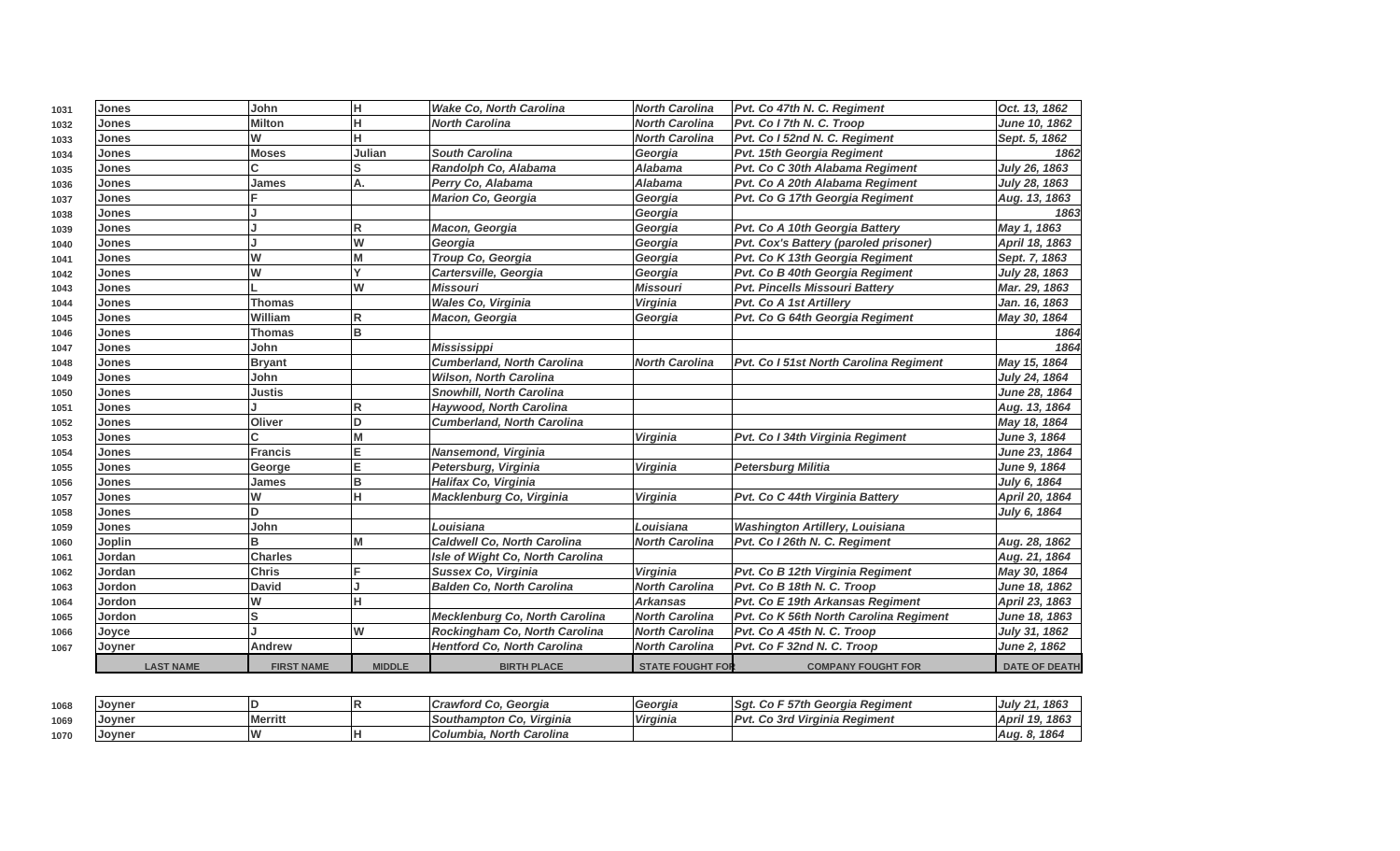| 1031 | <b>Jones</b>     | John              | lн                      | <b>Wake Co, North Carolina</b>          | <b>North Carolina</b>   | Pvt. Co 47th N. C. Regiment            | Oct. 13, 1862        |
|------|------------------|-------------------|-------------------------|-----------------------------------------|-------------------------|----------------------------------------|----------------------|
| 1032 | Jones            | Milton            | H                       | <b>North Carolina</b>                   | <b>North Carolina</b>   | Pvt. Co I 7th N. C. Troop              | June 10, 1862        |
| 1033 | <b>Jones</b>     | W                 | н                       |                                         | <b>North Carolina</b>   | Pvt. Co I 52nd N. C. Regiment          | Sept. 5, 1862        |
| 1034 | <b>Jones</b>     | <b>Moses</b>      | Julian                  | <b>South Carolina</b>                   | Georgia                 | Pvt. 15th Georgia Regiment             | 1862                 |
| 1035 | <b>Jones</b>     |                   | lS                      | Randolph Co, Alabama                    | <b>Alabama</b>          | Pvt. Co C 30th Alabama Regiment        | July 26, 1863        |
| 1036 | <b>Jones</b>     | James             | А.                      | Perry Co, Alabama                       | <b>Alabama</b>          | Pvt. Co A 20th Alabama Regiment        | July 28, 1863        |
| 1037 | Jones            |                   |                         | <b>Marion Co, Georgia</b>               | Georgia                 | Pvt. Co G 17th Georgia Regiment        | Aug. 13, 1863        |
| 1038 | Jones            |                   |                         |                                         | Georgia                 |                                        | 1863                 |
| 1039 | <b>Jones</b>     |                   | R                       | Macon, Georgia                          | Georgia                 | Pvt. Co A 10th Georgia Battery         | May 1, 1863          |
| 1040 | <b>Jones</b>     |                   | W                       | Georgia                                 | Georgia                 | Pvt. Cox's Battery (paroled prisoner)  | April 18, 1863       |
| 1041 | <b>Jones</b>     | lw                |                         | Troup Co, Georgia                       | Georgia                 | Pvt. Co K 13th Georgia Regiment        | Sept. 7, 1863        |
| 1042 | <b>Jones</b>     | lw                |                         | Cartersville, Georgia                   | Georgia                 | Pvt. Co B 40th Georgia Regiment        | July 28, 1863        |
| 1043 | <b>Jones</b>     |                   | W                       | <b>Missouri</b>                         | <b>Missouri</b>         | <b>Pvt. Pincells Missouri Battery</b>  | Mar. 29, 1863        |
| 1044 | <b>Jones</b>     | <b>Thomas</b>     |                         | Wales Co, Virginia                      | Virginia                | Pvt. Co A 1st Artillery                | Jan. 16, 1863        |
| 1045 | Jones            | William           | R                       | Macon, Georgia                          | Georgia                 | Pvt. Co G 64th Georgia Regiment        | May 30, 1864         |
| 1046 | <b>Jones</b>     | <b>Thomas</b>     | lв                      |                                         |                         |                                        | 1864                 |
| 1047 | Jones            | John              |                         | <b>Mississippi</b>                      |                         |                                        | 1864                 |
| 1048 | Jones            | <b>Bryant</b>     |                         | <b>Cumberland, North Carolina</b>       | <b>North Carolina</b>   | Pvt. Co I 51st North Carolina Regiment | May 15, 1864         |
| 1049 | <b>Jones</b>     | John              |                         | <b>Wilson, North Carolina</b>           |                         |                                        | July 24, 1864        |
| 1050 | <b>Jones</b>     | Justis            |                         | <b>Snowhill, North Carolina</b>         |                         |                                        | <b>June 28, 1864</b> |
| 1051 | <b>Jones</b>     |                   | $\overline{\mathsf{R}}$ | Haywood, North Carolina                 |                         |                                        | Aug. 13, 1864        |
| 1052 | Jones            | Oliver            | D                       | <b>Cumberland, North Carolina</b>       |                         |                                        | May 18, 1864         |
| 1053 | <b>Jones</b>     | C                 |                         |                                         | <b>Virginia</b>         | Pvt. Co I 34th Virginia Regiment       | June 3, 1864         |
| 1054 | <b>Jones</b>     | Francis           | E                       | Nansemond, Virginia                     |                         |                                        | June 23, 1864        |
| 1055 | <b>Jones</b>     | George            | E                       | Petersburg, Virginia                    | Virginia                | <b>Petersburg Militia</b>              | June 9, 1864         |
| 1056 | <b>Jones</b>     | James             | B                       | Halifax Co, Virginia                    |                         |                                        | July 6, 1864         |
| 1057 | <b>Jones</b>     | lw                | lн                      | Macklenburg Co, Virginia                | Virginia                | Pvt. Co C 44th Virginia Battery        | April 20, 1864       |
| 1058 | <b>Jones</b>     | lD.               |                         |                                         |                         |                                        | July 6, 1864         |
| 1059 | <b>Jones</b>     | John              |                         | Louisiana                               | Louisiana               | <b>Washington Artillery, Louisiana</b> |                      |
| 1060 | <b>Joplin</b>    | lΒ                | M                       | <b>Caldwell Co. North Carolina</b>      | <b>North Carolina</b>   | Pvt. Co I 26th N. C. Regiment          | Aug. 28, 1862        |
| 1061 | Jordan           | <b>Charles</b>    |                         | <b>Isle of Wight Co, North Carolina</b> |                         |                                        | Aug. 21, 1864        |
| 1062 | Jordan           | <b>Chris</b>      |                         | Sussex Co, Virginia                     | Virginia                | Pvt. Co B 12th Virginia Regiment       | May 30, 1864         |
| 1063 | Jordon           | <b>David</b>      |                         | <b>Balden Co, North Carolina</b>        | <b>North Carolina</b>   | Pvt. Co B 18th N. C. Troop             | June 18, 1862        |
| 1064 | <b>Jordon</b>    | lw                |                         |                                         | <b>Arkansas</b>         | Pvt. Co E 19th Arkansas Regiment       | April 23, 1863       |
| 1065 | Jordon           | ls                |                         | <b>Mecklenburg Co, North Carolina</b>   | <b>North Carolina</b>   | Pvt. Co K 56th North Carolina Regiment | June 18, 1863        |
| 1066 | Joyce            |                   | lw                      | Rockingham Co, North Carolina           | <b>North Carolina</b>   | Pvt. Co A 45th N. C. Troop             | July 31, 1862        |
| 1067 | Joyner           | <b>Andrew</b>     |                         | <b>Hentford Co. North Carolina</b>      | <b>North Carolina</b>   | Pvt. Co F 32nd N. C. Troop             | <b>June 2, 1862</b>  |
|      | <b>LAST NAME</b> | <b>FIRST NAME</b> | <b>MIDDLE</b>           | <b>BIRTH PLACE</b>                      | <b>STATE FOUGHT FOR</b> | <b>COMPANY FOUGHT FOR</b>              | <b>DATE OF DEATH</b> |

| 1068 | <b>Joyner</b>  |                | Georgia<br><i><b>ICrawford Co.</b></i> | Georgia  | - 57th Georgia Regiment<br>ISat.<br>GO. | 1863<br> July 21                                   |
|------|----------------|----------------|----------------------------------------|----------|-----------------------------------------|----------------------------------------------------|
| 1069 | <b>IJovner</b> | <b>Merritt</b> | <b>ISouthampton Co.</b><br>Virginia    | Virginia | Virginia Regiment<br>Co 3rd             | 110<br>$\sqrt{2}$<br><b>April</b><br>1003<br>- 1 3 |
| 1070 | <b>Joyner</b>  |                | Columbia, North Carolina               |          |                                         | 186<br>Aug. 8                                      |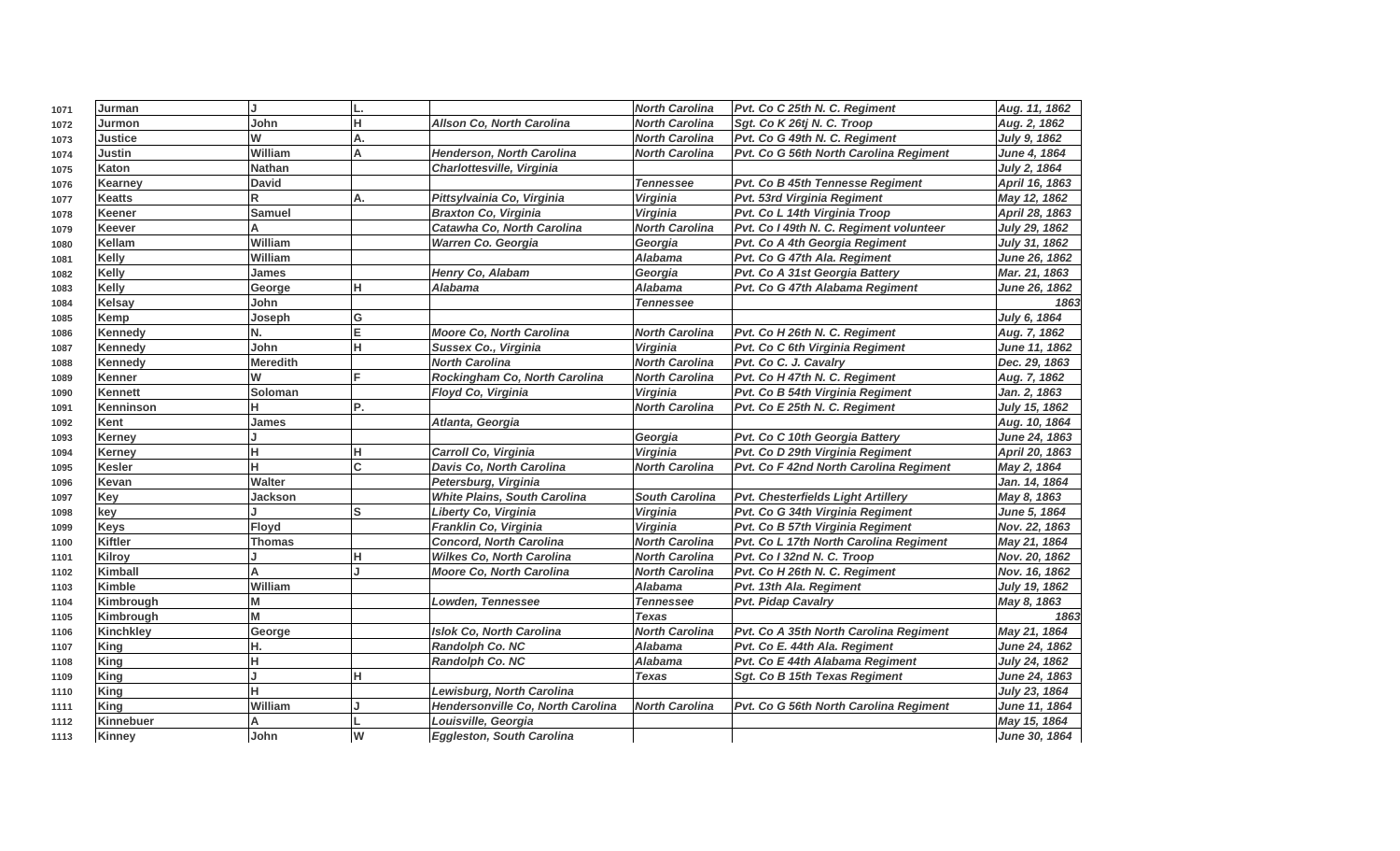| 1071 | Jurman           | J               | IL. |                                     | <b>North Carolina</b> | Pvt. Co C 25th N. C. Regiment             | Aug. 11, 1862        |
|------|------------------|-----------------|-----|-------------------------------------|-----------------------|-------------------------------------------|----------------------|
| 1072 | Jurmon           | John            | H   | <b>Allson Co, North Carolina</b>    | <b>North Carolina</b> | Sgt. Co K 26tj N. C. Troop                | Aug. 2, 1862         |
| 1073 | Justice          | W               | A.  |                                     | <b>North Carolina</b> | Pvt. Co G 49th N. C. Regiment             | July 9, 1862         |
| 1074 | <b>Justin</b>    | William         | A   | <b>Henderson, North Carolina</b>    | <b>North Carolina</b> | Pvt. Co G 56th North Carolina Regiment    | June 4, 1864         |
| 1075 | Katon            | <b>Nathan</b>   |     | Charlottesville, Virginia           |                       |                                           | July 2, 1864         |
| 1076 | Kearney          | <b>David</b>    |     |                                     | <b>Tennessee</b>      | Pvt. Co B 45th Tennesse Regiment          | April 16, 1863       |
| 1077 | <b>Keatts</b>    | R               | A.  | Pittsylvainia Co, Virginia          | Virginia              | Pvt. 53rd Virginia Regiment               | May 12, 1862         |
| 1078 | Keener           | <b>Samuel</b>   |     | <b>Braxton Co, Virginia</b>         | Virginia              | Pvt. Co L 14th Virginia Troop             | April 28, 1863       |
| 1079 | Keever           | А               |     | Catawha Co, North Carolina          | <b>North Carolina</b> | Pvt. Co I 49th N. C. Regiment volunteer   | July 29, 1862        |
| 1080 | Kellam           | William         |     | <b>Warren Co. Georgia</b>           | Georgia               | Pvt. Co A 4th Georgia Regiment            | July 31, 1862        |
| 1081 | Kelly            | William         |     |                                     | <b>Alabama</b>        | Pvt. Co G 47th Ala. Regiment              | June 26, 1862        |
| 1082 | <b>Kelly</b>     | <b>James</b>    |     | Henry Co, Alabam                    | Georgia               | Pvt. Co A 31st Georgia Battery            | Mar. 21, 1863        |
| 1083 | <b>Kelly</b>     | George          | lн. | Alabama                             | <b>Alabama</b>        | Pvt. Co G 47th Alabama Regiment           | June 26, 1862        |
| 1084 | Kelsay           | John            |     |                                     | <b>Tennessee</b>      |                                           | 1863                 |
| 1085 | Kemp             | Joseph          | ΙG  |                                     |                       |                                           | July 6, 1864         |
| 1086 | <b>Kennedy</b>   | N.              | E   | <b>Moore Co. North Carolina</b>     | <b>North Carolina</b> | Pvt. Co H 26th N. C. Regiment             | Aug. 7, 1862         |
| 1087 | <b>Kennedy</b>   | John            | Iн. | Sussex Co., Virginia                | Virginia              | Pvt. Co C 6th Virginia Regiment           | June 11, 1862        |
| 1088 | Kennedy          | <b>Meredith</b> |     | <b>North Carolina</b>               | <b>North Carolina</b> | Pvt. Co C. J. Cavalry                     | Dec. 29, 1863        |
| 1089 | Kenner           | W               | IF. | Rockingham Co, North Carolina       | <b>North Carolina</b> | Pvt. Co H 47th N. C. Regiment             | Aug. 7, 1862         |
| 1090 | Kennett          | Soloman         |     | Floyd Co, Virginia                  | <b>Virginia</b>       | Pvt. Co B 54th Virginia Regiment          | Jan. 2, 1863         |
| 1091 | Kenninson        | н               | P.  |                                     | <b>North Carolina</b> | Pvt. Co E 25th N. C. Regiment             | July 15, 1862        |
| 1092 | Kent             | James           |     | Atlanta, Georgia                    |                       |                                           | Aug. 10, 1864        |
| 1093 | Kerney           |                 |     |                                     | Georgia               | Pvt. Co C 10th Georgia Battery            | June 24, 1863        |
| 1094 | Kerney           | н               | lн  | Carroll Co, Virginia                | Virginia              | Pvt. Co D 29th Virginia Regiment          | April 20, 1863       |
| 1095 | Kesler           | н               | Iс  | Davis Co, North Carolina            | <b>North Carolina</b> | Pvt. Co F 42nd North Carolina Regiment    | May 2, 1864          |
| 1096 | Kevan            | Walter          |     | Petersburg, Virginia                |                       |                                           | Jan. 14, 1864        |
| 1097 | Key              | Jackson         |     | <b>White Plains, South Carolina</b> | <b>South Carolina</b> | <b>Pvt. Chesterfields Light Artillery</b> | May 8, 1863          |
| 1098 | key              |                 | ls  | Liberty Co, Virginia                | <b>Virginia</b>       | Pvt. Co G 34th Virginia Regiment          | June 5, 1864         |
| 1099 | <b>Keys</b>      | Floyd           |     | Franklin Co, Virginia               | Virginia              | Pvt. Co B 57th Virginia Regiment          | Nov. 22, 1863        |
| 1100 | <b>Kiftler</b>   | <b>Thomas</b>   |     | <b>Concord, North Carolina</b>      | <b>North Carolina</b> | Pvt. Co L 17th North Carolina Regiment    | May 21, 1864         |
| 1101 | Kilrov           |                 | lн  | <b>Wilkes Co, North Carolina</b>    | <b>North Carolina</b> | Pvt. Co I 32nd N. C. Troop                | Nov. 20, 1862        |
| 1102 | Kimball          | А               | J.  | <b>Moore Co, North Carolina</b>     | <b>North Carolina</b> | Pvt. Co H 26th N. C. Regiment             | Nov. 16, 1862        |
| 1103 | Kimble           | William         |     |                                     | <b>Alabama</b>        | Pvt. 13th Ala. Regiment                   | July 19, 1862        |
| 1104 | Kimbrough        | М               |     | Lowden, Tennessee                   | <b>Tennessee</b>      | <b>Pvt. Pidap Cavalry</b>                 | May 8, 1863          |
| 1105 | Kimbrough        | М               |     |                                     | <b>Texas</b>          |                                           | 1863                 |
| 1106 | <b>Kinchkley</b> | George          |     | <b>Islok Co, North Carolina</b>     | <b>North Carolina</b> | Pvt. Co A 35th North Carolina Regiment    | May 21, 1864         |
| 1107 | King             | н.              |     | <b>Randolph Co. NC</b>              | <b>Alabama</b>        | Pvt. Co E. 44th Ala. Regiment             | <b>June 24, 1862</b> |
| 1108 | <b>King</b>      | н               |     | Randolph Co. NC                     | Alabama               | Pvt. Co E 44th Alabama Regiment           | July 24, 1862        |
| 1109 | <b>King</b>      |                 | H.  |                                     | <b>Texas</b>          | Sgt. Co B 15th Texas Regiment             | June 24, 1863        |
| 1110 | <b>King</b>      | н               |     | Lewisburg, North Carolina           |                       |                                           | July 23, 1864        |
| 1111 | <b>King</b>      | William         |     | Hendersonville Co, North Carolina   | <b>North Carolina</b> | Pvt. Co G 56th North Carolina Regiment    | June 11, 1864        |
| 1112 | Kinnebuer        | А               |     | Louisville, Georgia                 |                       |                                           | May 15, 1864         |
| 1113 | Kinney           | John            | W   | <b>Eggleston, South Carolina</b>    |                       |                                           | June 30, 1864        |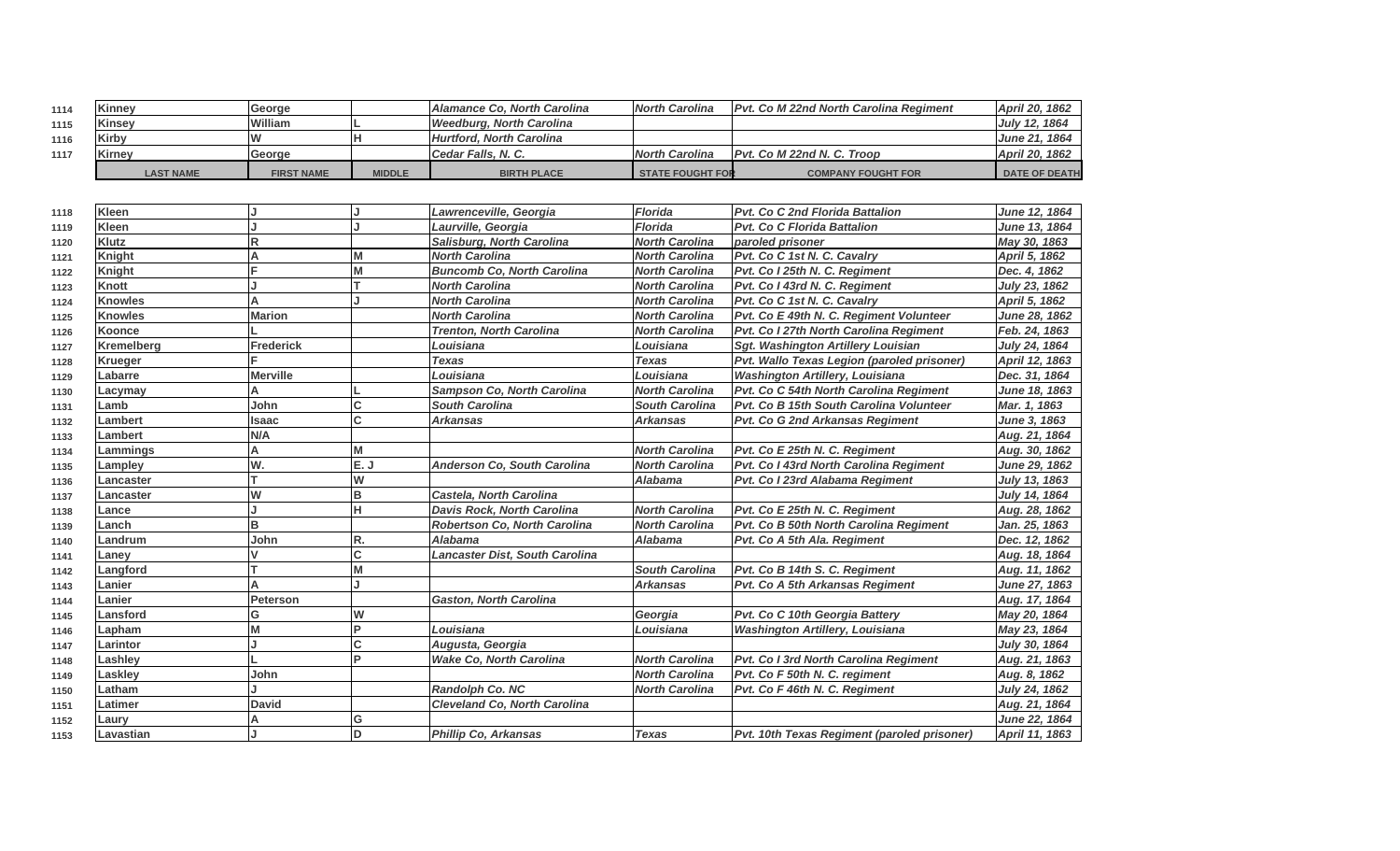| 1114 | Kinney           | <b>George</b>     |               | Alamance Co. North Carolina | North Carolina          | <b>IPvt. Co M 22nd North Carolina Regiment</b> | April 20, 1862       |
|------|------------------|-------------------|---------------|-----------------------------|-------------------------|------------------------------------------------|----------------------|
| 1115 | Kinsey           | William           |               | Weedburg, North Carolina    |                         |                                                | July 12, 1864        |
| 1116 | Kirby            | I٧                |               | Hurtford, North Carolina    |                         |                                                | <b>June 21, 1864</b> |
| 1117 | Kirnev           | <b>Seorge</b>     |               | Cedar Falls, N.C.           | North Carolina          | <b>IPvt. Co M 22nd N. C. Troop</b>             | April 20, 1862       |
|      | <b>LAST NAME</b> | <b>FIRST NAME</b> | <b>MIDDLE</b> | <b>BIRTH PLACE</b>          | <b>STATE FOUGHT FOR</b> | <b>COMPANY FOUGHT FOR</b>                      | <b>DATE OF DEATH</b> |

| 1118 | Kleen             |                 |          | Lawrenceville, Georgia              | <b>Florida</b>        | <b>Pvt. Co C 2nd Florida Battalion</b>      | June 12, 1864       |
|------|-------------------|-----------------|----------|-------------------------------------|-----------------------|---------------------------------------------|---------------------|
| 1119 | Kleen             |                 |          | Laurville, Georgia                  | <b>Florida</b>        | <b>Pvt. Co C Florida Battalion</b>          | June 13, 1864       |
| 1120 | <b>Klutz</b>      | R               |          | Salisburg, North Carolina           | <b>North Carolina</b> | paroled prisoner                            | May 30, 1863        |
| 1121 | Knight            | A               | M        | <b>North Carolina</b>               | <b>North Carolina</b> | Pvt. Co C 1st N. C. Cavalry                 | April 5, 1862       |
| 1122 | <b>Knight</b>     |                 | M        | <b>Buncomb Co, North Carolina</b>   | <b>North Carolina</b> | Pvt. Co I 25th N. C. Regiment               | Dec. 4, 1862        |
| 1123 | Knott             |                 |          | <b>North Carolina</b>               | <b>North Carolina</b> | Pvt. Co I 43rd N. C. Regiment               | July 23, 1862       |
| 1124 | <b>Knowles</b>    |                 |          | <b>North Carolina</b>               | <b>North Carolina</b> | Pvt. Co C 1st N. C. Cavalry                 | April 5, 1862       |
| 1125 | <b>Knowles</b>    | <b>Marion</b>   |          | <b>North Carolina</b>               | <b>North Carolina</b> | Pvt. Co E 49th N. C. Regiment Volunteer     | June 28, 1862       |
| 1126 | <b>Koonce</b>     |                 |          | <b>Trenton, North Carolina</b>      | <b>North Carolina</b> | Pvt. Co I 27th North Carolina Regiment      | Feb. 24, 1863       |
| 1127 | <b>Kremelberg</b> | Frederick       |          | Louisiana                           | Louisiana             | <b>Sgt. Washington Artillery Louisian</b>   | July 24, 1864       |
| 1128 | <b>Krueger</b>    |                 |          | <b>Texas</b>                        | <b>Texas</b>          | Pvt. Wallo Texas Legion (paroled prisoner)  | April 12, 1863      |
| 1129 | Labarre           | <b>Merville</b> |          | Louisiana                           | Louisiana             | <b>Washington Artillery, Louisiana</b>      | Dec. 31, 1864       |
| 1130 | Lacymay           |                 |          | Sampson Co, North Carolina          | <b>North Carolina</b> | Pvt. Co C 54th North Carolina Regiment      | June 18, 1863       |
| 1131 | Lamb              | John            | C        | <b>South Carolina</b>               | <b>South Carolina</b> | Pvt. Co B 15th South Carolina Volunteer     | Mar. 1, 1863        |
| 1132 | Lambert           | Isaac           | C        | <b>Arkansas</b>                     | <b>Arkansas</b>       | Pvt. Co G 2nd Arkansas Regiment             | <b>June 3, 1863</b> |
| 1133 | Lambert           | N/A             |          |                                     |                       |                                             | Aug. 21, 1864       |
| 1134 | Lammings          | А               | M        |                                     | <b>North Carolina</b> | Pvt. Co E 25th N. C. Regiment               | Aug. 30, 1862       |
| 1135 | Lampley           | W.              | E.J      | Anderson Co, South Carolina         | <b>North Carolina</b> | Pvt. Co I 43rd North Carolina Regiment      | June 29, 1862       |
| 1136 | Lancaster         |                 | W        |                                     | Alabama               | Pvt. Co I 23rd Alabama Regiment             | July 13, 1863       |
| 1137 | Lancaster         | W               | B        | Castela, North Carolina             |                       |                                             | July 14, 1864       |
| 1138 | Lance             |                 | H        | <b>Davis Rock, North Carolina</b>   | <b>North Carolina</b> | Pvt. Co E 25th N. C. Regiment               | Aug. 28, 1862       |
| 1139 | Lanch             | B               |          | <b>Robertson Co. North Carolina</b> | <b>North Carolina</b> | Pvt. Co B 50th North Carolina Regiment      | Jan. 25, 1863       |
| 1140 | Landrum           | John            | R.       | Alabama                             | Alabama               | Pvt. Co A 5th Ala. Regiment                 | Dec. 12, 1862       |
| 1141 | Laney             | V               | C        | Lancaster Dist, South Carolina      |                       |                                             | Aug. 18, 1864       |
| 1142 | Langford          |                 | M        |                                     | <b>South Carolina</b> | Pvt. Co B 14th S. C. Regiment               | Aug. 11, 1862       |
| 1143 | Lanier            | A               |          |                                     | <b>Arkansas</b>       | Pvt. Co A 5th Arkansas Regiment             | June 27, 1863       |
| 1144 | Lanier            | Peterson        |          | <b>Gaston, North Carolina</b>       |                       |                                             | Aug. 17, 1864       |
| 1145 | Lansford          | G               | W        |                                     | Georgia               | Pvt. Co C 10th Georgia Battery              | May 20, 1864        |
| 1146 | Lapham            |                 | <b>P</b> | Louisiana                           | Louisiana             | <b>Washington Artillery, Louisiana</b>      | May 23, 1864        |
| 1147 | Larintor          |                 | C        | Augusta, Georgia                    |                       |                                             | July 30, 1864       |
| 1148 | Lashley           |                 | P        | <b>Wake Co, North Carolina</b>      | <b>North Carolina</b> | Pvt. Co I 3rd North Carolina Regiment       | Aug. 21, 1863       |
| 1149 | Laskley           | John            |          |                                     | <b>North Carolina</b> | Pvt. Co F 50th N. C. regiment               | Aug. 8, 1862        |
| 1150 | Latham            |                 |          | Randolph Co. NC                     | <b>North Carolina</b> | Pvt. Co F 46th N. C. Regiment               | July 24, 1862       |
| 1151 | Latimer           | <b>David</b>    |          | <b>Cleveland Co. North Carolina</b> |                       |                                             | Aug. 21, 1864       |
| 1152 | Laury             |                 | G        |                                     |                       |                                             | June 22, 1864       |
| 1153 | Lavastian         |                 | ID       | <b>Phillip Co. Arkansas</b>         | <b>Texas</b>          | Pvt. 10th Texas Regiment (paroled prisoner) | April 11, 1863      |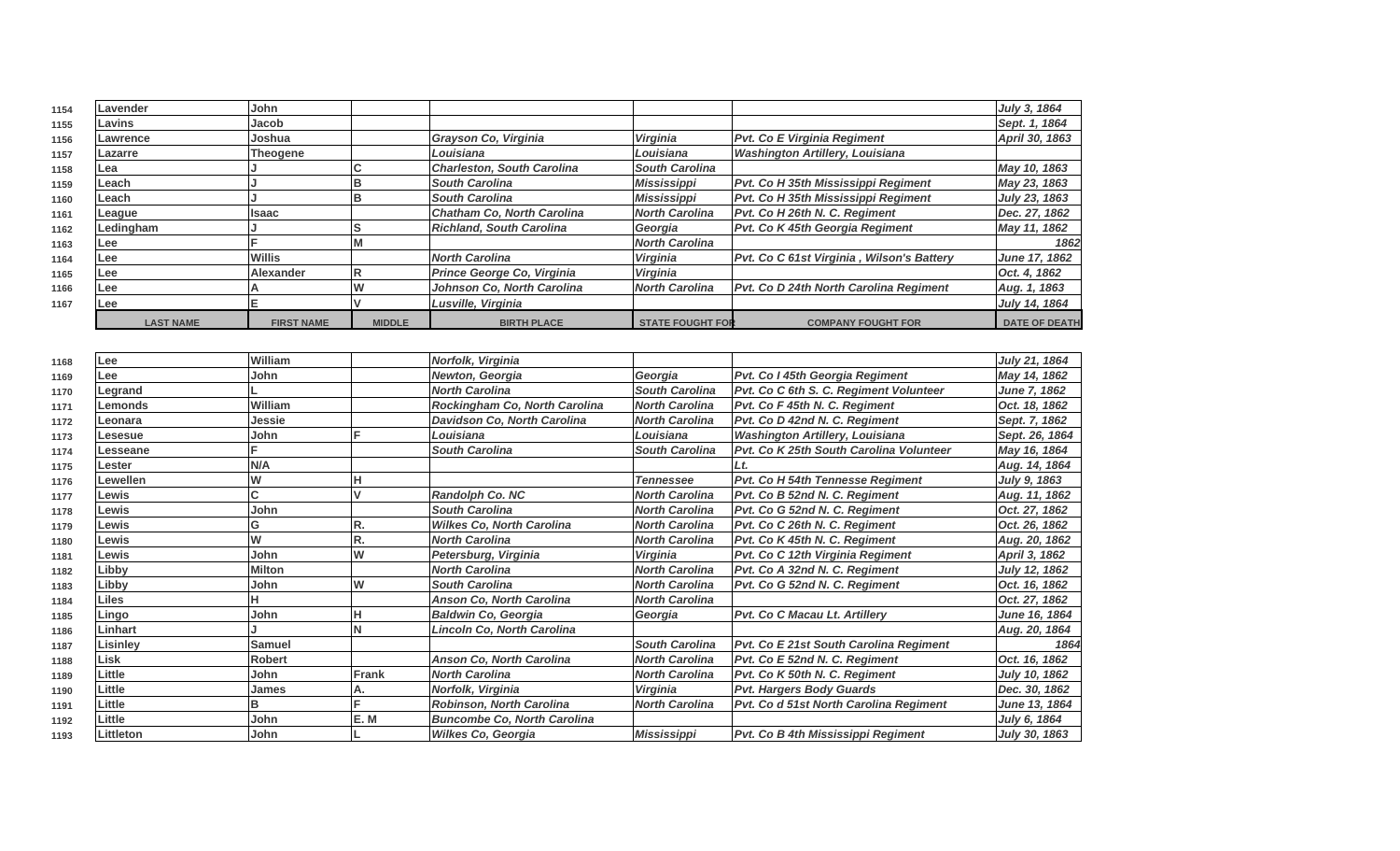| 1154 | Lavender         | John                    |               |                                    |                         |                                           | July 3, 1864         |
|------|------------------|-------------------------|---------------|------------------------------------|-------------------------|-------------------------------------------|----------------------|
| 1155 | Lavins           | Jacob                   |               |                                    |                         |                                           | Sept. 1, 1864        |
| 1156 | Lawrence         | Joshua                  |               | Grayson Co, Virginia               | Virginia                | Pvt. Co E Virginia Regiment               | April 30, 1863       |
| 1157 | Lazarre          | <b>Theogene</b>         |               | Louisiana                          | Louisiana               | <b>Washington Artillery, Louisiana</b>    |                      |
| 1158 | Lea              |                         |               | <b>Charleston, South Carolina</b>  | <b>South Carolina</b>   |                                           | May 10, 1863         |
| 1159 | Leach            |                         | B             | <b>South Carolina</b>              | <b>Mississippi</b>      | Pvt. Co H 35th Mississippi Regiment       | May 23, 1863         |
| 1160 | Leach            |                         | B             | <b>South Carolina</b>              | <b>Mississippi</b>      | Pvt. Co H 35th Mississippi Regiment       | July 23, 1863        |
| 1161 | League           | Isaac                   |               | <b>Chatham Co. North Carolina</b>  | <b>North Carolina</b>   | Pvt. Co H 26th N. C. Regiment             | Dec. 27, 1862        |
| 1162 | Ledingham        |                         | s             | <b>Richland, South Carolina</b>    | Georgia                 | Pvt. Co K 45th Georgia Regiment           | May 11, 1862         |
| 1163 | Lee              | E                       | M             |                                    | <b>North Carolina</b>   |                                           | 1862                 |
| 1164 | Lee              | <b>Willis</b>           |               | <b>North Carolina</b>              | Virginia                | Pvt. Co C 61st Virginia, Wilson's Battery | June 17, 1862        |
| 1165 | Lee              | <b>Alexander</b>        | R             | Prince George Co, Virginia         | <b>Virginia</b>         |                                           | Oct. 4, 1862         |
| 1166 | Lee              | A                       | W             | Johnson Co, North Carolina         | <b>North Carolina</b>   | Pvt. Co D 24th North Carolina Regiment    | Aug. 1, 1863         |
| 1167 | Lee              | E.                      | V             | Lusville, Virginia                 |                         |                                           | July 14, 1864        |
|      | <b>LAST NAME</b> | <b>FIRST NAME</b>       | <b>MIDDLE</b> | <b>BIRTH PLACE</b>                 | <b>STATE FOUGHT FOI</b> | <b>COMPANY FOUGHT FOR</b>                 | <b>DATE OF DEATH</b> |
|      |                  |                         |               |                                    |                         |                                           |                      |
| 1168 | Lee              | William                 |               | Norfolk, Virginia                  |                         |                                           | July 21, 1864        |
| 1169 | Lee              | John                    |               | Newton, Georgia                    | Georgia                 | Pvt. Co I 45th Georgia Regiment           | May 14, 1862         |
| 1170 | Legrand          |                         |               | <b>North Carolina</b>              | <b>South Carolina</b>   | Pvt. Co C 6th S. C. Regiment Volunteer    | <b>June 7, 1862</b>  |
| 1171 | Lemonds          | William                 |               | Rockingham Co, North Carolina      | <b>North Carolina</b>   | Pvt. Co F 45th N. C. Regiment             | Oct. 18, 1862        |
| 1172 | Leonara          | Jessie                  |               | Davidson Co, North Carolina        | <b>North Carolina</b>   | Pvt. Co D 42nd N. C. Regiment             | Sept. 7, 1862        |
| 1173 | Lesesue          | John                    |               | Louisiana                          | Louisiana               | <b>Washington Artillery, Louisiana</b>    | Sept. 26, 1864       |
| 1174 | Lesseane         | F.                      |               | <b>South Carolina</b>              | South Carolina          | Pvt. Co K 25th South Carolina Volunteer   | May 16, 1864         |
| 1175 | Lester           | N/A                     |               |                                    |                         | Lt.                                       | Aug. 14, 1864        |
| 1176 | Lewellen         | W                       |               |                                    | <b>Tennessee</b>        | Pvt. Co H 54th Tennesse Regiment          | July 9, 1863         |
| 1177 | Lewis            | lC.                     |               | Randolph Co. NC                    | <b>North Carolina</b>   | Pvt. Co B 52nd N. C. Regiment             | Aug. 11, 1862        |
| 1178 | Lewis            | John                    |               | <b>South Carolina</b>              | <b>North Carolina</b>   | Pvt. Co G 52nd N. C. Regiment             | Oct. 27, 1862        |
| 1179 | Lewis            | G                       | R.            | <b>Wilkes Co, North Carolina</b>   | <b>North Carolina</b>   | Pvt. Co C 26th N. C. Regiment             | Oct. 26, 1862        |
| 1180 | Lewis            | $\overline{\mathsf{w}}$ | R.            | <b>North Carolina</b>              | <b>North Carolina</b>   | Pvt. Co K 45th N. C. Regiment             | Aug. 20, 1862        |
| 1181 | Lewis            | John                    | W             | Petersburg, Virginia               | <b>Virginia</b>         | Pvt. Co C 12th Virginia Regiment          | April 3, 1862        |
| 1182 | Libby            | <b>Milton</b>           |               | <b>North Carolina</b>              | <b>North Carolina</b>   | Pvt. Co A 32nd N. C. Regiment             | July 12, 1862        |
| 1183 | Libby            | John                    | W             | <b>South Carolina</b>              | North Carolina          | Pvt. Co G 52nd N. C. Regiment             | Oct. 16, 1862        |
| 1184 | Liles            | н                       |               | Anson Co, North Carolina           | <b>North Carolina</b>   |                                           | Oct. 27, 1862        |
| 1185 | Lingo            | John                    | н             | <b>Baldwin Co, Georgia</b>         | Georgia                 | Pvt. Co C Macau Lt. Artillery             | June 16, 1864        |
| 1186 | Linhart          |                         | Ñ             | Lincoln Co, North Carolina         |                         |                                           | Aug. 20, 1864        |
| 1187 | Lisinley         | <b>Samuel</b>           |               |                                    | <b>South Carolina</b>   | Pvt. Co E 21st South Carolina Regiment    | 1864                 |
| 1188 | Lisk             | <b>Robert</b>           |               | Anson Co, North Carolina           | <b>North Carolina</b>   | Pvt. Co E 52nd N. C. Regiment             | Oct. 16, 1862        |
| 1189 | Little           | John                    | Frank         | <b>North Carolina</b>              | <b>North Carolina</b>   | Pvt. Co K 50th N. C. Regiment             | July 10, 1862        |
| 1190 | Little           | James                   | А.            | Norfolk, Virginia                  | Virginia                | <b>Pvt. Hargers Body Guards</b>           | Dec. 30, 1862        |
| 1191 | Little           | B                       |               | Robinson, North Carolina           | <b>North Carolina</b>   | Pvt. Co d 51st North Carolina Regiment    | June 13, 1864        |
| 1192 | Little           | John                    | E.M           | <b>Buncombe Co, North Carolina</b> |                         |                                           | July 6, 1864         |
| 1193 | Littleton        | John                    |               | Wilkes Co, Georgia                 | <b>Mississippi</b>      | Pvt. Co B 4th Mississippi Regiment        | July 30, 1863        |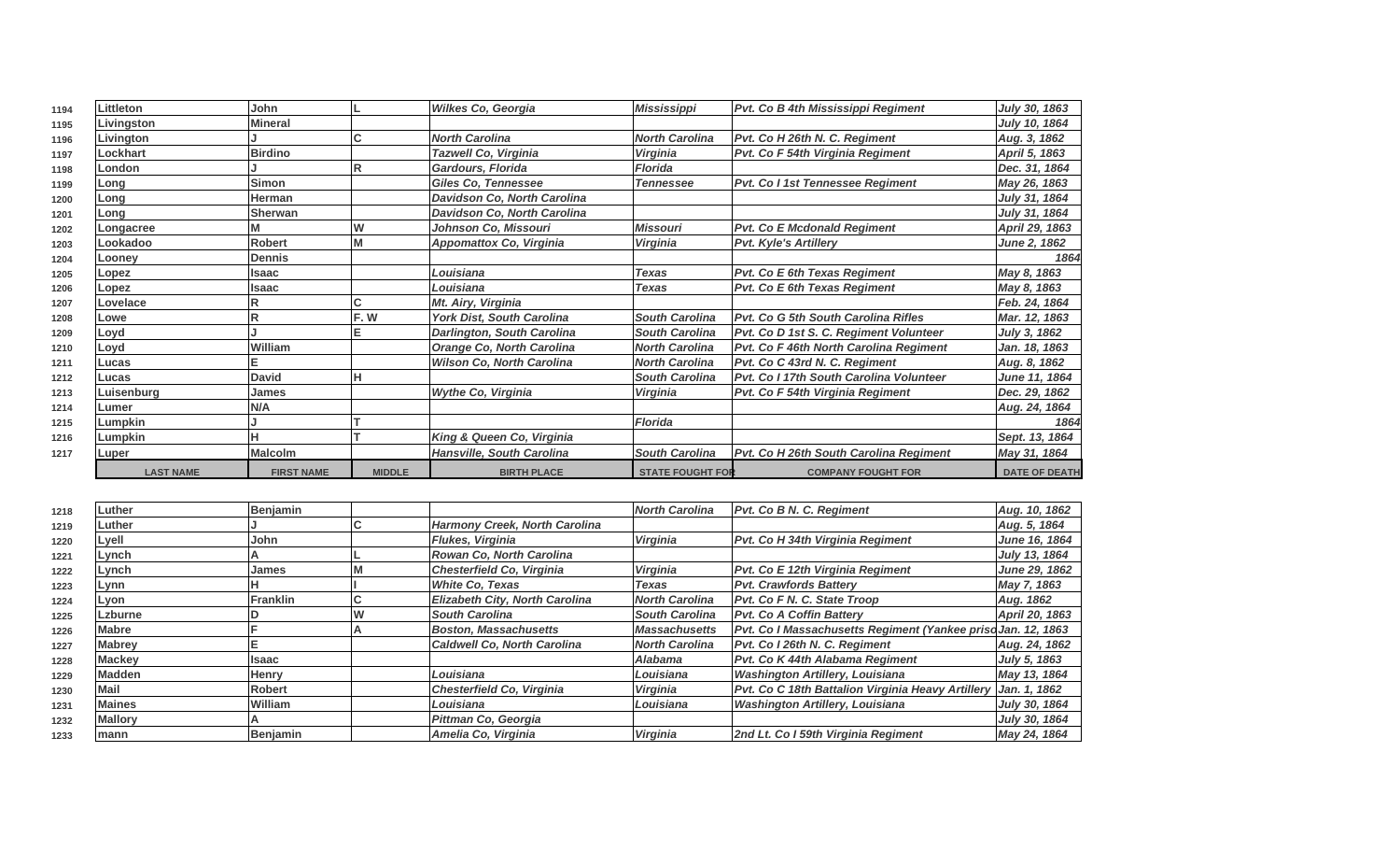| 1194 | Littleton        | John              |               | Wilkes Co, Georgia                | <b>Mississippi</b>      | Pvt. Co B 4th Mississippi Regiment            | July 30, 1863        |
|------|------------------|-------------------|---------------|-----------------------------------|-------------------------|-----------------------------------------------|----------------------|
| 1195 | Livingston       | Mineral           |               |                                   |                         |                                               | July 10, 1864        |
| 1196 | Livington        |                   |               | <b>North Carolina</b>             | <b>North Carolina</b>   | Pvt. Co H 26th N. C. Regiment                 | Aug. 3, 1862         |
| 1197 | Lockhart         | Birdino           |               | <b>Tazwell Co, Virginia</b>       | <b>Virginia</b>         | Pvt. Co F 54th Virginia Regiment              | April 5, 1863        |
| 1198 | <b>London</b>    |                   |               | <b>Gardours, Florida</b>          | <b>Florida</b>          |                                               | Dec. 31, 1864        |
| 1199 | Long             | Simon             |               | <b>Giles Co, Tennessee</b>        | <b>Tennessee</b>        | Pvt. Co I 1st Tennessee Regiment              | May 26, 1863         |
| 1200 | Long             | lHerman           |               | Davidson Co, North Carolina       |                         |                                               | July 31, 1864        |
| 1201 | Long             | Sherwan           |               | Davidson Co, North Carolina       |                         |                                               | July 31, 1864        |
| 1202 | Longacree        |                   | lw            | Johnson Co, Missouri              | <b>Missouri</b>         | <b>Pvt. Co E Mcdonald Regiment</b>            | April 29, 1863       |
| 1203 | Lookadoo         | <b>Robert</b>     | íМ            | Appomattox Co, Virginia           | Virginia                | <b>Pvt. Kyle's Artillery</b>                  | June 2, 1862         |
| 1204 | Loonev           | <b>IDennis</b>    |               |                                   |                         |                                               | 1864                 |
| 1205 | Lopez            | lIsaac            |               | Louisiana                         | <b>Texas</b>            | <b>Pvt. Co E 6th Texas Regiment</b>           | May 8, 1863          |
| 1206 | Lopez            | llsaac            |               | Louisiana                         | <b>Texas</b>            | <b>Pvt. Co E 6th Texas Regiment</b>           | May 8, 1863          |
| 1207 | Lovelace         | ΙR                |               | Mt. Airy, Virginia                |                         |                                               | Feb. 24, 1864        |
| 1208 | Lowe             | lR                | F.W           | <b>York Dist, South Carolina</b>  | <b>South Carolina</b>   | Pvt. Co G 5th South Carolina Rifles           | Mar. 12, 1863        |
| 1209 | Loyd             |                   |               | <b>Darlington, South Carolina</b> | <b>South Carolina</b>   | Pvt. Co D 1st S. C. Regiment Volunteer        | July 3, 1862         |
| 1210 | Loyd             | William           |               | <b>Orange Co, North Carolina</b>  | <b>North Carolina</b>   | <b>Pvt. Co F 46th North Carolina Regiment</b> | Jan. 18, 1863        |
| 1211 | Lucas            |                   |               | <b>Wilson Co, North Carolina</b>  | <b>North Carolina</b>   | Pvt. Co C 43rd N. C. Regiment                 | Aug. 8, 1862         |
| 1212 | Lucas            | <b>David</b>      |               |                                   | <b>South Carolina</b>   | Pvt. Co I 17th South Carolina Volunteer       | <b>June 11, 1864</b> |
| 1213 | Luisenburg       | <b>James</b>      |               | <b>Wythe Co. Virginia</b>         | Virginia                | Pvt. Co F 54th Virginia Regiment              | Dec. 29, 1862        |
| 1214 | Lumer            | N/A               |               |                                   |                         |                                               | Aug. 24, 1864        |
| 1215 | Lumpkin          |                   |               |                                   | <b>Florida</b>          |                                               | 1864                 |
| 1216 | Lumpkin          |                   |               | King & Queen Co, Virginia         |                         |                                               | Sept. 13, 1864       |
| 1217 | Luper            | <b>Malcolm</b>    |               | <b>Hansville, South Carolina</b>  | <b>South Carolina</b>   | Pvt. Co H 26th South Carolina Regiment        | May 31, 1864         |
|      | <b>LAST NAME</b> | <b>FIRST NAME</b> | <b>MIDDLE</b> | <b>BIRTH PLACE</b>                | <b>STATE FOUGHT FOR</b> | <b>COMPANY FOUGHT FOR</b>                     | <b>DATE OF DEATH</b> |

| 1218 | Luther         | Benjamin         |                                       | <b>North Carolina</b> | Pvt. Co B N. C. Regiment                                       | Aug. 10, 1862  |
|------|----------------|------------------|---------------------------------------|-----------------------|----------------------------------------------------------------|----------------|
| 1219 | Luther         |                  | Harmony Creek, North Carolina         |                       |                                                                | Aug. 5, 1864   |
| 1220 | Lyell          | John             | Flukes, Virginia                      | <b>Virginia</b>       | Pvt. Co H 34th Virginia Regiment                               | June 16, 1864  |
| 1221 | Lynch          |                  | <b>Rowan Co. North Carolina</b>       |                       |                                                                | July 13, 1864  |
| 1222 | <b>Lynch</b>   | James            | Chesterfield Co, Virginia             | <b>Virginia</b>       | Pvt. Co E 12th Virginia Regiment                               | June 29, 1862  |
| 1223 | Lynn           |                  | <b>White Co. Texas</b>                | Texas                 | <b>Pvt. Crawfords Battery</b>                                  | May 7, 1863    |
| 1224 | Lyon           | <b>IFranklin</b> | <b>Elizabeth City, North Carolina</b> | <b>North Carolina</b> | Pvt. Co F N. C. State Troop                                    | Aug. 1862      |
| 1225 | Lzburne        |                  | <b>South Carolina</b>                 | <b>South Carolina</b> | <b>Pvt. Co A Coffin Batterv</b>                                | April 20, 1863 |
| 1226 | <b>Mabre</b>   |                  | <b>Boston, Massachusetts</b>          | <b>Massachusetts</b>  | Pvt. Co I Massachusetts Regiment (Yankee priso Jan. 12, 1863   |                |
| 1227 | <b>Mabrey</b>  |                  | Caldwell Co. North Carolina           | <b>North Carolina</b> | Pvt. Co I 26th N. C. Regiment                                  | Aug. 24, 1862  |
| 1228 | <b>Mackey</b>  | <b>Isaac</b>     |                                       | <b>Alabama</b>        | Pvt. Co K 44th Alabama Regiment                                | July 5, 1863   |
| 1229 | <b>Madden</b>  | <b>Henry</b>     | Louisiana                             | Louisiana             | <b>Washington Artillery, Louisiana</b>                         | May 13, 1864   |
| 1230 | Mail           | <b>Robert</b>    | Chesterfield Co, Virginia             | <b>Virginia</b>       | Pvt. Co C 18th Battalion Virginia Heavy Artillery Jan. 1, 1862 |                |
| 1231 | <b>Maines</b>  | <b>William</b>   | Louisiana                             | Louisiana             | <b>Washington Artillery, Louisiana</b>                         | July 30, 1864  |
| 1232 | <b>Mallory</b> |                  | Pittman Co, Georgia                   |                       |                                                                | July 30, 1864  |
| 1233 | mann           | Benjamin         | Amelia Co, Virginia                   | Virginia              | 2nd Lt. Co I 59th Virginia Regiment                            | May 24, 1864   |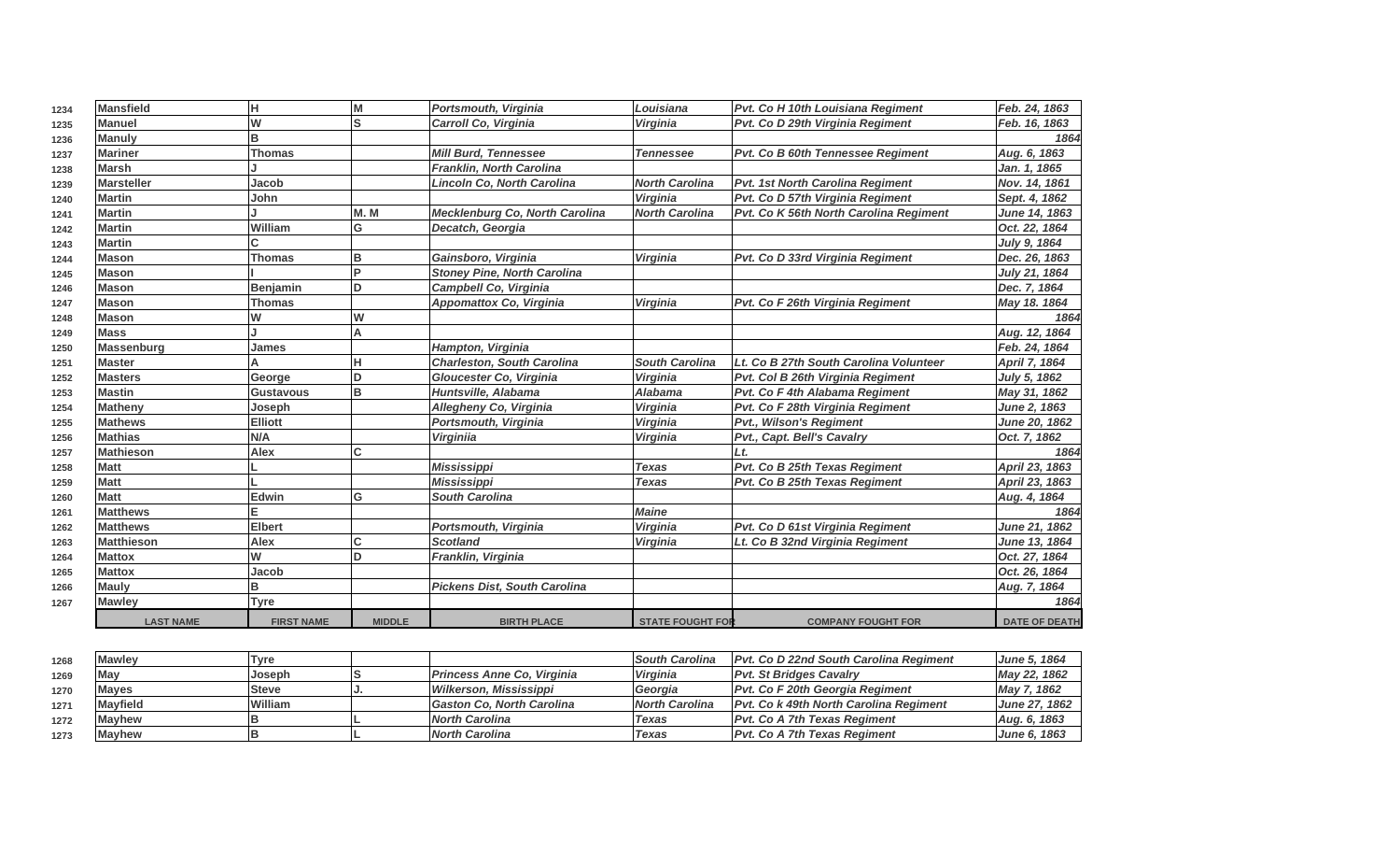| 1234 | <b>Mansfield</b>  | н                 | M             | Portsmouth, Virginia                | Louisiana               | Pvt. Co H 10th Louisiana Regiment      | Feb. 24, 1863        |
|------|-------------------|-------------------|---------------|-------------------------------------|-------------------------|----------------------------------------|----------------------|
| 1235 | <b>Manuel</b>     | W                 | Ś             | Carroll Co, Virginia                | Virginia                | Pvt. Co D 29th Virginia Regiment       | Feb. 16, 1863        |
| 1236 | <b>Manuly</b>     | B                 |               |                                     |                         |                                        | 1864                 |
| 1237 | <b>Mariner</b>    | Thomas            |               | <b>Mill Burd, Tennessee</b>         | <b>Tennessee</b>        | Pvt. Co B 60th Tennessee Regiment      | Aug. 6, 1863         |
| 1238 | <b>Marsh</b>      |                   |               | <b>Franklin, North Carolina</b>     |                         |                                        | Jan. 1, 1865         |
| 1239 | <b>Marsteller</b> | Jacob             |               | Lincoln Co, North Carolina          | <b>North Carolina</b>   | Pvt. 1st North Carolina Regiment       | Nov. 14, 1861        |
| 1240 | <b>Martin</b>     | John              |               |                                     | Virginia                | Pvt. Co D 57th Virginia Regiment       | Sept. 4, 1862        |
| 1241 | <b>Martin</b>     |                   | M.M           | Mecklenburg Co, North Carolina      | <b>North Carolina</b>   | Pvt. Co K 56th North Carolina Regiment | June 14, 1863        |
| 1242 | <b>Martin</b>     | William           | G             | Decatch, Georgia                    |                         |                                        | Oct. 22, 1864        |
| 1243 | <b>Martin</b>     |                   |               |                                     |                         |                                        | July 9, 1864         |
| 1244 | <b>Mason</b>      | <b>Thomas</b>     | в             | Gainsboro, Virginia                 | Virginia                | Pvt. Co D 33rd Virginia Regiment       | Dec. 26, 1863        |
| 1245 | <b>Mason</b>      |                   |               | <b>Stoney Pine, North Carolina</b>  |                         |                                        | July 21, 1864        |
| 1246 | <b>Mason</b>      | <b>Benjamin</b>   | D             | Campbell Co, Virginia               |                         |                                        | Dec. 7, 1864         |
| 1247 | <b>Mason</b>      | <b>Thomas</b>     |               | <b>Appomattox Co, Virginia</b>      | <b>Virginia</b>         | Pvt. Co F 26th Virginia Regiment       | May 18. 1864         |
| 1248 | <b>Mason</b>      | W                 | W             |                                     |                         |                                        | 1864                 |
| 1249 | <b>Mass</b>       |                   | A             |                                     |                         |                                        | Aug. 12, 1864        |
| 1250 | <b>Massenburg</b> | James             |               | Hampton, Virginia                   |                         |                                        | Feb. 24, 1864        |
| 1251 | <b>Master</b>     |                   |               | <b>Charleston, South Carolina</b>   | <b>South Carolina</b>   | Lt. Co B 27th South Carolina Volunteer | April 7, 1864        |
| 1252 | <b>Masters</b>    | George            | D             | Gloucester Co, Virginia             | Virginia                | Pvt. Col B 26th Virginia Regiment      | July 5, 1862         |
| 1253 | <b>Mastin</b>     | <b>Gustavous</b>  | B             | Huntsville, Alabama                 | <b>Alabama</b>          | Pvt. Co F 4th Alabama Regiment         | May 31, 1862         |
| 1254 | <b>Matheny</b>    | Joseph            |               | Allegheny Co, Virginia              | Virginia                | Pvt. Co F 28th Virginia Regiment       | June 2, 1863         |
| 1255 | <b>Mathews</b>    | <b>Elliott</b>    |               | Portsmouth, Virginia                | Virginia                | <b>Pvt., Wilson's Regiment</b>         | June 20, 1862        |
| 1256 | <b>Mathias</b>    | N/A               |               | <b>Virginiia</b>                    | Virginia                | Pvt., Capt. Bell's Cavalry             | Oct. 7, 1862         |
| 1257 | <b>Mathieson</b>  | <b>Alex</b>       |               |                                     |                         | Lt.                                    | 1864                 |
| 1258 | <b>Matt</b>       |                   |               | <b>Mississippi</b>                  | <b>Texas</b>            | Pvt. Co B 25th Texas Regiment          | April 23, 1863       |
| 1259 | <b>Matt</b>       |                   |               | Mississippi                         | <b>Texas</b>            | <b>Pvt. Co B 25th Texas Regiment</b>   | April 23, 1863       |
| 1260 | <b>Matt</b>       | <b>Edwin</b>      | G             | <b>South Carolina</b>               |                         |                                        | Aug. 4, 1864         |
| 1261 | <b>Matthews</b>   | Е                 |               |                                     | <b>Maine</b>            |                                        | 1864                 |
| 1262 | <b>Matthews</b>   | <b>Elbert</b>     |               | Portsmouth, Virginia                | Virginia                | Pvt. Co D 61st Virginia Regiment       | <b>June 21, 1862</b> |
| 1263 | <b>Matthieson</b> | <b>Alex</b>       | Ċ             | <b>Scotland</b>                     | Virginia                | Lt. Co B 32nd Virginia Regiment        | June 13, 1864        |
| 1264 | <b>Mattox</b>     | W                 | n             | Franklin, Virginia                  |                         |                                        | Oct. 27, 1864        |
| 1265 | <b>Mattox</b>     | Jacob             |               |                                     |                         |                                        | Oct. 26, 1864        |
| 1266 | <b>Mauly</b>      | в                 |               | <b>Pickens Dist, South Carolina</b> |                         |                                        | Aug. 7, 1864         |
| 1267 | <b>Mawley</b>     | <b>Tyre</b>       |               |                                     |                         |                                        | 1864                 |
|      | <b>LAST NAME</b>  | <b>FIRST NAME</b> | <b>MIDDLE</b> | <b>BIRTH PLACE</b>                  | <b>STATE FOUGHT FOR</b> | <b>COMPANY FOUGHT FOR</b>              | <b>DATE OF DEATH</b> |

| 1268 | Mawley          | Tvre    |                                  | <b>ISouth Carolina</b> | <b>IPvt. Co D 22nd South Carolina Regiment</b> | <b>June 5, 1864</b>    |
|------|-----------------|---------|----------------------------------|------------------------|------------------------------------------------|------------------------|
| 1269 | May             | Joseph  | Princess Anne Co, Virginia       | <b>Virginia</b>        | <b>IPvt. St Bridges Cavalry</b>                | May 22, 1862           |
| 1270 | <b>Maves</b>    | lSteve  | Wilkerson, Mississippi           | Georgia                | Pvt. Co F 20th Georgia Regiment                | May 7, 1862            |
| 1271 | <b>Mavfield</b> | William | <b>Gaston Co. North Carolina</b> | <b>North Carolina</b>  | <b>IPvt. Co k 49th North Carolina Regiment</b> | <b>June 27. 1862</b> 1 |
| 1272 | <b>IMavhew</b>  |         | <b>North Carolina</b>            | Texas                  | <b>IPvt. Co A 7th Texas Regiment</b>           | Aug. 6, 1863           |
| 1273 | <b>Mayhew</b>   |         | <b>North Carolina</b>            | Texas                  | <b>IPvt. Co A 7th Texas Regiment</b>           | <b>June 6, 1863</b>    |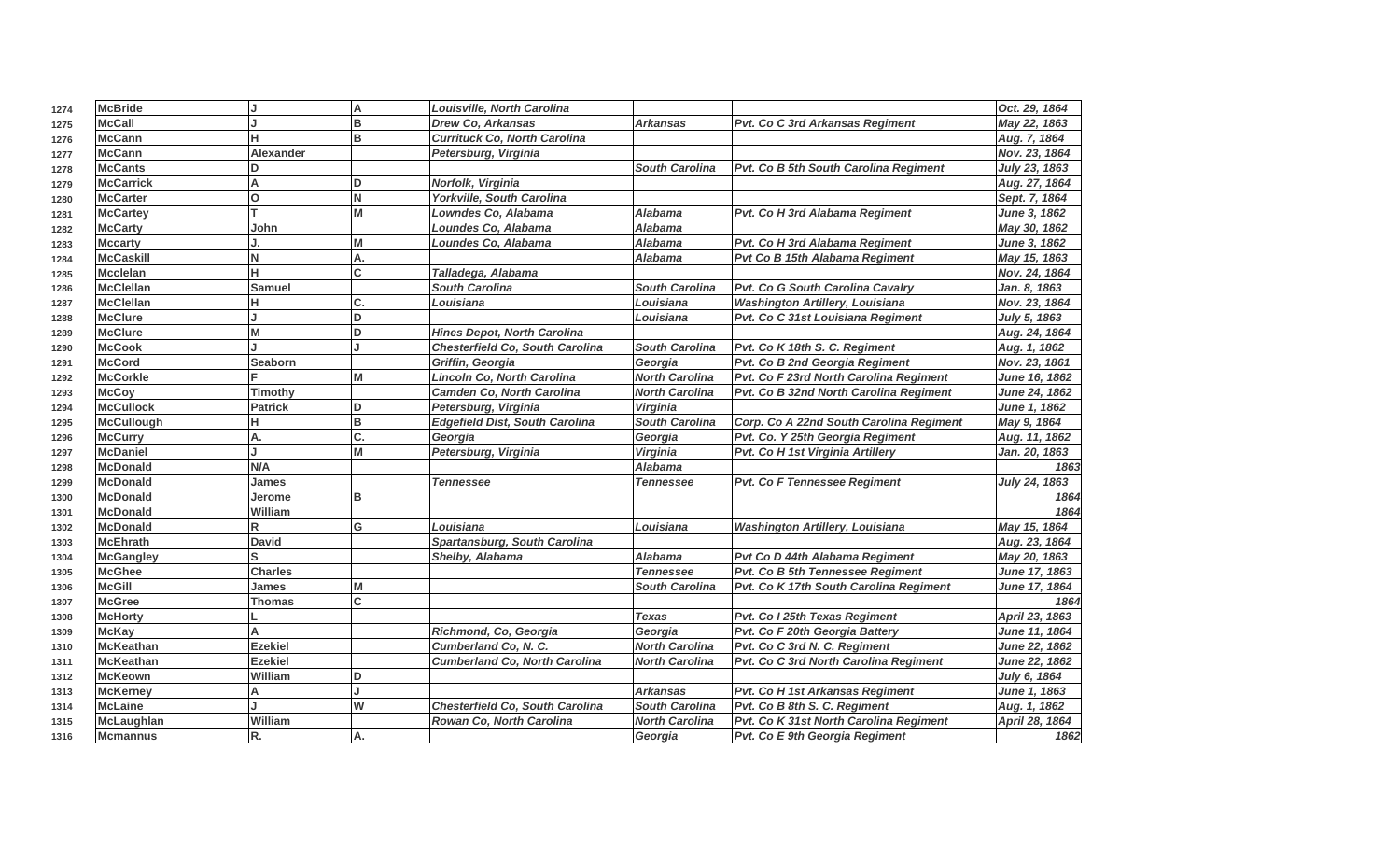| 1274 | <b>McBride</b>    |                  | A        | Louisville, North Carolina             |                       |                                         | Oct. 29, 1864        |
|------|-------------------|------------------|----------|----------------------------------------|-----------------------|-----------------------------------------|----------------------|
| 1275 | <b>McCall</b>     |                  | B        | <b>Drew Co. Arkansas</b>               | <b>Arkansas</b>       | Pvt. Co C 3rd Arkansas Regiment         | May 22, 1863         |
| 1276 | <b>McCann</b>     |                  | B        | <b>Currituck Co, North Carolina</b>    |                       |                                         | Aug. 7, 1864         |
| 1277 | <b>McCann</b>     | <b>Alexander</b> |          | Petersburg, Virginia                   |                       |                                         | Nov. 23, 1864        |
| 1278 | <b>McCants</b>    | D                |          |                                        | <b>South Carolina</b> | Pvt. Co B 5th South Carolina Regiment   | July 23, 1863        |
| 1279 | <b>McCarrick</b>  | A                | D        | Norfolk, Virginia                      |                       |                                         | Aug. 27, 1864        |
| 1280 | <b>McCarter</b>   | O                | N        | Yorkville, South Carolina              |                       |                                         | Sept. 7, 1864        |
| 1281 | <b>McCartev</b>   |                  | M        | Lowndes Co, Alabama                    | Alabama               | Pvt. Co H 3rd Alabama Regiment          | June 3, 1862         |
| 1282 | <b>McCarty</b>    | John             |          | Loundes Co, Alabama                    | <b>Alabama</b>        |                                         | May 30, 1862         |
| 1283 | <b>Mccarty</b>    |                  | M        | Loundes Co, Alabama                    | <b>Alabama</b>        | Pvt. Co H 3rd Alabama Regiment          | June 3, 1862         |
| 1284 | <b>McCaskill</b>  | N                | Α.       |                                        | <b>Alabama</b>        | <b>Pvt Co B 15th Alabama Regiment</b>   | May 15, 1863         |
| 1285 | <b>Mcclelan</b>   | H.               | C        | Talladega, Alabama                     |                       |                                         | Nov. 24, 1864        |
| 1286 | <b>McClellan</b>  | <b>Samuel</b>    |          | <b>South Carolina</b>                  | <b>South Carolina</b> | Pvt. Co G South Carolina Cavalry        | Jan. 8, 1863         |
| 1287 | <b>McClellan</b>  | н                | C.       | Louisiana                              | Louisiana             | <b>Washington Artillery, Louisiana</b>  | Nov. 23, 1864        |
| 1288 | <b>McClure</b>    |                  | D        |                                        | Louisiana             | Pvt. Co C 31st Louisiana Regiment       | July 5, 1863         |
| 1289 | <b>McClure</b>    | М                | D        | <b>Hines Depot, North Carolina</b>     |                       |                                         | Aug. 24, 1864        |
| 1290 | <b>McCook</b>     |                  |          | <b>Chesterfield Co, South Carolina</b> | <b>South Carolina</b> | Pvt. Co K 18th S. C. Regiment           | Aug. 1, 1862         |
| 1291 | <b>McCord</b>     | Seaborn          |          | Griffin, Georgia                       | Georgia               | Pvt. Co B 2nd Georgia Regiment          | Nov. 23, 1861        |
| 1292 | <b>McCorkle</b>   |                  | M        | Lincoln Co, North Carolina             | North Carolina        | Pvt. Co F 23rd North Carolina Regiment  | June 16, 1862        |
| 1293 | <b>McCoy</b>      | <b>Timothy</b>   |          | Camden Co, North Carolina              | North Carolina        | Pvt. Co B 32nd North Carolina Regiment  | <b>June 24, 1862</b> |
| 1294 | <b>McCullock</b>  | <b>Patrick</b>   | D        | Petersburg, Virginia                   | Virginia              |                                         | June 1, 1862         |
| 1295 | <b>McCullough</b> | н                | <b>B</b> | <b>Edgefield Dist, South Carolina</b>  | <b>South Carolina</b> | Corp. Co A 22nd South Carolina Regiment | May 9, 1864          |
| 1296 | <b>McCurry</b>    | А.               | c.       | Georgia                                | Georgia               | Pvt. Co. Y 25th Georgia Regiment        | Aug. 11, 1862        |
| 1297 | <b>McDaniel</b>   |                  | M        | Petersburg, Virginia                   | Virginia              | Pvt. Co H 1st Virginia Artillery        | Jan. 20, 1863        |
| 1298 | <b>McDonald</b>   | N/A              |          |                                        | <b>Alabama</b>        |                                         | 1863                 |
| 1299 | <b>McDonald</b>   | <b>James</b>     |          | <b>Tennessee</b>                       | <b>Tennessee</b>      | Pvt. Co F Tennessee Regiment            | July 24, 1863        |
| 1300 | <b>McDonald</b>   | Jerome           | B        |                                        |                       |                                         | 1864                 |
| 1301 | <b>McDonald</b>   | William          |          |                                        |                       |                                         | 1864                 |
| 1302 | <b>McDonald</b>   | R                | G        | Louisiana                              | Louisiana             | <b>Washington Artillery, Louisiana</b>  | May 15, 1864         |
| 1303 | <b>McEhrath</b>   | <b>David</b>     |          | Spartansburg, South Carolina           |                       |                                         | Aug. 23, 1864        |
| 1304 | <b>McGangley</b>  |                  |          | Shelby, Alabama                        | Alabama               | <b>Pvt Co D 44th Alabama Regiment</b>   | May 20, 1863         |
| 1305 | <b>McGhee</b>     | <b>Charles</b>   |          |                                        | <b>Tennessee</b>      | Pvt. Co B 5th Tennessee Regiment        | June 17, 1863        |
| 1306 | <b>McGill</b>     | <b>James</b>     | M        |                                        | <b>South Carolina</b> | Pvt. Co K 17th South Carolina Regiment  | June 17, 1864        |
| 1307 | <b>McGree</b>     | <b>Thomas</b>    | C        |                                        |                       |                                         | 1864                 |
| 1308 | <b>McHorty</b>    |                  |          |                                        | Texas                 | Pvt. Co I 25th Texas Regiment           | April 23, 1863       |
| 1309 | <b>McKay</b>      | A                |          | Richmond, Co, Georgia                  | Georgia               | Pvt. Co F 20th Georgia Battery          | June 11, 1864        |
| 1310 | <b>McKeathan</b>  | <b>Ezekiel</b>   |          | <b>Cumberland Co, N. C.</b>            | <b>North Carolina</b> | Pvt. Co C 3rd N. C. Regiment            | <b>June 22, 1862</b> |
| 1311 | <b>McKeathan</b>  | <b>Ezekiel</b>   |          | <b>Cumberland Co, North Carolina</b>   | <b>North Carolina</b> | Pvt. Co C 3rd North Carolina Regiment   | <b>June 22, 1862</b> |
| 1312 | <b>McKeown</b>    | William          | D        |                                        |                       |                                         | July 6, 1864         |
| 1313 | <b>McKerney</b>   |                  |          |                                        | <b>Arkansas</b>       | Pvt. Co H 1st Arkansas Regiment         | June 1, 1863         |
| 1314 | <b>McLaine</b>    |                  | W        | Chesterfield Co, South Carolina        | South Carolina        | Pvt. Co B 8th S. C. Regiment            | Aug. 1, 1862         |
| 1315 | <b>McLaughlan</b> | William          |          | Rowan Co, North Carolina               | <b>North Carolina</b> | Pvt. Co K 31st North Carolina Regiment  | April 28, 1864       |
| 1316 | <b>Mcmannus</b>   | R.               | A.       |                                        | Georgia               | Pvt. Co E 9th Georgia Regiment          | 1862                 |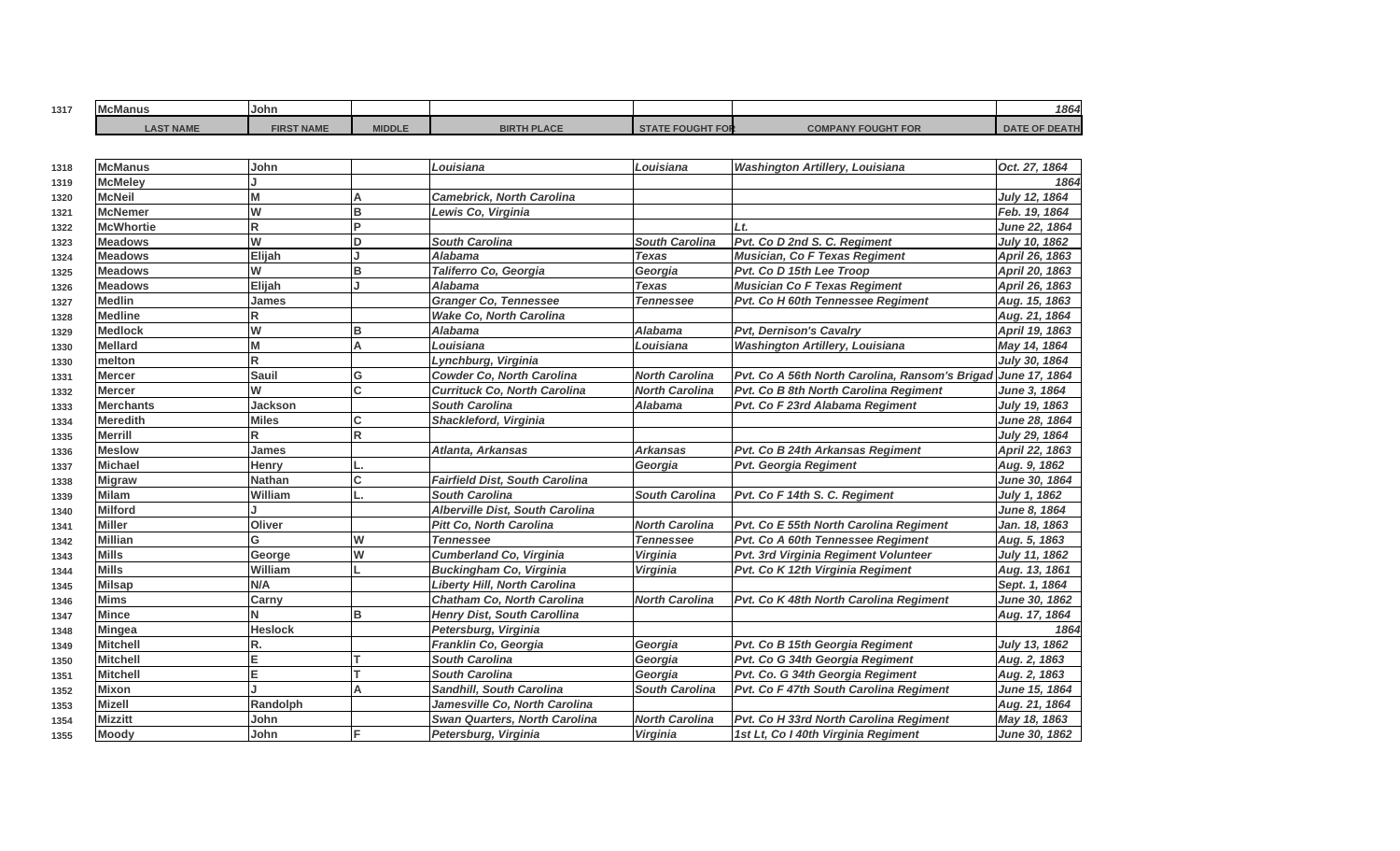| 1317 | .<br>. .<br>McManus | <b>John</b>       |               |                    |                           | 1864                             |
|------|---------------------|-------------------|---------------|--------------------|---------------------------|----------------------------------|
|      | <b>AST NAME</b>     | <b>FIRST NAME</b> | <b>MIDDLE</b> | <b>BIRTH PLACE</b> | <b>COMPANY FOUGHT FOR</b> | <b>E OF DEATH</b><br><b>DATE</b> |

| 1318 | <b>McManus</b>   | John           |             | Louisiana                             | Louisiana             | <b>Washington Artillery, Louisiana</b>                       | Oct. 27, 1864        |
|------|------------------|----------------|-------------|---------------------------------------|-----------------------|--------------------------------------------------------------|----------------------|
| 1319 | <b>McMeley</b>   |                |             |                                       |                       |                                                              | 1864                 |
| 1320 | <b>McNeil</b>    | M              | А           | <b>Camebrick, North Carolina</b>      |                       |                                                              | July 12, 1864        |
| 1321 | <b>McNemer</b>   | W              | B           | Lewis Co, Virginia                    |                       |                                                              | Feb. 19, 1864        |
| 1322 | <b>McWhortie</b> | R              | D.          |                                       |                       | Lt                                                           | <b>June 22, 1864</b> |
| 1323 | <b>Meadows</b>   | W              | D           | <b>South Carolina</b>                 | <b>South Carolina</b> | Pvt. Co D 2nd S. C. Regiment                                 | <b>July 10, 1862</b> |
| 1324 | <b>Meadows</b>   | Elijah         |             | <b>Alabama</b>                        | <b>Texas</b>          | <b>Musician, Co F Texas Regiment</b>                         | April 26, 1863       |
| 1325 | <b>Meadows</b>   | W              | B           | Taliferro Co, Georgia                 | Georgia               | Pvt. Co D 15th Lee Troop                                     | April 20, 1863       |
| 1326 | <b>Meadows</b>   | Elijah         |             | <b>Alabama</b>                        | Texas                 | <b>Musician Co F Texas Regiment</b>                          | April 26, 1863       |
| 1327 | <b>Medlin</b>    | James          |             | <b>Granger Co, Tennessee</b>          | <b>Tennessee</b>      | Pvt. Co H 60th Tennessee Regiment                            | Aug. 15, 1863        |
| 1328 | <b>Medline</b>   | R              |             | <b>Wake Co. North Carolina</b>        |                       |                                                              | Aug. 21, 1864        |
| 1329 | <b>Medlock</b>   | W              | в           | <b>Alabama</b>                        | <b>Alabama</b>        | <b>Pvt, Dernison's Cavalry</b>                               | April 19, 1863       |
| 1330 | <b>Mellard</b>   | M              | A           | Louisiana                             | Louisiana             | <b>Washington Artillery, Louisiana</b>                       | May 14, 1864         |
| 1330 | melton           | R              |             | Lynchburg, Virginia                   |                       |                                                              | July 30, 1864        |
| 1331 | <b>Mercer</b>    | <b>Sauil</b>   | G           | <b>Cowder Co, North Carolina</b>      | <b>North Carolina</b> | Pvt. Co A 56th North Carolina, Ransom's Brigad June 17, 1864 |                      |
| 1332 | <b>Mercer</b>    | W              | C.          | <b>Currituck Co. North Carolina</b>   | <b>North Carolina</b> | Pvt. Co B 8th North Carolina Regiment                        | June 3, 1864         |
| 1333 | <b>Merchants</b> | <b>Jackson</b> |             | <b>South Carolina</b>                 | <b>Alabama</b>        | Pvt. Co F 23rd Alabama Regiment                              | July 19, 1863        |
| 1334 | <b>Meredith</b>  | <b>Miles</b>   | C           | Shackleford, Virginia                 |                       |                                                              | June 28, 1864        |
| 1335 | <b>Merrill</b>   | R              | $\mathsf R$ |                                       |                       |                                                              | July 29, 1864        |
| 1336 | <b>Meslow</b>    | <b>James</b>   |             | Atlanta, Arkansas                     | <b>Arkansas</b>       | Pvt. Co B 24th Arkansas Regiment                             | April 22, 1863       |
| 1337 | <b>Michael</b>   | Henry          |             |                                       | Georgia               | <b>Pvt. Georgia Regiment</b>                                 | Aug. 9, 1862         |
| 1338 | <b>Migraw</b>    | <b>Nathan</b>  | C           | <b>Fairfield Dist, South Carolina</b> |                       |                                                              | June 30, 1864        |
| 1339 | <b>Milam</b>     | William        |             | <b>South Carolina</b>                 | <b>South Carolina</b> | Pvt. Co F 14th S. C. Regiment                                | <b>July 1, 1862</b>  |
| 1340 | <b>Milford</b>   |                |             | Alberville Dist, South Carolina       |                       |                                                              | June 8, 1864         |
| 1341 | <b>Miller</b>    | Oliver         |             | <b>Pitt Co, North Carolina</b>        | <b>North Carolina</b> | Pvt. Co E 55th North Carolina Regiment                       | Jan. 18, 1863        |
| 1342 | <b>Millian</b>   | G              | W           | <b>Tennessee</b>                      | <b>Tennessee</b>      | Pvt. Co A 60th Tennessee Regiment                            | Aug. 5, 1863         |
| 1343 | <b>Mills</b>     | George         | W           | <b>Cumberland Co, Virginia</b>        | Virginia              | Pvt. 3rd Virginia Regiment Volunteer                         | July 11, 1862        |
| 1344 | <b>Mills</b>     | William        |             | <b>Buckingham Co, Virginia</b>        | Virginia              | Pvt. Co K 12th Virginia Regiment                             | Aug. 13, 1861        |
| 1345 | <b>Milsap</b>    | N/A            |             | <b>Liberty Hill, North Carolina</b>   |                       |                                                              | Sept. 1, 1864        |
| 1346 | <b>Mims</b>      | Carny          |             | <b>Chatham Co, North Carolina</b>     | <b>North Carolina</b> | Pvt. Co K 48th North Carolina Regiment                       | June 30, 1862        |
| 1347 | <b>Mince</b>     | N              | B           | <b>Henry Dist, South Carollina</b>    |                       |                                                              | Aug. 17, 1864        |
| 1348 | <b>Mingea</b>    | Heslock        |             | Petersburg, Virginia                  |                       |                                                              | 1864                 |
| 1349 | <b>Mitchell</b>  | R.             |             | Franklin Co, Georgia                  | Georgia               | Pvt. Co B 15th Georgia Regiment                              | July 13, 1862        |
| 1350 | Mitchell         | E.             |             | <b>South Carolina</b>                 | Georgia               | Pvt. Co G 34th Georgia Regiment                              | Aug. 2, 1863         |
| 1351 | <b>Mitchell</b>  | E.             |             | <b>South Carolina</b>                 | Georgia               | Pvt. Co. G 34th Georgia Regiment                             | Aug. 2, 1863         |
| 1352 | <b>Mixon</b>     |                | А           | Sandhill, South Carolina              | <b>South Carolina</b> | Pvt. Co F 47th South Carolina Regiment                       | <b>June 15, 1864</b> |
| 1353 | Mizell           | Randolph       |             | Jamesville Co, North Carolina         |                       |                                                              | Aug. 21, 1864        |
| 1354 | <b>Mizzitt</b>   | John           |             | <b>Swan Quarters, North Carolina</b>  | <b>North Carolina</b> | Pvt. Co H 33rd North Carolina Regiment                       | May 18, 1863         |
| 1355 | <b>Moody</b>     | John           | F           | Petersburg, Virginia                  | Virginia              | 1st Lt, Co I 40th Virginia Regiment                          | <b>June 30, 1862</b> |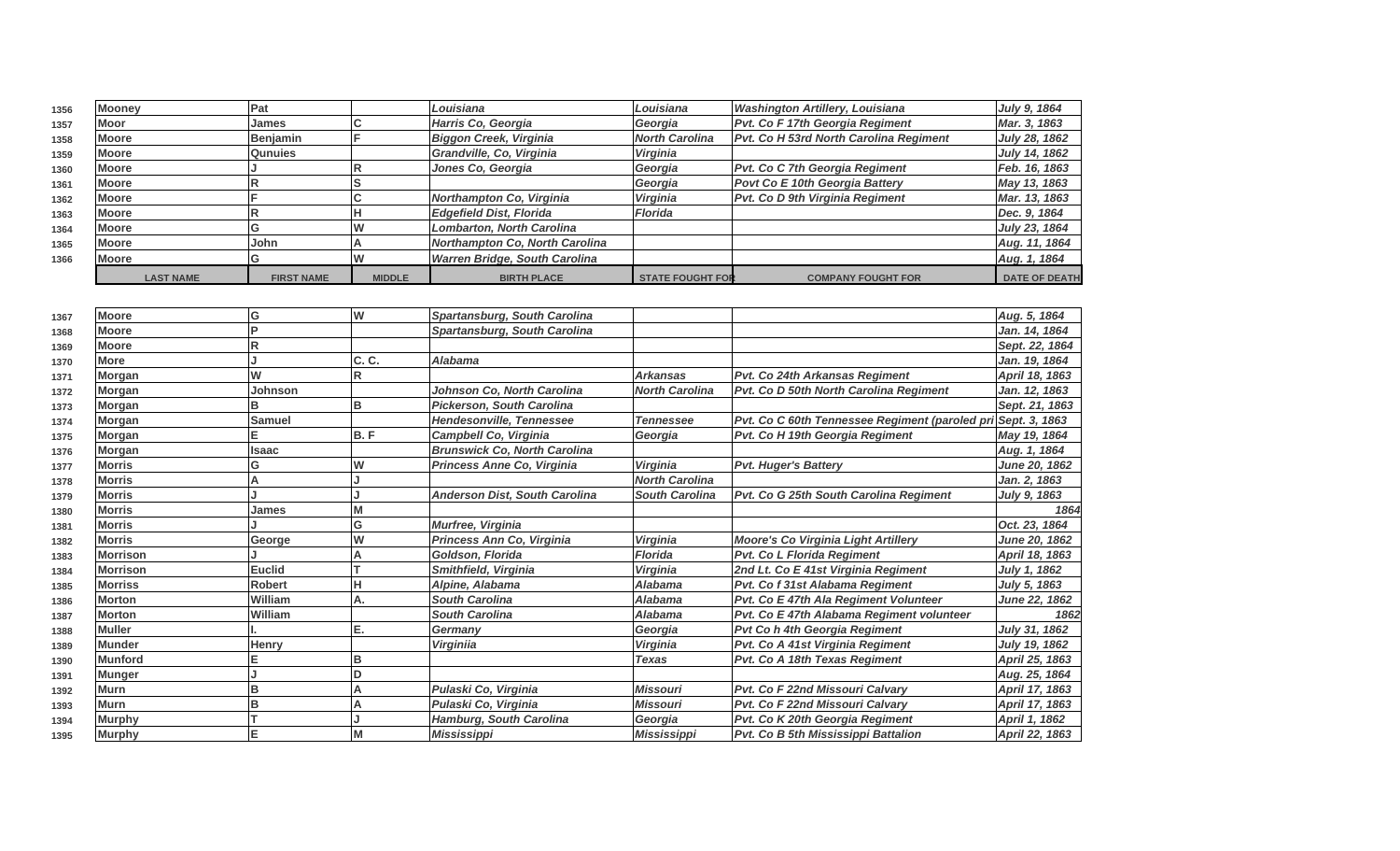| 1356 | <b>Mooney</b>    | 'Pat              |               | Louisiana                      | Louisiana               | <b>Washington Artillery, Louisiana</b>        | July 9, 1864         |
|------|------------------|-------------------|---------------|--------------------------------|-------------------------|-----------------------------------------------|----------------------|
| 1357 | Moor             | <b>IJames</b>     |               | Harris Co. Georgia             | Georgia                 | Pvt. Co F 17th Georgia Regiment               | Mar. 3, 1863         |
| 1358 | <b>Moore</b>     | Benjamin          |               | Biggon Creek, Virginia         | North Carolina          | <b>Pvt. Co H 53rd North Carolina Regiment</b> | July 28, 1862        |
| 1359 | <b>Moore</b>     | <b>Qunuies</b>    |               | Grandville, Co, Virginia       | <b>Virginia</b>         |                                               | July 14, 1862        |
| 1360 | <b>Moore</b>     |                   |               | Jones Co, Georgia              | Georgia                 | <b>Pvt. Co C 7th Georgia Regiment</b>         | Feb. 16, 1863        |
| 1361 | <b>Moore</b>     |                   |               |                                | Georgia                 | <b>Povt Co E 10th Georgia Battery</b>         | May 13, 1863         |
| 1362 | <b>Moore</b>     |                   |               | Northampton Co, Virginia       | <b>Virginia</b>         | <b>Pvt. Co D 9th Virginia Regiment</b>        | Mar. 13, 1863        |
| 1363 | <b>Moore</b>     |                   |               | Edgefield Dist, Florida        | Florida                 |                                               | Dec. 9, 1864         |
| 1364 | <b>Moore</b>     |                   |               | Lombarton, North Carolina      |                         |                                               | July 23, 1864        |
| 1365 | <b>Moore</b>     | lJohn.            |               | Northampton Co, North Carolina |                         |                                               | Aug. 11, 1864        |
| 1366 | <b>Moore</b>     |                   |               | Warren Bridge, South Carolina  |                         |                                               | Aug. 1, 1864         |
|      | <b>LAST NAME</b> | <b>FIRST NAME</b> | <b>MIDDLE</b> | <b>BIRTH PLACE</b>             | <b>STATE FOUGHT FOR</b> | <b>COMPANY FOUGHT FOR</b>                     | <b>DATE OF DEATH</b> |

| 1367 | <b>Moore</b>    | lG            | W     | Spartansburg, South Carolina         |                       |                                                              | Aug. 5, 1864         |
|------|-----------------|---------------|-------|--------------------------------------|-----------------------|--------------------------------------------------------------|----------------------|
| 1368 | <b>Moore</b>    | ΙP            |       | Spartansburg, South Carolina         |                       |                                                              | Jan. 14, 1864        |
| 1369 | <b>Moore</b>    | lR            |       |                                      |                       |                                                              | Sept. 22, 1864       |
| 1370 | <b>More</b>     |               | C. C. | <b>Alabama</b>                       |                       |                                                              | Jan. 19, 1864        |
| 1371 | Morgan          | W             |       |                                      | <b>Arkansas</b>       | Pvt. Co 24th Arkansas Regiment                               | April 18, 1863       |
| 1372 | Morgan          | Johnson       |       | Johnson Co. North Carolina           | <b>North Carolina</b> | Pvt. Co D 50th North Carolina Regiment                       | Jan. 12, 1863        |
| 1373 | Morgan          |               | B     | <b>Pickerson, South Carolina</b>     |                       |                                                              | Sept. 21, 1863       |
| 1374 | Morgan          | Samuel        |       | Hendesonville, Tennessee             | <b>Tennessee</b>      | Pvt. Co C 60th Tennessee Regiment (paroled pri Sept. 3, 1863 |                      |
| 1375 | Morgan          |               | B.F   | <b>Campbell Co. Virginia</b>         | Georgia               | Pvt. Co H 19th Georgia Regiment                              | May 19, 1864         |
| 1376 | Morgan          | <b>Isaac</b>  |       | <b>Brunswick Co. North Carolina</b>  |                       |                                                              | Aug. 1, 1864         |
| 1377 | Morris          | G             | W     | Princess Anne Co, Virginia           | <b>Virginia</b>       | <b>Pvt. Huger's Battery</b>                                  | <b>June 20, 1862</b> |
| 1378 | <b>Morris</b>   |               |       |                                      | <b>North Carolina</b> |                                                              | Jan. 2, 1863         |
| 1379 | <b>Morris</b>   |               |       | <b>Anderson Dist, South Carolina</b> | <b>South Carolina</b> | Pvt. Co G 25th South Carolina Regiment                       | July 9, 1863         |
| 1380 | <b>Morris</b>   | James         |       |                                      |                       |                                                              | 1864                 |
| 1381 | <b>Morris</b>   |               | G     | Murfree, Virginia                    |                       |                                                              | Oct. 23, 1864        |
| 1382 | <b>Morris</b>   | George        | W     | Princess Ann Co, Virginia            | <b>Virginia</b>       | <b>Moore's Co Virginia Light Artillery</b>                   | <b>June 20, 1862</b> |
| 1383 | <b>Morrison</b> |               |       | Goldson, Florida                     | <b>Florida</b>        | Pvt. Co L Florida Regiment                                   | April 18, 1863       |
| 1384 | <b>Morrison</b> | <b>Euclid</b> |       | Smithfield, Virginia                 | <b>Virginia</b>       | 2nd Lt. Co E 41st Virginia Regiment                          | July 1, 1862         |
| 1385 | <b>Morriss</b>  | <b>Robert</b> |       | Alpine, Alabama                      | <b>Alabama</b>        | Pvt. Co f 31st Alabama Regiment                              | July 5, 1863         |
| 1386 | <b>Morton</b>   | William       | IA.   | <b>South Carolina</b>                | Alabama               | Pvt. Co E 47th Ala Regiment Volunteer                        | <b>June 22, 1862</b> |
| 1387 | <b>Morton</b>   | William       |       | <b>South Carolina</b>                | <b>Alabama</b>        | Pvt. Co E 47th Alabama Regiment volunteer                    | 1862                 |
| 1388 | <b>Muller</b>   |               | E.    | Germany                              | Georgia               | Pvt Co h 4th Georgia Regiment                                | July 31, 1862        |
| 1389 | <b>Munder</b>   | <b>Henry</b>  |       | <b>Virginiia</b>                     | Virginia              | Pvt. Co A 41st Virginia Regiment                             | July 19, 1862        |
| 1390 | <b>Munford</b>  | E             | B     |                                      | <b>Texas</b>          | Pvt. Co A 18th Texas Regiment                                | April 25, 1863       |
| 1391 | <b>Munger</b>   |               |       |                                      |                       |                                                              | Aug. 25, 1864        |
| 1392 | <b>Murn</b>     | lв            |       | Pulaski Co, Virginia                 | <b>Missouri</b>       | <b>Pvt. Co F 22nd Missouri Calvary</b>                       | April 17, 1863       |
| 1393 | <b>Murn</b>     | lв            |       | Pulaski Co, Virginia                 | <b>Missouri</b>       | <b>Pvt. Co F 22nd Missouri Calvary</b>                       | April 17, 1863       |
| 1394 | <b>Murphy</b>   |               |       | <b>Hamburg, South Carolina</b>       | Georgia               | Pvt. Co K 20th Georgia Regiment                              | April 1, 1862        |
| 1395 | <b>Murphy</b>   | lΕ            |       | <b>Mississippi</b>                   | <b>Mississippi</b>    | Pvt. Co B 5th Mississippi Battalion                          | April 22, 1863       |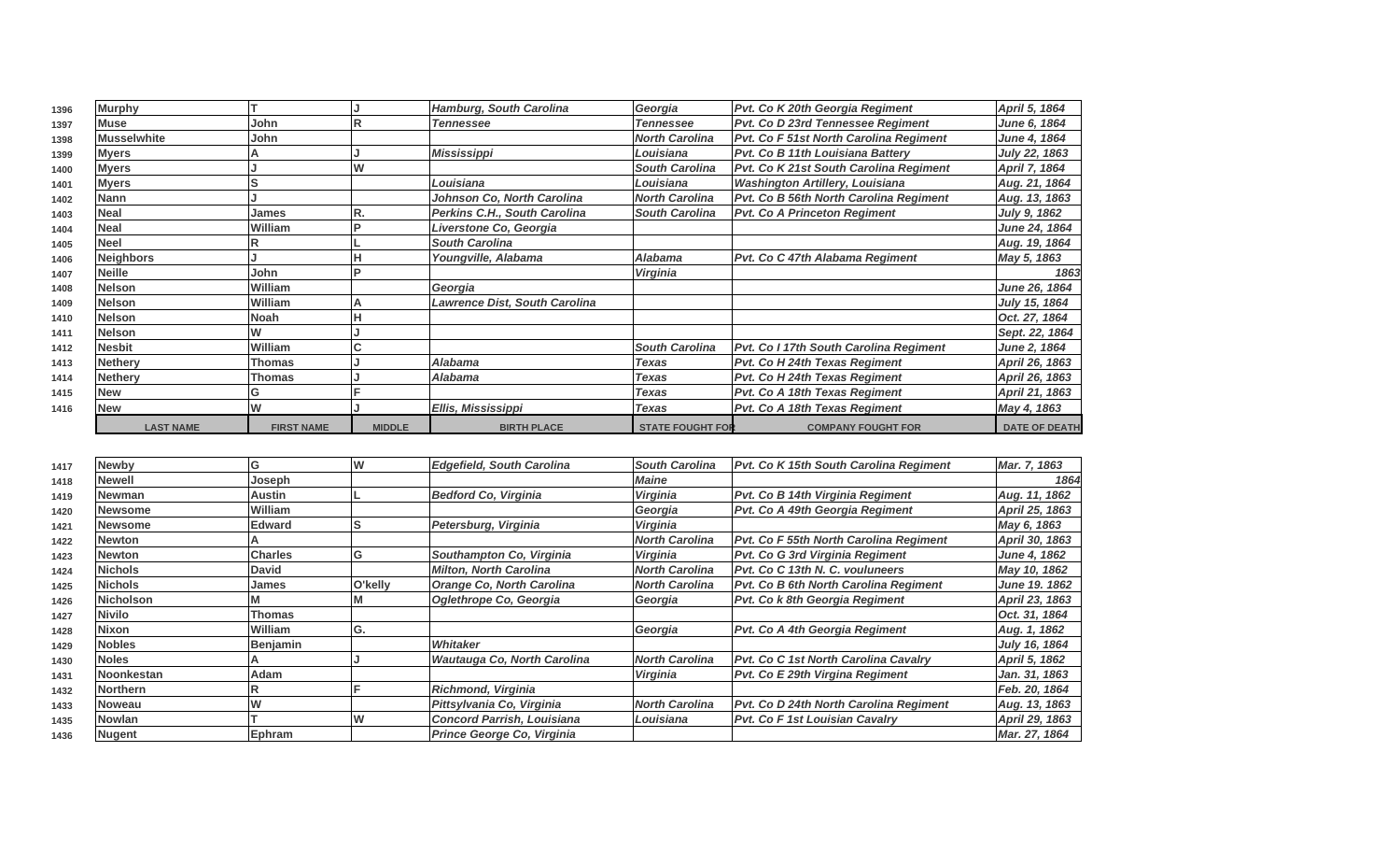| 1396 | <b>Murphy</b>      |                   |               | <b>Hamburg, South Carolina</b> | Georgia                 | Pvt. Co K 20th Georgia Regiment         | April 5, 1864        |
|------|--------------------|-------------------|---------------|--------------------------------|-------------------------|-----------------------------------------|----------------------|
| 1397 | <b>Muse</b>        | <b>John</b>       |               | <b>Tennessee</b>               | <b>Tennessee</b>        | Pvt. Co D 23rd Tennessee Regiment       | June 6, 1864         |
| 1398 | <b>Musselwhite</b> | John              |               |                                | <b>North Carolina</b>   | Pvt. Co F 51st North Carolina Regiment  | June 4, 1864         |
| 1399 | <b>Myers</b>       |                   |               | <b>Mississippi</b>             | Louisiana               | <b>Pvt. Co B 11th Louisiana Battery</b> | July 22, 1863        |
| 1400 | <b>Myers</b>       |                   |               |                                | <b>South Carolina</b>   | Pvt. Co K 21st South Carolina Regiment  | April 7, 1864        |
| 1401 | <b>Myers</b>       |                   |               | Louisiana                      | Louisiana               | <b>Washington Artillery, Louisiana</b>  | Aug. 21, 1864        |
| 1402 | <b>Nann</b>        |                   |               | Johnson Co, North Carolina     | <b>North Carolina</b>   | Pvt. Co B 56th North Carolina Regiment  | Aug. 13, 1863        |
| 1403 | <b>Neal</b>        | James             |               | Perkins C.H., South Carolina   | <b>South Carolina</b>   | <b>Pvt. Co A Princeton Regiment</b>     | July 9, 1862         |
| 1404 | <b>Neal</b>        | William           |               | Liverstone Co, Georgia         |                         |                                         | June 24, 1864        |
| 1405 | <b>Neel</b>        |                   |               | <b>South Carolina</b>          |                         |                                         | Aug. 19, 1864        |
| 1406 | <b>Neighbors</b>   |                   |               | Youngville, Alabama            | <b>Alabama</b>          | Pvt. Co C 47th Alabama Regiment         | May 5, 1863          |
| 1407 | <b>Neille</b>      | John              |               |                                | <b>Virginia</b>         |                                         | 1863                 |
| 1408 | <b>Nelson</b>      | William           |               | Georgia                        |                         |                                         | June 26, 1864        |
| 1409 | <b>Nelson</b>      | William           |               | Lawrence Dist, South Carolina  |                         |                                         | July 15, 1864        |
| 1410 | <b>Nelson</b>      | Noah              |               |                                |                         |                                         | Oct. 27, 1864        |
| 1411 | <b>Nelson</b>      |                   |               |                                |                         |                                         | Sept. 22, 1864       |
| 1412 | <b>Nesbit</b>      | William           |               |                                | <b>South Carolina</b>   | Pvt. Co I 17th South Carolina Regiment  | June 2, 1864         |
| 1413 | <b>Nethery</b>     | Thomas            |               | Alabama                        | Texas                   | Pvt. Co H 24th Texas Regiment           | April 26, 1863       |
| 1414 | <b>Nethery</b>     | Thomas            |               | Alabama                        | <b>Texas</b>            | Pvt. Co H 24th Texas Regiment           | April 26, 1863       |
| 1415 | <b>New</b>         |                   |               |                                | <b>Texas</b>            | Pvt. Co A 18th Texas Regiment           | April 21, 1863       |
| 1416 | <b>New</b>         |                   |               | Ellis, Mississippi             | Texas                   | Pvt. Co A 18th Texas Regiment           | May 4, 1863          |
|      | <b>LAST NAME</b>   | <b>FIRST NAME</b> | <b>MIDDLE</b> | <b>BIRTH PLACE</b>             | <b>STATE FOUGHT FOR</b> | <b>COMPANY FOUGHT FOR</b>               | <b>DATE OF DEATH</b> |

| 1417 | <b>Newby</b>      | G              | w       | <b>Edgefield, South Carolina</b>  | <b>South Carolina</b> | Pvt. Co K 15th South Carolina Regiment        | Mar. 7, 1863   |
|------|-------------------|----------------|---------|-----------------------------------|-----------------------|-----------------------------------------------|----------------|
| 1418 | Newell            | Joseph         |         |                                   | <b>Maine</b>          |                                               | 1864           |
| 1419 | Newman            | Austin         |         | Bedford Co, Virginia              | Virginia              | <b>Pvt. Co B 14th Virginia Regiment</b>       | Aug. 11, 1862  |
| 1420 | Newsome           | William        |         |                                   | Georgia               | Pvt. Co A 49th Georgia Regiment               | April 25, 1863 |
| 1421 | Newsome           | <b>Edward</b>  |         | Petersburg, Virginia              | <b>Virginia</b>       |                                               | May 6, 1863    |
| 1422 | Newton            |                |         |                                   | <b>North Carolina</b> | Pvt. Co F 55th North Carolina Regiment        | April 30, 1863 |
| 1423 | <b>Newton</b>     | <b>Charles</b> | G       | Southampton Co, Virginia          | Virginia              | <b>Pvt. Co G 3rd Virginia Regiment</b>        | June 4, 1862   |
| 1424 | <b>Nichols</b>    | <b>David</b>   |         | <b>Milton, North Carolina</b>     | <b>North Carolina</b> | Pvt. Co C 13th N. C. vouluneers               | May 10, 1862   |
| 1425 | <b>Nichols</b>    | James          | O'kelly | Orange Co, North Carolina         | <b>North Carolina</b> | Pvt. Co B 6th North Carolina Regiment         | June 19. 1862  |
| 1426 | <b>Nicholson</b>  |                |         | Oglethrope Co, Georgia            | Georgia               | Pvt. Co k 8th Georgia Regiment                | April 23, 1863 |
| 1427 | <b>Nivilo</b>     | Thomas         |         |                                   |                       |                                               | Oct. 31, 1864  |
| 1428 | <b>Nixon</b>      | William        | G.      |                                   | Georgia               | <b>Pvt. Co A 4th Georgia Regiment</b>         | Aug. 1, 1862   |
| 1429 | Nobles            | Benjamin       |         | Whitaker                          |                       |                                               | July 16, 1864  |
| 1430 | <b>Noles</b>      |                |         | Wautauga Co, North Carolina       | <b>North Carolina</b> | <b>Pvt. Co C 1st North Carolina Cavalry</b>   | April 5, 1862  |
| 1431 | <b>Noonkestan</b> | Adam           |         |                                   | Virginia              | Pvt. Co E 29th Virgina Regiment               | Jan. 31, 1863  |
| 1432 | <b>Northern</b>   |                |         | Richmond, Virginia                |                       |                                               | Feb. 20, 1864  |
| 1433 | <b>Noweau</b>     |                |         | Pittsylvania Co, Virginia         | <b>North Carolina</b> | <b>Pvt. Co D 24th North Carolina Regiment</b> | Aug. 13, 1863  |
| 1435 | <b>Nowlan</b>     |                |         | <b>Concord Parrish, Louisiana</b> | Louisiana             | <b>IPvt. Co F 1st Louisian Cavalry</b>        | April 29, 1863 |
| 1436 | <b>Nugent</b>     | Ephram         |         | Prince George Co, Virginia        |                       |                                               | Mar. 27, 1864  |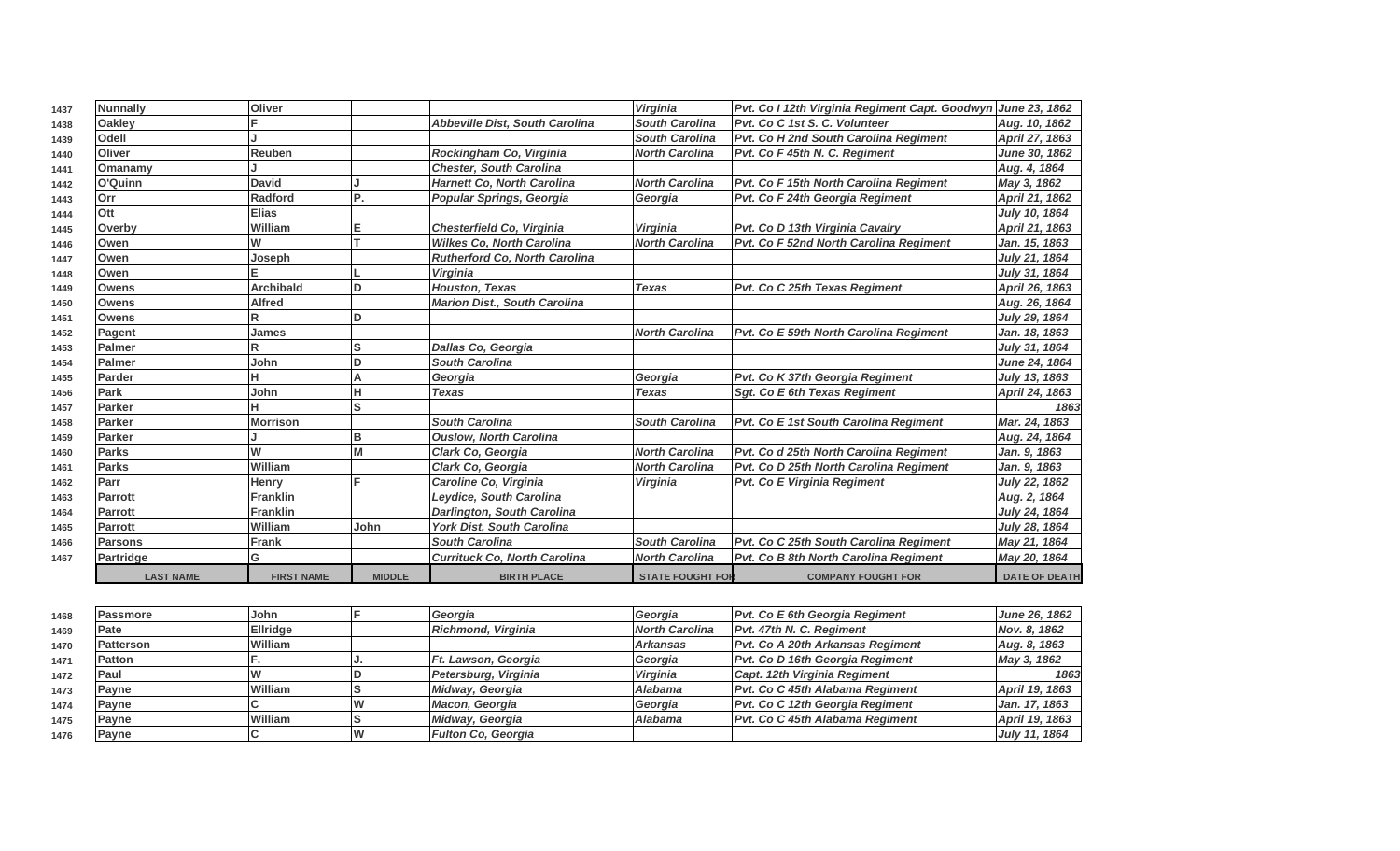| 1437 | <b>Nunnally</b> | <b>Oliver</b>    |      |                                      | Virginia              | Pvt. Co I 12th Virginia Regiment Capt. Goodwyn June 23, 1862 |                      |
|------|-----------------|------------------|------|--------------------------------------|-----------------------|--------------------------------------------------------------|----------------------|
| 1438 | <b>Oakley</b>   |                  |      | Abbeville Dist, South Carolina       | <b>South Carolina</b> | Pvt. Co C 1st S. C. Volunteer                                | Aug. 10, 1862        |
| 1439 | Odell           |                  |      |                                      | <b>South Carolina</b> | Pvt. Co H 2nd South Carolina Regiment                        | April 27, 1863       |
| 1440 | <b>Oliver</b>   | Reuben           |      | Rockingham Co, Virginia              | <b>North Carolina</b> | Pvt. Co F 45th N. C. Regiment                                | <b>June 30, 1862</b> |
| 1441 | Omanamy         |                  |      | <b>Chester, South Carolina</b>       |                       |                                                              | Aug. 4, 1864         |
| 1442 | O'Quinn         | <b>David</b>     |      | <b>Harnett Co, North Carolina</b>    | <b>North Carolina</b> | Pvt. Co F 15th North Carolina Regiment                       | May 3, 1862          |
| 1443 | Orr             | <b>Radford</b>   | P.   | Popular Springs, Georgia             | Georgia               | Pvt. Co F 24th Georgia Regiment                              | April 21, 1862       |
| 1444 | Ott             | <b>Elias</b>     |      |                                      |                       |                                                              | July 10, 1864        |
| 1445 | Overby          | William          |      | Chesterfield Co, Virginia            | Virginia              | Pvt. Co D 13th Virginia Cavalry                              | April 21, 1863       |
| 1446 | Owen            | W                |      | <b>Wilkes Co, North Carolina</b>     | <b>North Carolina</b> | Pvt. Co F 52nd North Carolina Regiment                       | Jan. 15, 1863        |
| 1447 | Owen            | Joseph           |      | <b>Rutherford Co, North Carolina</b> |                       |                                                              | July 21, 1864        |
| 1448 | Owen            |                  |      | <b>Virginia</b>                      |                       |                                                              | July 31, 1864        |
| 1449 | <b>Owens</b>    | <b>Archibald</b> | D    | <b>Houston, Texas</b>                | <b>Texas</b>          | Pvt. Co C 25th Texas Regiment                                | April 26, 1863       |
| 1450 | <b>Owens</b>    | <b>Alfred</b>    |      | <b>Marion Dist., South Carolina</b>  |                       |                                                              | Aug. 26, 1864        |
| 1451 | <b>Owens</b>    |                  | ח    |                                      |                       |                                                              | July 29, 1864        |
| 1452 | Pagent          | James            |      |                                      | <b>North Carolina</b> | Pvt. Co E 59th North Carolina Regiment                       | Jan. 18, 1863        |
| 1453 | Palmer          |                  | S    | Dallas Co, Georgia                   |                       |                                                              | July 31, 1864        |
| 1454 | Palmer          | John             |      | <b>South Carolina</b>                |                       |                                                              | June 24, 1864        |
| 1455 | Parder          |                  | А    | Georgia                              | Georgia               | Pvt. Co K 37th Georgia Regiment                              | July 13, 1863        |
| 1456 | Park            | John             |      | <b>Texas</b>                         | <b>Texas</b>          | <b>Sgt. Co E 6th Texas Regiment</b>                          | April 24, 1863       |
| 1457 | <b>Parker</b>   |                  | S    |                                      |                       |                                                              | 1863                 |
| 1458 | Parker          | <b>Morrison</b>  |      | <b>South Carolina</b>                | <b>South Carolina</b> | <b>Pvt. Co E 1st South Carolina Regiment</b>                 | Mar. 24, 1863        |
| 1459 | Parker          |                  | B    | <b>Ouslow, North Carolina</b>        |                       |                                                              | Aug. 24, 1864        |
| 1460 | <b>Parks</b>    | W                |      | <b>Clark Co. Georgia</b>             | <b>North Carolina</b> | Pvt. Co d 25th North Carolina Regiment                       | Jan. 9, 1863         |
| 1461 | <b>Parks</b>    | William          |      | Clark Co. Georgia                    | <b>North Carolina</b> | Pvt. Co D 25th North Carolina Regiment                       | Jan. 9, 1863         |
| 1462 | Parr            | Henry            |      | Caroline Co, Virginia                | Virginia              | <b>Pvt. Co E Virginia Regiment</b>                           | July 22, 1862        |
| 1463 | <b>Parrott</b>  | <b>Franklin</b>  |      | Leydice, South Carolina              |                       |                                                              | Aug. 2, 1864         |
| 1464 | Parrott         | <b>Franklin</b>  |      | Darlington, South Carolina           |                       |                                                              | July 24, 1864        |
| 1465 | Parrott         | William          | John | York Dist, South Carolina            |                       |                                                              | July 28, 1864        |
| 1466 | <b>Parsons</b>  | <b>Frank</b>     |      | <b>South Carolina</b>                | <b>South Carolina</b> | Pvt. Co C 25th South Carolina Regiment                       | May 21, 1864         |
| 1467 | Partridge       | G                |      | <b>Currituck Co. North Carolina</b>  | <b>North Carolina</b> | <b>Pvt. Co B 8th North Carolina Regiment</b>                 | May 20, 1864         |
|      |                 |                  |      |                                      |                       |                                                              |                      |

| 1468 | Passmore          | John            | <b>Georgia</b>            | Georgia               | <b>Pvt. Co E 6th Georgia Regiment</b> | <b>June 26, 1862</b> |
|------|-------------------|-----------------|---------------------------|-----------------------|---------------------------------------|----------------------|
| 1469 | Pate              | <b>Ellridge</b> | Richmond, Virginia        | <b>North Carolina</b> | Pvt. 47th N. C. Regiment              | Nov. 8, 1862         |
| 1470 | <b>IPatterson</b> | William         |                           | <b>Arkansas</b>       | Pvt. Co A 20th Arkansas Regiment      | Aug. 8, 1863         |
| 1471 | <b>Patton</b>     |                 | Ft. Lawson, Georgia       | Georgia               | Pvt. Co D 16th Georgia Regiment       | May 3, 1862          |
| 1472 | Paul              |                 | Petersburg, Virginia      | Virginia              | Capt. 12th Virginia Regiment          | 1863                 |
| 1473 | <b>Pavne</b>      | William         | Midway, Georgia           | Alabama               | Pvt. Co C 45th Alabama Regiment       | April 19, 1863       |
| 1474 | <b>Pavne</b>      |                 | Macon, Georgia            | Georgia               | Pvt. Co C 12th Georgia Regiment       | Jan. 17, 1863        |
| 1475 | <b>Payne</b>      | William         | Midway, Georgia           | Alabama               | Pvt. Co C 45th Alabama Regiment       | April 19, 1863       |
| 1476 | <b>Payne</b>      |                 | <b>Fulton Co. Georgia</b> |                       |                                       | July 11, 1864        |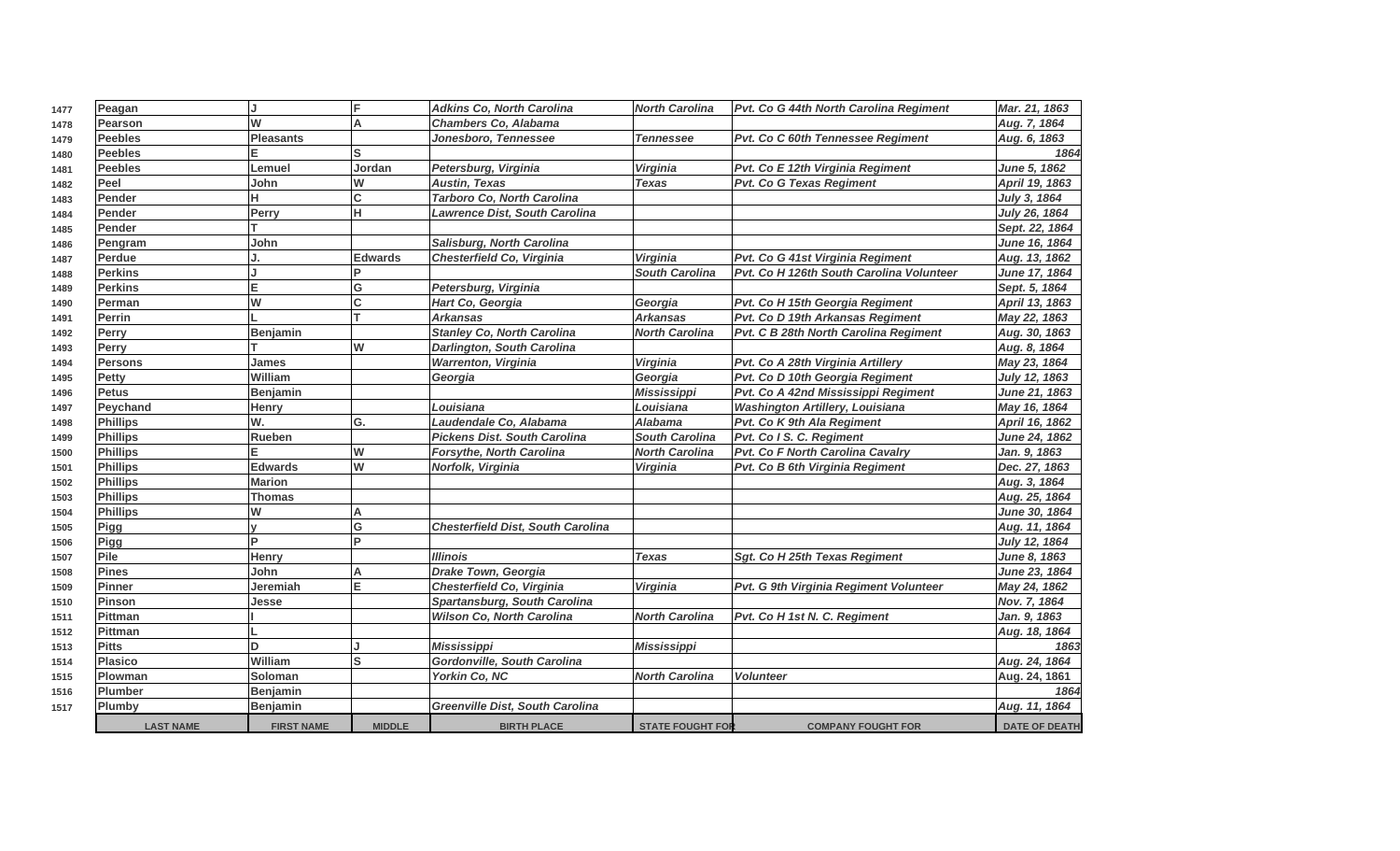| 1477 | Peagan           | IJ                |                | <b>Adkins Co, North Carolina</b>         | <b>North Carolina</b>   | Pvt. Co G 44th North Carolina Regiment   | Mar. 21, 1863        |
|------|------------------|-------------------|----------------|------------------------------------------|-------------------------|------------------------------------------|----------------------|
| 1478 | Pearson          | W                 |                | <b>Chambers Co. Alabama</b>              |                         |                                          | Aug. 7, 1864         |
| 1479 | <b>Peebles</b>   | <b>Pleasants</b>  |                | Jonesboro, Tennessee                     | <b>Tennessee</b>        | Pvt. Co C 60th Tennessee Regiment        | Aug. 6, 1863         |
| 1480 | <b>Peebles</b>   |                   |                |                                          |                         |                                          | 1864                 |
| 1481 | <b>Peebles</b>   | Lemuel            | Jordan         | Petersburg, Virginia                     | Virginia                | Pvt. Co E 12th Virginia Regiment         | June 5, 1862         |
| 1482 | Peel             | John              | W              | <b>Austin, Texas</b>                     | <b>Texas</b>            | <b>Pvt. Co G Texas Regiment</b>          | April 19, 1863       |
| 1483 | Pender           | н                 | C              | Tarboro Co, North Carolina               |                         |                                          | July 3, 1864         |
| 1484 | Pender           | Perry             | н              | Lawrence Dist, South Carolina            |                         |                                          | July 26, 1864        |
| 1485 | Pender           |                   |                |                                          |                         |                                          | Sept. 22, 1864       |
| 1486 | Pengram          | John              |                | Salisburg, North Carolina                |                         |                                          | June 16, 1864        |
| 1487 | Perdue           |                   | <b>Edwards</b> | Chesterfield Co, Virginia                | Virginia                | Pvt. Co G 41st Virginia Regiment         | Aug. 13, 1862        |
| 1488 | <b>Perkins</b>   |                   |                |                                          | <b>South Carolina</b>   | Pvt. Co H 126th South Carolina Volunteer | June 17, 1864        |
| 1489 | <b>Perkins</b>   | lE.               | G              | Petersburg, Virginia                     |                         |                                          | Sept. 5, 1864        |
| 1490 | Perman           | W                 | C              | Hart Co, Georgia                         | Georgia                 | Pvt. Co H 15th Georgia Regiment          | April 13, 1863       |
| 1491 | Perrin           |                   |                | <b>Arkansas</b>                          | <b>Arkansas</b>         | Pvt. Co D 19th Arkansas Regiment         | May 22, 1863         |
| 1492 | Perry            | <b>Benjamin</b>   |                | <b>Stanley Co, North Carolina</b>        | <b>North Carolina</b>   | Pvt. C B 28th North Carolina Regiment    | Aug. 30, 1863        |
| 1493 | <b>Perry</b>     |                   | W              | <b>Darlington, South Carolina</b>        |                         |                                          | Aug. 8, 1864         |
| 1494 | Persons          | James             |                | <b>Warrenton, Virginia</b>               | Virginia                | Pvt. Co A 28th Virginia Artillery        | May 23, 1864         |
| 1495 | Petty            | William           |                | Georgia                                  | Georgia                 | Pvt. Co D 10th Georgia Regiment          | July 12, 1863        |
| 1496 | <b>Petus</b>     | Benjamin          |                |                                          | <b>Mississippi</b>      | Pvt. Co A 42nd Mississippi Regiment      | June 21, 1863        |
| 1497 | Peychand         | Henry             |                | Louisiana                                | Louisiana               | <b>Washington Artillery, Louisiana</b>   | May 16, 1864         |
| 1498 | <b>Phillips</b>  | W.                | G.             | Laudendale Co, Alabama                   | <b>Alabama</b>          | Pvt. Co K 9th Ala Regiment               | April 16, 1862       |
| 1499 | Phillips         | Rueben            |                | <b>Pickens Dist. South Carolina</b>      | South Carolina          | Pvt. Co I S. C. Regiment                 | June 24, 1862        |
| 1500 | Phillips         |                   | W              | Forsythe, North Carolina                 | <b>North Carolina</b>   | Pvt. Co F North Carolina Cavalry         | Jan. 9, 1863         |
| 1501 | <b>Phillips</b>  | Edwards           | W              | Norfolk, Virginia                        | Virginia                | Pvt. Co B 6th Virginia Regiment          | Dec. 27, 1863        |
| 1502 | <b>Phillips</b>  | <b>Marion</b>     |                |                                          |                         |                                          | Aug. 3, 1864         |
| 1503 | <b>Phillips</b>  | Thomas            |                |                                          |                         |                                          | Aug. 25, 1864        |
| 1504 | Phillips         | W                 |                |                                          |                         |                                          | June 30, 1864        |
| 1505 | Pigg             |                   | G              | <b>Chesterfield Dist, South Carolina</b> |                         |                                          | Aug. 11, 1864        |
| 1506 | Pigg             | lP.               | D.             |                                          |                         |                                          | July 12, 1864        |
| 1507 | Pile             | Henry             |                | <b>Illinois</b>                          | <b>Texas</b>            | Sgt. Co H 25th Texas Regiment            | June 8, 1863         |
| 1508 | <b>Pines</b>     | John              |                | <b>Drake Town, Georgia</b>               |                         |                                          | June 23, 1864        |
| 1509 | <b>Pinner</b>    | Jeremiah          | Е              | Chesterfield Co, Virginia                | Virginia                | Pvt. G 9th Virginia Regiment Volunteer   | May 24, 1862         |
| 1510 | <b>Pinson</b>    | Jesse             |                | Spartansburg, South Carolina             |                         |                                          | Nov. 7, 1864         |
| 1511 | Pittman          |                   |                | <b>Wilson Co, North Carolina</b>         | <b>North Carolina</b>   | Pvt. Co H 1st N. C. Regiment             | Jan. 9, 1863         |
| 1512 | <b>Pittman</b>   |                   |                |                                          |                         |                                          | Aug. 18, 1864        |
| 1513 | <b>Pitts</b>     | ln.               |                | <b>Mississippi</b>                       | <b>Mississippi</b>      |                                          | 1863                 |
| 1514 | <b>Plasico</b>   | William           |                | Gordonville, South Carolina              |                         |                                          | Aug. 24, 1864        |
| 1515 | <b>Plowman</b>   | Soloman           |                | Yorkin Co, NC                            | <b>North Carolina</b>   | <b>Volunteer</b>                         | Aug. 24, 1861        |
| 1516 | Plumber          | Benjamin          |                |                                          |                         |                                          | 1864                 |
| 1517 | Plumby           | <b>Benjamin</b>   |                | <b>Greenville Dist, South Carolina</b>   |                         |                                          | Aug. 11, 1864        |
|      | <b>LAST NAME</b> | <b>FIRST NAME</b> | <b>MIDDLE</b>  | <b>BIRTH PLACE</b>                       | <b>STATE FOUGHT FOR</b> | <b>COMPANY FOUGHT FOR</b>                | <b>DATE OF DEATH</b> |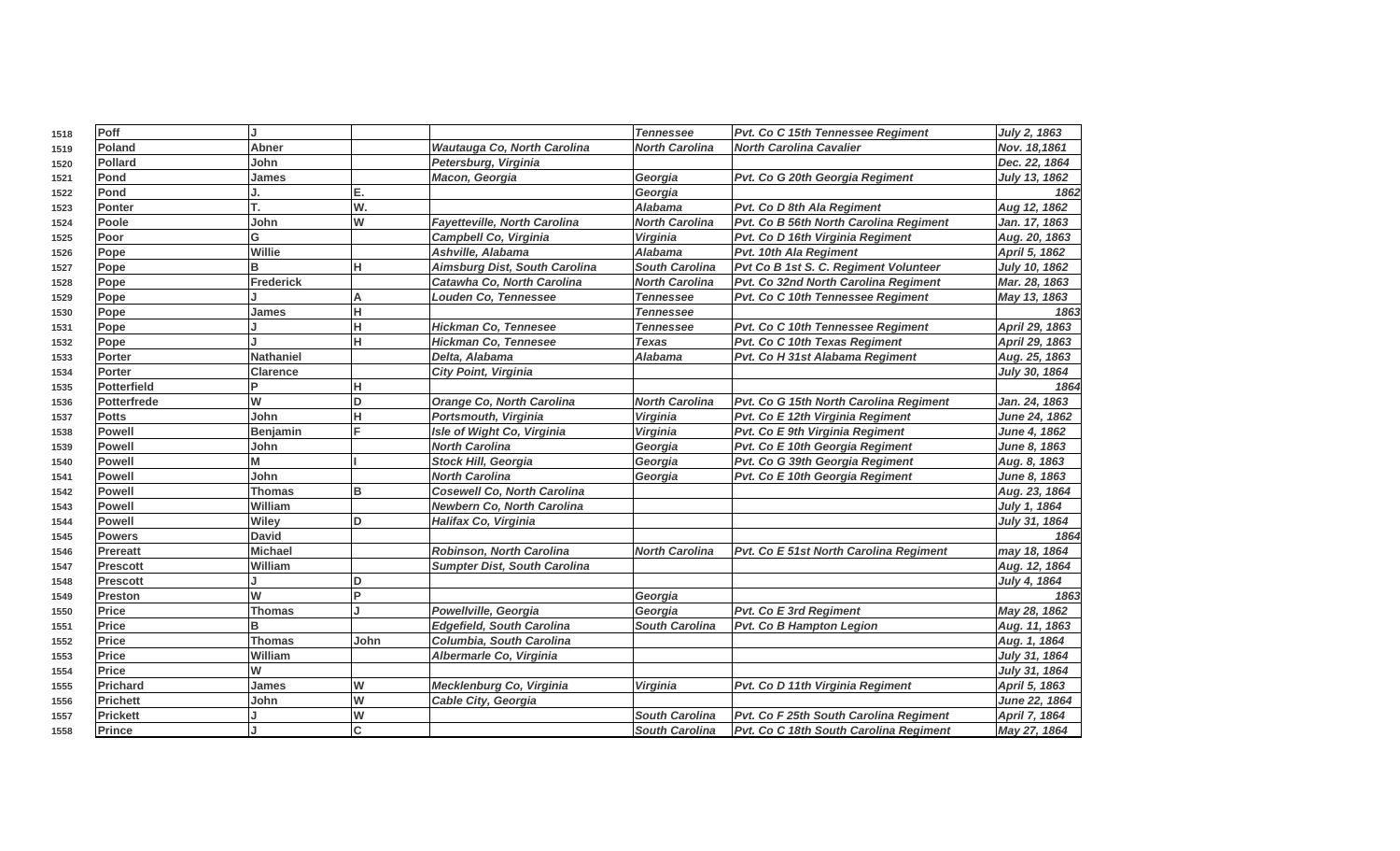| 1518 | Poff               | IJ              |      |                                      | <b>Tennessee</b>      | Pvt. Co C 15th Tennessee Reaiment      | July 2, 1863   |
|------|--------------------|-----------------|------|--------------------------------------|-----------------------|----------------------------------------|----------------|
| 1519 | Poland             | Abner           |      | Wautauga Co, North Carolina          | <b>North Carolina</b> | <b>North Carolina Cavalier</b>         | Nov. 18,1861   |
| 1520 | <b>Pollard</b>     | John            |      | Petersburg, Virginia                 |                       |                                        | Dec. 22, 1864  |
| 1521 | Pond               | James           |      | Macon, Georgia                       | Georgia               | Pvt. Co G 20th Georgia Regiment        | July 13, 1862  |
| 1522 | Pond               |                 | Е.   |                                      | Georgia               |                                        | 1862           |
| 1523 | <b>Ponter</b>      |                 | W.   |                                      | <b>Alabama</b>        | Pvt. Co D 8th Ala Regiment             | Aug 12, 1862   |
| 1524 | Poole              | John            | W    | Fayetteville, North Carolina         | <b>North Carolina</b> | Pvt. Co B 56th North Carolina Regiment | Jan. 17, 1863  |
| 1525 | Poor               | G               |      | Campbell Co, Virginia                | <b>Virginia</b>       | Pvt. Co D 16th Virginia Regiment       | Aug. 20, 1863  |
| 1526 | Pope               | Willie          |      | Ashville, Alabama                    | <b>Alabama</b>        | Pvt. 10th Ala Regiment                 | April 5, 1862  |
| 1527 | Pope               | B               |      | <b>Aimsburg Dist, South Carolina</b> | <b>South Carolina</b> | Pvt Co B 1st S. C. Regiment Volunteer  | July 10, 1862  |
| 1528 | Pope               | Frederick       |      | Catawha Co, North Carolina           | <b>North Carolina</b> | Pvt. Co 32nd North Carolina Regiment   | Mar. 28, 1863  |
| 1529 | Pope               |                 | A    | <b>Louden Co, Tennessee</b>          | <b>Tennessee</b>      | Pvt. Co C 10th Tennessee Regiment      | May 13, 1863   |
| 1530 | Pope               | James           | н.   |                                      | <b>Tennessee</b>      |                                        | 1863           |
| 1531 | Pope               |                 | н    | <b>Hickman Co, Tennesee</b>          | <b>Tennessee</b>      | Pvt. Co C 10th Tennessee Regiment      | April 29, 1863 |
| 1532 | Pope               |                 |      | <b>Hickman Co, Tennesee</b>          | <b>Texas</b>          | Pvt. Co C 10th Texas Regiment          | April 29, 1863 |
| 1533 | Porter             | Nathaniel       |      | Delta, Alabama                       | <b>Alabama</b>        | Pvt. Co H 31st Alabama Regiment        | Aug. 25, 1863  |
| 1534 | <b>Porter</b>      | <b>Clarence</b> |      | <b>City Point, Virginia</b>          |                       |                                        | July 30, 1864  |
| 1535 | <b>Potterfield</b> | Þ               |      |                                      |                       |                                        | 1864           |
| 1536 | <b>Potterfrede</b> | W               | D    | <b>Orange Co, North Carolina</b>     | <b>North Carolina</b> | Pvt. Co G 15th North Carolina Regiment | Jan. 24, 1863  |
| 1537 | <b>Potts</b>       | John            | н    | Portsmouth, Virginia                 | Virginia              | Pvt. Co E 12th Virginia Regiment       | June 24, 1862  |
| 1538 | <b>Powell</b>      | Benjamin        |      | Isle of Wight Co, Virginia           | Virginia              | Pvt. Co E 9th Virginia Regiment        | June 4, 1862   |
| 1539 | <b>Powell</b>      | John            |      | <b>North Carolina</b>                | Georgia               | Pvt. Co E 10th Georgia Regiment        | June 8, 1863   |
| 1540 | <b>Powell</b>      | М               |      | <b>Stock Hill, Georgia</b>           | Georgia               | Pvt. Co G 39th Georgia Regiment        | Aug. 8, 1863   |
| 1541 | <b>Powell</b>      | John            |      | <b>North Carolina</b>                | Georgia               | Pvt. Co E 10th Georgia Regiment        | June 8, 1863   |
| 1542 | <b>Powell</b>      | <b>Thomas</b>   | в    | <b>Cosewell Co, North Carolina</b>   |                       |                                        | Aug. 23, 1864  |
| 1543 | <b>Powell</b>      | William         |      | <b>Newbern Co, North Carolina</b>    |                       |                                        | July 1, 1864   |
| 1544 | <b>Powell</b>      | Wiley           | D    | Halifax Co, Virginia                 |                       |                                        | July 31, 1864  |
| 1545 | <b>Powers</b>      | <b>David</b>    |      |                                      |                       |                                        | 1864           |
| 1546 | <b>Prereatt</b>    | <b>Michael</b>  |      | Robinson, North Carolina             | <b>North Carolina</b> | Pvt. Co E 51st North Carolina Regiment | may 18, 1864   |
| 1547 | <b>Prescott</b>    | William         |      | <b>Sumpter Dist, South Carolina</b>  |                       |                                        | Aug. 12, 1864  |
| 1548 | <b>Prescott</b>    |                 | ח    |                                      |                       |                                        | July 4, 1864   |
| 1549 | <b>Preston</b>     | W               | Þ    |                                      | Georgia               |                                        | 1863           |
| 1550 | Price              | <b>Thomas</b>   |      | Powellville, Georgia                 | Georgia               | Pvt. Co E 3rd Regiment                 | May 28, 1862   |
| 1551 | <b>Price</b>       | B               |      | <b>Edgefield, South Carolina</b>     | <b>South Carolina</b> | <b>Pvt. Co B Hampton Legion</b>        | Aug. 11, 1863  |
| 1552 | <b>Price</b>       | <b>Thomas</b>   | John | Columbia, South Carolina             |                       |                                        | Aug. 1, 1864   |
| 1553 | <b>Price</b>       | William         |      | Albermarle Co, Virginia              |                       |                                        | July 31, 1864  |
| 1554 | Price              | W               |      |                                      |                       |                                        | July 31, 1864  |
| 1555 | <b>Prichard</b>    | James           | W    | Mecklenburg Co, Virginia             | Virginia              | Pvt. Co D 11th Virginia Regiment       | April 5, 1863  |
| 1556 | <b>Prichett</b>    | John            | W    | <b>Cable City, Georgia</b>           |                       |                                        | June 22, 1864  |
| 1557 | <b>Prickett</b>    |                 | W    |                                      | <b>South Carolina</b> | Pvt. Co F 25th South Carolina Regiment | April 7, 1864  |
| 1558 | Prince             |                 | C    |                                      | <b>South Carolina</b> | Pvt. Co C 18th South Carolina Regiment | May 27, 1864   |
|      |                    |                 |      |                                      |                       |                                        |                |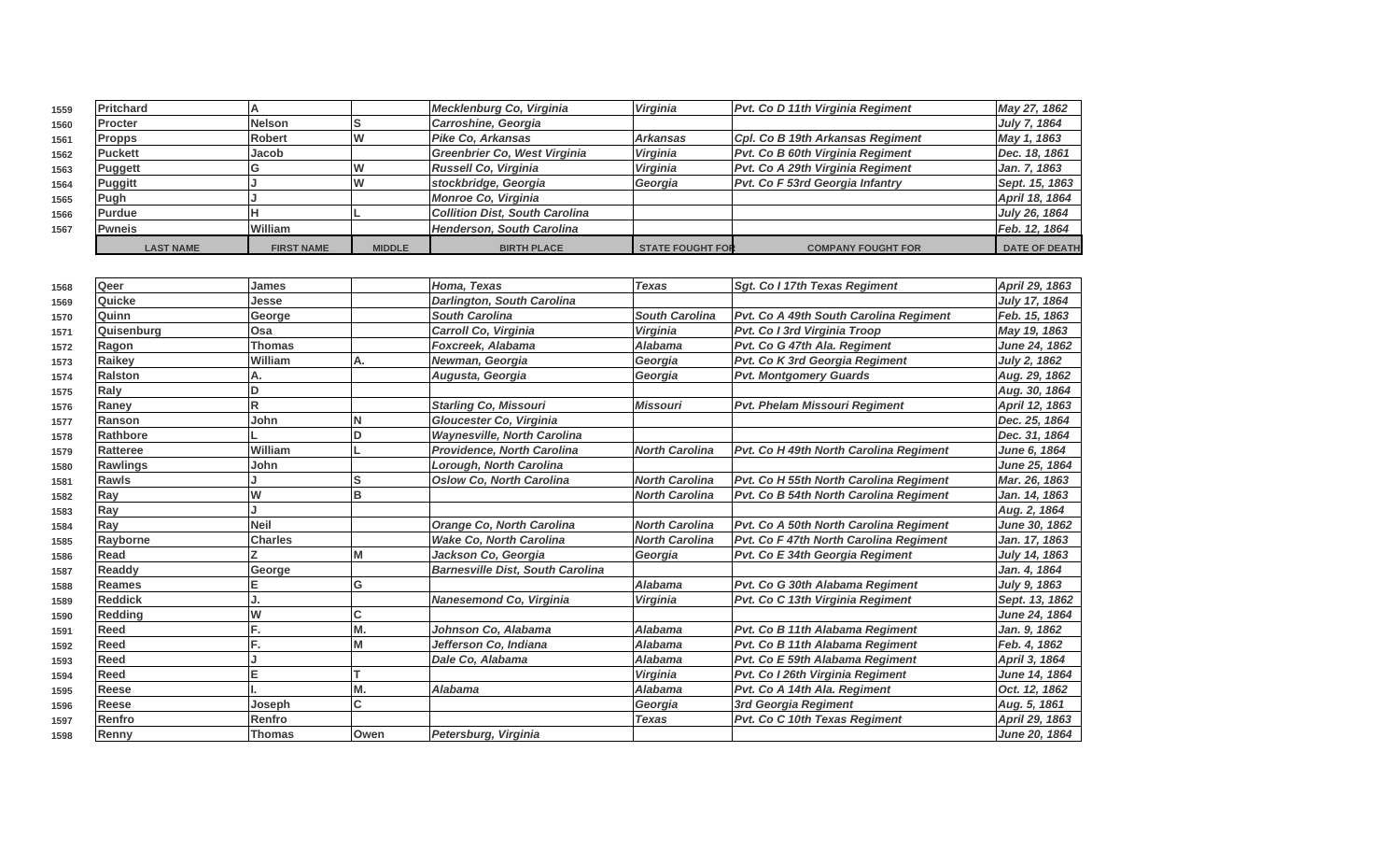| 1559 | <b>Pritchard</b> |                   |               | Mecklenburg Co, Virginia              | Virginia                | <b>Pvt. Co D 11th Virginia Regiment</b> | May 27, 1862         |
|------|------------------|-------------------|---------------|---------------------------------------|-------------------------|-----------------------------------------|----------------------|
| 1560 | <b>IProcter</b>  | <b>Nelson</b>     |               | Carroshine, Georgia                   |                         |                                         | July 7, 1864         |
| 1561 | <b>Propps</b>    | <b>Robert</b>     |               | Pike Co, Arkansas                     | Arkansas                | Cpl. Co B 19th Arkansas Regiment        | May 1, 1863          |
| 1562 | <b>Puckett</b>   | Jacob             |               | Greenbrier Co. West Virginia          | <b>Virginia</b>         | Pvt. Co B 60th Virginia Regiment        | Dec. 18, 1861        |
| 1563 | <b>Puggett</b>   |                   |               | Russell Co, Virginia                  | Virginia                | Pvt. Co A 29th Virginia Regiment        | Jan. 7, 1863         |
| 1564 | Puggitt          |                   |               | stockbridge, Georgia                  | Georgia                 | <b>Pvt. Co F 53rd Georgia Infantry</b>  | Sept. 15, 1863       |
| 1565 | Pugh             |                   |               | Monroe Co, Virginia                   |                         |                                         | April 18, 1864       |
| 1566 | <b>Purdue</b>    |                   |               | <b>Collition Dist, South Carolina</b> |                         |                                         | July 26, 1864        |
| 1567 | <b>Pwneis</b>    | <b>William</b>    |               | <b>Henderson, South Carolina</b>      |                         |                                         | Feb. 12, 1864        |
|      | <b>LAST NAME</b> | <b>FIRST NAME</b> | <b>MIDDLE</b> | <b>BIRTH PLACE</b>                    | <b>STATE FOUGHT FOR</b> | <b>COMPANY FOUGHT FOR</b>               | <b>DATE OF DEATH</b> |

| 1568 | Qeer            | <b>James</b>   |             | Homa, Texas                             | <b>Texas</b>          | Sgt. Co I 17th Texas Regiment                 | April 29, 1863 |
|------|-----------------|----------------|-------------|-----------------------------------------|-----------------------|-----------------------------------------------|----------------|
| 1569 | Quicke          | Jesse          |             | Darlington, South Carolina              |                       |                                               | July 17, 1864  |
| 1570 | Quinn           | George         |             | <b>South Carolina</b>                   | <b>South Carolina</b> | <b>Pvt. Co A 49th South Carolina Regiment</b> | Feb. 15, 1863  |
| 1571 | Quisenburg      | Osa            |             | Carroll Co, Virginia                    | <b>Virginia</b>       | Pvt. Co I 3rd Virginia Troop                  | May 19, 1863   |
| 1572 | Ragon           | Thomas         |             | Foxcreek, Alabama                       | <b>Alabama</b>        | Pvt. Co G 47th Ala. Regiment                  | June 24, 1862  |
| 1573 | Raikey          | William        | А.          | Newman, Georgia                         | Georgia               | Pvt. Co K 3rd Georgia Regiment                | July 2, 1862   |
| 1574 | <b>Ralston</b>  | А.             |             | Augusta, Georgia                        | Georgia               | <b>Pvt. Montgomery Guards</b>                 | Aug. 29, 1862  |
| 1575 | Raly            | ID             |             |                                         |                       |                                               | Aug. 30, 1864  |
| 1576 | Raney           | R.             |             | <b>Starling Co, Missouri</b>            | <b>Missouri</b>       | <b>Pvt. Phelam Missouri Regiment</b>          | April 12, 1863 |
| 1577 | Ranson          | John           |             | Gloucester Co, Virginia                 |                       |                                               | Dec. 25, 1864  |
| 1578 | Rathbore        |                |             | <b>Waynesville, North Carolina</b>      |                       |                                               | Dec. 31, 1864  |
| 1579 | Ratteree        | William        |             | <b>Providence, North Carolina</b>       | <b>North Carolina</b> | Pvt. Co H 49th North Carolina Regiment        | June 6, 1864   |
| 1580 | <b>Rawlings</b> | John           |             | Lorough, North Carolina                 |                       |                                               | June 25, 1864  |
| 1581 | <b>Rawls</b>    |                | ls          | <b>Oslow Co, North Carolina</b>         | <b>North Carolina</b> | <b>Pvt. Co H 55th North Carolina Regiment</b> | Mar. 26, 1863  |
| 1582 | Ray             | W              | lв          |                                         | <b>North Carolina</b> | Pvt. Co B 54th North Carolina Regiment        | Jan. 14, 1863  |
| 1583 | Ray             |                |             |                                         |                       |                                               | Aug. 2, 1864   |
| 1584 | Ray             | Neil           |             | Orange Co, North Carolina               | <b>North Carolina</b> | Pvt. Co A 50th North Carolina Regiment        | June 30, 1862  |
| 1585 | Rayborne        | <b>Charles</b> |             | <b>Wake Co. North Carolina</b>          | <b>North Carolina</b> | Pvt. Co F 47th North Carolina Regiment        | Jan. 17, 1863  |
| 1586 | Read            |                |             | Jackson Co, Georgia                     | Georgia               | Pvt. Co E 34th Georgia Regiment               | July 14, 1863  |
| 1587 | Readdy          | George         |             | <b>Barnesville Dist, South Carolina</b> |                       |                                               | Jan. 4, 1864   |
| 1588 | <b>Reames</b>   |                | G           |                                         | <b>Alabama</b>        | Pvt. Co G 30th Alabama Regiment               | July 9, 1863   |
| 1589 | <b>Reddick</b>  |                |             | Nanesemond Co, Virginia                 | Virginia              | Pvt. Co C 13th Virginia Regiment              | Sept. 13, 1862 |
| 1590 | <b>Redding</b>  | W              | C           |                                         |                       |                                               | June 24, 1864  |
| 1591 | <b>Reed</b>     | lF.            | M.          | Johnson Co, Alabama                     | <b>Alabama</b>        | Pvt. Co B 11th Alabama Regiment               | Jan. 9, 1862   |
| 1592 | <b>Reed</b>     |                | M           | Jefferson Co, Indiana                   | <b>Alabama</b>        | Pvt. Co B 11th Alabama Regiment               | Feb. 4, 1862   |
| 1593 | Reed            |                |             | Dale Co, Alabama                        | <b>Alabama</b>        | Pvt. Co E 59th Alabama Regiment               | April 3, 1864  |
| 1594 | <b>Reed</b>     | lΕ             |             |                                         | Virginia              | Pvt. Co I 26th Virginia Regiment              | June 14, 1864  |
| 1595 | <b>Reese</b>    |                | M.          | <b>Alabama</b>                          | <b>Alabama</b>        | Pvt. Co A 14th Ala. Regiment                  | Oct. 12, 1862  |
| 1596 | <b>Reese</b>    | Joseph         | C           |                                         | Georgia               | 3rd Georgia Regiment                          | Aug. 5, 1861   |
| 1597 | Renfro          | Renfro         |             |                                         | <b>Texas</b>          | Pvt. Co C 10th Texas Regiment                 | April 29, 1863 |
| 1598 | Renny           | Thomas         | <b>Owen</b> | Petersburg, Virginia                    |                       |                                               | June 20, 1864  |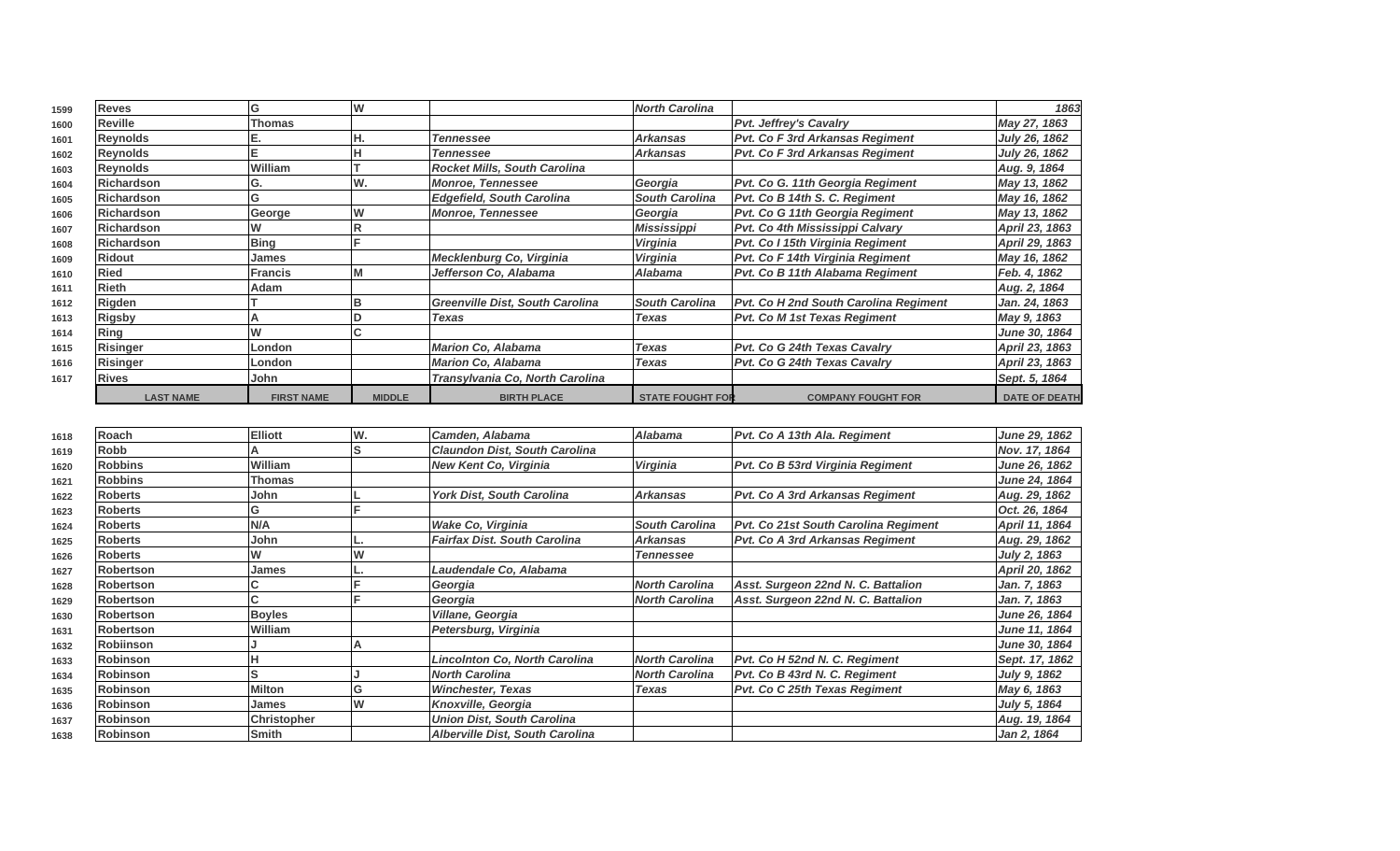| 1599 | <b>Reves</b>       | G                 |               |                                  | <b>North Carolina</b>   |                                        | 1863                 |
|------|--------------------|-------------------|---------------|----------------------------------|-------------------------|----------------------------------------|----------------------|
| 1600 | Reville            | <b>Thomas</b>     |               |                                  |                         | <b>Pvt. Jeffrey's Cavalry</b>          | May 27, 1863         |
| 1601 | Reynolds           |                   |               | <b>Tennessee</b>                 | <b>Arkansas</b>         | <b>Pvt. Co F 3rd Arkansas Regiment</b> | July 26, 1862        |
| 1602 | <b>Reynolds</b>    |                   |               | <b>Tennessee</b>                 | <b>Arkansas</b>         | <b>Pvt. Co F 3rd Arkansas Regiment</b> | July 26, 1862        |
| 1603 | Reynolds           | William           |               | Rocket Mills, South Carolina     |                         |                                        | Aug. 9, 1864         |
| 1604 | Richardson         | G.                | W.            | <b>Monroe, Tennessee</b>         | Georgia                 | Pvt. Co G. 11th Georgia Regiment       | May 13, 1862         |
| 1605 | Richardson         |                   |               | <b>Edgefield, South Carolina</b> | <b>South Carolina</b>   | Pvt. Co B 14th S. C. Regiment          | May 16, 1862         |
| 1606 | <b>Richardson</b>  | George            |               | <b>Monroe, Tennessee</b>         | Georgia                 | Pvt. Co G 11th Georgia Regiment        | May 13, 1862         |
| 1607 | <b>IRichardson</b> |                   |               |                                  | Mississippi             | Pvt. Co 4th Mississippi Calvary        | April 23, 1863       |
| 1608 | Richardson         | <b>Bing</b>       |               |                                  | Virginia                | Pvt. Co I 15th Virginia Regiment       | April 29, 1863       |
| 1609 | <b>Ridout</b>      | James             |               | Mecklenburg Co, Virginia         | Virginia                | Pvt. Co F 14th Virginia Regiment       | May 16, 1862         |
| 1610 | <b>Ried</b>        | <b>Francis</b>    |               | Jefferson Co, Alabama            | Alabama                 | Pvt. Co B 11th Alabama Regiment        | Feb. 4, 1862         |
| 1611 | <b>Rieth</b>       | Adam              |               |                                  |                         |                                        | Aug. 2, 1864         |
| 1612 | Rigden             |                   |               | Greenville Dist, South Carolina  | <b>South Carolina</b>   | Pvt. Co H 2nd South Carolina Regiment  | Jan. 24, 1863        |
| 1613 | <b>Rigsby</b>      |                   |               | Texas                            | Texas                   | Pvt. Co M 1st Texas Regiment           | May 9, 1863          |
| 1614 | Ring               |                   |               |                                  |                         |                                        | June 30, 1864        |
| 1615 | Risinger           | London            |               | Marion Co, Alabama               | <b>Texas</b>            | Pvt. Co G 24th Texas Cavalry           | April 23, 1863       |
| 1616 | Risinger           | London            |               | Marion Co, Alabama               | Texas                   | Pvt. Co G 24th Texas Cavalry           | April 23, 1863       |
| 1617 | <b>Rives</b>       | John              |               | Transylvania Co, North Carolina  |                         |                                        | Sept. 5, 1864        |
|      | <b>LAST NAME</b>   | <b>FIRST NAME</b> | <b>MIDDLE</b> | <b>BIRTH PLACE</b>               | <b>STATE FOUGHT FOR</b> | <b>COMPANY FOUGHT FOR</b>              | <b>DATE OF DEATH</b> |

| 1618 | Roach            | <b>Elliott</b> | W. | Camden, Alabama                        | Alabama               | Pvt. Co A 13th Ala. Regiment           | June 29, 1862        |
|------|------------------|----------------|----|----------------------------------------|-----------------------|----------------------------------------|----------------------|
| 1619 | Robb             |                | S  | <b>Claundon Dist, South Carolina</b>   |                       |                                        | Nov. 17, 1864        |
| 1620 | <b>Robbins</b>   | William        |    | <b>New Kent Co, Virginia</b>           | Virginia              | Pvt. Co B 53rd Virginia Regiment       | <b>June 26, 1862</b> |
| 1621 | <b>Robbins</b>   | Thomas         |    |                                        |                       |                                        | June 24, 1864        |
| 1622 | <b>Roberts</b>   | John           |    | <b>York Dist, South Carolina</b>       | <b>Arkansas</b>       | <b>Pvt. Co A 3rd Arkansas Regiment</b> | Aug. 29, 1862        |
| 1623 | <b>Roberts</b>   | G              |    |                                        |                       |                                        | Oct. 26, 1864        |
| 1624 | <b>Roberts</b>   | N/A            |    | Wake Co, Virginia                      | <b>South Carolina</b> | Pvt. Co 21st South Carolina Regiment   | April 11, 1864       |
| 1625 | <b>Roberts</b>   | John           |    | <b>Fairfax Dist. South Carolina</b>    | <b>Arkansas</b>       | <b>Pvt. Co A 3rd Arkansas Regiment</b> | Aug. 29, 1862        |
| 1626 | <b>Roberts</b>   |                |    |                                        | <b>Tennessee</b>      |                                        | July 2, 1863         |
| 1627 | <b>Robertson</b> | James          |    | Laudendale Co, Alabama                 |                       |                                        | April 20, 1862       |
| 1628 | <b>Robertson</b> |                |    | Georgia                                | <b>North Carolina</b> | Asst. Surgeon 22nd N. C. Battalion     | Jan. 7, 1863         |
| 1629 | <b>Robertson</b> |                |    | Georgia                                | <b>North Carolina</b> | Asst. Surgeon 22nd N. C. Battalion     | Jan. 7, 1863         |
| 1630 | Robertson        | <b>Boyles</b>  |    | Villane, Georgia                       |                       |                                        | June 26, 1864        |
| 1631 | <b>Robertson</b> | William        |    | Petersburg, Virginia                   |                       |                                        | June 11, 1864        |
| 1632 | <b>Robiinson</b> |                |    |                                        |                       |                                        | June 30, 1864        |
| 1633 | <b>Robinson</b>  |                |    | <b>Lincolnton Co, North Carolina</b>   | <b>North Carolina</b> | Pvt. Co H 52nd N. C. Regiment          | Sept. 17, 1862       |
| 1634 | <b>Robinson</b>  |                |    | <b>North Carolina</b>                  | <b>North Carolina</b> | Pvt. Co B 43rd N. C. Regiment          | July 9, 1862         |
| 1635 | <b>Robinson</b>  | <b>Milton</b>  | G  | <b>Winchester, Texas</b>               | <b>Texas</b>          | <b>Pvt. Co C 25th Texas Regiment</b>   | May 6, 1863          |
| 1636 | <b>Robinson</b>  | <b>James</b>   | W  | Knoxville, Georgia                     |                       |                                        | July 5, 1864         |
| 1637 | <b>Robinson</b>  | Christopher    |    | <b>Union Dist, South Carolina</b>      |                       |                                        | Aug. 19, 1864        |
| 1638 | <b>Robinson</b>  | <b>Smith</b>   |    | <b>Alberville Dist, South Carolina</b> |                       |                                        | Jan 2, 1864          |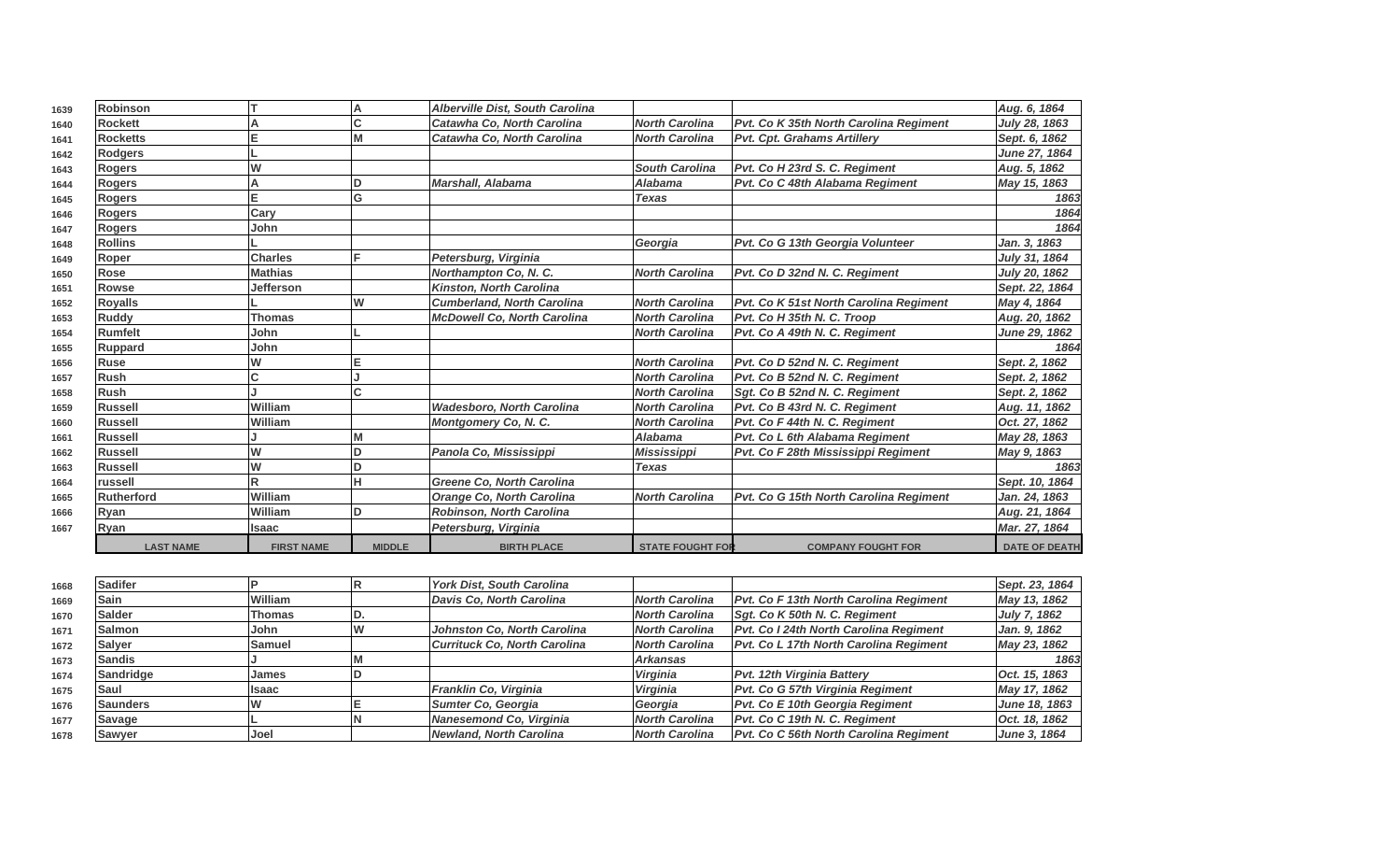| 1639 | <b>Robinson</b>  |                   |               | Alberville Dist, South Carolina    |                         |                                               | Aug. 6, 1864         |
|------|------------------|-------------------|---------------|------------------------------------|-------------------------|-----------------------------------------------|----------------------|
| 1640 | <b>Rockett</b>   |                   | Ċ             | Catawha Co. North Carolina         | <b>North Carolina</b>   | Pvt. Co K 35th North Carolina Regiment        | July 28, 1863        |
| 1641 | <b>Rocketts</b>  | E                 |               | Catawha Co. North Carolina         | <b>North Carolina</b>   | <b>Pvt. Cpt. Grahams Artillery</b>            | Sept. 6, 1862        |
| 1642 | <b>Rodgers</b>   |                   |               |                                    |                         |                                               | June 27, 1864        |
| 1643 | <b>Rogers</b>    | W                 |               |                                    | <b>South Carolina</b>   | Pvt. Co H 23rd S. C. Regiment                 | Aug. 5, 1862         |
| 1644 | <b>Rogers</b>    |                   |               | <b>Marshall, Alabama</b>           | <b>Alabama</b>          | Pvt. Co C 48th Alabama Regiment               | May 15, 1863         |
| 1645 | <b>Rogers</b>    | Е                 | Ġ             |                                    | <b>Texas</b>            |                                               | 1863                 |
| 1646 | Rogers           | Cary              |               |                                    |                         |                                               | 1864                 |
| 1647 | <b>Rogers</b>    | John              |               |                                    |                         |                                               | 1864                 |
| 1648 | <b>Rollins</b>   |                   |               |                                    | Georgia                 | Pvt. Co G 13th Georgia Volunteer              | Jan. 3, 1863         |
| 1649 | Roper            | <b>Charles</b>    |               | Petersburg, Virginia               |                         |                                               | July 31, 1864        |
| 1650 | Rose             | <b>Mathias</b>    |               | Northampton Co, N. C.              | <b>North Carolina</b>   | Pvt. Co D 32nd N. C. Regiment                 | July 20, 1862        |
| 1651 | <b>Rowse</b>     | <b>Jefferson</b>  |               | <b>Kinston, North Carolina</b>     |                         |                                               | Sept. 22, 1864       |
| 1652 | <b>Royalls</b>   |                   | W             | <b>Cumberland, North Carolina</b>  | <b>North Carolina</b>   | <b>Pvt. Co K 51st North Carolina Regiment</b> | May 4, 1864          |
| 1653 | <b>Ruddy</b>     | <b>Thomas</b>     |               | <b>McDowell Co, North Carolina</b> | <b>North Carolina</b>   | Pvt. Co H 35th N. C. Troop                    | Aug. 20, 1862        |
| 1654 | Rumfelt          | John              |               |                                    | <b>North Carolina</b>   | Pvt. Co A 49th N. C. Regiment                 | June 29, 1862        |
| 1655 | Ruppard          | John              |               |                                    |                         |                                               | 1864                 |
| 1656 | <b>Ruse</b>      | W                 |               |                                    | <b>North Carolina</b>   | Pvt. Co D 52nd N. C. Regiment                 | Sept. 2, 1862        |
| 1657 | <b>Rush</b>      | C                 |               |                                    | <b>North Carolina</b>   | Pvt. Co B 52nd N. C. Regiment                 | Sept. 2, 1862        |
| 1658 | <b>Rush</b>      |                   |               |                                    | <b>North Carolina</b>   | Sgt. Co B 52nd N. C. Regiment                 | Sept. 2, 1862        |
| 1659 | Russell          | William           |               | <b>Wadesboro, North Carolina</b>   | <b>North Carolina</b>   | Pvt. Co B 43rd N. C. Regiment                 | Aug. 11, 1862        |
| 1660 | Russell          | William           |               | <b>Montgomery Co, N. C.</b>        | <b>North Carolina</b>   | Pvt. Co F 44th N. C. Regiment                 | Oct. 27, 1862        |
| 1661 | Russell          |                   |               |                                    | <b>Alabama</b>          | Pvt. Co L 6th Alabama Regiment                | May 28, 1863         |
| 1662 | Russell          | W                 |               | Panola Co, Mississippi             | <b>Mississippi</b>      | Pvt. Co F 28th Mississippi Regiment           | May 9, 1863          |
| 1663 | Russell          | W                 |               |                                    | <b>Texas</b>            |                                               | 1863                 |
| 1664 | <b>russell</b>   |                   |               | <b>Greene Co. North Carolina</b>   |                         |                                               | Sept. 10, 1864       |
| 1665 | Rutherford       | William           |               | <b>Orange Co, North Carolina</b>   | <b>North Carolina</b>   | Pvt. Co G 15th North Carolina Regiment        | Jan. 24, 1863        |
| 1666 | Ryan             | William           | n             | Robinson, North Carolina           |                         |                                               | Aug. 21, 1864        |
| 1667 | Ryan             | Isaac             |               | Petersburg, Virginia               |                         |                                               | Mar. 27, 1864        |
|      | <b>LAST NAME</b> | <b>FIRST NAME</b> | <b>MIDDLE</b> | <b>BIRTH PLACE</b>                 | <b>STATE FOUGHT FOR</b> | <b>COMPANY FOUGHT FOR</b>                     | <b>DATE OF DEATH</b> |
|      |                  |                   |               |                                    |                         |                                               |                      |

| 1668 | <b>Sadifer</b>   |                | <b>York Dist, South Carolina</b> |                       |                                               | Sept. 23, 1864      |
|------|------------------|----------------|----------------------------------|-----------------------|-----------------------------------------------|---------------------|
| 1669 | Sain             | <b>William</b> | Davis Co, North Carolina         | North Carolina        | <b>Pvt. Co F 13th North Carolina Regiment</b> | May 13, 1862        |
| 1670 | <b>Salder</b>    | Thomas         |                                  | North Carolina        | Sqt. Co K 50th N. C. Regiment                 | <b>July 7, 1862</b> |
| 1671 | Salmon           | <b>John</b>    | Johnston Co, North Carolina      | <b>North Carolina</b> | Pvt. Co I 24th North Carolina Regiment        | Jan. 9, 1862        |
| 1672 | <b>Salver</b>    | lSamuel        | Currituck Co, North Carolina     | North Carolina        | <b>Pvt. Co L 17th North Carolina Regiment</b> | May 23, 1862        |
| 1673 | <b>Sandis</b>    |                |                                  | <b>Arkansas</b>       |                                               | 1863                |
| 1674 | <b>Sandridge</b> | James          |                                  | <b>Virginia</b>       | <b>Pvt. 12th Virginia Battery</b>             | Oct. 15, 1863       |
| 1675 | Saul             | llsaac         | Franklin Co, Virginia            | <b>Virginia</b>       | Pvt. Co G 57th Virginia Regiment              | May 17, 1862        |
| 1676 | <b>Saunders</b>  |                | Sumter Co. Georgia               | Georgia               | Pvt. Co E 10th Georgia Regiment               | June 18, 1863       |
| 1677 | Savage           |                | Nanesemond Co, Virginia          | North Carolina        | Pvt. Co C 19th N. C. Regiment                 | Oct. 18, 1862       |
| 1678 | Sawyer           | Joel           | Newland. North Carolina          | <b>North Carolina</b> | Pvt. Co C 56th North Carolina Regiment        | June 3, 1864        |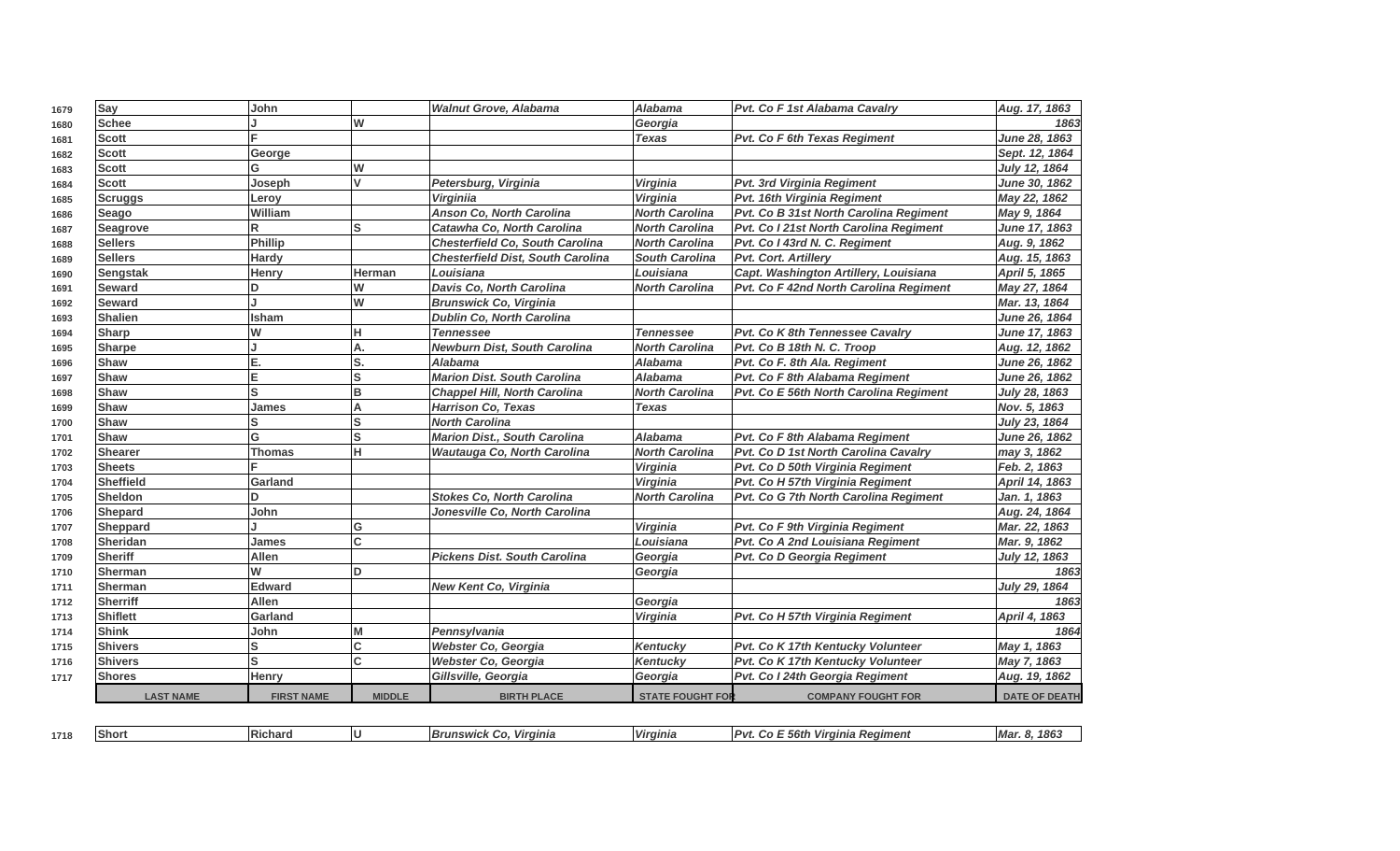| 1679 | Say              | John              |                         | <b>Walnut Grove, Alabama</b>             | <b>Alabama</b>          | Pvt. Co F 1st Alabama Cavalry          | Aug. 17, 1863        |
|------|------------------|-------------------|-------------------------|------------------------------------------|-------------------------|----------------------------------------|----------------------|
| 1680 | Schee            |                   | W                       |                                          | Georgia                 |                                        | 1863                 |
| 1681 | <b>Scott</b>     |                   |                         |                                          | <b>Texas</b>            | Pvt. Co F 6th Texas Regiment           | June 28, 1863        |
| 1682 | <b>Scott</b>     | George            |                         |                                          |                         |                                        | Sept. 12, 1864       |
| 1683 | <b>Scott</b>     | G                 | W                       |                                          |                         |                                        | July 12, 1864        |
| 1684 | <b>Scott</b>     | Joseph            | V                       | Petersburg, Virginia                     | <b>Virginia</b>         | <b>Pvt. 3rd Virginia Regiment</b>      | June 30, 1862        |
| 1685 | <b>Scruggs</b>   | Leroy             |                         | <b>Virginiia</b>                         | Virginia                | Pvt. 16th Virginia Regiment            | May 22, 1862         |
| 1686 | Seago            | William           |                         | <b>Anson Co. North Carolina</b>          | <b>North Carolina</b>   | Pvt. Co B 31st North Carolina Regiment | May 9, 1864          |
| 1687 | <b>Seagrove</b>  | R                 | ls                      | Catawha Co, North Carolina               | <b>North Carolina</b>   | Pvt. Co I 21st North Carolina Regiment | June 17, 1863        |
| 1688 | <b>Sellers</b>   | Phillip           |                         | <b>Chesterfield Co, South Carolina</b>   | <b>North Carolina</b>   | Pvt. Co I 43rd N. C. Regiment          | Aug. 9, 1862         |
| 1689 | <b>Sellers</b>   | <b>Hardy</b>      |                         | <b>Chesterfield Dist, South Carolina</b> | <b>South Carolina</b>   | Pvt. Cort. Artillery                   | Aug. 15, 1863        |
| 1690 | Sengstak         | Henry             | Herman                  | Louisiana                                | Louisiana               | Capt. Washington Artillery, Louisiana  | April 5, 1865        |
| 1691 | <b>Seward</b>    | D                 | W                       | Davis Co, North Carolina                 | North Carolina          | Pvt. Co F 42nd North Carolina Regiment | May 27, 1864         |
| 1692 | Seward           |                   | $\overline{\mathsf{w}}$ | <b>Brunswick Co, Virginia</b>            |                         |                                        | Mar. 13, 1864        |
| 1693 | Shalien          | <b>Isham</b>      |                         | <b>Dublin Co, North Carolina</b>         |                         |                                        | June 26, 1864        |
| 1694 | <b>Sharp</b>     | W                 | н                       | <b>Tennessee</b>                         | <b>Tennessee</b>        | Pvt. Co K 8th Tennessee Cavalry        | June 17, 1863        |
| 1695 | <b>Sharpe</b>    |                   | А.                      | <b>Newburn Dist, South Carolina</b>      | <b>North Carolina</b>   | Pvt. Co B 18th N. C. Troop             | Aug. 12, 1862        |
| 1696 | Shaw             | E.                | lS.                     | <b>Alabama</b>                           | <b>Alabama</b>          | Pvt. Co F. 8th Ala. Regiment           | June 26, 1862        |
| 1697 | <b>Shaw</b>      | E                 | ls                      | <b>Marion Dist, South Carolina</b>       | <b>Alabama</b>          | Pvt. Co F 8th Alabama Regiment         | <b>June 26, 1862</b> |
| 1698 | Shaw             | ls                | B                       | <b>Chappel Hill, North Carolina</b>      | <b>North Carolina</b>   | Pvt. Co E 56th North Carolina Regiment | July 28, 1863        |
| 1699 | <b>Shaw</b>      | James             | А                       | <b>Harrison Co, Texas</b>                | <b>Texas</b>            |                                        | Nov. 5, 1863         |
| 1700 | Shaw             | ls                | S                       | <b>North Carolina</b>                    |                         |                                        | July 23, 1864        |
| 1701 | <b>Shaw</b>      | G                 | lS                      | <b>Marion Dist., South Carolina</b>      | Alabama                 | Pvt. Co F 8th Alabama Regiment         | <b>June 26, 1862</b> |
| 1702 | <b>Shearer</b>   | <b>Thomas</b>     | н                       | <b>Wautauga Co, North Carolina</b>       | <b>North Carolina</b>   | Pvt. Co D 1st North Carolina Cavalry   | may 3, 1862          |
| 1703 | <b>Sheets</b>    |                   |                         |                                          | Virginia                | Pvt. Co D 50th Virginia Regiment       | Feb. 2, 1863         |
| 1704 | Sheffield        | Garland           |                         |                                          | Virginia                | Pvt. Co H 57th Virginia Regiment       | April 14, 1863       |
| 1705 | <b>Sheldon</b>   | <b>D</b>          |                         | <b>Stokes Co, North Carolina</b>         | <b>North Carolina</b>   | Pvt. Co G 7th North Carolina Regiment  | Jan. 1, 1863         |
| 1706 | Shepard          | John              |                         | Jonesville Co, North Carolina            |                         |                                        | Aug. 24, 1864        |
| 1707 | Sheppard         |                   | G                       |                                          | Virginia                | Pvt. Co F 9th Virginia Regiment        | Mar. 22, 1863        |
| 1708 | Sheridan         | James             | Ć                       |                                          | Louisiana               | Pvt. Co A 2nd Louisiana Regiment       | Mar. 9, 1862         |
| 1709 | Sheriff          | Allen             |                         | <b>Pickens Dist. South Carolina</b>      | Georgia                 | Pvt. Co D Georgia Regiment             | July 12, 1863        |
| 1710 | Sherman          | W                 | ID.                     |                                          | Georgia                 |                                        | 1863                 |
| 1711 | Sherman          | <b>Edward</b>     |                         | New Kent Co, Virginia                    |                         |                                        | July 29, 1864        |
| 1712 | Sherriff         | Allen             |                         |                                          | Georgia                 |                                        | 1863                 |
| 1713 | <b>Shiflett</b>  | Garland           |                         |                                          | Virginia                | Pvt. Co H 57th Virginia Regiment       | April 4, 1863        |
| 1714 | Shink            | John              | M                       | Pennsylvania                             |                         |                                        | 1864                 |
| 1715 | <b>Shivers</b>   | S                 | Ć                       | Webster Co, Georgia                      | <b>Kentucky</b>         | Pvt. Co K 17th Kentucky Volunteer      | May 1, 1863          |
| 1716 | <b>Shivers</b>   | ls                | C.                      | Webster Co, Georgia                      | <b>Kentucky</b>         | Pvt. Co K 17th Kentucky Volunteer      | May 7, 1863          |
| 1717 | <b>Shores</b>    | Henry             |                         | Gillsville, Georgia                      | Georgia                 | Pvt. Co I 24th Georgia Regiment        | Aug. 19, 1862        |
|      | <b>LAST NAME</b> | <b>FIRST NAME</b> | <b>MIDDLE</b>           | <b>BIRTH PLACE</b>                       | <b>STATE FOUGHT FOR</b> | <b>COMPANY FOUGHT FOR</b>              | <b>DATE OF DEATH</b> |

| 1718 | 10L<br>ıəno | IRi.<br>∶naro | Virginia<br>$\sim$ $\sim$ $\sim$ $\sim$<br>$\sim$ | <b>Virginia</b> | . п.<br>Virginia Regiment<br>. 56IN<br>. | 1863<br>. e<br>mar<br>о. |
|------|-------------|---------------|---------------------------------------------------|-----------------|------------------------------------------|--------------------------|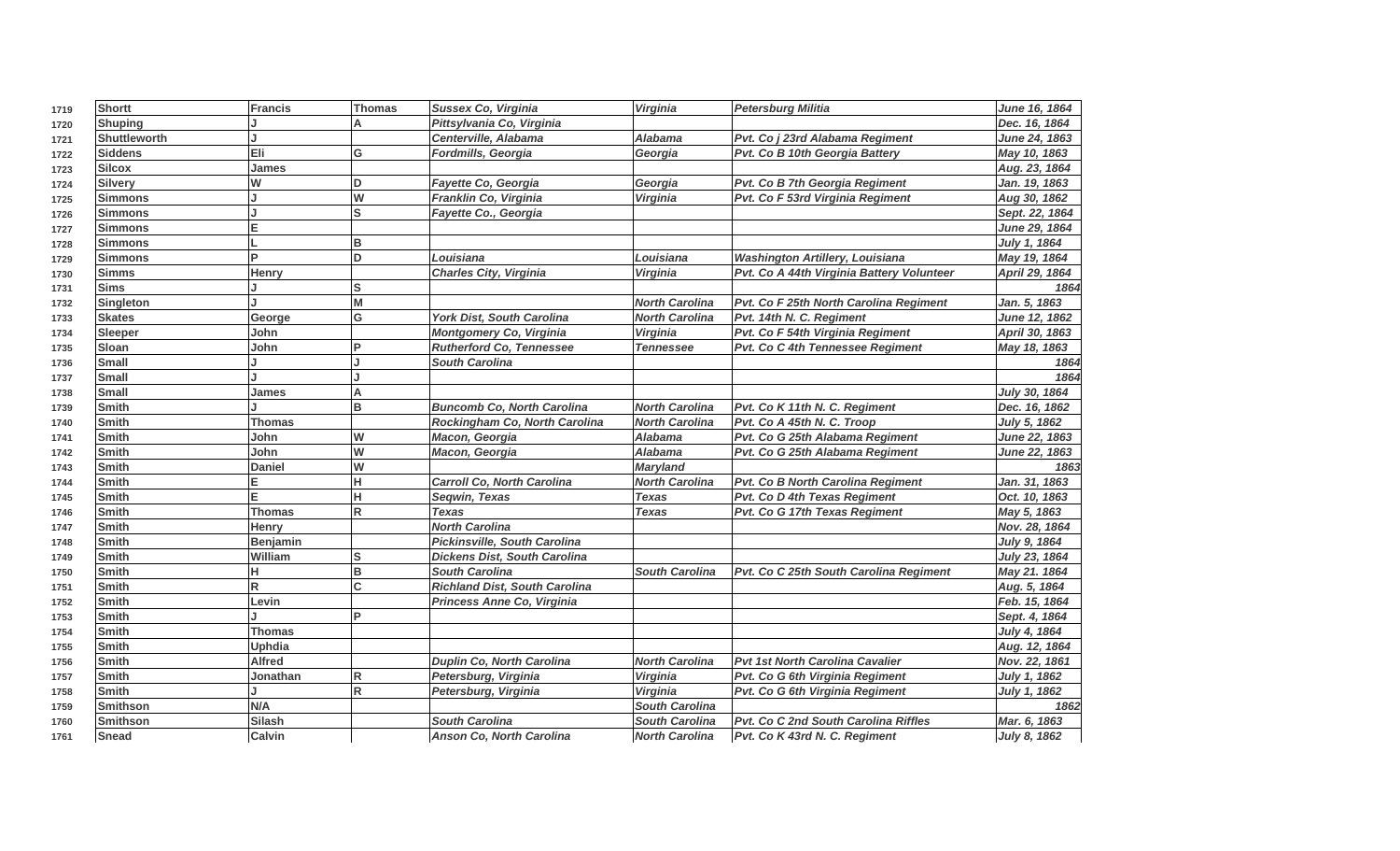| 1719 | Shortt              | <b>Francis</b> | Thomas         | Sussex Co, Virginia                  | Virginia              | <b>Petersburg Militia</b>                 | June 16, 1864        |
|------|---------------------|----------------|----------------|--------------------------------------|-----------------------|-------------------------------------------|----------------------|
| 1720 | <b>Shuping</b>      |                |                | Pittsylvania Co, Virginia            |                       |                                           | Dec. 16, 1864        |
| 1721 | <b>Shuttleworth</b> |                |                | Centerville, Alabama                 | <b>Alabama</b>        | Pvt. Co j 23rd Alabama Regiment           | June 24, 1863        |
| 1722 | <b>Siddens</b>      | Eli            | G              | Fordmills, Georgia                   | Georgia               | Pvt. Co B 10th Georgia Battery            | May 10, 1863         |
| 1723 | <b>Silcox</b>       | James          |                |                                      |                       |                                           | Aug. 23, 1864        |
| 1724 | <b>Silvery</b>      | W              | D              | Fayette Co, Georgia                  | Georgia               | Pvt. Co B 7th Georgia Regiment            | Jan. 19, 1863        |
| 1725 | <b>Simmons</b>      |                | W              | Franklin Co, Virginia                | Virginia              | Pvt. Co F 53rd Virginia Regiment          | Aug 30, 1862         |
| 1726 | <b>Simmons</b>      |                | ls             | Fayette Co., Georgia                 |                       |                                           | Sept. 22, 1864       |
| 1727 | <b>Simmons</b>      | Ė              |                |                                      |                       |                                           | June 29, 1864        |
| 1728 | <b>Simmons</b>      |                | B              |                                      |                       |                                           | July 1, 1864         |
| 1729 | <b>Simmons</b>      | D              | D              | Louisiana                            | Louisiana             | <b>Washington Artillery, Louisiana</b>    | May 19, 1864         |
| 1730 | Simms               | Henry          |                | <b>Charles City, Virginia</b>        | Virginia              | Pvt. Co A 44th Virginia Battery Volunteer | April 29, 1864       |
| 1731 | <b>Sims</b>         |                | ls             |                                      |                       |                                           | 1864                 |
| 1732 | Singleton           |                | M              |                                      | <b>North Carolina</b> | Pvt. Co F 25th North Carolina Regiment    | Jan. 5, 1863         |
| 1733 | <b>Skates</b>       | George         | G              | York Dist, South Carolina            | <b>North Carolina</b> | Pvt. 14th N. C. Regiment                  | June 12, 1862        |
| 1734 | Sleeper             | John           |                | Montgomery Co, Virginia              | Virginia              | Pvt. Co F 54th Virginia Regiment          | April 30, 1863       |
| 1735 | Sloan               | John           | P              | <b>Rutherford Co, Tennessee</b>      | <b>Tennessee</b>      | Pvt. Co C 4th Tennessee Regiment          | May 18, 1863         |
| 1736 | <b>Small</b>        |                |                | <b>South Carolina</b>                |                       |                                           | 1864                 |
| 1737 | Small               |                |                |                                      |                       |                                           | 1864                 |
| 1738 | Small               | James          | A              |                                      |                       |                                           | July 30, 1864        |
| 1739 | <b>Smith</b>        |                | B              | <b>Buncomb Co, North Carolina</b>    | <b>North Carolina</b> | Pvt. Co K 11th N. C. Regiment             | Dec. 16, 1862        |
| 1740 | <b>Smith</b>        | <b>Thomas</b>  |                | Rockingham Co, North Carolina        | <b>North Carolina</b> | Pvt. Co A 45th N. C. Troop                | July 5, 1862         |
| 1741 | <b>Smith</b>        | John           | <b>W</b>       | Macon, Georgia                       | Alabama               | Pvt. Co G 25th Alabama Regiment           | June 22, 1863        |
| 1742 | <b>Smith</b>        | John           | W              | Macon, Georgia                       | Alabama               | Pvt. Co G 25th Alabama Regiment           | June 22, 1863        |
| 1743 | <b>Smith</b>        | <b>Daniel</b>  | W              |                                      | <b>Maryland</b>       |                                           | 1863                 |
| 1744 | <b>Smith</b>        | E              | н              | <b>Carroll Co, North Carolina</b>    | <b>North Carolina</b> | Pvt. Co B North Carolina Regiment         | Jan. 31, 1863        |
| 1745 | <b>Smith</b>        | E.             | H              | Segwin, Texas                        | <b>Texas</b>          | Pvt. Co D 4th Texas Regiment              | Oct. 10, 1863        |
| 1746 | <b>Smith</b>        | <b>Thomas</b>  | $\overline{R}$ | <b>Texas</b>                         | Texas                 | Pvt. Co G 17th Texas Regiment             | May 5, 1863          |
| 1747 | <b>Smith</b>        | Henry          |                | <b>North Carolina</b>                |                       |                                           | Nov. 28, 1864        |
| 1748 | <b>Smith</b>        | Benjamin       |                | Pickinsville, South Carolina         |                       |                                           | July 9, 1864         |
| 1749 | <b>Smith</b>        | William        | ls             | <b>Dickens Dist, South Carolina</b>  |                       |                                           | <b>July 23, 1864</b> |
| 1750 | <b>Smith</b>        | н              | B              | <b>South Carolina</b>                | <b>South Carolina</b> | Pvt. Co C 25th South Carolina Regiment    | May 21. 1864         |
| 1751 | Smith               | R              | <b>c</b>       | <b>Richland Dist, South Carolina</b> |                       |                                           | Aug. 5, 1864         |
| 1752 | Smith               | Levin          |                | Princess Anne Co, Virginia           |                       |                                           | Feb. 15, 1864        |
| 1753 | <b>Smith</b>        |                | P              |                                      |                       |                                           | Sept. 4, 1864        |
| 1754 | <b>Smith</b>        | <b>Thomas</b>  |                |                                      |                       |                                           | July 4, 1864         |
| 1755 | <b>Smith</b>        | <b>Uphdia</b>  |                |                                      |                       |                                           | Aug. 12, 1864        |
| 1756 | Smith               | <b>Alfred</b>  |                | <b>Duplin Co, North Carolina</b>     | <b>North Carolina</b> | <b>Pvt 1st North Carolina Cavalier</b>    | Nov. 22, 1861        |
| 1757 | <b>Smith</b>        | Jonathan       | R              | Petersburg, Virginia                 | Virginia              | Pvt. Co G 6th Virginia Regiment           | July 1, 1862         |
| 1758 | <b>Smith</b>        |                | R              | Petersburg, Virginia                 | Virginia              | Pvt. Co G 6th Virginia Regiment           | July 1, 1862         |
| 1759 | <b>Smithson</b>     | N/A            |                |                                      | <b>South Carolina</b> |                                           | 1862                 |
| 1760 | <b>Smithson</b>     | <b>Silash</b>  |                | <b>South Carolina</b>                | <b>South Carolina</b> | Pvt. Co C 2nd South Carolina Riffles      | Mar. 6, 1863         |
| 1761 | <b>Snead</b>        | Calvin         |                | <b>Anson Co. North Carolina</b>      | <b>North Carolina</b> | Pvt. Co K 43rd N. C. Regiment             | July 8, 1862         |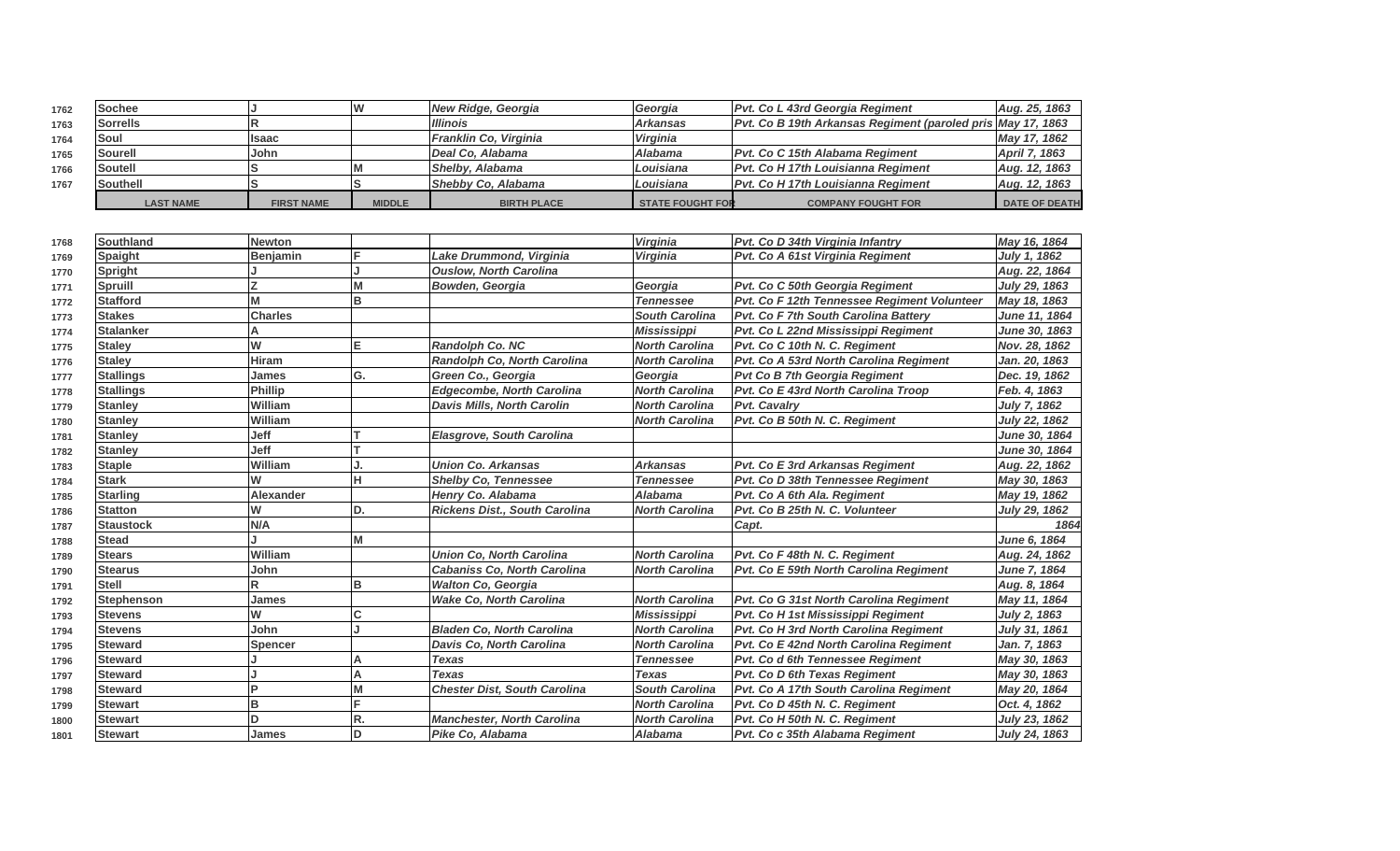| 1762 | <b>Sochee</b>    |                   |               | New Ridge, Georgia     | Georgia                 | <b>Pvt. Co L 43rd Georgia Regiment</b>                      | Aug. 25, 1863        |
|------|------------------|-------------------|---------------|------------------------|-------------------------|-------------------------------------------------------------|----------------------|
| 1763 | <b>Sorrells</b>  |                   |               | <b>Illinois</b>        | <b>Arkansas</b>         | Pvt. Co B 19th Arkansas Regiment (paroled pris May 17, 1863 |                      |
| 1764 | Soul             | <b>Isaac</b>      |               | Franklin Co, Virginia  | Virginia                |                                                             | May 17, 1862         |
| 1765 | <b>Sourell</b>   | John              |               | Deal Co. Alabama       | <b>Alabama</b>          | Pvt. Co C 15th Alabama Regiment                             | April 7, 1863        |
| 1766 | Soutell          |                   |               | <b>Shelby, Alabama</b> | Louisiana               | <b>Pvt. Co H 17th Louisianna Regiment</b>                   | Aug. 12, 1863        |
| 1767 | Southell         |                   |               | Shebby Co, Alabama     | Louisiana               | <b>Pvt. Co H 17th Louisianna Regiment</b>                   | Aug. 12, 1863        |
|      | <b>LAST NAME</b> | <b>FIRST NAME</b> | <b>MIDDLE</b> | <b>BIRTH PLACE</b>     | <b>STATE FOUGHT FOR</b> | <b>COMPANY FOUGHT FOR</b>                                   | <b>DATE OF DEATH</b> |

| 1768 | Southland         | <b>Newton</b>   |     |                                     | <b>Virginia</b>       | Pvt. Co D 34th Virginia Infantry            | May 16, 1864         |
|------|-------------------|-----------------|-----|-------------------------------------|-----------------------|---------------------------------------------|----------------------|
| 1769 | Spaight           | <b>Benjamin</b> |     | Lake Drummond, Virginia             | Virginia              | Pvt. Co A 61st Virginia Regiment            | July 1, 1862         |
| 1770 | Spright           |                 |     | <b>Ouslow, North Carolina</b>       |                       |                                             | Aug. 22, 1864        |
| 1771 | <b>Spruill</b>    |                 | M   | <b>Bowden, Georgia</b>              | Georgia               | Pvt. Co C 50th Georgia Regiment             | July 29, 1863        |
| 1772 | <b>Stafford</b>   | М               | в   |                                     | <b>Tennessee</b>      | Pvt. Co F 12th Tennessee Regiment Volunteer | May 18, 1863         |
| 1773 | <b>Stakes</b>     | <b>Charles</b>  |     |                                     | <b>South Carolina</b> | <b>Pvt. Co F 7th South Carolina Battery</b> | June 11, 1864        |
| 1774 | <b>Stalanker</b>  |                 |     |                                     | <b>Mississippi</b>    | Pvt. Co L 22nd Mississippi Regiment         | June 30, 1863        |
| 1775 | <b>Staley</b>     | W               | Е   | Randolph Co. NC                     | <b>North Carolina</b> | Pvt. Co C 10th N. C. Regiment               | Nov. 28, 1862        |
| 1776 | <b>Stalev</b>     | <b>Hiram</b>    |     | Randolph Co, North Carolina         | <b>North Carolina</b> | Pvt. Co A 53rd North Carolina Regiment      | Jan. 20. 1863        |
| 1777 | <b>Stallings</b>  | James           | G.  | Green Co., Georgia                  | Georgia               | <b>Pvt Co B 7th Georgia Regiment</b>        | Dec. 19, 1862        |
| 1778 | <b>Stallings</b>  | <b>Phillip</b>  |     | <b>Edgecombe, North Carolina</b>    | <b>North Carolina</b> | Pvt. Co E 43rd North Carolina Troop         | Feb. 4, 1863         |
| 1779 | <b>Stanley</b>    | William         |     | Davis Mills, North Carolin          | North Carolina        | <b>Pvt. Cavalry</b>                         | <b>July 7, 1862</b>  |
| 1780 | <b>Stanley</b>    | William         |     |                                     | <b>North Carolina</b> | Pvt. Co B 50th N. C. Regiment               | July 22, 1862        |
| 1781 | <b>Stanley</b>    | Jeff            |     | <b>Elasgrove, South Carolina</b>    |                       |                                             | June 30, 1864        |
| 1782 | <b>Stanley</b>    | Jeff            |     |                                     |                       |                                             | <b>June 30, 1864</b> |
| 1783 | <b>Staple</b>     | William         |     | <b>Union Co. Arkansas</b>           | <b>Arkansas</b>       | <b>Pvt. Co E 3rd Arkansas Regiment</b>      | Aug. 22, 1862        |
| 1784 | <b>Stark</b>      | W               | н   | <b>Shelby Co, Tennessee</b>         | <b>Tennessee</b>      | Pvt. Co D 38th Tennessee Regiment           | May 30, 1863         |
| 1785 | <b>Starling</b>   | Alexander       |     | Henry Co. Alabama                   | <b>Alabama</b>        | Pvt. Co A 6th Ala. Regiment                 | May 19, 1862         |
| 1786 | <b>Statton</b>    | W               | ID. | Rickens Dist., South Carolina       | <b>North Carolina</b> | Pvt. Co B 25th N. C. Volunteer              | July 29, 1862        |
| 1787 | <b>Staustock</b>  | <b>N/A</b>      |     |                                     |                       | Capt.                                       | 1864                 |
| 1788 | <b>Stead</b>      |                 | M   |                                     |                       |                                             | June 6, 1864         |
| 1789 | <b>Stears</b>     | William         |     | <b>Union Co. North Carolina</b>     | <b>North Carolina</b> | Pvt. Co F 48th N. C. Regiment               | Aug. 24, 1862        |
| 1790 | <b>Stearus</b>    | John            |     | <b>Cabaniss Co, North Carolina</b>  | <b>North Carolina</b> | Pvt. Co E 59th North Carolina Regiment      | June 7, 1864         |
| 1791 | <b>Stell</b>      |                 | в   | <b>Walton Co, Georgia</b>           |                       |                                             | Aug. 8, 1864         |
| 1792 | <b>Stephenson</b> | James           |     | <b>Wake Co. North Carolina</b>      | <b>North Carolina</b> | Pvt. Co G 31st North Carolina Regiment      | May 11, 1864         |
| 1793 | <b>Stevens</b>    | W               |     |                                     | <b>Mississippi</b>    | Pvt. Co H 1st Mississippi Regiment          | <b>July 2, 1863</b>  |
| 1794 | <b>Stevens</b>    | John            |     | <b>Bladen Co. North Carolina</b>    | <b>North Carolina</b> | Pvt. Co H 3rd North Carolina Regiment       | July 31, 1861        |
| 1795 | <b>Steward</b>    | <b>Spencer</b>  |     | Davis Co, North Carolina            | <b>North Carolina</b> | Pvt. Co E 42nd North Carolina Regiment      | Jan. 7, 1863         |
| 1796 | <b>Steward</b>    |                 | Α   | <b>Texas</b>                        | <b>Tennessee</b>      | Pvt. Co d 6th Tennessee Regiment            | May 30, 1863         |
| 1797 | <b>Steward</b>    |                 | Α   | <b>Texas</b>                        | <b>Texas</b>          | <b>Pvt. Co D 6th Texas Regiment</b>         | May 30, 1863         |
| 1798 | <b>Steward</b>    |                 | М   | <b>Chester Dist, South Carolina</b> | <b>South Carolina</b> | Pvt. Co A 17th South Carolina Regiment      | May 20, 1864         |
| 1799 | <b>Stewart</b>    | B               |     |                                     | <b>North Carolina</b> | Pvt. Co D 45th N. C. Regiment               | Oct. 4, 1862         |
| 1800 | Stewart           |                 | R.  | <b>Manchester, North Carolina</b>   | <b>North Carolina</b> | Pvt. Co H 50th N. C. Regiment               | July 23, 1862        |
| 1801 | <b>Stewart</b>    | <b>James</b>    | ID  | Pike Co, Alabama                    | <b>Alabama</b>        | Pvt. Co c 35th Alabama Regiment             | July 24, 1863        |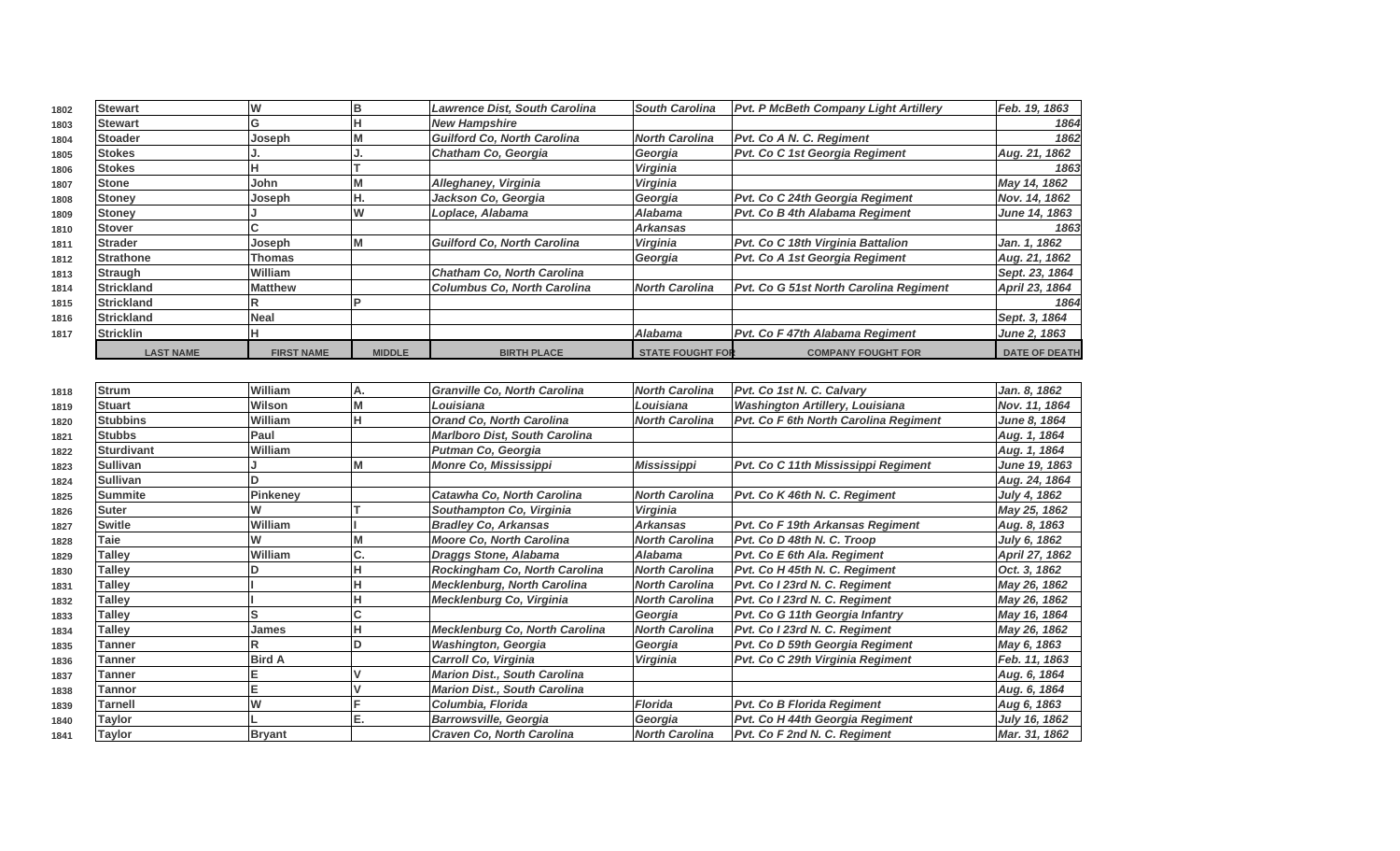| 1802 | <b>Stewart</b>    | W                 | IB            | <b>Lawrence Dist, South Carolina</b> | <b>South Carolina</b>   | <b>Pvt. P McBeth Company Light Artillery</b> | Feb. 19, 1863        |
|------|-------------------|-------------------|---------------|--------------------------------------|-------------------------|----------------------------------------------|----------------------|
| 1803 | <b>Stewart</b>    | G                 |               | <b>New Hampshire</b>                 |                         |                                              | 1864                 |
| 1804 | <b>Stoader</b>    | Joseph            |               | <b>Guilford Co. North Carolina</b>   | <b>North Carolina</b>   | <b>Pvt. Co A N. C. Regiment</b>              | 1862                 |
| 1805 | <b>Stokes</b>     |                   |               | Chatham Co, Georgia                  | Georgia                 | Pvt. Co C 1st Georgia Regiment               | Aug. 21, 1862        |
| 1806 | <b>Stokes</b>     |                   |               |                                      | Virginia                |                                              | 1863                 |
| 1807 | <b>Stone</b>      | John              |               | Alleghaney, Virginia                 | Virginia                |                                              | May 14, 1862         |
| 1808 | <b>Stoney</b>     | Joseph            | IH.           | Jackson Co, Georgia                  | Georgia                 | Pvt. Co C 24th Georgia Regiment              | Nov. 14, 1862        |
| 1809 | <b>Stoney</b>     |                   | IW            | Loplace, Alabama                     | <b>Alabama</b>          | Pvt. Co B 4th Alabama Regiment               | June 14, 1863        |
| 1810 | <b>Stover</b>     |                   |               |                                      | Arkansas                |                                              | 1863                 |
| 1811 | <b>Strader</b>    | Joseph            |               | Guilford Co, North Carolina          | Virginia                | <b>Pvt. Co C 18th Virginia Battalion</b>     | Jan. 1, 1862         |
| 1812 | <b>Strathone</b>  | Thomas            |               |                                      | Georgia                 | Pvt. Co A 1st Georgia Regiment               | Aug. 21, 1862        |
| 1813 | Straugh           | <b>William</b>    |               | <b>Chatham Co, North Carolina</b>    |                         |                                              | Sept. 23, 1864       |
| 1814 | <b>Strickland</b> | <b>Matthew</b>    |               | <b>Columbus Co. North Carolina</b>   | <b>North Carolina</b>   | Pvt. Co G 51st North Carolina Regiment       | April 23, 1864       |
| 1815 | <b>Strickland</b> |                   |               |                                      |                         |                                              | 1864                 |
| 1816 | <b>Strickland</b> | Neal              |               |                                      |                         |                                              | Sept. 3, 1864        |
| 1817 | <b>Stricklin</b>  |                   |               |                                      | <b>Alabama</b>          | <b>Pvt. Co F 47th Alabama Regiment</b>       | June 2, 1863         |
|      | <b>LAST NAME</b>  | <b>FIRST NAME</b> | <b>MIDDLE</b> | <b>BIRTH PLACE</b>                   | <b>STATE FOUGHT FOR</b> | <b>COMPANY FOUGHT FOR</b>                    | <b>DATE OF DEATH</b> |

| 1818 | <b>Strum</b>      | William        | А. | <b>Granville Co, North Carolina</b>   | <b>North Carolina</b> | Pvt. Co 1st N. C. Calvary              | Jan. 8, 1862        |
|------|-------------------|----------------|----|---------------------------------------|-----------------------|----------------------------------------|---------------------|
| 1819 | <b>Stuart</b>     | Wilson         |    | Louisiana                             | Louisiana             | <b>Washington Artillery, Louisiana</b> | Nov. 11, 1864       |
| 1820 | <b>Stubbins</b>   | William        |    | <b>Orand Co. North Carolina</b>       | <b>North Carolina</b> | Pvt. Co F 6th North Carolina Regiment  | <b>June 8, 1864</b> |
| 1821 | <b>Stubbs</b>     | <b>Paul</b>    |    | <b>Marlboro Dist, South Carolina</b>  |                       |                                        | Aug. 1, 1864        |
| 1822 | <b>Sturdivant</b> | William        |    | <b>Putman Co, Georgia</b>             |                       |                                        | Aug. 1, 1864        |
| 1823 | <b>Sullivan</b>   |                |    | <b>Monre Co, Mississippi</b>          | Mississippi           | Pvt. Co C 11th Mississippi Regiment    | June 19, 1863       |
| 1824 | <b>Sullivan</b>   |                |    |                                       |                       |                                        | Aug. 24, 1864       |
| 1825 | <b>Summite</b>    | Pinkeney       |    | Catawha Co, North Carolina            | <b>North Carolina</b> | Pvt. Co K 46th N. C. Regiment          | July 4, 1862        |
| 1826 | <b>Suter</b>      |                |    | Southampton Co, Virginia              | <b>Virginia</b>       |                                        | May 25, 1862        |
| 1827 | <b>Switle</b>     | <b>William</b> |    | <b>Bradley Co. Arkansas</b>           | <b>Arkansas</b>       | Pvt. Co F 19th Arkansas Regiment       | Aug. 8, 1863        |
| 1828 | Taie              |                |    | <b>Moore Co. North Carolina</b>       | <b>North Carolina</b> | Pvt. Co D 48th N. C. Troop             | July 6, 1862        |
| 1829 | <b>Talley</b>     | William        | υ. | <b>Draggs Stone, Alabama</b>          | <b>Alabama</b>        | Pvt. Co E 6th Ala. Regiment            | April 27, 1862      |
| 1830 | <b>Talley</b>     |                |    | Rockingham Co, North Carolina         | <b>North Carolina</b> | Pvt. Co H 45th N. C. Regiment          | Oct. 3, 1862        |
| 1831 | Talley            |                |    | <b>Mecklenburg, North Carolina</b>    | <b>North Carolina</b> | Pvt. Co I 23rd N. C. Regiment          | May 26, 1862        |
| 1832 | <b>Talley</b>     |                |    | Mecklenburg Co, Virginia              | <b>North Carolina</b> | Pvt. Co I 23rd N. C. Regiment          | May 26, 1862        |
| 1833 | <b>Talley</b>     | IS             |    |                                       | Georgia               | Pvt. Co G 11th Georgia Infantry        | May 16, 1864        |
| 1834 | Talley            | James          |    | <b>Mecklenburg Co, North Carolina</b> | <b>North Carolina</b> | Pvt. Co I 23rd N. C. Regiment          | May 26, 1862        |
| 1835 | Tanner            | R              |    | <b>Washington, Georgia</b>            | Georgia               | Pvt. Co D 59th Georgia Regiment        | May 6, 1863         |
| 1836 | Tanner            | <b>Bird A</b>  |    | Carroll Co, Virginia                  | Virginia              | Pvt. Co C 29th Virginia Regiment       | Feb. 11, 1863       |
| 1837 | Tanner            |                |    | <b>Marion Dist., South Carolina</b>   |                       |                                        | Aug. 6, 1864        |
| 1838 | Tannor            | lΕ             |    | <b>Marion Dist., South Carolina</b>   |                       |                                        | Aug. 6, 1864        |
| 1839 | Tarnell           |                |    | Columbia, Florida                     | <b>Florida</b>        | <b>Pvt. Co B Florida Regiment</b>      | Aug 6, 1863         |
| 1840 | Taylor            |                | Е. | <b>Barrowsville, Georgia</b>          | Georgia               | Pvt. Co H 44th Georgia Regiment        | July 16, 1862       |
| 1841 | Taylor            | <b>Bryant</b>  |    | <b>Craven Co. North Carolina</b>      | <b>North Carolina</b> | Pvt. Co F 2nd N. C. Regiment           | Mar. 31, 1862       |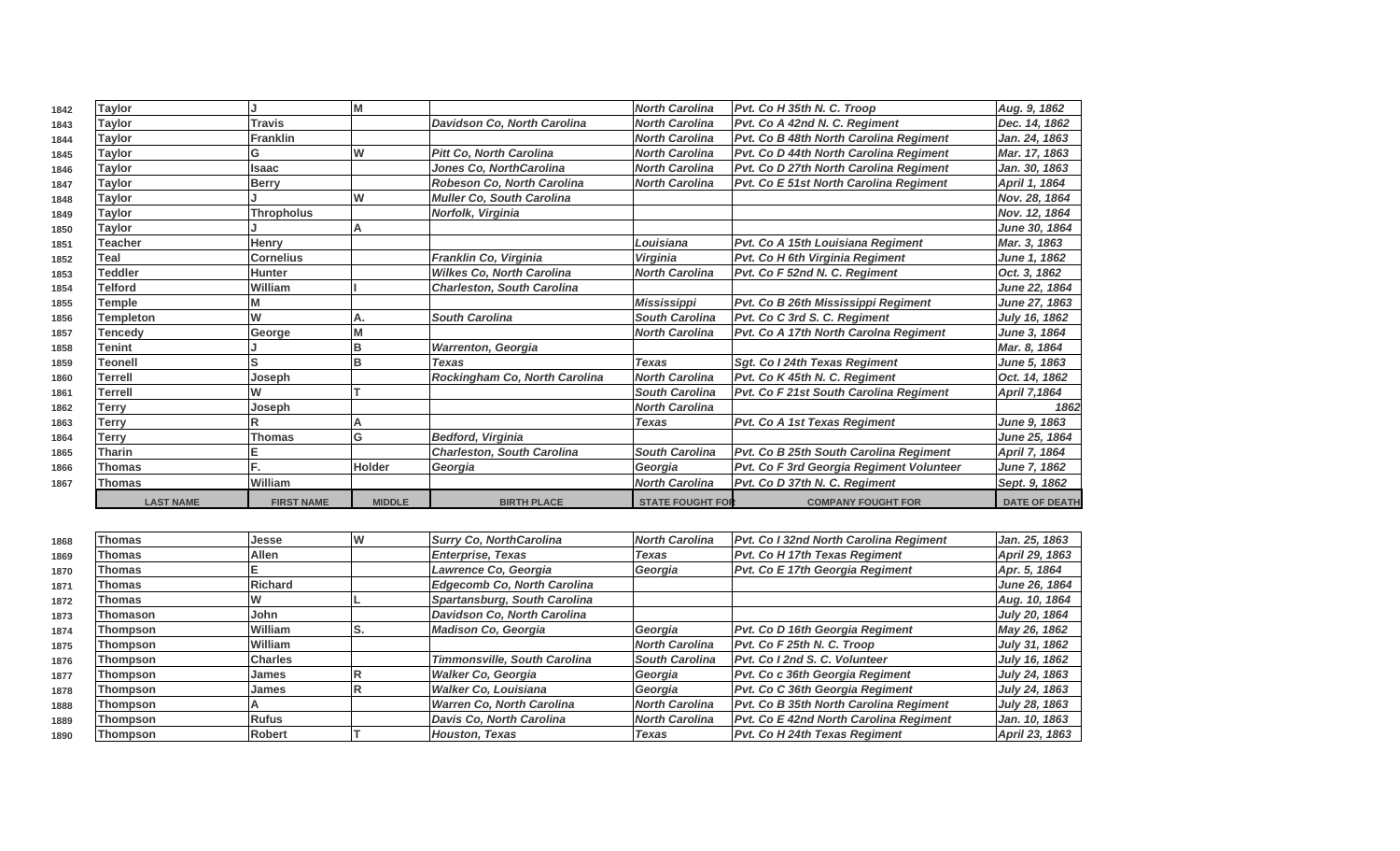| 1842 | <b>Taylor</b>    |                   |               |                                    | <b>North Carolina</b>   | Pvt. Co H 35th N. C. Troop                                                                         | Aug. 9, 1862             |
|------|------------------|-------------------|---------------|------------------------------------|-------------------------|----------------------------------------------------------------------------------------------------|--------------------------|
| 1843 | <b>Taylor</b>    | <b>Travis</b>     |               | <b>Davidson Co. North Carolina</b> | <b>North Carolina</b>   | Pvt. Co A 42nd N. C. Regiment                                                                      | Dec. 14, 1862            |
| 1844 | <b>Taylor</b>    | <b>Franklin</b>   |               |                                    | <b>North Carolina</b>   | Pvt. Co B 48th North Carolina Regiment                                                             | Jan. 24, 1863            |
| 1845 | <b>Taylor</b>    | G                 | W             | <b>Pitt Co. North Carolina</b>     | <b>North Carolina</b>   | Pvt. Co D 44th North Carolina Regiment                                                             | Mar. 17, 1863            |
| 1846 | <b>Taylor</b>    | <b>Isaac</b>      |               | Jones Co. NorthCarolina            | <b>North Carolina</b>   | Pvt. Co D 27th North Carolina Regiment                                                             | Jan. 30, 1863            |
| 1847 | <b>Taylor</b>    | <b>Berry</b>      |               | Robeson Co, North Carolina         | <b>North Carolina</b>   | Pvt. Co E 51st North Carolina Regiment                                                             | April 1, 1864            |
| 1848 | <b>Taylor</b>    |                   | W             | <b>Muller Co. South Carolina</b>   |                         |                                                                                                    | Nov. 28, 1864            |
| 1849 | Taylor           | <b>Thropholus</b> |               | Norfolk, Virginia                  |                         |                                                                                                    | Nov. 12, 1864            |
| 1850 | <b>Taylor</b>    |                   |               |                                    |                         |                                                                                                    | June 30, 1864            |
| 1851 | <b>Teacher</b>   | <b>Henry</b>      |               |                                    | Louisiana               | Pvt. Co A 15th Louisiana Regiment                                                                  | Mar. 3, 1863             |
| 1852 | Teal             | <b>Cornelius</b>  |               | Franklin Co, Virginia              | <b>Virginia</b>         | Pvt. Co H 6th Virginia Regiment                                                                    | June 1, 1862             |
| 1853 | <b>Teddler</b>   | <b>Hunter</b>     |               | <b>Wilkes Co, North Carolina</b>   | <b>North Carolina</b>   | Pvt. Co F 52nd N. C. Regiment                                                                      | Oct. 3, 1862             |
| 1854 | <b>Telford</b>   | William           |               | <b>Charleston, South Carolina</b>  |                         |                                                                                                    | June 22, 1864            |
| 1855 | Temple           |                   |               |                                    | Mississippi             | Pvt. Co B 26th Mississippi Regiment                                                                | June 27, 1863            |
| 1856 | <b>Templeton</b> | W                 | А.            | <b>South Carolina</b>              | <b>South Carolina</b>   | Pvt. Co C 3rd S. C. Regiment                                                                       | July 16, 1862            |
| 1857 | Tencedv          | George            |               |                                    | <b>North Carolina</b>   | Pvt. Co A 17th North Carolna Regiment                                                              | June 3, 1864             |
| 1858 | Tenint           |                   |               | <b>Warrenton, Georgia</b>          |                         |                                                                                                    | Mar. 8, 1864             |
| 1859 | <b>Teonell</b>   |                   |               | <b>Texas</b>                       | <b>Texas</b>            | Sqt. Co I 24th Texas Regiment                                                                      | June 5, 1863             |
| 1860 | Terrell          | Joseph            |               | Rockingham Co, North Carolina      | <b>North Carolina</b>   | Pvt. Co K 45th N. C. Reaiment                                                                      | Oct. 14, 1862            |
| 1861 | <b>Terrell</b>   |                   |               |                                    | <b>South Carolina</b>   | Pvt. Co F 21st South Carolina Regiment                                                             | <b>April 7,1864</b>      |
| 1862 | Terry            | Joseph            |               |                                    | <b>North Carolina</b>   |                                                                                                    | 1862                     |
| 1863 | Terry            |                   |               |                                    | <b>Texas</b>            | <b>Pvt. Co A 1st Texas Regiment</b>                                                                | June 9, 1863             |
| 1864 | Terry            | <b>Thomas</b>     | G             | <b>Bedford, Virginia</b>           |                         |                                                                                                    | June 25, 1864            |
| 1865 | <b>Tharin</b>    |                   |               | <b>Charleston, South Carolina</b>  | <b>South Carolina</b>   | Pvt. Co B 25th South Carolina Regiment                                                             | April 7, 1864            |
| 1866 | <b>Thomas</b>    |                   | <b>Holder</b> | Georgia                            | Georgia                 | Pvt. Co F 3rd Georgia Regiment Volunteer                                                           | June 7, 1862             |
| 1867 | Thomas           | William           |               |                                    | <b>North Carolina</b>   | Pvt. Co D 37th N. C. Regiment                                                                      | Sept. 9, 1862            |
|      | <b>LAST NAME</b> | <b>FIRST NAME</b> | <b>MIDDLE</b> | <b>BIRTH PLACE</b>                 | <b>STATE FOUGHT FOR</b> | <b>COMPANY FOUGHT FOR</b>                                                                          | <b>DATE OF DEATH</b>     |
|      |                  |                   |               |                                    |                         |                                                                                                    |                          |
| 1868 | <b>Thomas</b>    | Jesse             | w             | <b>Surry Co, NorthCarolina</b>     | <b>North Carolina</b>   | Pvt. Co I 32nd North Carolina Regiment                                                             | Jan. 25, 1863            |
| 1869 | Thomas           | <b>Allen</b>      |               | <b>Enterprise, Texas</b>           | <b>Texas</b>            | Pvt. Co H 17th Texas Regiment                                                                      | April 29, 1863           |
|      |                  |                   |               | <i>Laumanan</i> On Onemain         | $O = 0.000$             | $D_{11}$ $D_{21}$ $D_{32}$ $D_{42}$ $D_{52}$ $D_{53}$ $D_{53}$ $D_{63}$ $D_{73}$ $D_{84}$ $D_{10}$ | $A = F \cdot A \cdot CA$ |

| 1868 | попаз           | บษออน          | I V V | <b>SUITY CO, INORTOGIONIA</b>       | INULII GIUIII G       | <u>Fri. Co i szná norin Carolina Regiment</u> | Jan. 29, 1009        |
|------|-----------------|----------------|-------|-------------------------------------|-----------------------|-----------------------------------------------|----------------------|
| 1869 | Thomas          | <b>Allen</b>   |       | <b>Enterprise, Texas</b>            | Texas                 | <b>Pvt. Co H 17th Texas Regiment</b>          | April 29, 1863       |
| 1870 | Thomas          |                |       | Lawrence Co. Georgia                | Georgia               | Pvt. Co E 17th Georgia Regiment               | Apr. 5, 1864         |
| 1871 | Thomas          | <b>Richard</b> |       | Edgecomb Co, North Carolina         |                       |                                               | June 26, 1864        |
| 1872 | Thomas          |                |       | Spartansburg, South Carolina        |                       |                                               | Aug. 10, 1864        |
| 1873 | Thomason        | John           |       | Davidson Co, North Carolina         |                       |                                               | <b>July 20, 1864</b> |
| 1874 | Thompson        | William        | IS.   | <b>Madison Co. Georgia</b>          | Georgia               | Pvt. Co D 16th Georgia Regiment               | May 26, 1862         |
| 1875 | Thompson        | William        |       |                                     | North Carolina        | Pvt. Co F 25th N. C. Troop                    | July 31, 1862        |
| 1876 | Thompson        | <b>Charles</b> |       | <b>Timmonsville, South Carolina</b> | <b>South Carolina</b> | Pyt. Co I 2nd S. C. Volunteer                 | July 16, 1862        |
| 1877 | <b>Thompson</b> | James          |       | Walker Co, Georgia                  | Georgia               | Pvt. Co c 36th Georgia Regiment               | July 24, 1863        |
| 1878 | <b>Thompson</b> | James          |       | Walker Co, Louisiana                | Georgia               | Pvt. Co C 36th Georgia Regiment               | July 24, 1863        |
| 1888 | Thompson        |                |       | Warren Co, North Carolina           | <b>North Carolina</b> | <b>Pvt. Co B 35th North Carolina Regiment</b> | July 28, 1863        |
| 1889 | Thompson        | Rufus          |       | Davis Co, North Carolina            | <b>North Carolina</b> | <b>Pvt. Co E 42nd North Carolina Regiment</b> | Jan. 10, 1863        |
| 1890 | Thompson        | Robert         |       | Houston, Texas                      | Texas                 | <b>Pvt. Co H 24th Texas Regiment</b>          | April 23, 1863       |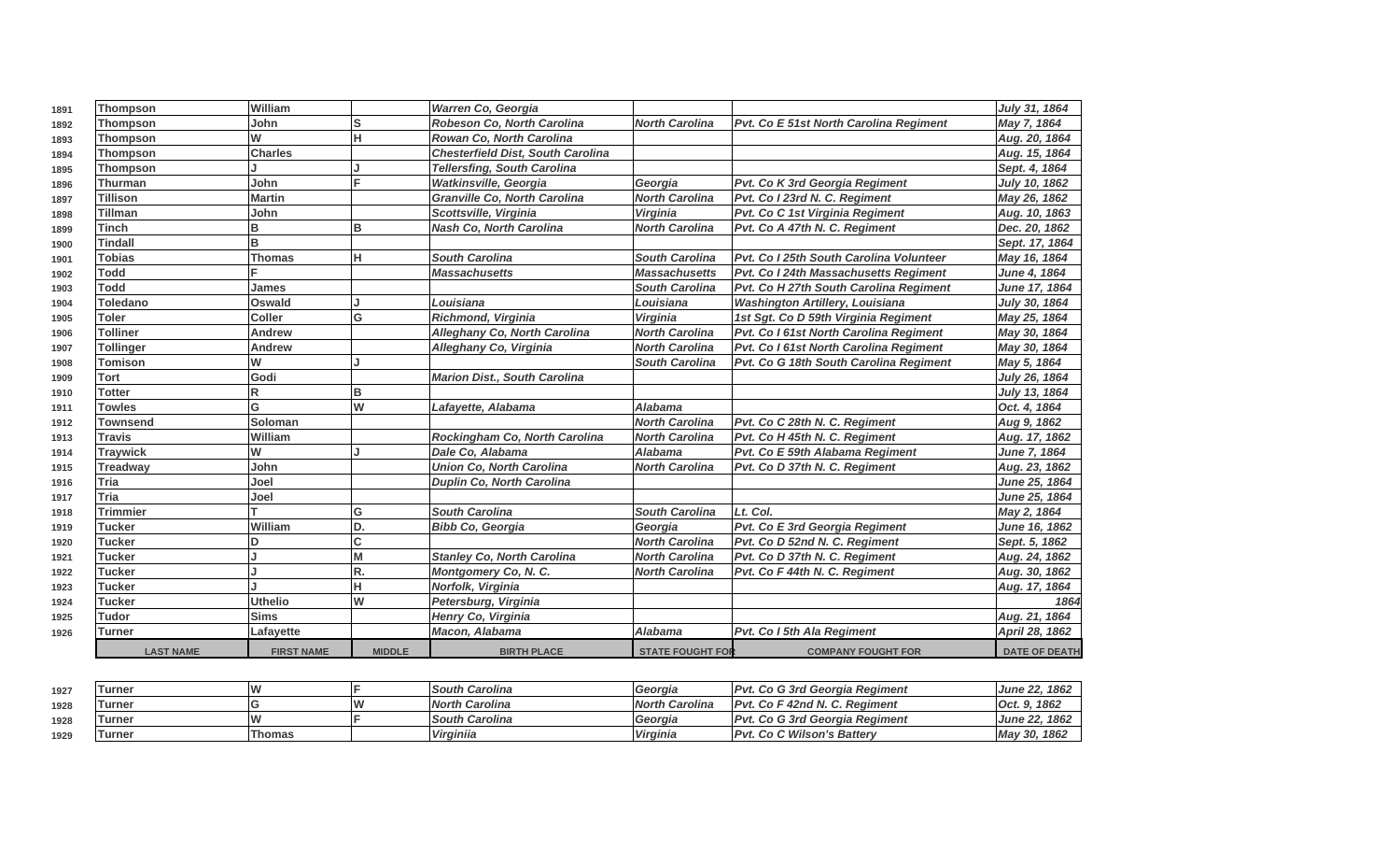| 1891 | <b>Thompson</b>  | lWilliam          |               | Warren Co, Georgia                       |                         |                                               | July 31, 1864        |
|------|------------------|-------------------|---------------|------------------------------------------|-------------------------|-----------------------------------------------|----------------------|
| 1892 | Thompson         | John              | s             | Robeson Co, North Carolina               | <b>North Carolina</b>   | <b>Pvt. Co E 51st North Carolina Regiment</b> | May 7, 1864          |
| 1893 | <b>Thompson</b>  | W                 | H.            | Rowan Co, North Carolina                 |                         |                                               | Aug. 20, 1864        |
| 1894 | Thompson         | <b>Charles</b>    |               | <b>Chesterfield Dist, South Carolina</b> |                         |                                               | Aug. 15, 1864        |
| 1895 | Thompson         |                   |               | <b>Tellersfing, South Carolina</b>       |                         |                                               | Sept. 4, 1864        |
| 1896 | Thurman          | John              |               | <b>Watkinsville, Georgia</b>             | Georgia                 | Pvt. Co K 3rd Georgia Regiment                | July 10, 1862        |
| 1897 | <b>Tillison</b>  | <b>Martin</b>     |               | <b>Granville Co, North Carolina</b>      | <b>North Carolina</b>   | Pvt. Co I 23rd N. C. Regiment                 | May 26, 1862         |
| 1898 | <b>Tillman</b>   | John              |               | Scottsville, Virginia                    | Virginia                | Pvt. Co C 1st Virginia Regiment               | Aug. 10, 1863        |
| 1899 | <b>Tinch</b>     | B                 | B             | <b>Nash Co, North Carolina</b>           | <b>North Carolina</b>   | Pvt. Co A 47th N. C. Regiment                 | Dec. 20, 1862        |
| 1900 | <b>Tindall</b>   | B                 |               |                                          |                         |                                               | Sept. 17, 1864       |
| 1901 | <b>Tobias</b>    | Thomas            | н             | <b>South Carolina</b>                    | <b>South Carolina</b>   | Pvt. Co I 25th South Carolina Volunteer       | May 16, 1864         |
| 1902 | <b>Todd</b>      |                   |               | <b>Massachusetts</b>                     | <b>Massachusetts</b>    | Pvt. Co I 24th Massachusetts Regiment         | <b>June 4, 1864</b>  |
| 1903 | <b>Todd</b>      | James             |               |                                          | <b>South Carolina</b>   | Pvt. Co H 27th South Carolina Regiment        | June 17, 1864        |
| 1904 | <b>Toledano</b>  | <b>Oswald</b>     |               | Louisiana                                | Louisiana               | <b>Washington Artillery, Louisiana</b>        | July 30, 1864        |
| 1905 | <b>Toler</b>     | <b>Coller</b>     | G             | Richmond, Virginia                       | Virginia                | 1st Sgt. Co D 59th Virginia Regiment          | May 25, 1864         |
| 1906 | <b>Tolliner</b>  | Andrew            |               | Alleghany Co, North Carolina             | <b>North Carolina</b>   | Pvt. Co I 61st North Carolina Regiment        | May 30, 1864         |
| 1907 | <b>Tollinger</b> | Andrew            |               | Alleghany Co, Virginia                   | <b>North Carolina</b>   | Pvt. Co I 61st North Carolina Regiment        | May 30, 1864         |
| 1908 | <b>Tomison</b>   | W                 |               |                                          | <b>South Carolina</b>   | Pvt. Co G 18th South Carolina Regiment        | May 5, 1864          |
| 1909 | Tort             | Godi              |               | <b>Marion Dist., South Carolina</b>      |                         |                                               | July 26, 1864        |
| 1910 | <b>Totter</b>    | R                 | R             |                                          |                         |                                               | July 13, 1864        |
| 1911 | <b>Towles</b>    | G                 | W             | Lafayette, Alabama                       | <b>Alabama</b>          |                                               | Oct. 4, 1864         |
| 1912 | <b>Townsend</b>  | Soloman           |               |                                          | <b>North Carolina</b>   | Pvt. Co C 28th N. C. Regiment                 | Aug 9, 1862          |
| 1913 | <b>Travis</b>    | William           |               | Rockingham Co, North Carolina            | <b>North Carolina</b>   | Pvt. Co H 45th N. C. Regiment                 | Aug. 17, 1862        |
| 1914 | <b>Traywick</b>  | W                 |               | Dale Co, Alabama                         | <b>Alabama</b>          | Pvt. Co E 59th Alabama Regiment               | June 7, 1864         |
| 1915 | <b>Treadway</b>  | John              |               | <b>Union Co. North Carolina</b>          | <b>North Carolina</b>   | Pvt. Co D 37th N. C. Regiment                 | Aug. 23, 1862        |
| 1916 | <b>Tria</b>      | Joel              |               | <b>Duplin Co, North Carolina</b>         |                         |                                               | June 25, 1864        |
| 1917 | Tria             | Joel              |               |                                          |                         |                                               | June 25, 1864        |
| 1918 | <b>Trimmier</b>  |                   | G             | <b>South Carolina</b>                    | <b>South Carolina</b>   | Lt. Col.                                      | May 2, 1864          |
| 1919 | <b>Tucker</b>    | William           | D.            | <b>Bibb Co, Georgia</b>                  | Georgia                 | Pvt. Co E 3rd Georgia Regiment                | June 16, 1862        |
| 1920 | <b>Tucker</b>    | D                 | ċ             |                                          | <b>North Carolina</b>   | Pvt. Co D 52nd N. C. Regiment                 | Sept. 5, 1862        |
| 1921 | <b>Tucker</b>    |                   | M             | <b>Stanley Co, North Carolina</b>        | <b>North Carolina</b>   | Pvt. Co D 37th N. C. Regiment                 | Aug. 24, 1862        |
| 1922 | <b>Tucker</b>    |                   | R.            | Montgomery Co, N. C.                     | <b>North Carolina</b>   | Pvt. Co F 44th N. C. Regiment                 | Aug. 30, 1862        |
| 1923 | <b>Tucker</b>    |                   | Ĥ             | Norfolk, Virginia                        |                         |                                               | Aug. 17, 1864        |
| 1924 | <b>Tucker</b>    | <b>Uthelio</b>    | W             | Petersburg, Virginia                     |                         |                                               | 1864                 |
| 1925 | <b>Tudor</b>     | lSims             |               | Henry Co, Virginia                       |                         |                                               | Aug. 21, 1864        |
| 1926 | <b>Turner</b>    | Lafayette         |               | Macon, Alabama                           | Alabama                 | Pvt. Co I 5th Ala Regiment                    | April 28, 1862       |
|      | <b>LAST NAME</b> | <b>FIRST NAME</b> | <b>MIDDLE</b> | <b>BIRTH PLACE</b>                       | <b>STATE FOUGHT FOR</b> | <b>COMPANY FOUGHT FOR</b>                     | <b>DATE OF DEATH</b> |

| 1927 | <b>Turner</b> | <b>M</b> |    | <b>South Carolina</b> | l Georaia       | <b>IPvt. Co G 3rd Georgia Regiment</b> | 1862<br><b>June 22.</b> |
|------|---------------|----------|----|-----------------------|-----------------|----------------------------------------|-------------------------|
| 1928 | Turner        |          | ١A | <b>North Carolina</b> | North Carolina  | IPvt. Co F 42nd N. C. Regiment         | Oct. 9. 1862            |
| 1928 | 'Turner       | ١A       |    | <b>South Carolina</b> | l Georaia       | <b>IPvt. Co G 3rd Georgia Regiment</b> | June 22, 1862           |
| 1929 | <b>Turner</b> | Thomas   |    | Virginiia             | <b>Virginia</b> | <b>IPvt. Co C Wilson's Battery</b>     | May 30, 1862            |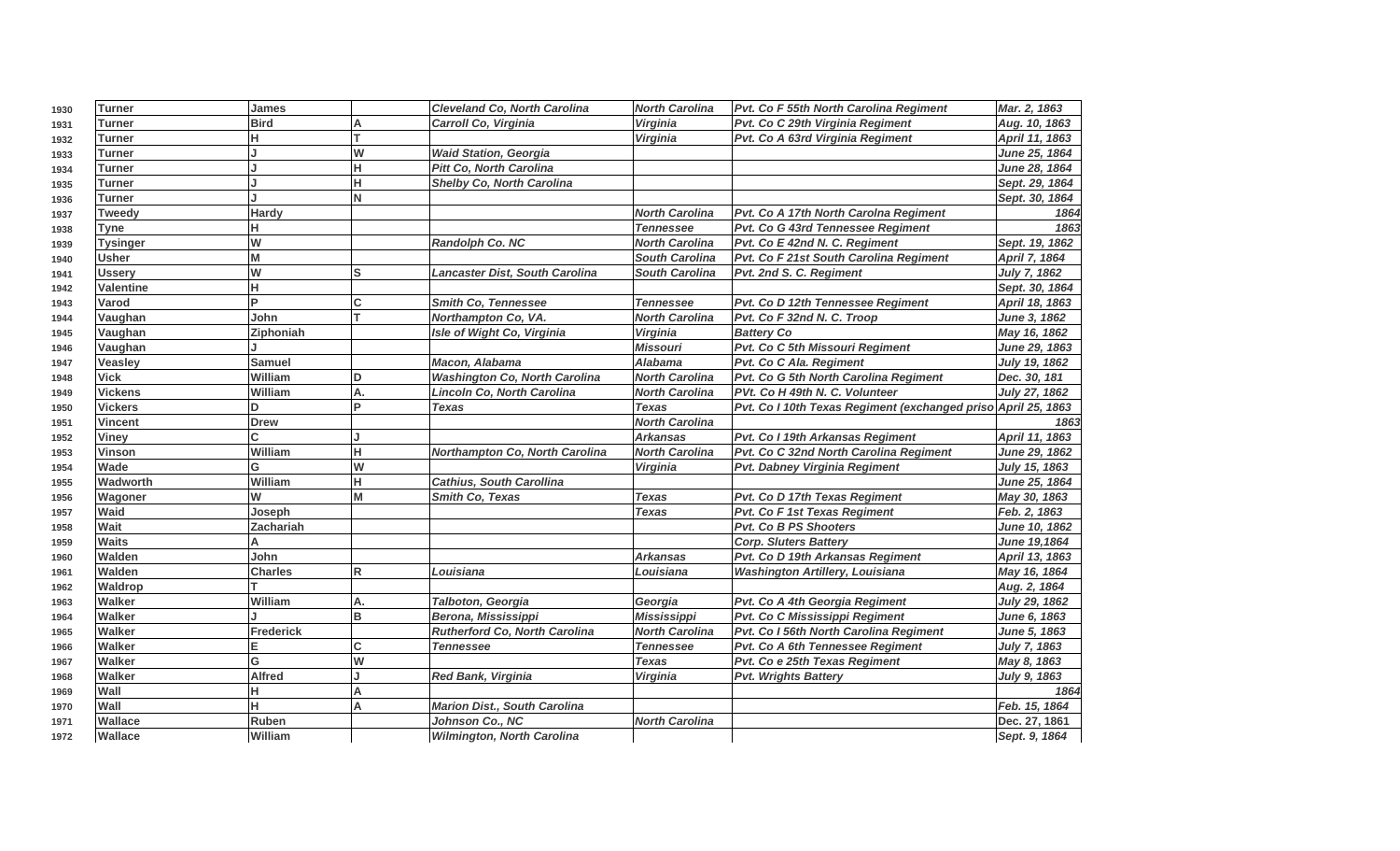| 1930 | <b>Turner</b>    | James         |    | <b>Cleveland Co, North Carolina</b>  | <b>North Carolina</b> | Pvt. Co F 55th North Carolina Regiment                        | Mar. 2, 1863        |
|------|------------------|---------------|----|--------------------------------------|-----------------------|---------------------------------------------------------------|---------------------|
| 1931 | Turner           | <b>Bird</b>   |    | Carroll Co, Virginia                 | <b>Virginia</b>       | Pvt. Co C 29th Virginia Regiment                              | Aug. 10, 1863       |
| 1932 | Turner           | н             |    |                                      | Virginia              | Pvt. Co A 63rd Virginia Regiment                              | April 11, 1863      |
| 1933 | Turner           |               | W  | <b>Waid Station, Georgia</b>         |                       |                                                               | June 25, 1864       |
| 1934 | Turner           |               | н  | <b>Pitt Co, North Carolina</b>       |                       |                                                               | June 28, 1864       |
| 1935 | Turner           |               | н  | <b>Shelby Co. North Carolina</b>     |                       |                                                               | Sept. 29, 1864      |
| 1936 | Turner           |               | N  |                                      |                       |                                                               | Sept. 30, 1864      |
| 1937 | Tweedy           | <b>Hardy</b>  |    |                                      | <b>North Carolina</b> | Pvt. Co A 17th North Carolna Regiment                         | 1864                |
| 1938 | Tyne             |               |    |                                      | <b>Tennessee</b>      | Pvt. Co G 43rd Tennessee Regiment                             | 1863                |
| 1939 | <b>Tysinger</b>  | W             |    | Randolph Co. NC                      | <b>North Carolina</b> | Pvt. Co E 42nd N. C. Regiment                                 | Sept. 19, 1862      |
| 1940 | <b>Usher</b>     | M             |    |                                      | <b>South Carolina</b> | Pvt. Co F 21st South Carolina Regiment                        | April 7, 1864       |
| 1941 | <b>Ussery</b>    | W             | S  | Lancaster Dist, South Carolina       | <b>South Carolina</b> | Pvt. 2nd S. C. Regiment                                       | <b>July 7, 1862</b> |
| 1942 | <b>Valentine</b> | н             |    |                                      |                       |                                                               | Sept. 30, 1864      |
| 1943 | Varod            | D             | Ć  | <b>Smith Co, Tennessee</b>           | <b>Tennessee</b>      | Pvt. Co D 12th Tennessee Regiment                             | April 18, 1863      |
| 1944 | Vaughan          | John          | т  | Northampton Co, VA.                  | <b>North Carolina</b> | Pvt. Co F 32nd N. C. Troop                                    | June 3, 1862        |
| 1945 | Vaughan          | Ziphoniah     |    | Isle of Wight Co, Virginia           | Virginia              | <b>Battery Co</b>                                             | May 16, 1862        |
| 1946 | Vaughan          |               |    |                                      | <b>Missouri</b>       | Pvt. Co C 5th Missouri Regiment                               | June 29, 1863       |
| 1947 | Veasley          | <b>Samuel</b> |    | Macon, Alabama                       | <b>Alabama</b>        | Pvt. Co C Ala. Regiment                                       | July 19, 1862       |
| 1948 | <b>Vick</b>      | William       | D  | <b>Washington Co, North Carolina</b> | <b>North Carolina</b> | Pvt. Co G 5th North Carolina Regiment                         | Dec. 30, 181        |
| 1949 | <b>Vickens</b>   | William       | А. | Lincoln Co, North Carolina           | <b>North Carolina</b> | PVt. Co H 49th N. C. Volunteer                                | July 27, 1862       |
| 1950 | <b>Vickers</b>   | D.            | D  | <b>Texas</b>                         | <b>Texas</b>          | Pvt. Co I 10th Texas Regiment (exchanged priso April 25, 1863 |                     |
| 1951 | <b>Vincent</b>   | <b>Drew</b>   |    |                                      | <b>North Carolina</b> |                                                               | 1863                |
| 1952 | <b>Viney</b>     | C.            |    |                                      | <b>Arkansas</b>       | Pvt. Co I 19th Arkansas Regiment                              | April 11, 1863      |
| 1953 | Vinson           | William       | н  | Northampton Co, North Carolina       | <b>North Carolina</b> | Pvt. Co C 32nd North Carolina Regiment                        | June 29, 1862       |
| 1954 | Wade             | G             | W  |                                      | Virginia              | Pvt. Dabney Virginia Regiment                                 | July 15, 1863       |
| 1955 | Wadworth         | William       | н  | <b>Cathius, South Carollina</b>      |                       |                                                               | June 25, 1864       |
| 1956 | Wagoner          | W             | M  | <b>Smith Co. Texas</b>               | <b>Texas</b>          | Pvt. Co D 17th Texas Regiment                                 | May 30, 1863        |
| 1957 | Waid             | Joseph        |    |                                      | <b>Texas</b>          | Pvt. Co F 1st Texas Regiment                                  | Feb. 2, 1863        |
| 1958 | Wait             | Zachariah     |    |                                      |                       | Pvt. Co B PS Shooters                                         | June 10, 1862       |
| 1959 | <b>Waits</b>     |               |    |                                      |                       | Corp. Sluters Battery                                         | June 19,1864        |
| 1960 | Walden           | John          |    |                                      | <b>Arkansas</b>       | Pvt. Co D 19th Arkansas Regiment                              | April 13, 1863      |
| 1961 | Walden           | Charles       | R  | Louisiana                            | Louisiana             | <b>Washington Artillery, Louisiana</b>                        | May 16, 1864        |
| 1962 | <b>Waldrop</b>   |               |    |                                      |                       |                                                               | Aug. 2, 1864        |
| 1963 | Walker           | William       | А. | Talboton, Georgia                    | Georgia               | Pvt. Co A 4th Georgia Regiment                                | July 29, 1862       |
| 1964 | Walker           |               | B  | Berona, Mississippi                  | <b>Mississippi</b>    | Pvt. Co C Mississippi Regiment                                | June 6, 1863        |
| 1965 | <b>Walker</b>    | Frederick     |    | Rutherford Co, North Carolina        | <b>North Carolina</b> | Pvt. Co I 56th North Carolina Regiment                        | <b>June 5, 1863</b> |
| 1966 | <b>Walker</b>    |               | Ć  | Tennessee                            | <b>Tennessee</b>      | Pvt. Co A 6th Tennessee Regiment                              | <b>July 7, 1863</b> |
| 1967 | Walker           | G             | W  |                                      | <b>Texas</b>          | Pvt. Co e 25th Texas Regiment                                 | May 8, 1863         |
| 1968 | Walker           | <b>Alfred</b> | J. | <b>Red Bank, Virginia</b>            | Virginia              | Pvt. Wrights Battery                                          | July 9, 1863        |
| 1969 | Wall             |               | A  |                                      |                       |                                                               | 1864                |
| 1970 | Wall             |               | A  | <b>Marion Dist., South Carolina</b>  |                       |                                                               | Feb. 15, 1864       |
| 1971 | Wallace          | Ruben         |    | Johnson Co., NC                      | <b>North Carolina</b> |                                                               | Dec. 27, 1861       |
| 1972 | Wallace          | lWilliam      |    | <b>Wilmington, North Carolina</b>    |                       |                                                               | Sept. 9, 1864       |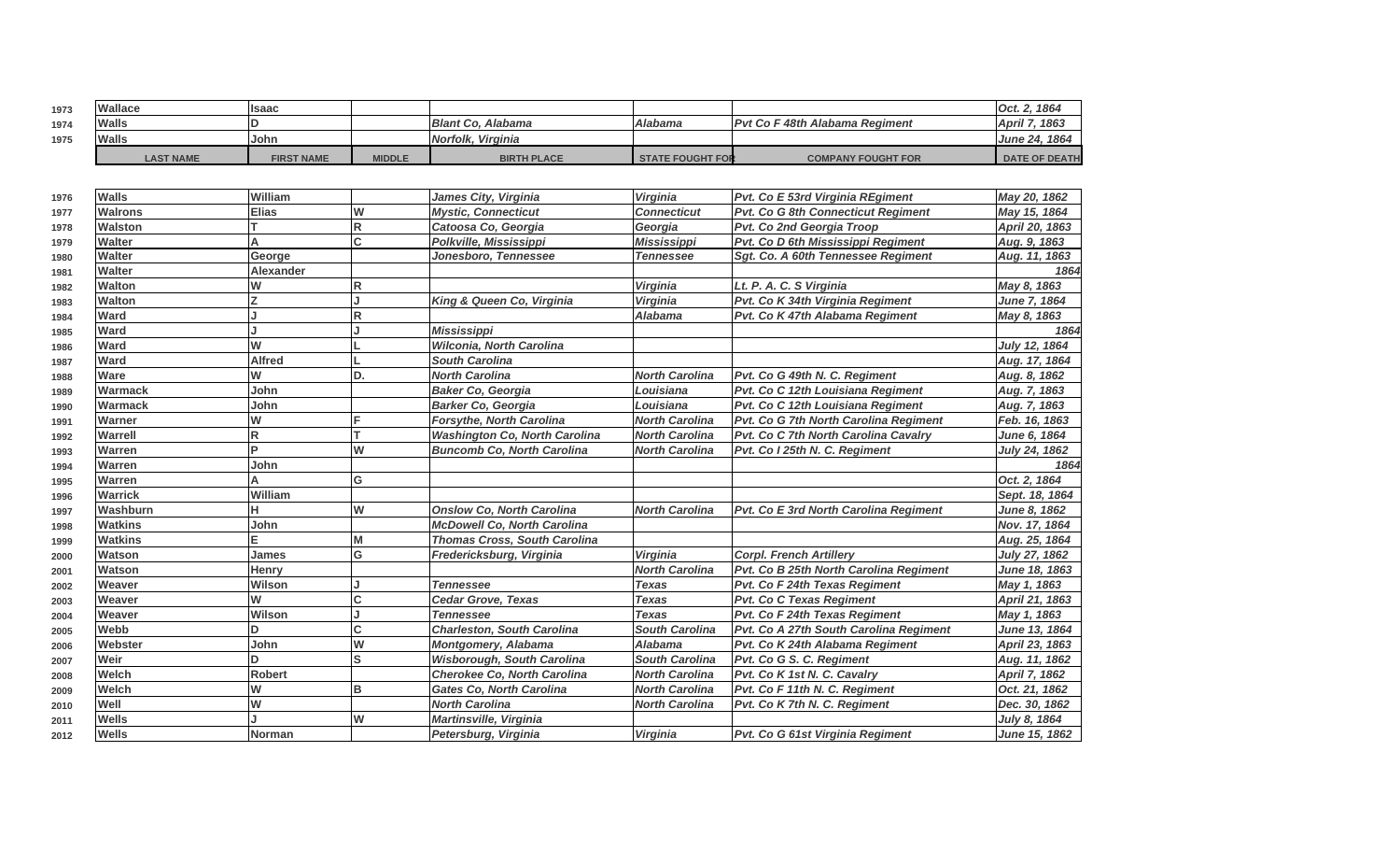| 1973 | Wallace          | llsaac            |               |                                 |                         |                                        | 1864<br>Oct. 2       |
|------|------------------|-------------------|---------------|---------------------------------|-------------------------|----------------------------------------|----------------------|
| 1974 | Walls            |                   |               | <b>Blant Co. Alabama</b>        | <b>Alabama</b>          | <b>IPvt Co F 48th Alabama Regiment</b> | 1863<br>April 7.     |
| 1975 | Walls            | John              |               | <i><b>Norfolk. Virginia</b></i> |                         |                                        | June 24, 1864        |
|      | <b>LAST NAME</b> | <b>FIRST NAME</b> | <b>MIDDLE</b> | <b>BIRTH PLACE</b>              | <b>STATE FOUGHT FOR</b> | <b>COMPANY FOUGHT FOR</b>              | <b>DATE OF DEATH</b> |

| 1976 | <b>Walls</b>   | William          |                         | James City, Virginia                 | <b>Virginia</b>       | Pvt. Co E 53rd Virginia REgiment       | May 20, 1862         |
|------|----------------|------------------|-------------------------|--------------------------------------|-----------------------|----------------------------------------|----------------------|
| 1977 | <b>Walrons</b> | <b>Elias</b>     | W                       | <b>Mystic. Connecticut</b>           | <b>Connecticut</b>    | Pvt. Co G 8th Connecticut Regiment     | May 15, 1864         |
| 1978 | Walston        |                  | $\overline{\mathsf{R}}$ | Catoosa Co, Georgia                  | Georgia               | Pvt. Co 2nd Georgia Troop              | April 20, 1863       |
| 1979 | Walter         | A                | <sub>C</sub>            | Polkville, Mississippi               | Mississippi           | Pvt. Co D 6th Mississippi Regiment     | Aug. 9, 1863         |
| 1980 | <b>Walter</b>  | George           |                         | Jonesboro, Tennessee                 | Tennessee             | Sqt. Co. A 60th Tennessee Regiment     | Aug. 11, 1863        |
| 1981 | <b>Walter</b>  | <b>Alexander</b> |                         |                                      |                       |                                        | 1864                 |
| 1982 | <b>Walton</b>  | W                | lR.                     |                                      | Virginia              | Lt. P. A. C. S Virginia                | May 8, 1863          |
| 1983 | <b>Walton</b>  | 7                |                         | King & Queen Co, Virginia            | <b>Virginia</b>       | Pvt. Co K 34th Virginia Regiment       | <b>June 7, 1864</b>  |
| 1984 | Ward           |                  | $\mathsf R$             |                                      | <b>Alabama</b>        | Pvt. Co K 47th Alabama Regiment        | May 8, 1863          |
| 1985 | Ward           |                  |                         | <b>Mississippi</b>                   |                       |                                        | 1864                 |
| 1986 | <b>Ward</b>    | W                |                         | Wilconia, North Carolina             |                       |                                        | <b>July 12, 1864</b> |
| 1987 | Ward           | <b>Alfred</b>    |                         | <b>South Carolina</b>                |                       |                                        | Aug. 17, 1864        |
| 1988 | Ware           | W                | D.                      | <b>North Carolina</b>                | <b>North Carolina</b> | Pvt. Co G 49th N. C. Regiment          | Aug. 8, 1862         |
| 1989 | <b>Warmack</b> | John             |                         | <b>Baker Co, Georgia</b>             | Louisiana             | Pvt. Co C 12th Louisiana Regiment      | Aug. 7, 1863         |
| 1990 | Warmack        | John             |                         | <b>Barker Co. Georgia</b>            | Louisiana             | Pvt. Co C 12th Louisiana Regiment      | Aug. 7, 1863         |
| 1991 | Warner         | W                | F                       | Forsythe, North Carolina             | <b>North Carolina</b> | Pvt. Co G 7th North Carolina Regiment  | Feb. 16, 1863        |
| 1992 | Warrell        | R                |                         | <b>Washington Co, North Carolina</b> | <b>North Carolina</b> | Pvt. Co C 7th North Carolina Cavalry   | June 6, 1864         |
| 1993 | Warren         | D                | W                       | <b>Buncomb Co. North Carolina</b>    | <b>North Carolina</b> | Pvt. Co I 25th N. C. Regiment          | <b>July 24, 1862</b> |
| 1994 | Warren         | John             |                         |                                      |                       |                                        | 1864                 |
| 1995 | Warren         |                  | G                       |                                      |                       |                                        | Oct. 2, 1864         |
| 1996 | <b>Warrick</b> | William          |                         |                                      |                       |                                        | Sept. 18, 1864       |
| 1997 | Washburn       |                  | W                       | <b>Onslow Co, North Carolina</b>     | <b>North Carolina</b> | Pvt. Co E 3rd North Carolina Regiment  | <b>June 8, 1862</b>  |
| 1998 | <b>Watkins</b> | John             |                         | <b>McDowell Co, North Carolina</b>   |                       |                                        | Nov. 17, 1864        |
| 1999 | <b>Watkins</b> | E                | M                       | <b>Thomas Cross, South Carolina</b>  |                       |                                        | Aug. 25, 1864        |
| 2000 | Watson         | <b>James</b>     | G                       | Fredericksburg, Virginia             | Virginia              | <b>Corpl. French Artillerv</b>         | July 27, 1862        |
| 2001 | Watson         | Henry            |                         |                                      | <b>North Carolina</b> | Pvt. Co B 25th North Carolina Regiment | June 18, 1863        |
| 2002 | Weaver         | Wilson           |                         | <b>Tennessee</b>                     | <b>Texas</b>          | Pvt. Co F 24th Texas Regiment          | May 1, 1863          |
| 2003 | Weaver         | W                | C                       | Cedar Grove, Texas                   | <b>Texas</b>          | <b>Pvt. Co C Texas Regiment</b>        | April 21, 1863       |
| 2004 | Weaver         | Wilson           |                         | <b>Tennessee</b>                     | <b>Texas</b>          | Pvt. Co F 24th Texas Regiment          | May 1, 1863          |
| 2005 | Webb           | D                | C                       | <b>Charleston, South Carolina</b>    | <b>South Carolina</b> | Pvt. Co A 27th South Carolina Regiment | June 13, 1864        |
| 2006 | Webster        | John             | W                       | <b>Montgomery, Alabama</b>           | <b>Alabama</b>        | Pvt. Co K 24th Alabama Regiment        | April 23, 1863       |
| 2007 | Weir           | D                | ls                      | <b>Wisborough, South Carolina</b>    | <b>South Carolina</b> | Pvt. Co G S. C. Regiment               | Aug. 11, 1862        |
| 2008 | Welch          | <b>Robert</b>    |                         | Cherokee Co, North Carolina          | <b>North Carolina</b> | Pvt. Co K 1st N. C. Cavalry            | April 7, 1862        |
| 2009 | Welch          | W                | lB.                     | <b>Gates Co. North Carolina</b>      | <b>North Carolina</b> | Pvt. Co F 11th N. C. Regiment          | Oct. 21, 1862        |
| 2010 | Well           | W                |                         | <b>North Carolina</b>                | <b>North Carolina</b> | Pvt. Co K 7th N. C. Regiment           | Dec. 30, 1862        |
| 2011 | <b>Wells</b>   |                  | W                       | Martinsville, Virginia               |                       |                                        | July 8, 1864         |
| 2012 | <b>Wells</b>   | <b>Norman</b>    |                         | Petersburg, Virginia                 | <b>Virginia</b>       | Pvt. Co G 61st Virginia Regiment       | June 15, 1862        |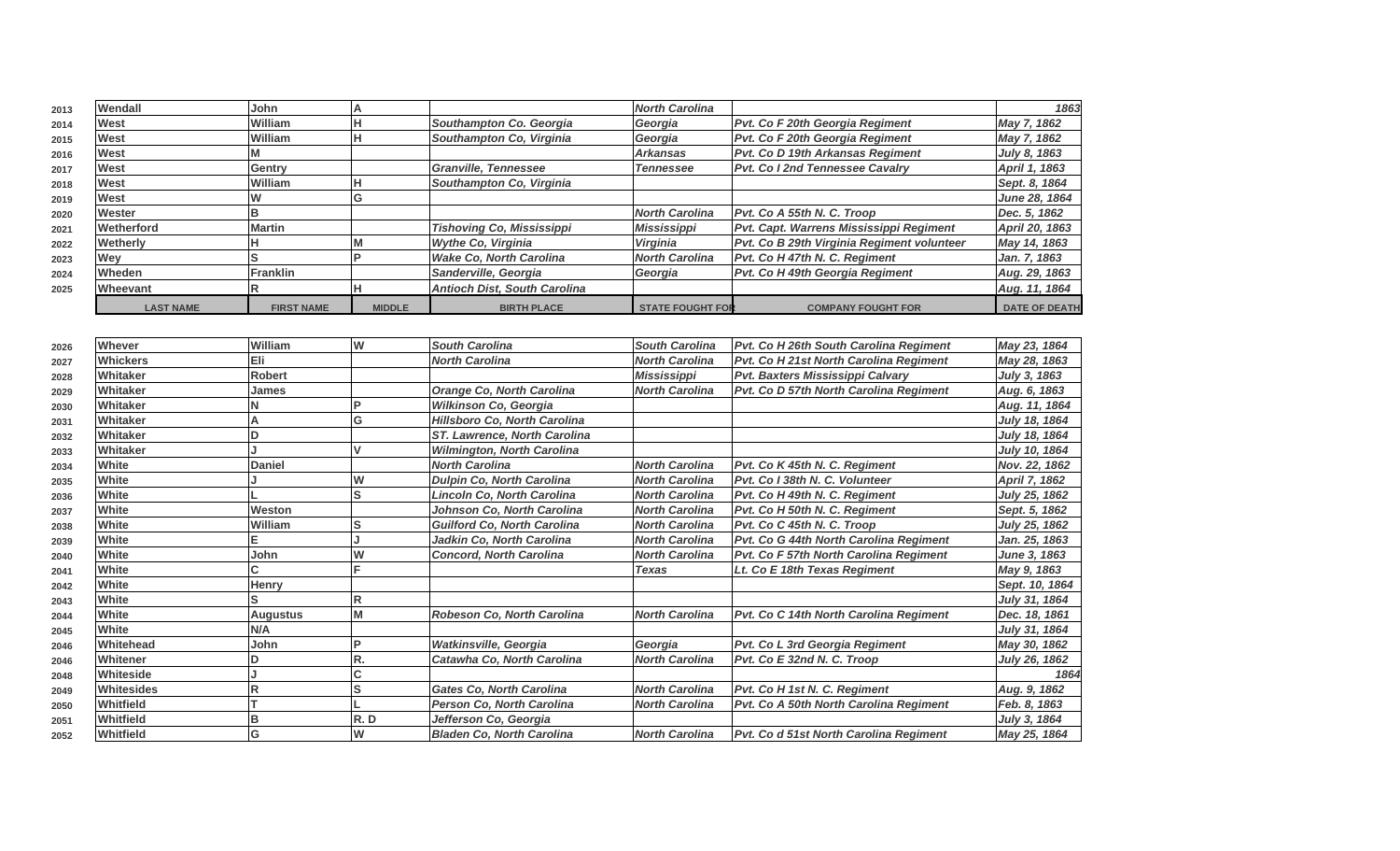| 2013 | Wendall          | John              |               |                                     | North Carolina          |                                            | 1863                 |
|------|------------------|-------------------|---------------|-------------------------------------|-------------------------|--------------------------------------------|----------------------|
| 2014 | West             | William           |               | Southampton Co. Georgia             | Georgia                 | Pvt. Co F 20th Georgia Regiment            | May 7, 1862          |
| 2015 | West             | William           |               | Southampton Co, Virginia            | Georgia                 | Pvt. Co F 20th Georgia Regiment            | May 7, 1862          |
| 2016 | West             |                   |               |                                     | <b>Arkansas</b>         | Pvt. Co D 19th Arkansas Regiment           | July 8, 1863         |
| 2017 | West             | Gentry            |               | Granville, Tennessee                | <b>Tennessee</b>        | <b>Pyt. Co I 2nd Tennessee Cavalry</b>     | April 1, 1863        |
| 2018 | West             | William           |               | Southampton Co, Virginia            |                         |                                            | Sept. 8, 1864        |
| 2019 | West             |                   |               |                                     |                         |                                            | June 28, 1864        |
| 2020 | <b>Wester</b>    |                   |               |                                     | <b>North Carolina</b>   | Pvt. Co A 55th N. C. Troop                 | Dec. 5, 1862         |
| 2021 | Wetherford       | Martin            |               | <b>Tishoving Co, Mississippi</b>    | <b>Mississippi</b>      | Pvt. Capt. Warrens Mississippi Regiment    | April 20, 1863       |
| 2022 | Wetherly         |                   |               | Wythe Co, Virginia                  | Virginia                | Pvt. Co B 29th Virginia Regiment volunteer | May 14, 1863         |
| 2023 | Wev              |                   |               | <b>Wake Co. North Carolina</b>      | <b>North Carolina</b>   | Pvt. Co H 47th N. C. Regiment              | Jan. 7, 1863         |
| 2024 | <b>Wheden</b>    | <b>Franklin</b>   |               | Sanderville, Georgia                | Georgia                 | Pvt. Co H 49th Georgia Regiment            | Aug. 29, 1863        |
| 2025 | <b>Wheevant</b>  |                   |               | <b>Antioch Dist, South Carolina</b> |                         |                                            | Aug. 11, 1864        |
|      | <b>LAST NAME</b> | <b>FIRST NAME</b> | <b>MIDDLE</b> | <b>BIRTH PLACE</b>                  | <b>STATE FOUGHT FOR</b> | <b>COMPANY FOUGHT FOR</b>                  | <b>DATE OF DEATH</b> |

| 2026 | Whever            | William         | lw  | <b>South Carolina</b>               | <b>South Carolina</b> | Pvt. Co H 26th South Carolina Regiment | May 23, 1864         |
|------|-------------------|-----------------|-----|-------------------------------------|-----------------------|----------------------------------------|----------------------|
| 2027 | <b>Whickers</b>   | Eli             |     | <b>North Carolina</b>               | <b>North Carolina</b> | Pvt. Co H 21st North Carolina Regiment | May 28, 1863         |
| 2028 | Whitaker          | <b>Robert</b>   |     |                                     | Mississippi           | Pvt. Baxters Mississippi Calvary       | July 3, 1863         |
| 2029 | Whitaker          | James           |     | <b>Orange Co, North Carolina</b>    | <b>North Carolina</b> | Pvt. Co D 57th North Carolina Regiment | Aug. 6, 1863         |
| 2030 | Whitaker          |                 |     | Wilkinson Co, Georgia               |                       |                                        | Aug. 11, 1864        |
| 2031 | Whitaker          |                 | G   | Hillsboro Co, North Carolina        |                       |                                        | July 18, 1864        |
| 2032 | Whitaker          |                 |     | <b>ST. Lawrence, North Carolina</b> |                       |                                        | July 18, 1864        |
| 2033 | Whitaker          |                 |     | <b>Wilmington, North Carolina</b>   |                       |                                        | July 10, 1864        |
| 2034 | White             | <b>Daniel</b>   |     | <b>North Carolina</b>               | <b>North Carolina</b> | Pvt. Co K 45th N. C. Regiment          | Nov. 22, 1862        |
| 2035 | White             |                 | W   | <b>Dulpin Co, North Carolina</b>    | <b>North Carolina</b> | Pvt. Co I 38th N. C. Volunteer         | April 7, 1862        |
| 2036 | White             |                 | S   | Lincoln Co, North Carolina          | <b>North Carolina</b> | Pvt. Co H 49th N. C. Regiment          | July 25, 1862        |
| 2037 | White             | Weston          |     | Johnson Co, North Carolina          | <b>North Carolina</b> | Pvt. Co H 50th N. C. Regiment          | Sept. 5, 1862        |
| 2038 | White             | William         | lS  | <b>Guilford Co. North Carolina</b>  | <b>North Carolina</b> | Pvt. Co C 45th N. C. Troop             | <b>July 25, 1862</b> |
| 2039 | White             |                 |     | Jadkin Co, North Carolina           | <b>North Carolina</b> | Pvt. Co G 44th North Carolina Regiment | Jan. 25, 1863        |
| 2040 | White             | John            | W   | <b>Concord, North Carolina</b>      | <b>North Carolina</b> | Pvt. Co F 57th North Carolina Regiment | <b>June 3, 1863</b>  |
| 2041 | White             |                 |     |                                     | <b>Texas</b>          | Lt. Co E 18th Texas Regiment           | May 9, 1863          |
| 2042 | White             | Henry           |     |                                     |                       |                                        | Sept. 10, 1864       |
| 2043 | White             |                 | R   |                                     |                       |                                        | July 31, 1864        |
| 2044 | White             | <b>Augustus</b> | M   | Robeson Co, North Carolina          | <b>North Carolina</b> | Pvt. Co C 14th North Carolina Regiment | Dec. 18, 1861        |
| 2045 | White             | N/A             |     |                                     |                       |                                        | July 31, 1864        |
| 2046 | <b>Whitehead</b>  | John            |     | <b>Watkinsville, Georgia</b>        | Georgia               | <b>Pvt. Co L 3rd Georgia Regiment</b>  | May 30, 1862         |
| 2046 | Whitener          |                 | R.  | Catawha Co, North Carolina          | <b>North Carolina</b> | Pvt. Co E 32nd N. C. Troop             | July 26, 1862        |
| 2048 | Whiteside         |                 |     |                                     |                       |                                        | 1864                 |
| 2049 | <b>Whitesides</b> |                 | ls  | <b>Gates Co, North Carolina</b>     | <b>North Carolina</b> | Pvt. Co H 1st N. C. Regiment           | Aug. 9, 1862         |
| 2050 | Whitfield         |                 |     | Person Co, North Carolina           | <b>North Carolina</b> | Pvt. Co A 50th North Carolina Regiment | Feb. 8, 1863         |
| 2051 | Whitfield         |                 | R.D | Jefferson Co, Georgia               |                       |                                        | July 3, 1864         |
| 2052 | Whitfield         |                 | W   | <b>Bladen Co, North Carolina</b>    | <b>North Carolina</b> | Pvt. Co d 51st North Carolina Regiment | May 25, 1864         |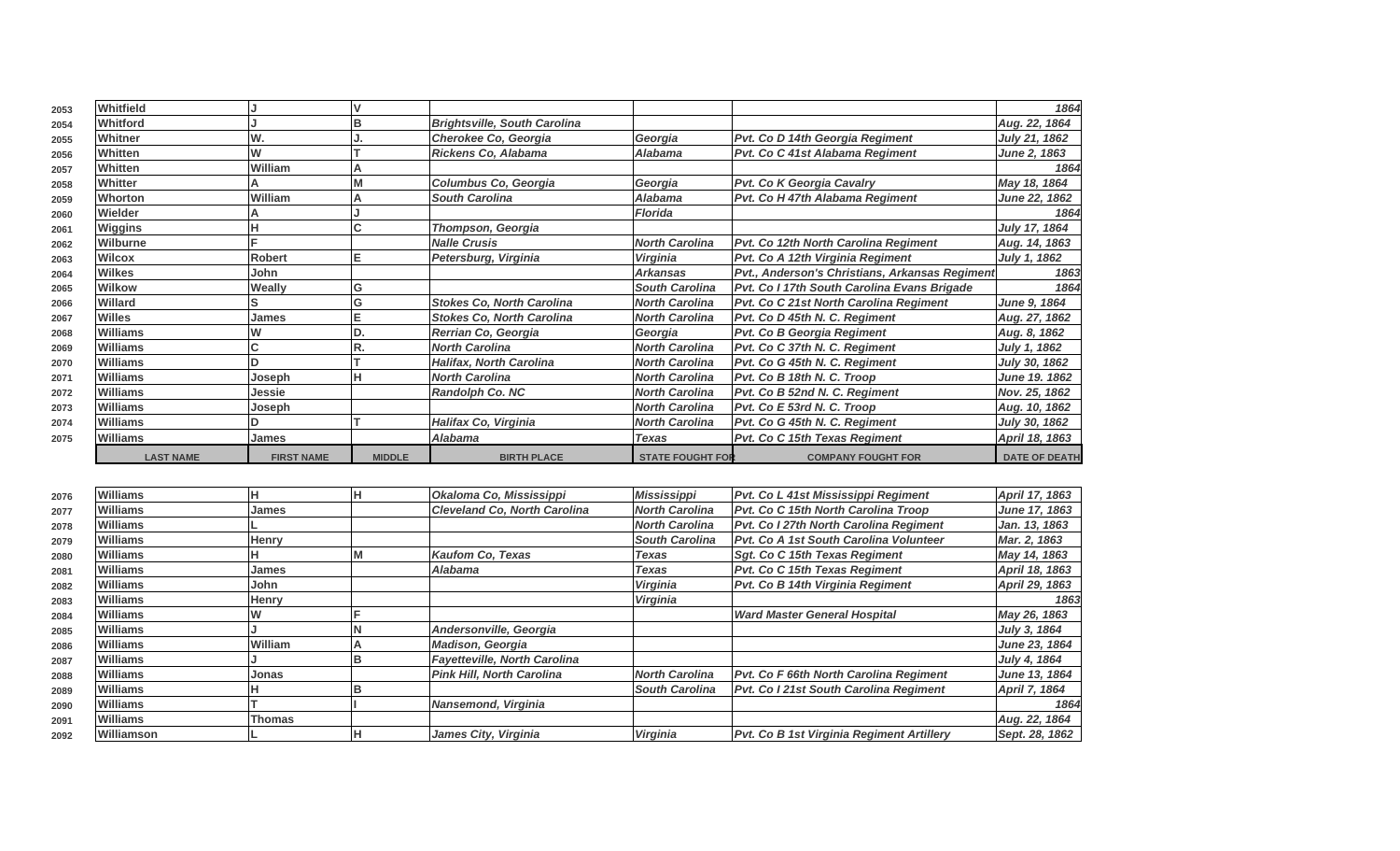| 2053 | <b>Whitfield</b> |                   |               |                                     |                         |                                                | 1864                 |
|------|------------------|-------------------|---------------|-------------------------------------|-------------------------|------------------------------------------------|----------------------|
| 2054 | <b>Whitford</b>  |                   |               | <b>Brightsville, South Carolina</b> |                         |                                                | Aug. 22, 1864        |
| 2055 | Whitner          | W.                |               | Cherokee Co, Georgia                | Georgia                 | Pvt. Co D 14th Georgia Regiment                | July 21, 1862        |
| 2056 | <b>Whitten</b>   | W                 |               | Rickens Co, Alabama                 | <b>Alabama</b>          | Pvt. Co C 41st Alabama Regiment                | June 2, 1863         |
| 2057 | Whitten          | William           |               |                                     |                         |                                                | 1864                 |
| 2058 | Whitter          |                   |               | Columbus Co, Georgia                | Georgia                 | <b>Pvt. Co K Georgia Cavalry</b>               | May 18, 1864         |
| 2059 | Whorton          | William           |               | <b>South Carolina</b>               | <b>Alabama</b>          | Pvt. Co H 47th Alabama Regiment                | June 22, 1862        |
| 2060 | <b>Wielder</b>   |                   |               |                                     | <b>Florida</b>          |                                                | 1864                 |
| 2061 | Wiggins          |                   |               | Thompson, Georgia                   |                         |                                                | July 17, 1864        |
| 2062 | Wilburne         |                   |               | <b>Nalle Crusis</b>                 | <b>North Carolina</b>   | Pvt. Co 12th North Carolina Regiment           | Aug. 14, 1863        |
| 2063 | <b>Wilcox</b>    | <b>Robert</b>     |               | Petersburg, Virginia                | <b>Virginia</b>         | Pvt. Co A 12th Virginia Regiment               | July 1, 1862         |
| 2064 | <b>Wilkes</b>    | John              |               |                                     | <b>Arkansas</b>         | Pvt., Anderson's Christians, Arkansas Regiment | 1863                 |
| 2065 | <b>Wilkow</b>    | Weally            | G             |                                     | <b>South Carolina</b>   | Pvt. Co I 17th South Carolina Evans Brigade    | 1864                 |
| 2066 | Willard          |                   |               | <b>Stokes Co, North Carolina</b>    | <b>North Carolina</b>   | Pvt. Co C 21st North Carolina Regiment         | June 9, 1864         |
| 2067 | <b>Willes</b>    | James             |               | <b>Stokes Co, North Carolina</b>    | <b>North Carolina</b>   | Pvt. Co D 45th N. C. Regiment                  | Aug. 27, 1862        |
| 2068 | <b>Williams</b>  |                   |               | Rerrian Co, Georgia                 | Georgia                 | <b>Pvt. Co B Georgia Regiment</b>              | Aug. 8, 1862         |
| 2069 | Williams         |                   |               | <b>North Carolina</b>               | <b>North Carolina</b>   | Pvt. Co C 37th N. C. Regiment                  | July 1, 1862         |
| 2070 | <b>Williams</b>  |                   |               | <b>Halifax, North Carolina</b>      | <b>North Carolina</b>   | Pvt. Co G 45th N. C. Regiment                  | <b>July 30, 1862</b> |
| 2071 | <b>Williams</b>  | Joseph            |               | <b>North Carolina</b>               | <b>North Carolina</b>   | Pvt. Co B 18th N. C. Troop                     | June 19. 1862        |
| 2072 | <b>Williams</b>  | Jessie            |               | <b>Randolph Co. NC</b>              | <b>North Carolina</b>   | Pvt. Co B 52nd N. C. Regiment                  | Nov. 25, 1862        |
| 2073 | <b>Williams</b>  | Joseph            |               |                                     | <b>North Carolina</b>   | Pvt. Co E 53rd N. C. Troop                     | Aug. 10, 1862        |
| 2074 | <b>Williams</b>  |                   |               | Halifax Co, Virginia                | <b>North Carolina</b>   | Pvt. Co G 45th N. C. Regiment                  | July 30, 1862        |
| 2075 | <b>Williams</b>  | <b>James</b>      |               | Alabama                             | <b>Texas</b>            | Pvt. Co C 15th Texas Regiment                  | April 18, 1863       |
|      | <b>LAST NAME</b> | <b>FIRST NAME</b> | <b>MIDDLE</b> | <b>BIRTH PLACE</b>                  | <b>STATE FOUGHT FOR</b> | <b>COMPANY FOUGHT FOR</b>                      | <b>DATE OF DEATH</b> |

| 2076 | <b>Williams</b> |               |    | Okaloma Co, Mississippi             | <b>Mississippi</b>    | <b>Pvt. Co L 41st Mississippi Regiment</b>    | April 17, 1863       |
|------|-----------------|---------------|----|-------------------------------------|-----------------------|-----------------------------------------------|----------------------|
| 2077 | <b>Williams</b> | James         |    | <b>Cleveland Co. North Carolina</b> | <b>North Carolina</b> | <b>Pvt. Co C 15th North Carolina Troop</b>    | June 17, 1863        |
| 2078 | <b>Williams</b> |               |    |                                     | <b>North Carolina</b> | <b>Pvt. Co I 27th North Carolina Regiment</b> | Jan. 13, 1863        |
| 2079 | <b>Williams</b> | Henry         |    |                                     | <b>South Carolina</b> | Pvt. Co A 1st South Carolina Volunteer        | Mar. 2, 1863         |
| 2080 | <b>Williams</b> |               |    | Kaufom Co, Texas                    | Texas                 | Sqt. Co C 15th Texas Regiment                 | May 14, 1863         |
| 2081 | <b>Williams</b> | James         |    | <b>Alabama</b>                      | Texas                 | Pvt. Co C 15th Texas Regiment                 | April 18, 1863       |
| 2082 | <b>Williams</b> | John          |    |                                     | Virginia              | Pvt. Co B 14th Virginia Regiment              | April 29, 1863       |
| 2083 | <b>Williams</b> | Henry         |    |                                     | <b>Virginia</b>       |                                               | 1863                 |
| 2084 | <b>Williams</b> |               |    |                                     |                       | Ward Master General Hospital                  | May 26, 1863         |
| 2085 | <b>Williams</b> |               |    | Andersonville, Georgia              |                       |                                               | July 3, 1864         |
| 2086 | <b>Williams</b> | William       |    | <b>Madison, Georgia</b>             |                       |                                               | June 23, 1864        |
| 2087 | <b>Williams</b> |               |    | Fayetteville, North Carolina        |                       |                                               | <b>July 4, 1864</b>  |
| 2088 | <b>Williams</b> | Jonas         |    | Pink Hill. North Carolina           | <b>North Carolina</b> | <b>Pvt. Co F 66th North Carolina Regiment</b> | June 13, 1864        |
| 2089 | <b>Williams</b> |               |    |                                     | <b>South Carolina</b> | Pvt. Co I 21st South Carolina Regiment        | <b>April 7, 1864</b> |
| 2090 | <b>Williams</b> |               |    | Nansemond, Virginia                 |                       |                                               | 1864                 |
| 2091 | <b>Williams</b> | <b>Thomas</b> |    |                                     |                       |                                               | Aug. 22, 1864        |
| 2092 | Williamson      |               | ıн | James City, Virginia                | <b>Virginia</b>       | Pvt. Co B 1st Virginia Regiment Artillery     | Sept. 28, 1862       |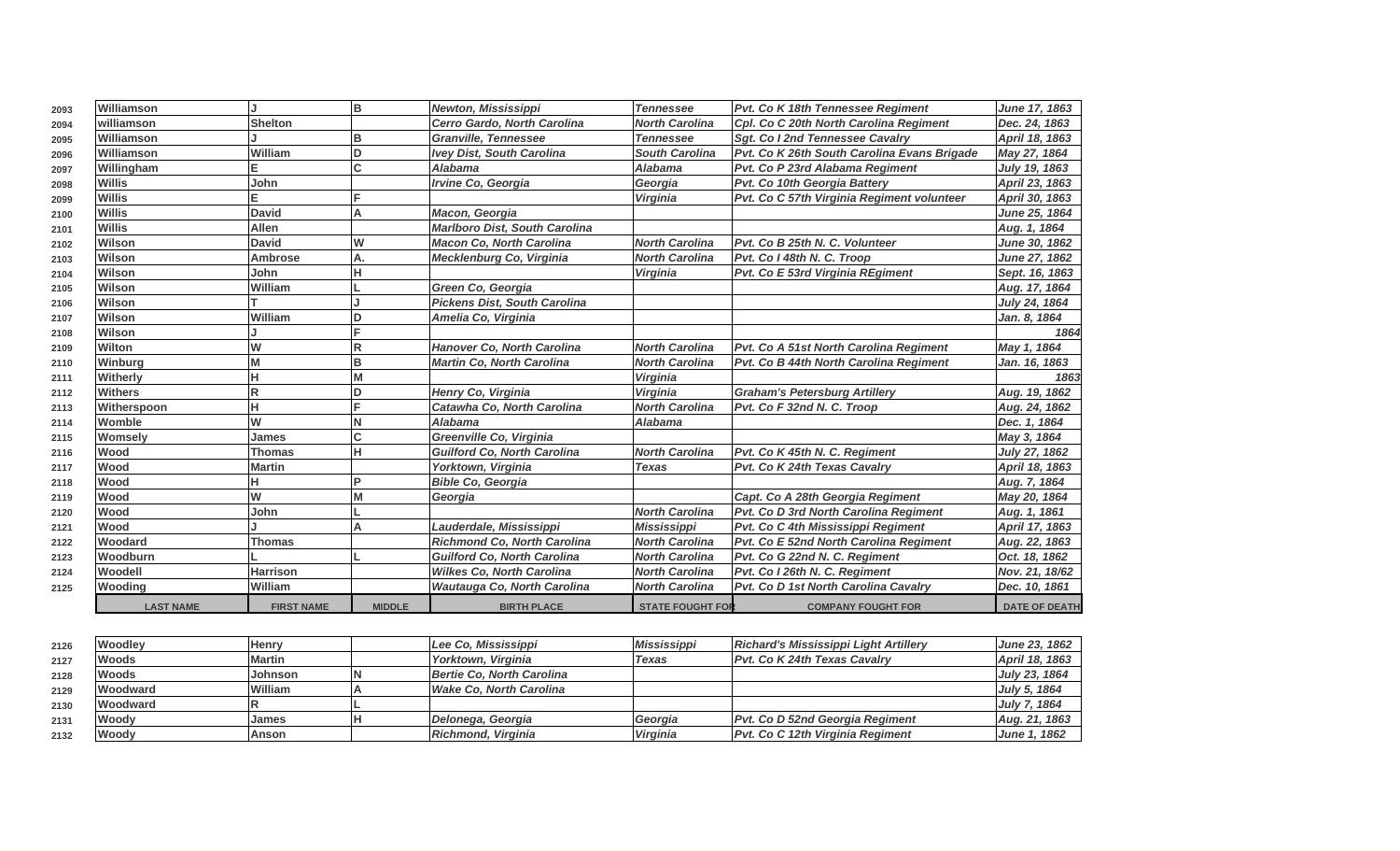| 2093 | Williamson       |                   | lв            | Newton, Mississippi                  | <b>Tennessee</b>        | Pvt. Co K 18th Tennessee Regiment           | June 17, 1863        |
|------|------------------|-------------------|---------------|--------------------------------------|-------------------------|---------------------------------------------|----------------------|
| 2094 | williamson       | <b>Shelton</b>    |               | Cerro Gardo, North Carolina          | <b>North Carolina</b>   | Cpl. Co C 20th North Carolina Regiment      | Dec. 24, 1863        |
| 2095 | Williamson       |                   | B             | <b>Granville, Tennessee</b>          | <b>Tennessee</b>        | Sgt. Co I 2nd Tennessee Cavalry             | April 18, 1863       |
| 2096 | Williamson       | William           | D             | <b>Ivey Dist, South Carolina</b>     | <b>South Carolina</b>   | Pvt. Co K 26th South Carolina Evans Brigade | May 27, 1864         |
| 2097 | Willingham       | Е                 | C             | <b>Alabama</b>                       | <b>Alabama</b>          | Pvt. Co P 23rd Alabama Regiment             | <b>July 19, 1863</b> |
| 2098 | Willis           | John              |               | Irvine Co, Georgia                   | Georgia                 | Pvt. Co 10th Georgia Battery                | April 23, 1863       |
| 2099 | <b>Willis</b>    |                   |               |                                      | Virginia                | Pvt. Co C 57th Virginia Regiment volunteer  | April 30, 1863       |
| 2100 | <b>Willis</b>    | <b>David</b>      | A             | Macon, Georgia                       |                         |                                             | <b>June 25, 1864</b> |
| 2101 | <b>Willis</b>    | <b>Allen</b>      |               | <b>Marlboro Dist, South Carolina</b> |                         |                                             | Aug. 1, 1864         |
| 2102 | Wilson           | <b>David</b>      | W             | <b>Macon Co, North Carolina</b>      | <b>North Carolina</b>   | Pvt. Co B 25th N. C. Volunteer              | June 30, 1862        |
| 2103 | Wilson           | <b>Ambrose</b>    | А.            | Mecklenburg Co, Virginia             | <b>North Carolina</b>   | Pvt. Co I 48th N. C. Troop                  | <b>June 27, 1862</b> |
| 2104 | Wilson           | John              |               |                                      | Virginia                | Pvt. Co E 53rd Virginia REgiment            | Sept. 16, 1863       |
| 2105 | Wilson           | William           |               | Green Co, Georgia                    |                         |                                             | Aug. 17, 1864        |
| 2106 | Wilson           |                   |               | <b>Pickens Dist. South Carolina</b>  |                         |                                             | July 24, 1864        |
| 2107 | Wilson           | William           | D             | Amelia Co, Virginia                  |                         |                                             | Jan. 8, 1864         |
| 2108 | Wilson           |                   |               |                                      |                         |                                             | 1864                 |
| 2109 | Wilton           | W                 | R             | <b>Hanover Co. North Carolina</b>    | <b>North Carolina</b>   | Pvt. Co A 51st North Carolina Regiment      | May 1, 1864          |
| 2110 | Winburg          | M                 | B             | <b>Martin Co, North Carolina</b>     | <b>North Carolina</b>   | Pvt. Co B 44th North Carolina Regiment      | Jan. 16, 1863        |
| 2111 | Witherly         | н                 |               |                                      | Virginia                |                                             | 1863                 |
| 2112 | <b>Withers</b>   | $\overline{R}$    | D             | Henry Co, Virginia                   | Virginia                | <b>Graham's Petersburg Artillery</b>        | Aug. 19, 1862        |
| 2113 | Witherspoon      | н                 |               | Catawha Co, North Carolina           | <b>North Carolina</b>   | Pvt. Co F 32nd N. C. Troop                  | Aug. 24, 1862        |
| 2114 | Womble           | W                 |               | <b>Alabama</b>                       | <b>Alabama</b>          |                                             | Dec. 1. 1864         |
| 2115 | Womsely          | <b>James</b>      | C             | Greenville Co, Virginia              |                         |                                             | May 3, 1864          |
| 2116 | Wood             | <b>Thomas</b>     | н             | <b>Guilford Co. North Carolina</b>   | <b>North Carolina</b>   | Pvt. Co K 45th N. C. Regiment               | July 27, 1862        |
| 2117 | Wood             | <b>Martin</b>     |               | Yorktown, Virginia                   | <b>Texas</b>            | Pvt. Co K 24th Texas Cavalry                | April 18, 1863       |
| 2118 | Wood             | н                 |               | <b>Bible Co. Georgia</b>             |                         |                                             | Aug. 7, 1864         |
| 2119 | <b>Wood</b>      | W                 | M             | Georgia                              |                         | Capt. Co A 28th Georgia Regiment            | May 20, 1864         |
| 2120 | Wood             | John              |               |                                      | <b>North Carolina</b>   | Pvt. Co D 3rd North Carolina Regiment       | Aug. 1, 1861         |
| 2121 | Wood             |                   |               | Lauderdale, Mississippi              | <b>Mississippi</b>      | Pvt. Co C 4th Mississippi Regiment          | April 17, 1863       |
| 2122 | Woodard          | <b>Thomas</b>     |               | <b>Richmond Co, North Carolina</b>   | <b>North Carolina</b>   | Pvt. Co E 52nd North Carolina Regiment      | Aug. 22, 1863        |
| 2123 | Woodburn         |                   |               | <b>Guilford Co, North Carolina</b>   | <b>North Carolina</b>   | Pvt. Co G 22nd N. C. Regiment               | Oct. 18, 1862        |
| 2124 | Woodell          | <b>Harrison</b>   |               | <b>Wilkes Co, North Carolina</b>     | <b>North Carolina</b>   | Pvt. Co I 26th N. C. Regiment               | Nov. 21, 18/62       |
| 2125 | Wooding          | William           |               | Wautauga Co, North Carolina          | <b>North Carolina</b>   | Pvt. Co D 1st North Carolina Cavalry        | Dec. 10, 1861        |
|      | <b>LAST NAME</b> | <b>FIRST NAME</b> | <b>MIDDLE</b> | <b>BIRTH PLACE</b>                   | <b>STATE FOUGHT FOR</b> | <b>COMPANY FOUGHT FOR</b>                   | <b>DATE OF DEATH</b> |

| 2126 | Woodley         | lHenrv         | Lee Co. Mississippi       | <b>Mississippi</b> | <b>Richard's Mississippi Light Artillery</b> | <b>June 23. 1862</b> |
|------|-----------------|----------------|---------------------------|--------------------|----------------------------------------------|----------------------|
| 2127 | <b>Woods</b>    | <b>Martin</b>  | Yorktown. Virginia        | Texas              | <b>Pvt. Co K 24th Texas Cavalry</b>          | April 18, 1863       |
| 2128 | <b>Woods</b>    | Johnson        | Bertie Co. North Carolina |                    |                                              | July 23, 1864        |
| 2129 | <b>Woodward</b> | <b>William</b> | Wake Co. North Carolina   |                    |                                              | July 5, 1864         |
| 2130 | Woodward        |                |                           |                    |                                              | July 7, 1864         |
| 2131 | Woodv           | James          | Delonega, Georgia         | Georgia            | <b>Pvt. Co D 52nd Georgia Regiment</b>       | Aug. 21, 1863        |
| 2132 | Woody           | lAnson         | Richmond, Virginia        | <b>Virginia</b>    | Pvt. Co C 12th Virginia Regiment             | June 1, 1862         |